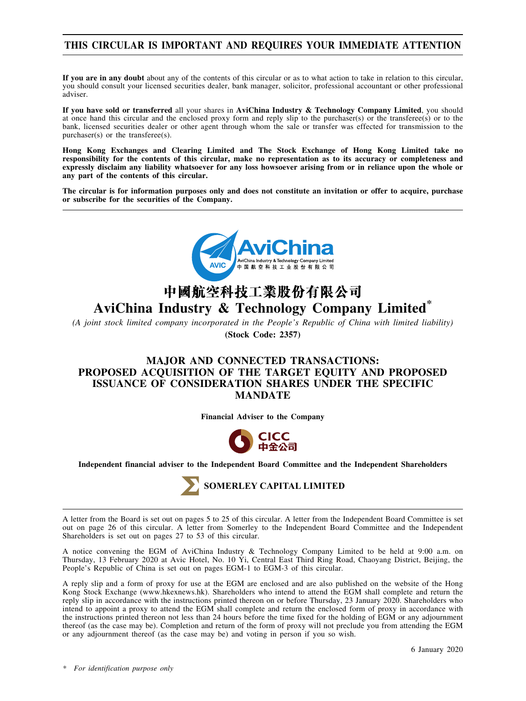## **THIS CIRCULAR IS IMPORTANT AND REQUIRES YOUR IMMEDIATE ATTENTION**

**If you are in any doubt** about any of the contents of this circular or as to what action to take in relation to this circular, you should consult your licensed securities dealer, bank manager, solicitor, professional accountant or other professional adviser.

**If you have sold or transferred** all your shares in **AviChina Industry & Technology Company Limited**, you should at once hand this circular and the enclosed proxy form and reply slip to the purchaser(s) or the transferee(s) or to the bank, licensed securities dealer or other agent through whom the sale or transfer was effected for transmission to the purchaser(s) or the transferee(s).

**Hong Kong Exchanges and Clearing Limited and The Stock Exchange of Hong Kong Limited take no responsibility for the contents of this circular, make no representation as to its accuracy or completeness and expressly disclaim any liability whatsoever for any loss howsoever arising from or in reliance upon the whole or any part of the contents of this circular.**

**The circular is for information purposes only and does not constitute an invitation or offer to acquire, purchase or subscribe for the securities of the Company.**



# **AviChina Industry & Technology Company Limited\***

*(A joint stock limited company incorporated in the People's Republic of China with limited liability)* **(Stock Code: 2357)**

## **MAJOR AND CONNECTED TRANSACTIONS: PROPOSED ACQUISITION OF THE TARGET EQUITY AND PROPOSED ISSUANCE OF CONSIDERATION SHARES UNDER THE SPECIFIC MANDATE**

**Financial Adviser to the Company**



**Independent financial adviser to the Independent Board Committee and the Independent Shareholders**



A letter from the Board is set out on pages 5 to 25 of this circular. A letter from the Independent Board Committee is set out on page 26 of this circular. A letter from Somerley to the Independent Board Committee and the Independent Shareholders is set out on pages 27 to 53 of this circular.

A notice convening the EGM of AviChina Industry & Technology Company Limited to be held at 9:00 a.m. on Thursday, 13 February 2020 at Avic Hotel, No. 10 Yi, Central East Third Ring Road, Chaoyang District, Beijing, the People's Republic of China is set out on pages EGM-1 to EGM-3 of this circular.

A reply slip and a form of proxy for use at the EGM are enclosed and are also published on the website of the Hong Kong Stock Exchange (www.hkexnews.hk). Shareholders who intend to attend the EGM shall complete and return the reply slip in accordance with the instructions printed thereon on or before Thursday, 23 January 2020. Shareholders who intend to appoint a proxy to attend the EGM shall complete and return the enclosed form of proxy in accordance with the instructions printed thereon not less than 24 hours before the time fixed for the holding of EGM or any adjournment thereof (as the case may be). Completion and return of the form of proxy will not preclude you from attending the EGM or any adjournment thereof (as the case may be) and voting in person if you so wish.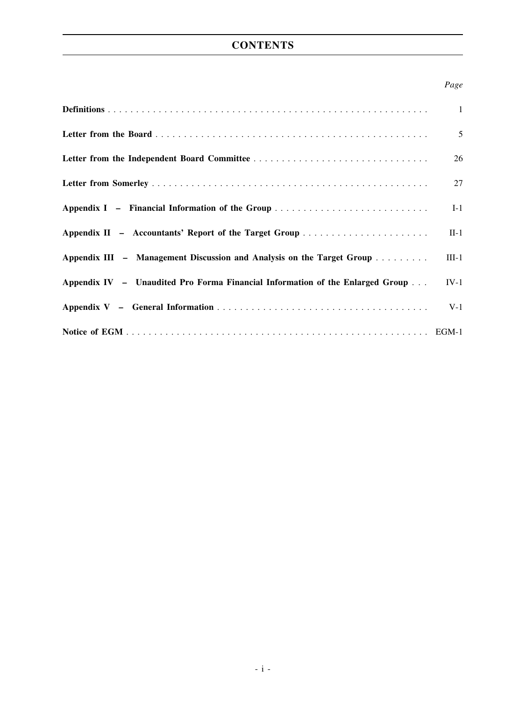# **CONTENTS**

## *Page*

|                                                                               | $\mathbf{1}$ |
|-------------------------------------------------------------------------------|--------------|
|                                                                               | 5            |
|                                                                               | 26           |
|                                                                               | 27           |
| Appendix I - Financial Information of the Group                               | $I-1$        |
|                                                                               | $II-1$       |
| Appendix III – Management Discussion and Analysis on the Target Group         | $III-1$      |
| Appendix IV - Unaudited Pro Forma Financial Information of the Enlarged Group | $IV-1$       |
|                                                                               | $V-1$        |
|                                                                               |              |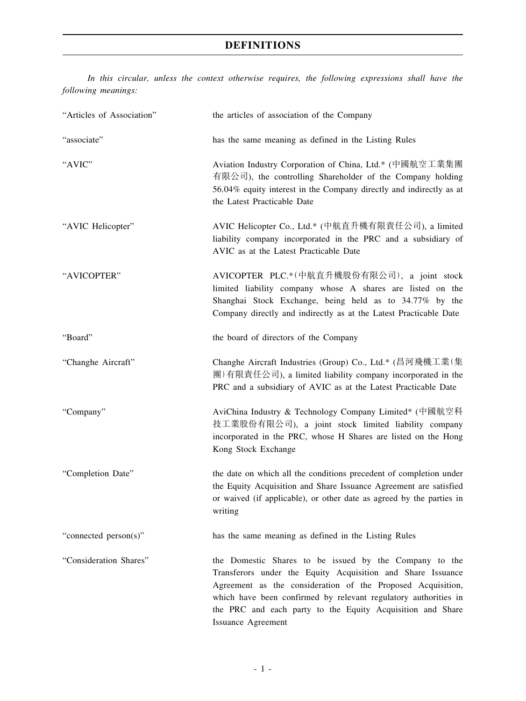*In this circular, unless the context otherwise requires, the following expressions shall have the following meanings:*

| "Articles of Association" | the articles of association of the Company                                                                                                                                                                                                                                                                                                         |
|---------------------------|----------------------------------------------------------------------------------------------------------------------------------------------------------------------------------------------------------------------------------------------------------------------------------------------------------------------------------------------------|
| "associate"               | has the same meaning as defined in the Listing Rules                                                                                                                                                                                                                                                                                               |
| "AVIC"                    | Aviation Industry Corporation of China, Ltd.* (中國航空工業集團<br>有限公司), the controlling Shareholder of the Company holding<br>56.04% equity interest in the Company directly and indirectly as at<br>the Latest Practicable Date                                                                                                                         |
| "AVIC Helicopter"         | AVIC Helicopter Co., Ltd.* (中航直升機有限責任公司), a limited<br>liability company incorporated in the PRC and a subsidiary of<br>AVIC as at the Latest Practicable Date                                                                                                                                                                                     |
| "AVICOPTER"               | AVICOPTER PLC.*(中航直升機股份有限公司), a joint stock<br>limited liability company whose A shares are listed on the<br>Shanghai Stock Exchange, being held as to 34.77% by the<br>Company directly and indirectly as at the Latest Practicable Date                                                                                                          |
| "Board"                   | the board of directors of the Company                                                                                                                                                                                                                                                                                                              |
| "Changhe Aircraft"        | Changhe Aircraft Industries (Group) Co., Ltd.* (昌河飛機工業(集<br>團)有限責任公司), a limited liability company incorporated in the<br>PRC and a subsidiary of AVIC as at the Latest Practicable Date                                                                                                                                                           |
| "Company"                 | AviChina Industry & Technology Company Limited* (中國航空科<br>技工業股份有限公司), a joint stock limited liability company<br>incorporated in the PRC, whose H Shares are listed on the Hong<br>Kong Stock Exchange                                                                                                                                             |
| "Completion Date"         | the date on which all the conditions precedent of completion under<br>the Equity Acquisition and Share Issuance Agreement are satisfied<br>or waived (if applicable), or other date as agreed by the parties in<br>writing                                                                                                                         |
| "connected person(s)"     | has the same meaning as defined in the Listing Rules                                                                                                                                                                                                                                                                                               |
| "Consideration Shares"    | the Domestic Shares to be issued by the Company to the<br>Transferors under the Equity Acquisition and Share Issuance<br>Agreement as the consideration of the Proposed Acquisition,<br>which have been confirmed by relevant regulatory authorities in<br>the PRC and each party to the Equity Acquisition and Share<br><b>Issuance Agreement</b> |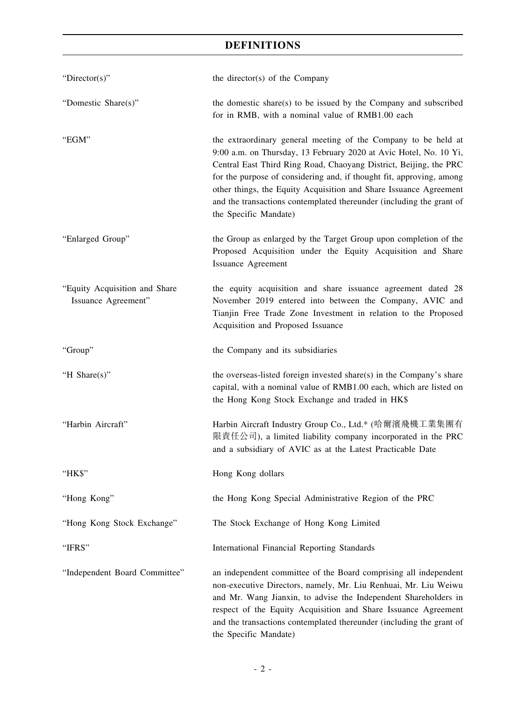| "Director(s)"                                        | the director(s) of the Company                                                                                                                                                                                                                                                                                                                                                                                                                         |
|------------------------------------------------------|--------------------------------------------------------------------------------------------------------------------------------------------------------------------------------------------------------------------------------------------------------------------------------------------------------------------------------------------------------------------------------------------------------------------------------------------------------|
| "Domestic Share(s)"                                  | the domestic share(s) to be issued by the Company and subscribed<br>for in RMB, with a nominal value of RMB1.00 each                                                                                                                                                                                                                                                                                                                                   |
| "EGM"                                                | the extraordinary general meeting of the Company to be held at<br>9:00 a.m. on Thursday, 13 February 2020 at Avic Hotel, No. 10 Yi,<br>Central East Third Ring Road, Chaoyang District, Beijing, the PRC<br>for the purpose of considering and, if thought fit, approving, among<br>other things, the Equity Acquisition and Share Issuance Agreement<br>and the transactions contemplated thereunder (including the grant of<br>the Specific Mandate) |
| "Enlarged Group"                                     | the Group as enlarged by the Target Group upon completion of the<br>Proposed Acquisition under the Equity Acquisition and Share<br><b>Issuance Agreement</b>                                                                                                                                                                                                                                                                                           |
| "Equity Acquisition and Share<br>Issuance Agreement" | the equity acquisition and share issuance agreement dated 28<br>November 2019 entered into between the Company, AVIC and<br>Tianjin Free Trade Zone Investment in relation to the Proposed<br>Acquisition and Proposed Issuance                                                                                                                                                                                                                        |
| "Group"                                              | the Company and its subsidiaries                                                                                                                                                                                                                                                                                                                                                                                                                       |
| "H Share(s)"                                         | the overseas-listed foreign invested share(s) in the Company's share<br>capital, with a nominal value of RMB1.00 each, which are listed on<br>the Hong Kong Stock Exchange and traded in HK\$                                                                                                                                                                                                                                                          |
| "Harbin Aircraft"                                    | Harbin Aircraft Industry Group Co., Ltd.* (哈爾濱飛機工業集團有<br>限責任公司), a limited liability company incorporated in the PRC<br>and a subsidiary of AVIC as at the Latest Practicable Date                                                                                                                                                                                                                                                                     |
| "HK\$"                                               | Hong Kong dollars                                                                                                                                                                                                                                                                                                                                                                                                                                      |
| "Hong Kong"                                          | the Hong Kong Special Administrative Region of the PRC                                                                                                                                                                                                                                                                                                                                                                                                 |
| "Hong Kong Stock Exchange"                           | The Stock Exchange of Hong Kong Limited                                                                                                                                                                                                                                                                                                                                                                                                                |
| "IFRS"                                               | International Financial Reporting Standards                                                                                                                                                                                                                                                                                                                                                                                                            |
| "Independent Board Committee"                        | an independent committee of the Board comprising all independent<br>non-executive Directors, namely, Mr. Liu Renhuai, Mr. Liu Weiwu<br>and Mr. Wang Jianxin, to advise the Independent Shareholders in<br>respect of the Equity Acquisition and Share Issuance Agreement<br>and the transactions contemplated thereunder (including the grant of<br>the Specific Mandate)                                                                              |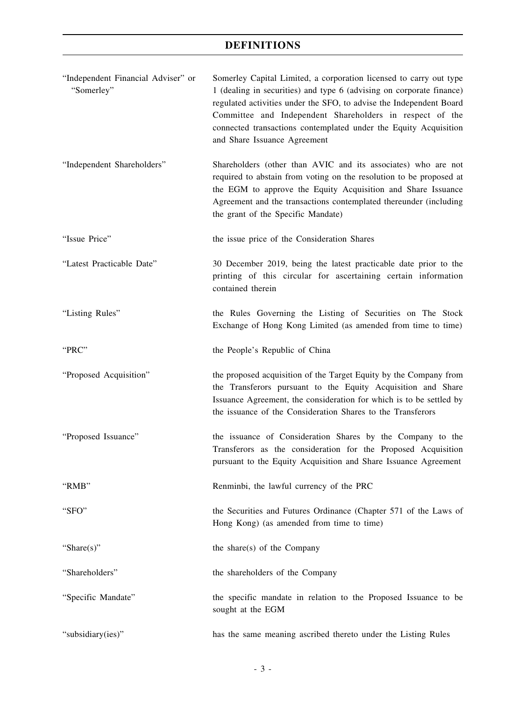| "Independent Financial Adviser" or<br>"Somerley" | Somerley Capital Limited, a corporation licensed to carry out type<br>1 (dealing in securities) and type 6 (advising on corporate finance)<br>regulated activities under the SFO, to advise the Independent Board<br>Committee and Independent Shareholders in respect of the<br>connected transactions contemplated under the Equity Acquisition<br>and Share Issuance Agreement |
|--------------------------------------------------|-----------------------------------------------------------------------------------------------------------------------------------------------------------------------------------------------------------------------------------------------------------------------------------------------------------------------------------------------------------------------------------|
| "Independent Shareholders"                       | Shareholders (other than AVIC and its associates) who are not<br>required to abstain from voting on the resolution to be proposed at<br>the EGM to approve the Equity Acquisition and Share Issuance<br>Agreement and the transactions contemplated thereunder (including<br>the grant of the Specific Mandate)                                                                   |
| "Issue Price"                                    | the issue price of the Consideration Shares                                                                                                                                                                                                                                                                                                                                       |
| "Latest Practicable Date"                        | 30 December 2019, being the latest practicable date prior to the<br>printing of this circular for ascertaining certain information<br>contained therein                                                                                                                                                                                                                           |
| "Listing Rules"                                  | the Rules Governing the Listing of Securities on The Stock<br>Exchange of Hong Kong Limited (as amended from time to time)                                                                                                                                                                                                                                                        |
| "PRC"                                            | the People's Republic of China                                                                                                                                                                                                                                                                                                                                                    |
| "Proposed Acquisition"                           | the proposed acquisition of the Target Equity by the Company from<br>the Transferors pursuant to the Equity Acquisition and Share<br>Issuance Agreement, the consideration for which is to be settled by<br>the issuance of the Consideration Shares to the Transferors                                                                                                           |
| "Proposed Issuance"                              | the issuance of Consideration Shares by the Company to the<br>Transferors as the consideration for the Proposed Acquisition<br>pursuant to the Equity Acquisition and Share Issuance Agreement                                                                                                                                                                                    |
| "RMB"                                            | Renminbi, the lawful currency of the PRC                                                                                                                                                                                                                                                                                                                                          |
| "SFO"                                            | the Securities and Futures Ordinance (Chapter 571 of the Laws of<br>Hong Kong) (as amended from time to time)                                                                                                                                                                                                                                                                     |
| "Share $(s)$ "                                   | the share(s) of the Company                                                                                                                                                                                                                                                                                                                                                       |
| "Shareholders"                                   | the shareholders of the Company                                                                                                                                                                                                                                                                                                                                                   |
| "Specific Mandate"                               | the specific mandate in relation to the Proposed Issuance to be<br>sought at the EGM                                                                                                                                                                                                                                                                                              |
| "subsidiary(ies)"                                | has the same meaning ascribed thereto under the Listing Rules                                                                                                                                                                                                                                                                                                                     |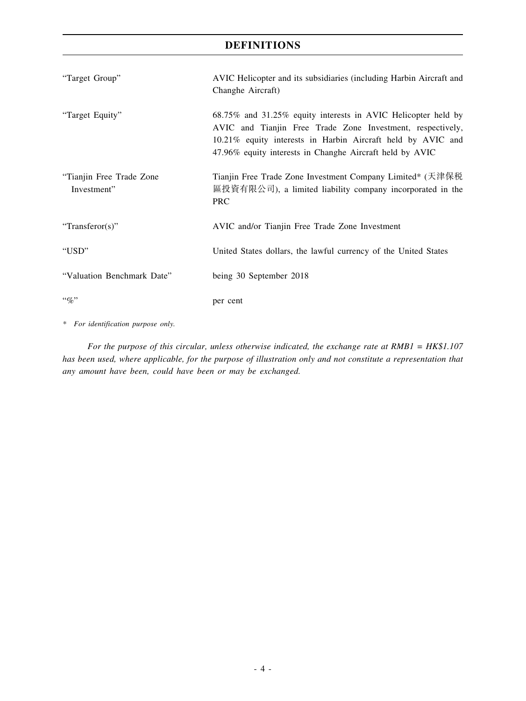| "Target Group"                          | AVIC Helicopter and its subsidiaries (including Harbin Aircraft and<br>Changhe Aircraft)                                                                                                                                                               |
|-----------------------------------------|--------------------------------------------------------------------------------------------------------------------------------------------------------------------------------------------------------------------------------------------------------|
| "Target Equity"                         | 68.75% and 31.25% equity interests in AVIC Helicopter held by<br>AVIC and Tianjin Free Trade Zone Investment, respectively,<br>10.21% equity interests in Harbin Aircraft held by AVIC and<br>47.96% equity interests in Changhe Aircraft held by AVIC |
| "Tianjin Free Trade Zone<br>Investment" | Tianjin Free Trade Zone Investment Company Limited* (天津保税<br>區投資有限公司), a limited liability company incorporated in the<br><b>PRC</b>                                                                                                                   |
| "Transferor(s)"                         | AVIC and/or Tianjin Free Trade Zone Investment                                                                                                                                                                                                         |
| "USD"                                   | United States dollars, the lawful currency of the United States                                                                                                                                                                                        |
| "Valuation Benchmark Date"              | being 30 September 2018                                                                                                                                                                                                                                |
| $``\%"$                                 | per cent                                                                                                                                                                                                                                               |

*\* For identification purpose only.*

*For the purpose of this circular, unless otherwise indicated, the exchange rate at RMB1 = HK\$1.107 has been used, where applicable, for the purpose of illustration only and not constitute a representation that any amount have been, could have been or may be exchanged.*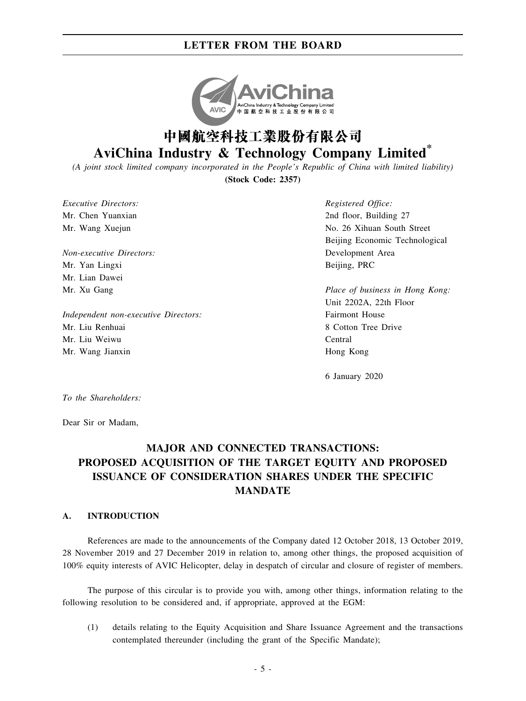

# **AviChina Industry & Technology Company Limited\***

*(A joint stock limited company incorporated in the People's Republic of China with limited liability)* **(Stock Code: 2357)**

*Executive Directors:* Mr. Chen Yuanxian Mr. Wang Xuejun

*Non-executive Directors:* Mr. Yan Lingxi Mr. Lian Dawei Mr. Xu Gang

*Independent non-executive Directors:* Mr. Liu Renhuai Mr. Liu Weiwu Mr. Wang Jianxin

*Registered Office:* 2nd floor, Building 27 No. 26 Xihuan South Street Beijing Economic Technological Development Area Beijing, PRC

*Place of business in Hong Kong:* Unit 2202A, 22th Floor Fairmont House 8 Cotton Tree Drive Central Hong Kong

6 January 2020

*To the Shareholders:*

Dear Sir or Madam,

# **MAJOR AND CONNECTED TRANSACTIONS: PROPOSED ACQUISITION OF THE TARGET EQUITY AND PROPOSED ISSUANCE OF CONSIDERATION SHARES UNDER THE SPECIFIC MANDATE**

#### **A. INTRODUCTION**

References are made to the announcements of the Company dated 12 October 2018, 13 October 2019, 28 November 2019 and 27 December 2019 in relation to, among other things, the proposed acquisition of 100% equity interests of AVIC Helicopter, delay in despatch of circular and closure of register of members.

The purpose of this circular is to provide you with, among other things, information relating to the following resolution to be considered and, if appropriate, approved at the EGM:

(1) details relating to the Equity Acquisition and Share Issuance Agreement and the transactions contemplated thereunder (including the grant of the Specific Mandate);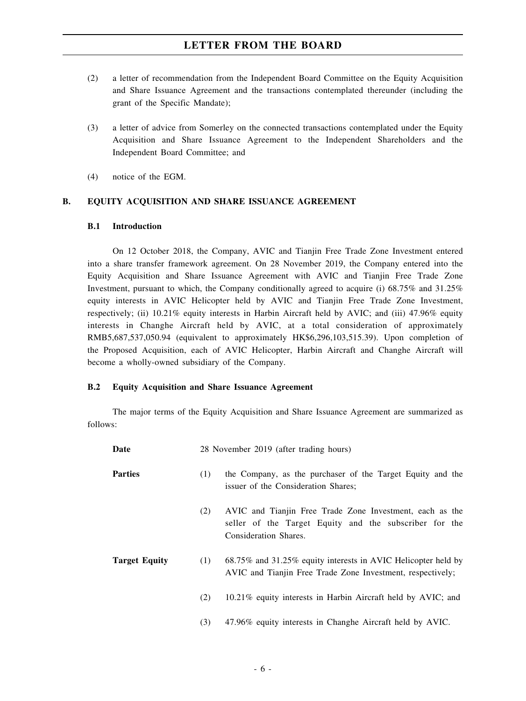- (2) a letter of recommendation from the Independent Board Committee on the Equity Acquisition and Share Issuance Agreement and the transactions contemplated thereunder (including the grant of the Specific Mandate);
- (3) a letter of advice from Somerley on the connected transactions contemplated under the Equity Acquisition and Share Issuance Agreement to the Independent Shareholders and the Independent Board Committee; and
- (4) notice of the EGM.

#### **B. EQUITY ACQUISITION AND SHARE ISSUANCE AGREEMENT**

#### **B.1 Introduction**

On 12 October 2018, the Company, AVIC and Tianjin Free Trade Zone Investment entered into a share transfer framework agreement. On 28 November 2019, the Company entered into the Equity Acquisition and Share Issuance Agreement with AVIC and Tianjin Free Trade Zone Investment, pursuant to which, the Company conditionally agreed to acquire (i) 68.75% and 31.25% equity interests in AVIC Helicopter held by AVIC and Tianjin Free Trade Zone Investment, respectively; (ii) 10.21% equity interests in Harbin Aircraft held by AVIC; and (iii) 47.96% equity interests in Changhe Aircraft held by AVIC, at a total consideration of approximately RMB5,687,537,050.94 (equivalent to approximately HK\$6,296,103,515.39). Upon completion of the Proposed Acquisition, each of AVIC Helicopter, Harbin Aircraft and Changhe Aircraft will become a wholly-owned subsidiary of the Company.

#### **B.2 Equity Acquisition and Share Issuance Agreement**

The major terms of the Equity Acquisition and Share Issuance Agreement are summarized as follows:

| Date                 | 28 November 2019 (after trading hours) |                                                                                                                                             |  |  |
|----------------------|----------------------------------------|---------------------------------------------------------------------------------------------------------------------------------------------|--|--|
| <b>Parties</b>       | (1)                                    | the Company, as the purchaser of the Target Equity and the<br>issuer of the Consideration Shares;                                           |  |  |
|                      | (2)                                    | AVIC and Tianjin Free Trade Zone Investment, each as the<br>seller of the Target Equity and the subscriber for the<br>Consideration Shares. |  |  |
| <b>Target Equity</b> | (1)                                    | 68.75% and 31.25% equity interests in AVIC Helicopter held by<br>AVIC and Tianjin Free Trade Zone Investment, respectively;                 |  |  |
|                      | (2)                                    | 10.21% equity interests in Harbin Aircraft held by AVIC; and                                                                                |  |  |
|                      | (3)                                    | 47.96% equity interests in Changhe Aircraft held by AVIC.                                                                                   |  |  |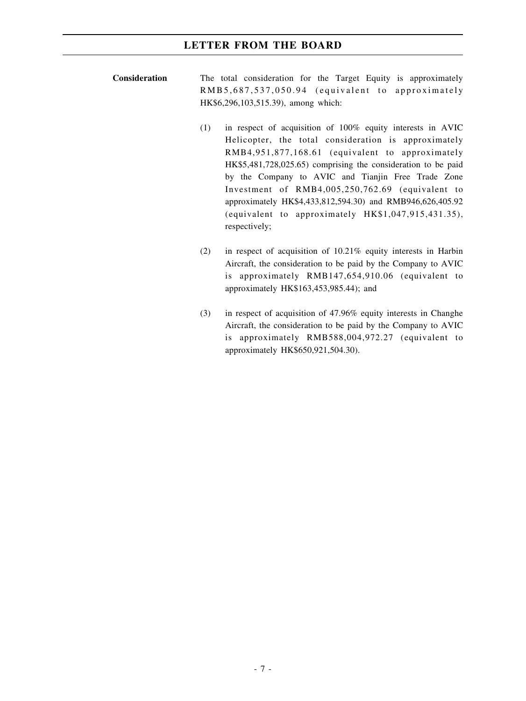- **Consideration** The total consideration for the Target Equity is approximately RMB5,687,537,050.94 (equivalent to approximately HK\$6,296,103,515.39), among which:
	- (1) in respect of acquisition of 100% equity interests in AVIC Helicopter, the total consideration is approximately RMB4,951,877,168.61 (equivalent to approximately HK\$5,481,728,025.65) comprising the consideration to be paid by the Company to AVIC and Tianjin Free Trade Zone Investment of RMB4,005,250,762.69 (equivalent to approximately HK\$4,433,812,594.30) and RMB946,626,405.92 (equivalent to approximately HK\$1,047,915,431.35), respectively;
		- (2) in respect of acquisition of 10.21% equity interests in Harbin Aircraft, the consideration to be paid by the Company to AVIC is approximately RMB147,654,910.06 (equivalent to approximately HK\$163,453,985.44); and
		- (3) in respect of acquisition of 47.96% equity interests in Changhe Aircraft, the consideration to be paid by the Company to AVIC is approximately RMB588,004,972.27 (equivalent to approximately HK\$650,921,504.30).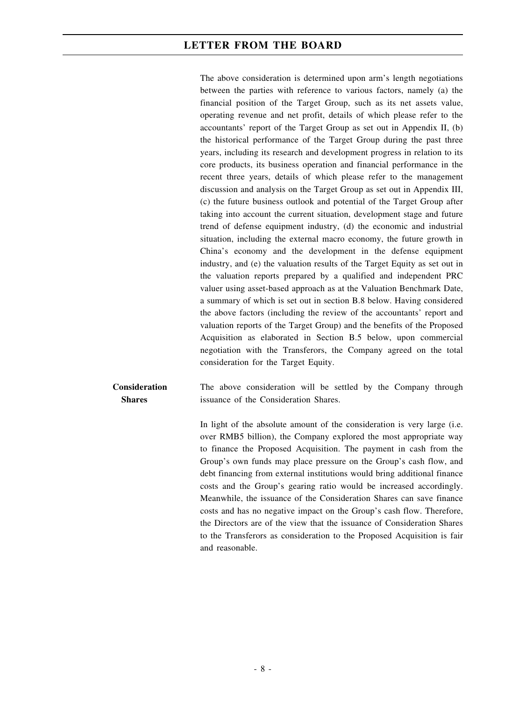The above consideration is determined upon arm's length negotiations between the parties with reference to various factors, namely (a) the financial position of the Target Group, such as its net assets value, operating revenue and net profit, details of which please refer to the accountants' report of the Target Group as set out in Appendix II, (b) the historical performance of the Target Group during the past three years, including its research and development progress in relation to its core products, its business operation and financial performance in the recent three years, details of which please refer to the management discussion and analysis on the Target Group as set out in Appendix III, (c) the future business outlook and potential of the Target Group after taking into account the current situation, development stage and future trend of defense equipment industry, (d) the economic and industrial situation, including the external macro economy, the future growth in China's economy and the development in the defense equipment industry, and (e) the valuation results of the Target Equity as set out in the valuation reports prepared by a qualified and independent PRC valuer using asset-based approach as at the Valuation Benchmark Date, a summary of which is set out in section B.8 below. Having considered the above factors (including the review of the accountants' report and valuation reports of the Target Group) and the benefits of the Proposed Acquisition as elaborated in Section B.5 below, upon commercial negotiation with the Transferors, the Company agreed on the total consideration for the Target Equity.

**Consideration Shares** The above consideration will be settled by the Company through issuance of the Consideration Shares.

> In light of the absolute amount of the consideration is very large (i.e. over RMB5 billion), the Company explored the most appropriate way to finance the Proposed Acquisition. The payment in cash from the Group's own funds may place pressure on the Group's cash flow, and debt financing from external institutions would bring additional finance costs and the Group's gearing ratio would be increased accordingly. Meanwhile, the issuance of the Consideration Shares can save finance costs and has no negative impact on the Group's cash flow. Therefore, the Directors are of the view that the issuance of Consideration Shares to the Transferors as consideration to the Proposed Acquisition is fair and reasonable.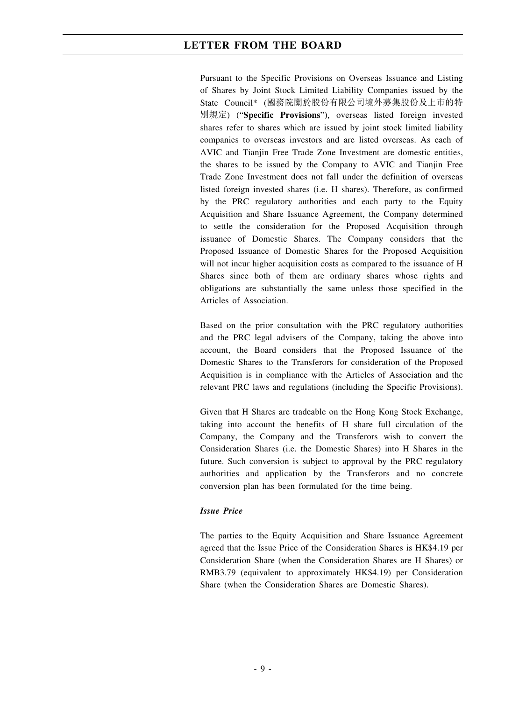Pursuant to the Specific Provisions on Overseas Issuance and Listing of Shares by Joint Stock Limited Liability Companies issued by the State Council\* (國務院關於股份有限公司境外募集股份及上市的特 別規定) ("**Specific Provisions**"), overseas listed foreign invested shares refer to shares which are issued by joint stock limited liability companies to overseas investors and are listed overseas. As each of AVIC and Tianjin Free Trade Zone Investment are domestic entities, the shares to be issued by the Company to AVIC and Tianjin Free Trade Zone Investment does not fall under the definition of overseas listed foreign invested shares (i.e. H shares). Therefore, as confirmed by the PRC regulatory authorities and each party to the Equity Acquisition and Share Issuance Agreement, the Company determined to settle the consideration for the Proposed Acquisition through issuance of Domestic Shares. The Company considers that the Proposed Issuance of Domestic Shares for the Proposed Acquisition will not incur higher acquisition costs as compared to the issuance of H Shares since both of them are ordinary shares whose rights and obligations are substantially the same unless those specified in the Articles of Association.

Based on the prior consultation with the PRC regulatory authorities and the PRC legal advisers of the Company, taking the above into account, the Board considers that the Proposed Issuance of the Domestic Shares to the Transferors for consideration of the Proposed Acquisition is in compliance with the Articles of Association and the relevant PRC laws and regulations (including the Specific Provisions).

Given that H Shares are tradeable on the Hong Kong Stock Exchange, taking into account the benefits of H share full circulation of the Company, the Company and the Transferors wish to convert the Consideration Shares (i.e. the Domestic Shares) into H Shares in the future. Such conversion is subject to approval by the PRC regulatory authorities and application by the Transferors and no concrete conversion plan has been formulated for the time being.

#### *Issue Price*

The parties to the Equity Acquisition and Share Issuance Agreement agreed that the Issue Price of the Consideration Shares is HK\$4.19 per Consideration Share (when the Consideration Shares are H Shares) or RMB3.79 (equivalent to approximately HK\$4.19) per Consideration Share (when the Consideration Shares are Domestic Shares).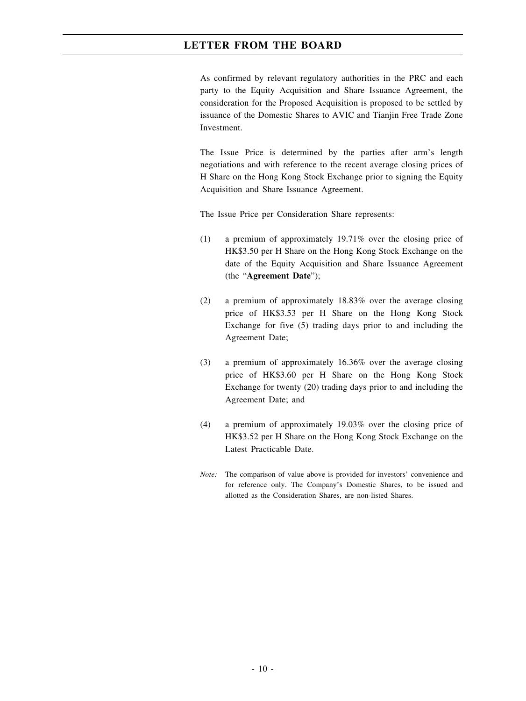As confirmed by relevant regulatory authorities in the PRC and each party to the Equity Acquisition and Share Issuance Agreement, the consideration for the Proposed Acquisition is proposed to be settled by issuance of the Domestic Shares to AVIC and Tianjin Free Trade Zone Investment.

The Issue Price is determined by the parties after arm's length negotiations and with reference to the recent average closing prices of H Share on the Hong Kong Stock Exchange prior to signing the Equity Acquisition and Share Issuance Agreement.

The Issue Price per Consideration Share represents:

- (1) a premium of approximately 19.71% over the closing price of HK\$3.50 per H Share on the Hong Kong Stock Exchange on the date of the Equity Acquisition and Share Issuance Agreement (the "**Agreement Date**");
- (2) a premium of approximately 18.83% over the average closing price of HK\$3.53 per H Share on the Hong Kong Stock Exchange for five (5) trading days prior to and including the Agreement Date;
- (3) a premium of approximately 16.36% over the average closing price of HK\$3.60 per H Share on the Hong Kong Stock Exchange for twenty (20) trading days prior to and including the Agreement Date; and
- (4) a premium of approximately 19.03% over the closing price of HK\$3.52 per H Share on the Hong Kong Stock Exchange on the Latest Practicable Date.
- *Note:* The comparison of value above is provided for investors' convenience and for reference only. The Company's Domestic Shares, to be issued and allotted as the Consideration Shares, are non-listed Shares.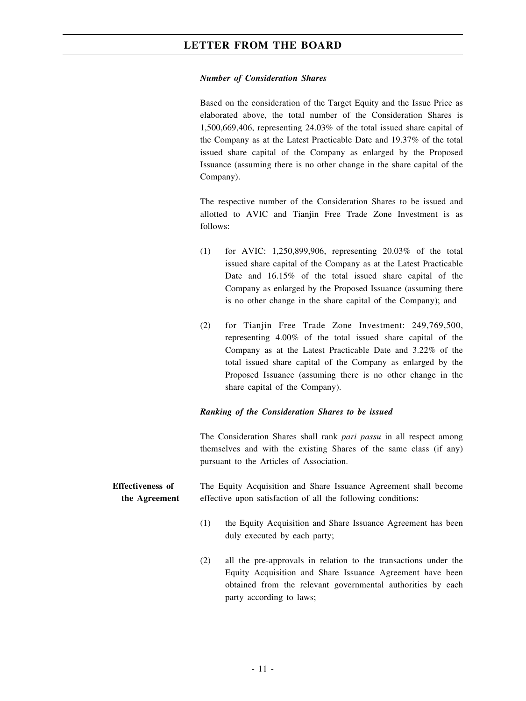#### *Number of Consideration Shares*

Based on the consideration of the Target Equity and the Issue Price as elaborated above, the total number of the Consideration Shares is 1,500,669,406, representing 24.03% of the total issued share capital of the Company as at the Latest Practicable Date and 19.37% of the total issued share capital of the Company as enlarged by the Proposed Issuance (assuming there is no other change in the share capital of the Company).

The respective number of the Consideration Shares to be issued and allotted to AVIC and Tianjin Free Trade Zone Investment is as follows:

- (1) for AVIC: 1,250,899,906, representing 20.03% of the total issued share capital of the Company as at the Latest Practicable Date and  $16.15\%$  of the total issued share capital of the Company as enlarged by the Proposed Issuance (assuming there is no other change in the share capital of the Company); and
- (2) for Tianjin Free Trade Zone Investment: 249,769,500, representing 4.00% of the total issued share capital of the Company as at the Latest Practicable Date and 3.22% of the total issued share capital of the Company as enlarged by the Proposed Issuance (assuming there is no other change in the share capital of the Company).

#### *Ranking of the Consideration Shares to be issued*

The Consideration Shares shall rank *pari passu* in all respect among themselves and with the existing Shares of the same class (if any) pursuant to the Articles of Association.

**Effectiveness of the Agreement** The Equity Acquisition and Share Issuance Agreement shall become effective upon satisfaction of all the following conditions:

- (1) the Equity Acquisition and Share Issuance Agreement has been duly executed by each party;
- (2) all the pre-approvals in relation to the transactions under the Equity Acquisition and Share Issuance Agreement have been obtained from the relevant governmental authorities by each party according to laws;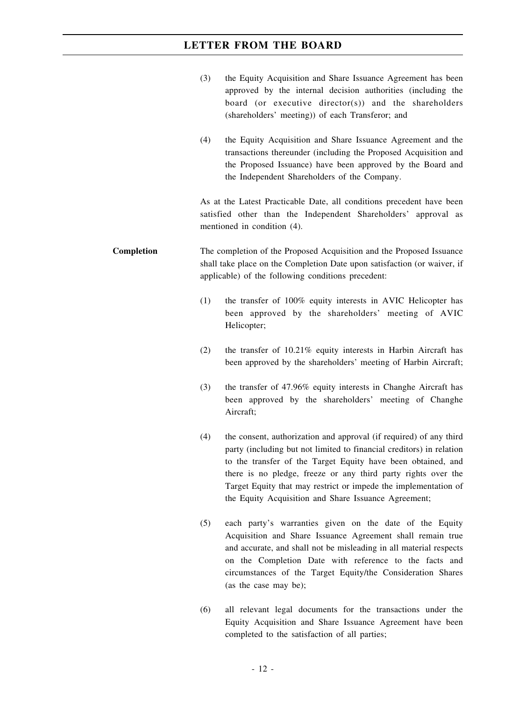|            | (3) | the Equity Acquisition and Share Issuance Agreement has been<br>approved by the internal decision authorities (including the<br>board (or executive director(s)) and the shareholders<br>(shareholders' meeting)) of each Transferor; and                                                                                                                                                              |
|------------|-----|--------------------------------------------------------------------------------------------------------------------------------------------------------------------------------------------------------------------------------------------------------------------------------------------------------------------------------------------------------------------------------------------------------|
|            | (4) | the Equity Acquisition and Share Issuance Agreement and the<br>transactions thereunder (including the Proposed Acquisition and<br>the Proposed Issuance) have been approved by the Board and<br>the Independent Shareholders of the Company.                                                                                                                                                           |
|            |     | As at the Latest Practicable Date, all conditions precedent have been<br>satisfied other than the Independent Shareholders' approval as<br>mentioned in condition (4).                                                                                                                                                                                                                                 |
| Completion |     | The completion of the Proposed Acquisition and the Proposed Issuance<br>shall take place on the Completion Date upon satisfaction (or waiver, if<br>applicable) of the following conditions precedent:                                                                                                                                                                                                 |
|            | (1) | the transfer of 100% equity interests in AVIC Helicopter has<br>been approved by the shareholders' meeting of AVIC<br>Helicopter;                                                                                                                                                                                                                                                                      |
|            | (2) | the transfer of 10.21% equity interests in Harbin Aircraft has<br>been approved by the shareholders' meeting of Harbin Aircraft;                                                                                                                                                                                                                                                                       |
|            | (3) | the transfer of 47.96% equity interests in Changhe Aircraft has<br>been approved by the shareholders' meeting of Changhe<br>Aircraft;                                                                                                                                                                                                                                                                  |
|            | (4) | the consent, authorization and approval (if required) of any third<br>party (including but not limited to financial creditors) in relation<br>to the transfer of the Target Equity have been obtained, and<br>there is no pledge, freeze or any third party rights over the<br>Target Equity that may restrict or impede the implementation of<br>the Equity Acquisition and Share Issuance Agreement; |
|            | (5) | each party's warranties given on the date of the Equity<br>Acquisition and Share Issuance Agreement shall remain true<br>and accurate, and shall not be misleading in all material respects<br>on the Completion Date with reference to the facts and<br>circumstances of the Target Equity/the Consideration Shares<br>(as the case may be);                                                          |
|            | (6) | all relevant legal documents for the transactions under the                                                                                                                                                                                                                                                                                                                                            |

(6) all relevant legal documents for the transactions under the Equity Acquisition and Share Issuance Agreement have been completed to the satisfaction of all parties;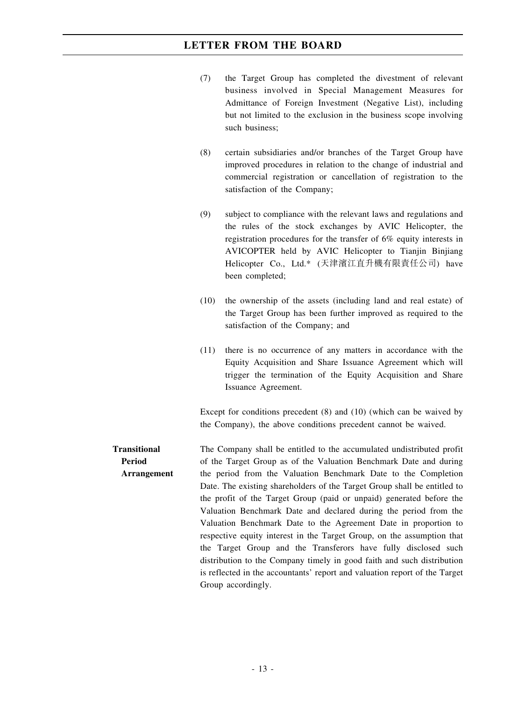| (7) | the Target Group has completed the divestment of relevant        |
|-----|------------------------------------------------------------------|
|     | business involved in Special Management Measures for             |
|     | Admittance of Foreign Investment (Negative List), including      |
|     | but not limited to the exclusion in the business scope involving |
|     | such business;                                                   |

- (8) certain subsidiaries and/or branches of the Target Group have improved procedures in relation to the change of industrial and commercial registration or cancellation of registration to the satisfaction of the Company;
- (9) subject to compliance with the relevant laws and regulations and the rules of the stock exchanges by AVIC Helicopter, the registration procedures for the transfer of 6% equity interests in AVICOPTER held by AVIC Helicopter to Tianjin Binjiang Helicopter Co., Ltd.\* (天津濱江直升機有限責任公司) have been completed;
- (10) the ownership of the assets (including land and real estate) of the Target Group has been further improved as required to the satisfaction of the Company; and
- (11) there is no occurrence of any matters in accordance with the Equity Acquisition and Share Issuance Agreement which will trigger the termination of the Equity Acquisition and Share Issuance Agreement.

Except for conditions precedent (8) and (10) (which can be waived by the Company), the above conditions precedent cannot be waived.

**Transitional Period Arrangement** The Company shall be entitled to the accumulated undistributed profit of the Target Group as of the Valuation Benchmark Date and during the period from the Valuation Benchmark Date to the Completion Date. The existing shareholders of the Target Group shall be entitled to the profit of the Target Group (paid or unpaid) generated before the Valuation Benchmark Date and declared during the period from the Valuation Benchmark Date to the Agreement Date in proportion to respective equity interest in the Target Group, on the assumption that the Target Group and the Transferors have fully disclosed such distribution to the Company timely in good faith and such distribution is reflected in the accountants' report and valuation report of the Target Group accordingly.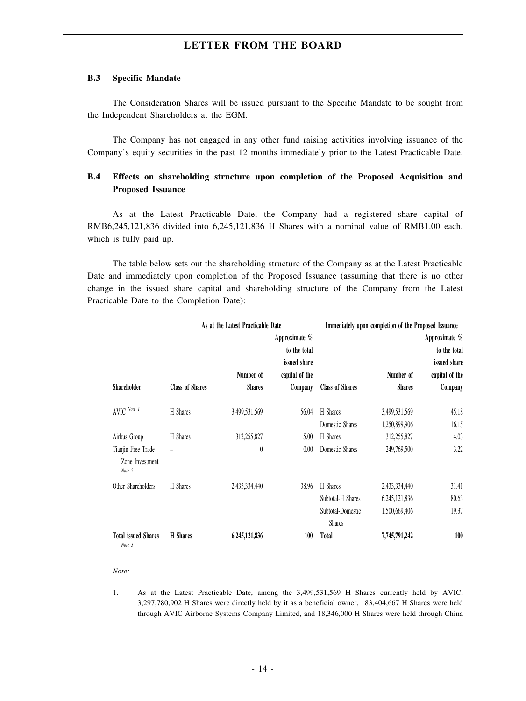#### **B.3 Specific Mandate**

The Consideration Shares will be issued pursuant to the Specific Mandate to be sought from the Independent Shareholders at the EGM.

The Company has not engaged in any other fund raising activities involving issuance of the Company's equity securities in the past 12 months immediately prior to the Latest Practicable Date.

### **B.4 Effects on shareholding structure upon completion of the Proposed Acquisition and Proposed Issuance**

As at the Latest Practicable Date, the Company had a registered share capital of RMB6,245,121,836 divided into 6,245,121,836 H Shares with a nominal value of RMB1.00 each, which is fully paid up.

The table below sets out the shareholding structure of the Company as at the Latest Practicable Date and immediately upon completion of the Proposed Issuance (assuming that there is no other change in the issued share capital and shareholding structure of the Company from the Latest Practicable Date to the Completion Date):

|                                                 |                          | As at the Latest Practicable Date |                |                                    | Immediately upon completion of the Proposed Issuance |                |  |
|-------------------------------------------------|--------------------------|-----------------------------------|----------------|------------------------------------|------------------------------------------------------|----------------|--|
|                                                 |                          | Approximate %                     |                |                                    |                                                      | Approximate %  |  |
|                                                 |                          |                                   | to the total   |                                    |                                                      | to the total   |  |
|                                                 |                          |                                   | issued share   |                                    |                                                      | issued share   |  |
|                                                 |                          | Number of                         | capital of the |                                    | Number of                                            | capital of the |  |
| <b>Shareholder</b>                              | <b>Class of Shares</b>   | <b>Shares</b>                     | Company        | <b>Class of Shares</b>             | <b>Shares</b>                                        | Company        |  |
| $\mathsf{AVIC}^{\mathit{Note}\ l}$              | H Shares                 | 3,499,531,569                     | 56.04          | H Shares                           | 3,499,531,569                                        | 45.18          |  |
|                                                 |                          |                                   |                | Domestic Shares                    | 1,250,899,906                                        | 16.15          |  |
| Airbus Group                                    | H Shares                 | 312,255,827                       | 5.00           | H Shares                           | 312,255,827                                          | 4.03           |  |
| Tianjin Free Trade<br>Zone Investment<br>Note 2 | $\overline{\phantom{a}}$ | 0                                 | 0.00           | Domestic Shares                    | 249,769,500                                          | 3.22           |  |
| Other Shareholders                              | H Shares                 | 2,433,334,440                     | 38.96          | H Shares                           | 2,433,334,440                                        | 31.41          |  |
|                                                 |                          |                                   |                | Subtotal-H Shares                  | 6, 245, 121, 836                                     | 80.63          |  |
|                                                 |                          |                                   |                | Subtotal-Domestic<br><b>Shares</b> | 1,500,669,406                                        | 19.37          |  |
| <b>Total issued Shares</b><br>Note 3            | <b>H</b> Shares          | 6,245,121,836                     | 100            | Total                              | 7,745,791,242                                        | 100            |  |

#### *Note:*

1. As at the Latest Practicable Date, among the 3,499,531,569 H Shares currently held by AVIC, 3,297,780,902 H Shares were directly held by it as a beneficial owner, 183,404,667 H Shares were held through AVIC Airborne Systems Company Limited, and 18,346,000 H Shares were held through China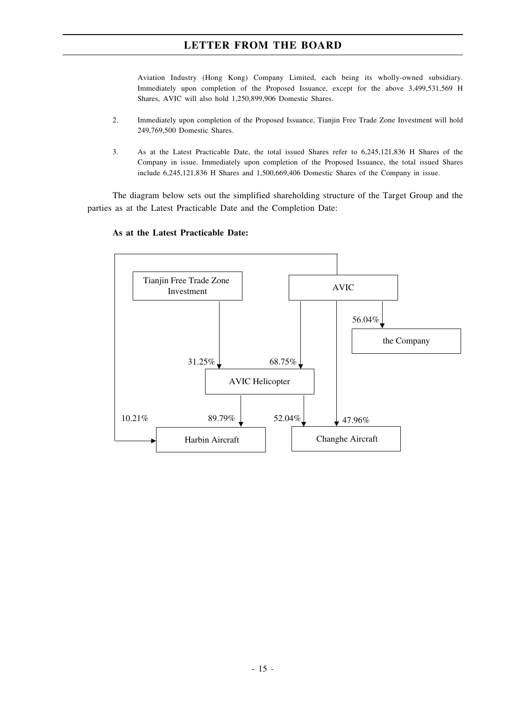Aviation Industry (Hong Kong) Company Limited, each being its wholly-owned subsidiary. Immediately upon completion of the Proposed Issuance, except for the above 3,499,531,569 H Shares, AVIC will also hold 1,250,899,906 Domestic Shares.

- 2. Immediately upon completion of the Proposed Issuance, Tianjin Free Trade Zone Investment will hold 249,769,500 Domestic Shares.
- 3. As at the Latest Practicable Date, the total issued Shares refer to 6,245,121,836 H Shares of the Company in issue. Immediately upon completion of the Proposed Issuance, the total issued Shares include 6,245,121,836 H Shares and 1,500,669,406 Domestic Shares of the Company in issue.

The diagram below sets out the simplified shareholding structure of the Target Group and the parties as at the Latest Practicable Date and the Completion Date:



#### **As at the Latest Practicable Date:**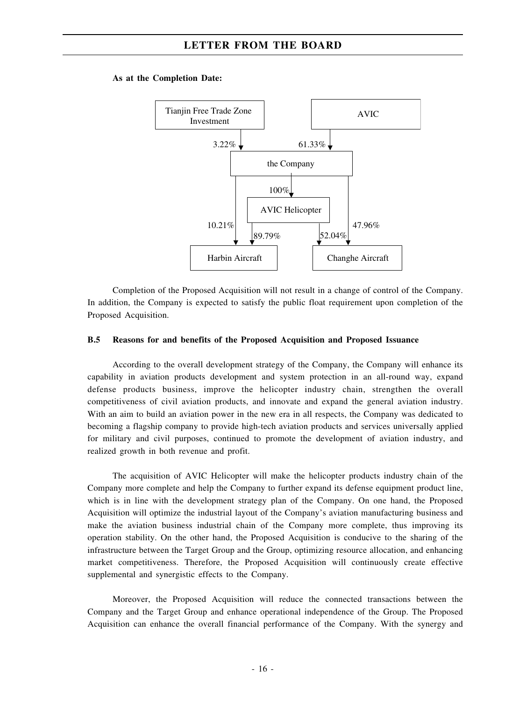#### **As at the Completion Date:**



Completion of the Proposed Acquisition will not result in a change of control of the Company. In addition, the Company is expected to satisfy the public float requirement upon completion of the Proposed Acquisition.

#### **B.5 Reasons for and benefits of the Proposed Acquisition and Proposed Issuance**

According to the overall development strategy of the Company, the Company will enhance its capability in aviation products development and system protection in an all-round way, expand defense products business, improve the helicopter industry chain, strengthen the overall competitiveness of civil aviation products, and innovate and expand the general aviation industry. With an aim to build an aviation power in the new era in all respects, the Company was dedicated to becoming a flagship company to provide high-tech aviation products and services universally applied for military and civil purposes, continued to promote the development of aviation industry, and realized growth in both revenue and profit.

The acquisition of AVIC Helicopter will make the helicopter products industry chain of the Company more complete and help the Company to further expand its defense equipment product line, which is in line with the development strategy plan of the Company. On one hand, the Proposed Acquisition will optimize the industrial layout of the Company's aviation manufacturing business and make the aviation business industrial chain of the Company more complete, thus improving its operation stability. On the other hand, the Proposed Acquisition is conducive to the sharing of the infrastructure between the Target Group and the Group, optimizing resource allocation, and enhancing market competitiveness. Therefore, the Proposed Acquisition will continuously create effective supplemental and synergistic effects to the Company.

Moreover, the Proposed Acquisition will reduce the connected transactions between the Company and the Target Group and enhance operational independence of the Group. The Proposed Acquisition can enhance the overall financial performance of the Company. With the synergy and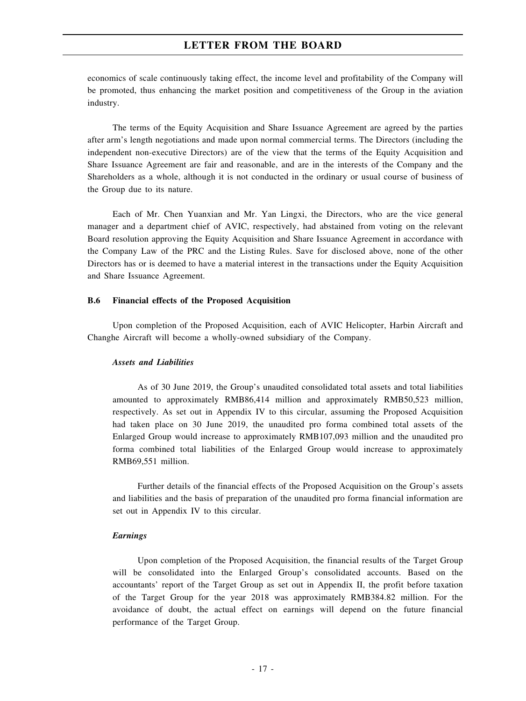economics of scale continuously taking effect, the income level and profitability of the Company will be promoted, thus enhancing the market position and competitiveness of the Group in the aviation industry.

The terms of the Equity Acquisition and Share Issuance Agreement are agreed by the parties after arm's length negotiations and made upon normal commercial terms. The Directors (including the independent non-executive Directors) are of the view that the terms of the Equity Acquisition and Share Issuance Agreement are fair and reasonable, and are in the interests of the Company and the Shareholders as a whole, although it is not conducted in the ordinary or usual course of business of the Group due to its nature.

Each of Mr. Chen Yuanxian and Mr. Yan Lingxi, the Directors, who are the vice general manager and a department chief of AVIC, respectively, had abstained from voting on the relevant Board resolution approving the Equity Acquisition and Share Issuance Agreement in accordance with the Company Law of the PRC and the Listing Rules. Save for disclosed above, none of the other Directors has or is deemed to have a material interest in the transactions under the Equity Acquisition and Share Issuance Agreement.

#### **B.6 Financial effects of the Proposed Acquisition**

Upon completion of the Proposed Acquisition, each of AVIC Helicopter, Harbin Aircraft and Changhe Aircraft will become a wholly-owned subsidiary of the Company.

#### *Assets and Liabilities*

As of 30 June 2019, the Group's unaudited consolidated total assets and total liabilities amounted to approximately RMB86,414 million and approximately RMB50,523 million, respectively. As set out in Appendix IV to this circular, assuming the Proposed Acquisition had taken place on 30 June 2019, the unaudited pro forma combined total assets of the Enlarged Group would increase to approximately RMB107,093 million and the unaudited pro forma combined total liabilities of the Enlarged Group would increase to approximately RMB69,551 million.

Further details of the financial effects of the Proposed Acquisition on the Group's assets and liabilities and the basis of preparation of the unaudited pro forma financial information are set out in Appendix IV to this circular.

#### *Earnings*

Upon completion of the Proposed Acquisition, the financial results of the Target Group will be consolidated into the Enlarged Group's consolidated accounts. Based on the accountants' report of the Target Group as set out in Appendix II, the profit before taxation of the Target Group for the year 2018 was approximately RMB384.82 million. For the avoidance of doubt, the actual effect on earnings will depend on the future financial performance of the Target Group.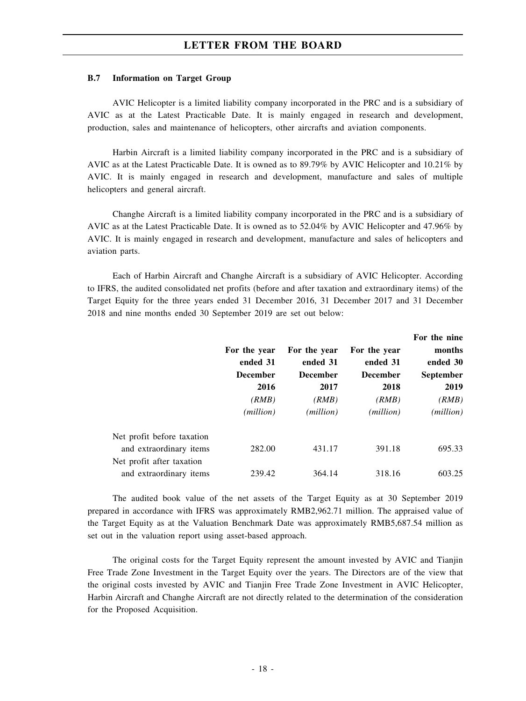#### **B.7 Information on Target Group**

AVIC Helicopter is a limited liability company incorporated in the PRC and is a subsidiary of AVIC as at the Latest Practicable Date. It is mainly engaged in research and development, production, sales and maintenance of helicopters, other aircrafts and aviation components.

Harbin Aircraft is a limited liability company incorporated in the PRC and is a subsidiary of AVIC as at the Latest Practicable Date. It is owned as to 89.79% by AVIC Helicopter and 10.21% by AVIC. It is mainly engaged in research and development, manufacture and sales of multiple helicopters and general aircraft.

Changhe Aircraft is a limited liability company incorporated in the PRC and is a subsidiary of AVIC as at the Latest Practicable Date. It is owned as to 52.04% by AVIC Helicopter and 47.96% by AVIC. It is mainly engaged in research and development, manufacture and sales of helicopters and aviation parts.

Each of Harbin Aircraft and Changhe Aircraft is a subsidiary of AVIC Helicopter. According to IFRS, the audited consolidated net profits (before and after taxation and extraordinary items) of the Target Equity for the three years ended 31 December 2016, 31 December 2017 and 31 December 2018 and nine months ended 30 September 2019 are set out below:

|                            | For the year<br>ended 31<br><b>December</b><br>2016<br>(RMB)<br>(million) | For the year<br>ended 31<br><b>December</b><br>2017<br>(RMB)<br>( <i>million</i> ) | For the year<br>ended 31<br><b>December</b><br>2018<br>(RMB)<br>( <i>million</i> ) | For the nine<br>months<br>ended 30<br><b>September</b><br>2019<br>(RMB)<br>(million) |
|----------------------------|---------------------------------------------------------------------------|------------------------------------------------------------------------------------|------------------------------------------------------------------------------------|--------------------------------------------------------------------------------------|
| Net profit before taxation |                                                                           |                                                                                    |                                                                                    |                                                                                      |
| and extraordinary items    | 282.00                                                                    | 431.17                                                                             | 391.18                                                                             | 695.33                                                                               |
| Net profit after taxation  |                                                                           |                                                                                    |                                                                                    |                                                                                      |
| and extraordinary items    | 239.42                                                                    | 364.14                                                                             | 318.16                                                                             | 603.25                                                                               |

The audited book value of the net assets of the Target Equity as at 30 September 2019 prepared in accordance with IFRS was approximately RMB2,962.71 million. The appraised value of the Target Equity as at the Valuation Benchmark Date was approximately RMB5,687.54 million as set out in the valuation report using asset-based approach.

The original costs for the Target Equity represent the amount invested by AVIC and Tianjin Free Trade Zone Investment in the Target Equity over the years. The Directors are of the view that the original costs invested by AVIC and Tianjin Free Trade Zone Investment in AVIC Helicopter, Harbin Aircraft and Changhe Aircraft are not directly related to the determination of the consideration for the Proposed Acquisition.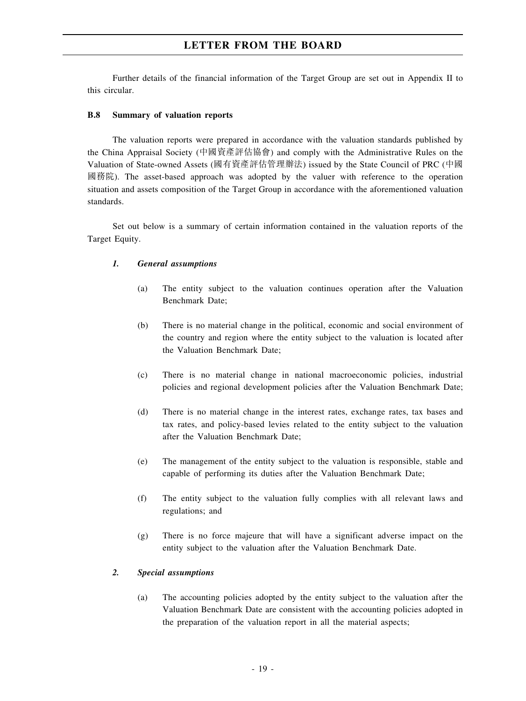Further details of the financial information of the Target Group are set out in Appendix II to this circular.

#### **B.8 Summary of valuation reports**

The valuation reports were prepared in accordance with the valuation standards published by the China Appraisal Society (中國資產評估協會) and comply with the Administrative Rules on the Valuation of State-owned Assets (國有資產評估管理辦法) issued by the State Council of PRC (中國 國務院). The asset-based approach was adopted by the valuer with reference to the operation situation and assets composition of the Target Group in accordance with the aforementioned valuation standards.

Set out below is a summary of certain information contained in the valuation reports of the Target Equity.

#### *1. General assumptions*

- (a) The entity subject to the valuation continues operation after the Valuation Benchmark Date;
- (b) There is no material change in the political, economic and social environment of the country and region where the entity subject to the valuation is located after the Valuation Benchmark Date;
- (c) There is no material change in national macroeconomic policies, industrial policies and regional development policies after the Valuation Benchmark Date;
- (d) There is no material change in the interest rates, exchange rates, tax bases and tax rates, and policy-based levies related to the entity subject to the valuation after the Valuation Benchmark Date;
- (e) The management of the entity subject to the valuation is responsible, stable and capable of performing its duties after the Valuation Benchmark Date;
- (f) The entity subject to the valuation fully complies with all relevant laws and regulations; and
- (g) There is no force majeure that will have a significant adverse impact on the entity subject to the valuation after the Valuation Benchmark Date.

#### *2. Special assumptions*

(a) The accounting policies adopted by the entity subject to the valuation after the Valuation Benchmark Date are consistent with the accounting policies adopted in the preparation of the valuation report in all the material aspects;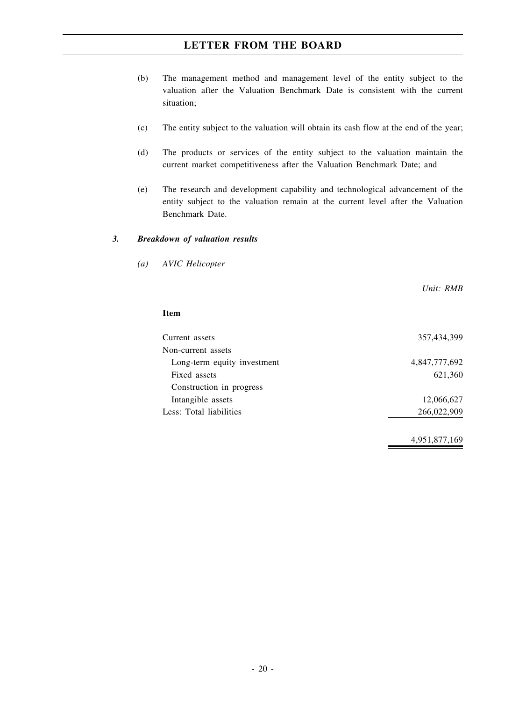- (b) The management method and management level of the entity subject to the valuation after the Valuation Benchmark Date is consistent with the current situation;
- (c) The entity subject to the valuation will obtain its cash flow at the end of the year;
- (d) The products or services of the entity subject to the valuation maintain the current market competitiveness after the Valuation Benchmark Date; and
- (e) The research and development capability and technological advancement of the entity subject to the valuation remain at the current level after the Valuation Benchmark Date.

#### *3. Breakdown of valuation results*

*(a) AVIC Helicopter*

*Unit: RMB*

#### **Item**

| Current assets              | 357,434,399   |
|-----------------------------|---------------|
| Non-current assets          |               |
| Long-term equity investment | 4,847,777,692 |
| Fixed assets                | 621,360       |
| Construction in progress    |               |
| Intangible assets           | 12,066,627    |
| Less: Total liabilities     | 266,022,909   |
|                             |               |

4,951,877,169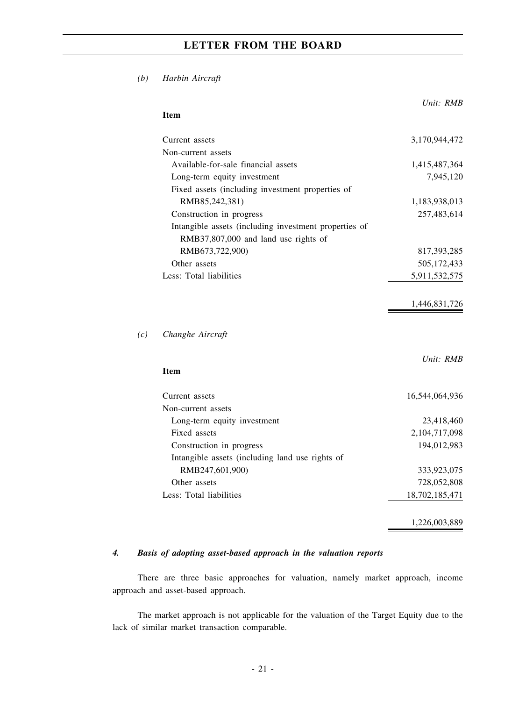*(b) Harbin Aircraft*

|                                                       | Unit: RMB      |
|-------------------------------------------------------|----------------|
| <b>Item</b>                                           |                |
| Current assets                                        | 3,170,944,472  |
| Non-current assets                                    |                |
| Available-for-sale financial assets                   | 1,415,487,364  |
| Long-term equity investment                           | 7,945,120      |
| Fixed assets (including investment properties of      |                |
| RMB85,242,381)                                        | 1,183,938,013  |
| Construction in progress                              | 257,483,614    |
| Intangible assets (including investment properties of |                |
| RMB37,807,000 and land use rights of                  |                |
| RMB673,722,900)                                       | 817,393,285    |
| Other assets                                          | 505,172,433    |
| Less: Total liabilities                               | 5,911,532,575  |
|                                                       | 1,446,831,726  |
| Changhe Aircraft                                      |                |
| <b>Item</b>                                           | Unit: RMB      |
|                                                       |                |
| Current assets                                        | 16,544,064,936 |
| Non-current assets                                    |                |
| Long-term equity investment                           | 23,418,460     |
| Fixed assets                                          | 2,104,717,098  |
| Construction in progress                              | 194,012,983    |
| Intangible assets (including land use rights of       |                |
| RMB247,601,900)                                       | 333,923,075    |
| Other assets                                          | 728,052,808    |
| Less: Total liabilities                               | 18,702,185,471 |
|                                                       | 1,226,003,889  |

### *4. Basis of adopting asset-based approach in the valuation reports*

There are three basic approaches for valuation, namely market approach, income approach and asset-based approach.

The market approach is not applicable for the valuation of the Target Equity due to the lack of similar market transaction comparable.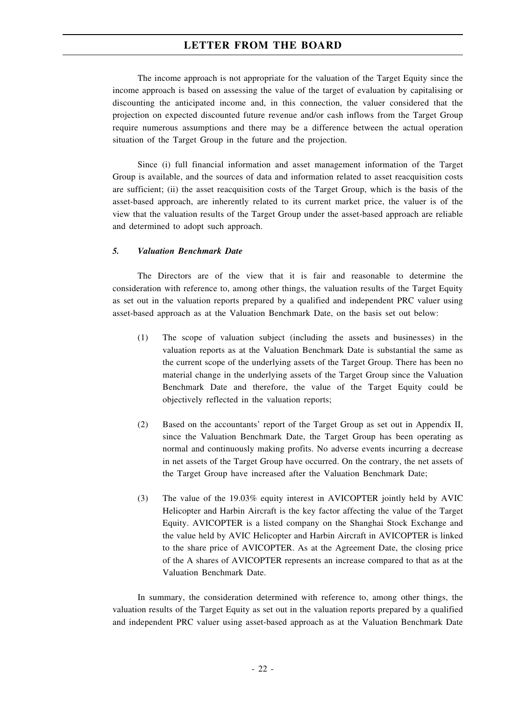The income approach is not appropriate for the valuation of the Target Equity since the income approach is based on assessing the value of the target of evaluation by capitalising or discounting the anticipated income and, in this connection, the valuer considered that the projection on expected discounted future revenue and/or cash inflows from the Target Group require numerous assumptions and there may be a difference between the actual operation situation of the Target Group in the future and the projection.

Since (i) full financial information and asset management information of the Target Group is available, and the sources of data and information related to asset reacquisition costs are sufficient; (ii) the asset reacquisition costs of the Target Group, which is the basis of the asset-based approach, are inherently related to its current market price, the valuer is of the view that the valuation results of the Target Group under the asset-based approach are reliable and determined to adopt such approach.

#### *5. Valuation Benchmark Date*

The Directors are of the view that it is fair and reasonable to determine the consideration with reference to, among other things, the valuation results of the Target Equity as set out in the valuation reports prepared by a qualified and independent PRC valuer using asset-based approach as at the Valuation Benchmark Date, on the basis set out below:

- (1) The scope of valuation subject (including the assets and businesses) in the valuation reports as at the Valuation Benchmark Date is substantial the same as the current scope of the underlying assets of the Target Group. There has been no material change in the underlying assets of the Target Group since the Valuation Benchmark Date and therefore, the value of the Target Equity could be objectively reflected in the valuation reports;
- (2) Based on the accountants' report of the Target Group as set out in Appendix II, since the Valuation Benchmark Date, the Target Group has been operating as normal and continuously making profits. No adverse events incurring a decrease in net assets of the Target Group have occurred. On the contrary, the net assets of the Target Group have increased after the Valuation Benchmark Date;
- (3) The value of the 19.03% equity interest in AVICOPTER jointly held by AVIC Helicopter and Harbin Aircraft is the key factor affecting the value of the Target Equity. AVICOPTER is a listed company on the Shanghai Stock Exchange and the value held by AVIC Helicopter and Harbin Aircraft in AVICOPTER is linked to the share price of AVICOPTER. As at the Agreement Date, the closing price of the A shares of AVICOPTER represents an increase compared to that as at the Valuation Benchmark Date.

In summary, the consideration determined with reference to, among other things, the valuation results of the Target Equity as set out in the valuation reports prepared by a qualified and independent PRC valuer using asset-based approach as at the Valuation Benchmark Date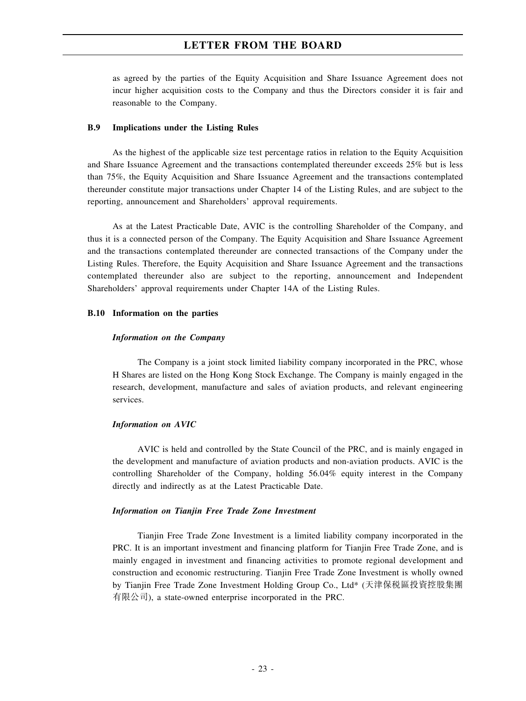as agreed by the parties of the Equity Acquisition and Share Issuance Agreement does not incur higher acquisition costs to the Company and thus the Directors consider it is fair and reasonable to the Company.

#### **B.9 Implications under the Listing Rules**

As the highest of the applicable size test percentage ratios in relation to the Equity Acquisition and Share Issuance Agreement and the transactions contemplated thereunder exceeds 25% but is less than 75%, the Equity Acquisition and Share Issuance Agreement and the transactions contemplated thereunder constitute major transactions under Chapter 14 of the Listing Rules, and are subject to the reporting, announcement and Shareholders' approval requirements.

As at the Latest Practicable Date, AVIC is the controlling Shareholder of the Company, and thus it is a connected person of the Company. The Equity Acquisition and Share Issuance Agreement and the transactions contemplated thereunder are connected transactions of the Company under the Listing Rules. Therefore, the Equity Acquisition and Share Issuance Agreement and the transactions contemplated thereunder also are subject to the reporting, announcement and Independent Shareholders' approval requirements under Chapter 14A of the Listing Rules.

#### **B.10 Information on the parties**

#### *Information on the Company*

The Company is a joint stock limited liability company incorporated in the PRC, whose H Shares are listed on the Hong Kong Stock Exchange. The Company is mainly engaged in the research, development, manufacture and sales of aviation products, and relevant engineering services.

#### *Information on AVIC*

AVIC is held and controlled by the State Council of the PRC, and is mainly engaged in the development and manufacture of aviation products and non-aviation products. AVIC is the controlling Shareholder of the Company, holding 56.04% equity interest in the Company directly and indirectly as at the Latest Practicable Date.

#### *Information on Tianjin Free Trade Zone Investment*

Tianjin Free Trade Zone Investment is a limited liability company incorporated in the PRC. It is an important investment and financing platform for Tianjin Free Trade Zone, and is mainly engaged in investment and financing activities to promote regional development and construction and economic restructuring. Tianjin Free Trade Zone Investment is wholly owned by Tianjin Free Trade Zone Investment Holding Group Co., Ltd\* (天津保稅區投資控股集團 有限公司), a state-owned enterprise incorporated in the PRC.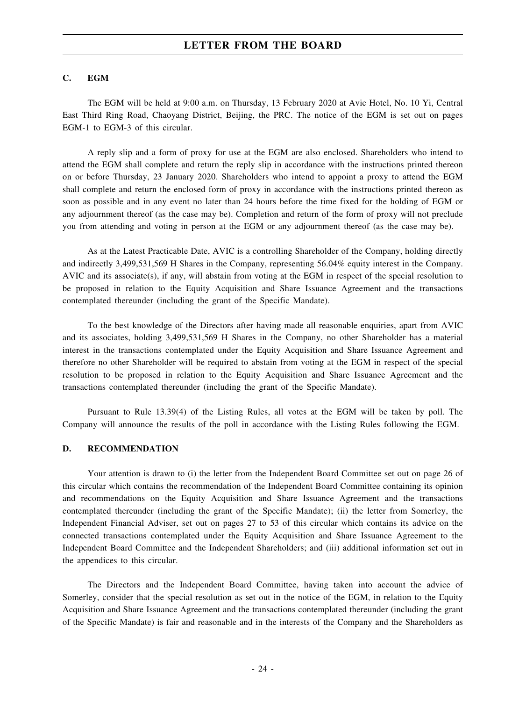#### **C. EGM**

The EGM will be held at 9:00 a.m. on Thursday, 13 February 2020 at Avic Hotel, No. 10 Yi, Central East Third Ring Road, Chaoyang District, Beijing, the PRC. The notice of the EGM is set out on pages EGM-1 to EGM-3 of this circular.

A reply slip and a form of proxy for use at the EGM are also enclosed. Shareholders who intend to attend the EGM shall complete and return the reply slip in accordance with the instructions printed thereon on or before Thursday, 23 January 2020. Shareholders who intend to appoint a proxy to attend the EGM shall complete and return the enclosed form of proxy in accordance with the instructions printed thereon as soon as possible and in any event no later than 24 hours before the time fixed for the holding of EGM or any adjournment thereof (as the case may be). Completion and return of the form of proxy will not preclude you from attending and voting in person at the EGM or any adjournment thereof (as the case may be).

As at the Latest Practicable Date, AVIC is a controlling Shareholder of the Company, holding directly and indirectly 3,499,531,569 H Shares in the Company, representing 56.04% equity interest in the Company. AVIC and its associate(s), if any, will abstain from voting at the EGM in respect of the special resolution to be proposed in relation to the Equity Acquisition and Share Issuance Agreement and the transactions contemplated thereunder (including the grant of the Specific Mandate).

To the best knowledge of the Directors after having made all reasonable enquiries, apart from AVIC and its associates, holding 3,499,531,569 H Shares in the Company, no other Shareholder has a material interest in the transactions contemplated under the Equity Acquisition and Share Issuance Agreement and therefore no other Shareholder will be required to abstain from voting at the EGM in respect of the special resolution to be proposed in relation to the Equity Acquisition and Share Issuance Agreement and the transactions contemplated thereunder (including the grant of the Specific Mandate).

Pursuant to Rule 13.39(4) of the Listing Rules, all votes at the EGM will be taken by poll. The Company will announce the results of the poll in accordance with the Listing Rules following the EGM.

#### **D. RECOMMENDATION**

Your attention is drawn to (i) the letter from the Independent Board Committee set out on page 26 of this circular which contains the recommendation of the Independent Board Committee containing its opinion and recommendations on the Equity Acquisition and Share Issuance Agreement and the transactions contemplated thereunder (including the grant of the Specific Mandate); (ii) the letter from Somerley, the Independent Financial Adviser, set out on pages 27 to 53 of this circular which contains its advice on the connected transactions contemplated under the Equity Acquisition and Share Issuance Agreement to the Independent Board Committee and the Independent Shareholders; and (iii) additional information set out in the appendices to this circular.

The Directors and the Independent Board Committee, having taken into account the advice of Somerley, consider that the special resolution as set out in the notice of the EGM, in relation to the Equity Acquisition and Share Issuance Agreement and the transactions contemplated thereunder (including the grant of the Specific Mandate) is fair and reasonable and in the interests of the Company and the Shareholders as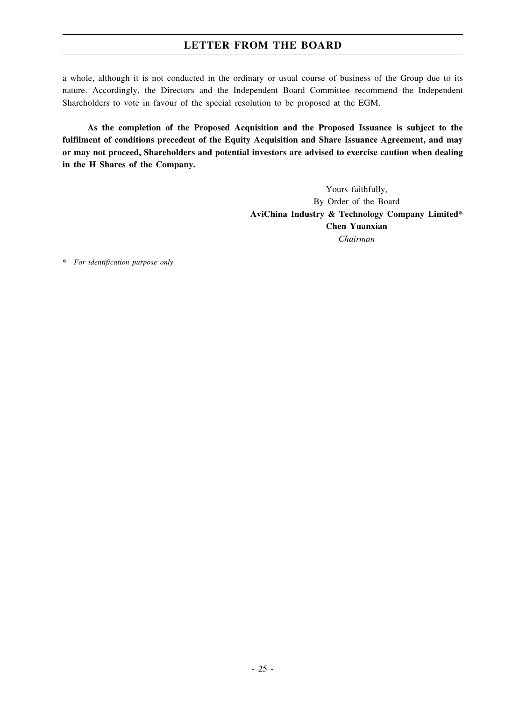a whole, although it is not conducted in the ordinary or usual course of business of the Group due to its nature. Accordingly, the Directors and the Independent Board Committee recommend the Independent Shareholders to vote in favour of the special resolution to be proposed at the EGM.

**As the completion of the Proposed Acquisition and the Proposed Issuance is subject to the fulfilment of conditions precedent of the Equity Acquisition and Share Issuance Agreement, and may or may not proceed, Shareholders and potential investors are advised to exercise caution when dealing in the H Shares of the Company.**

> Yours faithfully, By Order of the Board **AviChina Industry & Technology Company Limited\* Chen Yuanxian** *Chairman*

\* *For identification purpose only*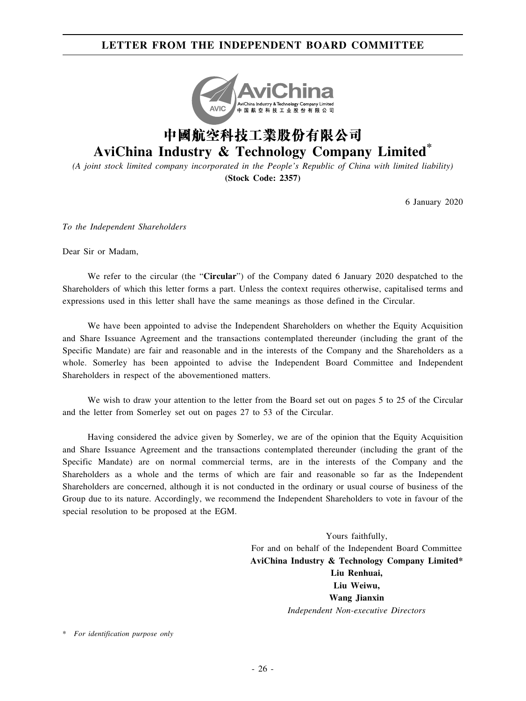## **LETTER FROM THE INDEPENDENT BOARD COMMITTEE**



# **AviChina Industry & Technology Company Limited\***

*(A joint stock limited company incorporated in the People's Republic of China with limited liability)* **(Stock Code: 2357)**

6 January 2020

*To the Independent Shareholders*

Dear Sir or Madam,

We refer to the circular (the "**Circular**") of the Company dated 6 January 2020 despatched to the Shareholders of which this letter forms a part. Unless the context requires otherwise, capitalised terms and expressions used in this letter shall have the same meanings as those defined in the Circular.

We have been appointed to advise the Independent Shareholders on whether the Equity Acquisition and Share Issuance Agreement and the transactions contemplated thereunder (including the grant of the Specific Mandate) are fair and reasonable and in the interests of the Company and the Shareholders as a whole. Somerley has been appointed to advise the Independent Board Committee and Independent Shareholders in respect of the abovementioned matters.

We wish to draw your attention to the letter from the Board set out on pages 5 to 25 of the Circular and the letter from Somerley set out on pages 27 to 53 of the Circular.

Having considered the advice given by Somerley, we are of the opinion that the Equity Acquisition and Share Issuance Agreement and the transactions contemplated thereunder (including the grant of the Specific Mandate) are on normal commercial terms, are in the interests of the Company and the Shareholders as a whole and the terms of which are fair and reasonable so far as the Independent Shareholders are concerned, although it is not conducted in the ordinary or usual course of business of the Group due to its nature. Accordingly, we recommend the Independent Shareholders to vote in favour of the special resolution to be proposed at the EGM.

> Yours faithfully, For and on behalf of the Independent Board Committee **AviChina Industry & Technology Company Limited\* Liu Renhuai, Liu Weiwu, Wang Jianxin** *Independent Non-executive Directors*

\* *For identification purpose only*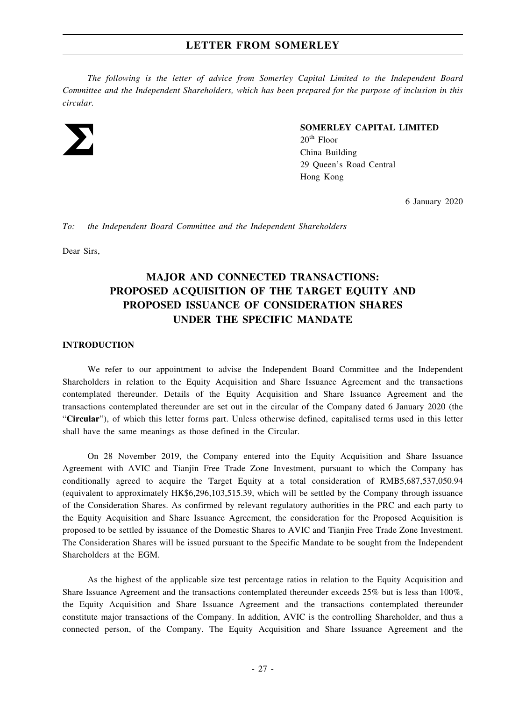*The following is the letter of advice from Somerley Capital Limited to the Independent Board Committee and the Independent Shareholders, which has been prepared for the purpose of inclusion in this circular.*



#### **SOMERLEY CAPITAL LIMITED**

 $20<sup>th</sup>$  Floor China Building 29 Queen's Road Central Hong Kong

6 January 2020

*To: the Independent Board Committee and the Independent Shareholders*

Dear Sirs,

# **MAJOR AND CONNECTED TRANSACTIONS: PROPOSED ACQUISITION OF THE TARGET EQUITY AND PROPOSED ISSUANCE OF CONSIDERATION SHARES UNDER THE SPECIFIC MANDATE**

#### **INTRODUCTION**

We refer to our appointment to advise the Independent Board Committee and the Independent Shareholders in relation to the Equity Acquisition and Share Issuance Agreement and the transactions contemplated thereunder. Details of the Equity Acquisition and Share Issuance Agreement and the transactions contemplated thereunder are set out in the circular of the Company dated 6 January 2020 (the "**Circular**"), of which this letter forms part. Unless otherwise defined, capitalised terms used in this letter shall have the same meanings as those defined in the Circular.

On 28 November 2019, the Company entered into the Equity Acquisition and Share Issuance Agreement with AVIC and Tianjin Free Trade Zone Investment, pursuant to which the Company has conditionally agreed to acquire the Target Equity at a total consideration of RMB5,687,537,050.94 (equivalent to approximately HK\$6,296,103,515.39, which will be settled by the Company through issuance of the Consideration Shares. As confirmed by relevant regulatory authorities in the PRC and each party to the Equity Acquisition and Share Issuance Agreement, the consideration for the Proposed Acquisition is proposed to be settled by issuance of the Domestic Shares to AVIC and Tianjin Free Trade Zone Investment. The Consideration Shares will be issued pursuant to the Specific Mandate to be sought from the Independent Shareholders at the EGM.

As the highest of the applicable size test percentage ratios in relation to the Equity Acquisition and Share Issuance Agreement and the transactions contemplated thereunder exceeds 25% but is less than 100%, the Equity Acquisition and Share Issuance Agreement and the transactions contemplated thereunder constitute major transactions of the Company. In addition, AVIC is the controlling Shareholder, and thus a connected person, of the Company. The Equity Acquisition and Share Issuance Agreement and the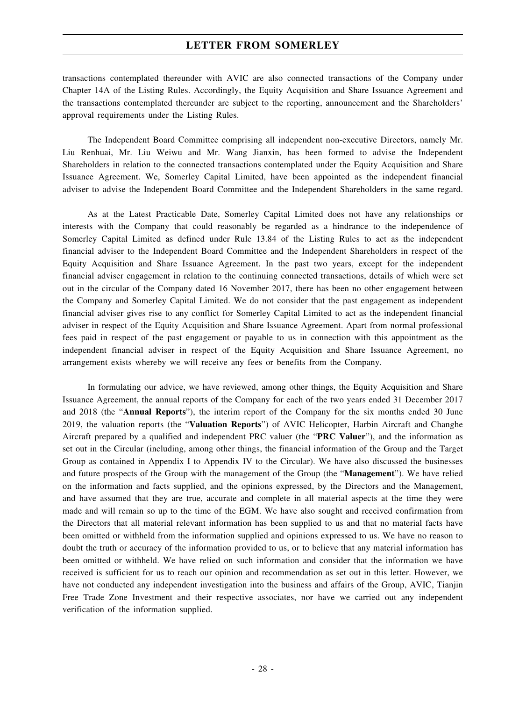transactions contemplated thereunder with AVIC are also connected transactions of the Company under Chapter 14A of the Listing Rules. Accordingly, the Equity Acquisition and Share Issuance Agreement and the transactions contemplated thereunder are subject to the reporting, announcement and the Shareholders' approval requirements under the Listing Rules.

The Independent Board Committee comprising all independent non-executive Directors, namely Mr. Liu Renhuai, Mr. Liu Weiwu and Mr. Wang Jianxin, has been formed to advise the Independent Shareholders in relation to the connected transactions contemplated under the Equity Acquisition and Share Issuance Agreement. We, Somerley Capital Limited, have been appointed as the independent financial adviser to advise the Independent Board Committee and the Independent Shareholders in the same regard.

As at the Latest Practicable Date, Somerley Capital Limited does not have any relationships or interests with the Company that could reasonably be regarded as a hindrance to the independence of Somerley Capital Limited as defined under Rule 13.84 of the Listing Rules to act as the independent financial adviser to the Independent Board Committee and the Independent Shareholders in respect of the Equity Acquisition and Share Issuance Agreement. In the past two years, except for the independent financial adviser engagement in relation to the continuing connected transactions, details of which were set out in the circular of the Company dated 16 November 2017, there has been no other engagement between the Company and Somerley Capital Limited. We do not consider that the past engagement as independent financial adviser gives rise to any conflict for Somerley Capital Limited to act as the independent financial adviser in respect of the Equity Acquisition and Share Issuance Agreement. Apart from normal professional fees paid in respect of the past engagement or payable to us in connection with this appointment as the independent financial adviser in respect of the Equity Acquisition and Share Issuance Agreement, no arrangement exists whereby we will receive any fees or benefits from the Company.

In formulating our advice, we have reviewed, among other things, the Equity Acquisition and Share Issuance Agreement, the annual reports of the Company for each of the two years ended 31 December 2017 and 2018 (the "**Annual Reports**"), the interim report of the Company for the six months ended 30 June 2019, the valuation reports (the "**Valuation Reports**") of AVIC Helicopter, Harbin Aircraft and Changhe Aircraft prepared by a qualified and independent PRC valuer (the "**PRC Valuer**"), and the information as set out in the Circular (including, among other things, the financial information of the Group and the Target Group as contained in Appendix I to Appendix IV to the Circular). We have also discussed the businesses and future prospects of the Group with the management of the Group (the "**Management**"). We have relied on the information and facts supplied, and the opinions expressed, by the Directors and the Management, and have assumed that they are true, accurate and complete in all material aspects at the time they were made and will remain so up to the time of the EGM. We have also sought and received confirmation from the Directors that all material relevant information has been supplied to us and that no material facts have been omitted or withheld from the information supplied and opinions expressed to us. We have no reason to doubt the truth or accuracy of the information provided to us, or to believe that any material information has been omitted or withheld. We have relied on such information and consider that the information we have received is sufficient for us to reach our opinion and recommendation as set out in this letter. However, we have not conducted any independent investigation into the business and affairs of the Group, AVIC, Tianjin Free Trade Zone Investment and their respective associates, nor have we carried out any independent verification of the information supplied.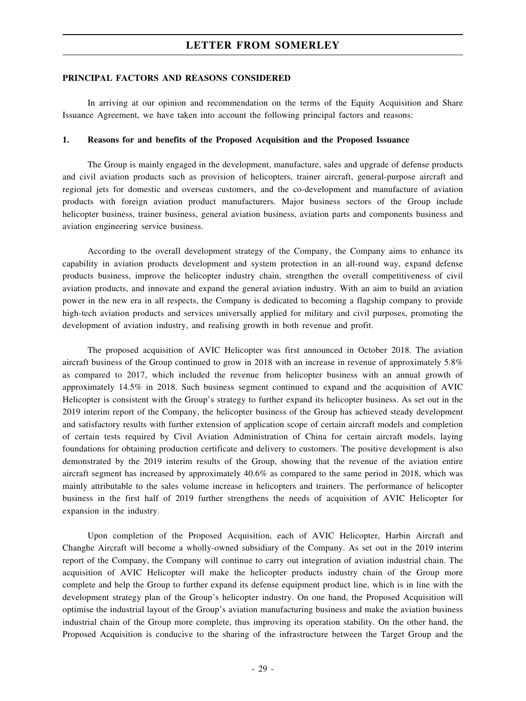#### **PRINCIPAL FACTORS AND REASONS CONSIDERED**

In arriving at our opinion and recommendation on the terms of the Equity Acquisition and Share Issuance Agreement, we have taken into account the following principal factors and reasons:

#### **1. Reasons for and benefits of the Proposed Acquisition and the Proposed Issuance**

The Group is mainly engaged in the development, manufacture, sales and upgrade of defense products and civil aviation products such as provision of helicopters, trainer aircraft, general-purpose aircraft and regional jets for domestic and overseas customers, and the co-development and manufacture of aviation products with foreign aviation product manufacturers. Major business sectors of the Group include helicopter business, trainer business, general aviation business, aviation parts and components business and aviation engineering service business.

According to the overall development strategy of the Company, the Company aims to enhance its capability in aviation products development and system protection in an all-round way, expand defense products business, improve the helicopter industry chain, strengthen the overall competitiveness of civil aviation products, and innovate and expand the general aviation industry. With an aim to build an aviation power in the new era in all respects, the Company is dedicated to becoming a flagship company to provide high-tech aviation products and services universally applied for military and civil purposes, promoting the development of aviation industry, and realising growth in both revenue and profit.

The proposed acquisition of AVIC Helicopter was first announced in October 2018. The aviation aircraft business of the Group continued to grow in 2018 with an increase in revenue of approximately 5.8% as compared to 2017, which included the revenue from helicopter business with an annual growth of approximately 14.5% in 2018. Such business segment continued to expand and the acquisition of AVIC Helicopter is consistent with the Group's strategy to further expand its helicopter business. As set out in the 2019 interim report of the Company, the helicopter business of the Group has achieved steady development and satisfactory results with further extension of application scope of certain aircraft models and completion of certain tests required by Civil Aviation Administration of China for certain aircraft models, laying foundations for obtaining production certificate and delivery to customers. The positive development is also demonstrated by the 2019 interim results of the Group, showing that the revenue of the aviation entire aircraft segment has increased by approximately 40.6% as compared to the same period in 2018, which was mainly attributable to the sales volume increase in helicopters and trainers. The performance of helicopter business in the first half of 2019 further strengthens the needs of acquisition of AVIC Helicopter for expansion in the industry.

Upon completion of the Proposed Acquisition, each of AVIC Helicopter, Harbin Aircraft and Changhe Aircraft will become a wholly-owned subsidiary of the Company. As set out in the 2019 interim report of the Company, the Company will continue to carry out integration of aviation industrial chain. The acquisition of AVIC Helicopter will make the helicopter products industry chain of the Group more complete and help the Group to further expand its defense equipment product line, which is in line with the development strategy plan of the Group's helicopter industry. On one hand, the Proposed Acquisition will optimise the industrial layout of the Group's aviation manufacturing business and make the aviation business industrial chain of the Group more complete, thus improving its operation stability. On the other hand, the Proposed Acquisition is conducive to the sharing of the infrastructure between the Target Group and the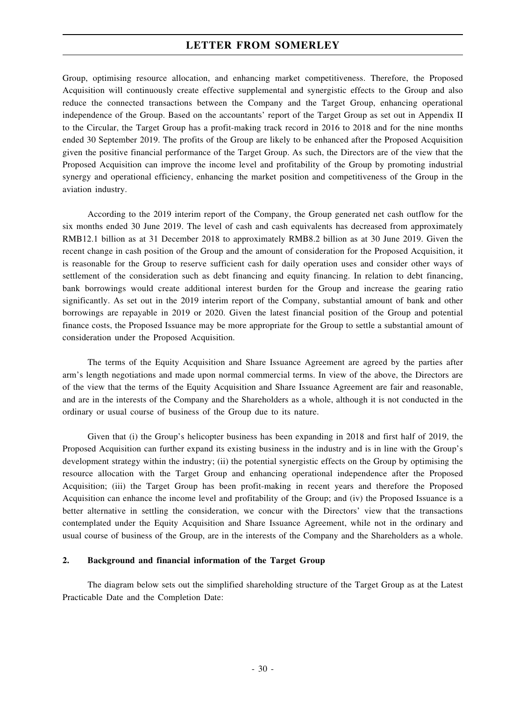Group, optimising resource allocation, and enhancing market competitiveness. Therefore, the Proposed Acquisition will continuously create effective supplemental and synergistic effects to the Group and also reduce the connected transactions between the Company and the Target Group, enhancing operational independence of the Group. Based on the accountants' report of the Target Group as set out in Appendix II to the Circular, the Target Group has a profit-making track record in 2016 to 2018 and for the nine months ended 30 September 2019. The profits of the Group are likely to be enhanced after the Proposed Acquisition given the positive financial performance of the Target Group. As such, the Directors are of the view that the Proposed Acquisition can improve the income level and profitability of the Group by promoting industrial synergy and operational efficiency, enhancing the market position and competitiveness of the Group in the aviation industry.

According to the 2019 interim report of the Company, the Group generated net cash outflow for the six months ended 30 June 2019. The level of cash and cash equivalents has decreased from approximately RMB12.1 billion as at 31 December 2018 to approximately RMB8.2 billion as at 30 June 2019. Given the recent change in cash position of the Group and the amount of consideration for the Proposed Acquisition, it is reasonable for the Group to reserve sufficient cash for daily operation uses and consider other ways of settlement of the consideration such as debt financing and equity financing. In relation to debt financing, bank borrowings would create additional interest burden for the Group and increase the gearing ratio significantly. As set out in the 2019 interim report of the Company, substantial amount of bank and other borrowings are repayable in 2019 or 2020. Given the latest financial position of the Group and potential finance costs, the Proposed Issuance may be more appropriate for the Group to settle a substantial amount of consideration under the Proposed Acquisition.

The terms of the Equity Acquisition and Share Issuance Agreement are agreed by the parties after arm's length negotiations and made upon normal commercial terms. In view of the above, the Directors are of the view that the terms of the Equity Acquisition and Share Issuance Agreement are fair and reasonable, and are in the interests of the Company and the Shareholders as a whole, although it is not conducted in the ordinary or usual course of business of the Group due to its nature.

Given that (i) the Group's helicopter business has been expanding in 2018 and first half of 2019, the Proposed Acquisition can further expand its existing business in the industry and is in line with the Group's development strategy within the industry; (ii) the potential synergistic effects on the Group by optimising the resource allocation with the Target Group and enhancing operational independence after the Proposed Acquisition; (iii) the Target Group has been profit-making in recent years and therefore the Proposed Acquisition can enhance the income level and profitability of the Group; and (iv) the Proposed Issuance is a better alternative in settling the consideration, we concur with the Directors' view that the transactions contemplated under the Equity Acquisition and Share Issuance Agreement, while not in the ordinary and usual course of business of the Group, are in the interests of the Company and the Shareholders as a whole.

#### **2. Background and financial information of the Target Group**

The diagram below sets out the simplified shareholding structure of the Target Group as at the Latest Practicable Date and the Completion Date: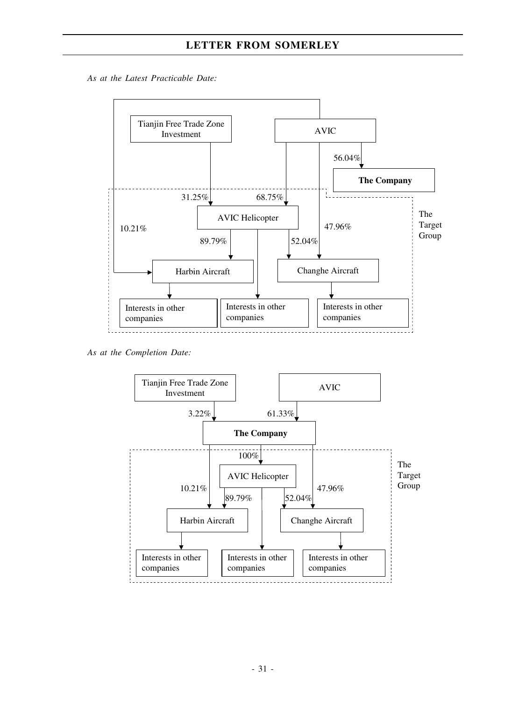*As at the Latest Practicable Date:*



*As at the Completion Date:*

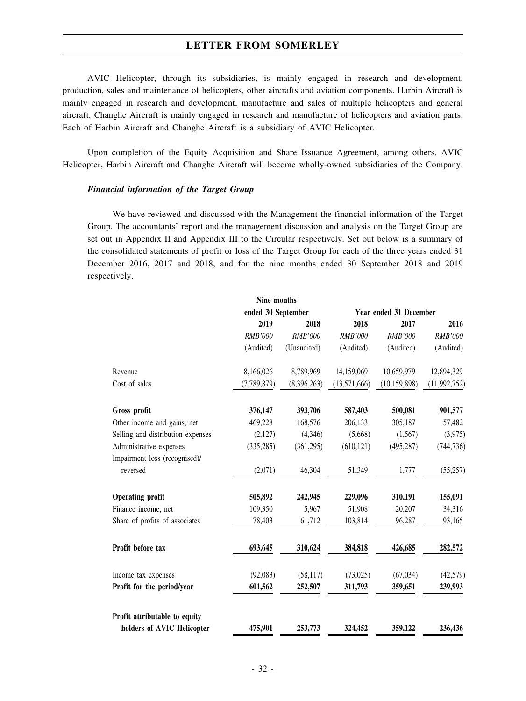AVIC Helicopter, through its subsidiaries, is mainly engaged in research and development, production, sales and maintenance of helicopters, other aircrafts and aviation components. Harbin Aircraft is mainly engaged in research and development, manufacture and sales of multiple helicopters and general aircraft. Changhe Aircraft is mainly engaged in research and manufacture of helicopters and aviation parts. Each of Harbin Aircraft and Changhe Aircraft is a subsidiary of AVIC Helicopter.

Upon completion of the Equity Acquisition and Share Issuance Agreement, among others, AVIC Helicopter, Harbin Aircraft and Changhe Aircraft will become wholly-owned subsidiaries of the Company.

#### *Financial information of the Target Group*

We have reviewed and discussed with the Management the financial information of the Target Group. The accountants' report and the management discussion and analysis on the Target Group are set out in Appendix II and Appendix III to the Circular respectively. Set out below is a summary of the consolidated statements of profit or loss of the Target Group for each of the three years ended 31 December 2016, 2017 and 2018, and for the nine months ended 30 September 2018 and 2019 respectively.

|                                                             | Nine months        |                |                        |                |                |
|-------------------------------------------------------------|--------------------|----------------|------------------------|----------------|----------------|
|                                                             | ended 30 September |                | Year ended 31 December |                |                |
|                                                             | 2019               | 2018           | 2018                   | 2017           | 2016           |
|                                                             | RMB'000            | <b>RMB'000</b> | RMB'000                | <b>RMB'000</b> | <b>RMB'000</b> |
|                                                             | (Audited)          | (Unaudited)    | (Audited)              | (Audited)      | (Audited)      |
| Revenue                                                     | 8,166,026          | 8,789,969      | 14,159,069             | 10,659,979     | 12,894,329     |
| Cost of sales                                               | (7,789,879)        | (8,396,263)    | (13,571,666)           | (10, 159, 898) | (11, 992, 752) |
| Gross profit                                                | 376,147            | 393,706        | 587,403                | 500,081        | 901,577        |
| Other income and gains, net                                 | 469,228            | 168,576        | 206,133                | 305,187        | 57,482         |
| Selling and distribution expenses                           | (2,127)            | (4,346)        | (5,668)                | (1,567)        | (3,975)        |
| Administrative expenses                                     | (335, 285)         | (361, 295)     | (610, 121)             | (495, 287)     | (744, 736)     |
| Impairment loss (recognised)/                               |                    |                |                        |                |                |
| reversed                                                    | (2,071)            | 46,304         | 51,349                 | 1,777          | (55, 257)      |
| <b>Operating profit</b>                                     | 505,892            | 242,945        | 229,096                | 310,191        | 155,091        |
| Finance income, net                                         | 109,350            | 5,967          | 51,908                 | 20,207         | 34,316         |
| Share of profits of associates                              | 78,403             | 61,712         | 103,814                | 96,287         | 93,165         |
| Profit before tax                                           | 693,645            | 310,624        | 384,818                | 426,685        | 282,572        |
| Income tax expenses                                         | (92,083)           | (58, 117)      | (73,025)               | (67, 034)      | (42, 579)      |
| Profit for the period/year                                  | 601,562            | 252,507        | 311,793                | 359,651        | 239,993        |
| Profit attributable to equity<br>holders of AVIC Helicopter | 475,901            | 253,773        | 324,452                | 359,122        | 236,436        |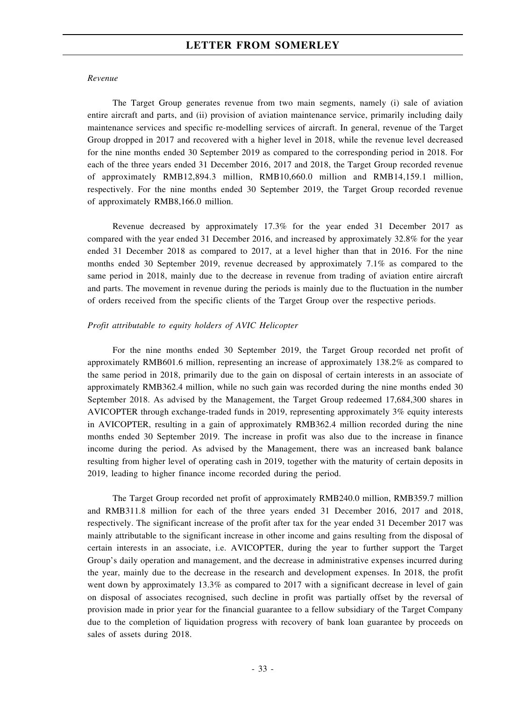#### *Revenue*

The Target Group generates revenue from two main segments, namely (i) sale of aviation entire aircraft and parts, and (ii) provision of aviation maintenance service, primarily including daily maintenance services and specific re-modelling services of aircraft. In general, revenue of the Target Group dropped in 2017 and recovered with a higher level in 2018, while the revenue level decreased for the nine months ended 30 September 2019 as compared to the corresponding period in 2018. For each of the three years ended 31 December 2016, 2017 and 2018, the Target Group recorded revenue of approximately RMB12,894.3 million, RMB10,660.0 million and RMB14,159.1 million, respectively. For the nine months ended 30 September 2019, the Target Group recorded revenue of approximately RMB8,166.0 million.

Revenue decreased by approximately 17.3% for the year ended 31 December 2017 as compared with the year ended 31 December 2016, and increased by approximately 32.8% for the year ended 31 December 2018 as compared to 2017, at a level higher than that in 2016. For the nine months ended 30 September 2019, revenue decreased by approximately 7.1% as compared to the same period in 2018, mainly due to the decrease in revenue from trading of aviation entire aircraft and parts. The movement in revenue during the periods is mainly due to the fluctuation in the number of orders received from the specific clients of the Target Group over the respective periods.

#### *Profit attributable to equity holders of AVIC Helicopter*

For the nine months ended 30 September 2019, the Target Group recorded net profit of approximately RMB601.6 million, representing an increase of approximately 138.2% as compared to the same period in 2018, primarily due to the gain on disposal of certain interests in an associate of approximately RMB362.4 million, while no such gain was recorded during the nine months ended 30 September 2018. As advised by the Management, the Target Group redeemed 17,684,300 shares in AVICOPTER through exchange-traded funds in 2019, representing approximately 3% equity interests in AVICOPTER, resulting in a gain of approximately RMB362.4 million recorded during the nine months ended 30 September 2019. The increase in profit was also due to the increase in finance income during the period. As advised by the Management, there was an increased bank balance resulting from higher level of operating cash in 2019, together with the maturity of certain deposits in 2019, leading to higher finance income recorded during the period.

The Target Group recorded net profit of approximately RMB240.0 million, RMB359.7 million and RMB311.8 million for each of the three years ended 31 December 2016, 2017 and 2018, respectively. The significant increase of the profit after tax for the year ended 31 December 2017 was mainly attributable to the significant increase in other income and gains resulting from the disposal of certain interests in an associate, i.e. AVICOPTER, during the year to further support the Target Group's daily operation and management, and the decrease in administrative expenses incurred during the year, mainly due to the decrease in the research and development expenses. In 2018, the profit went down by approximately 13.3% as compared to 2017 with a significant decrease in level of gain on disposal of associates recognised, such decline in profit was partially offset by the reversal of provision made in prior year for the financial guarantee to a fellow subsidiary of the Target Company due to the completion of liquidation progress with recovery of bank loan guarantee by proceeds on sales of assets during 2018.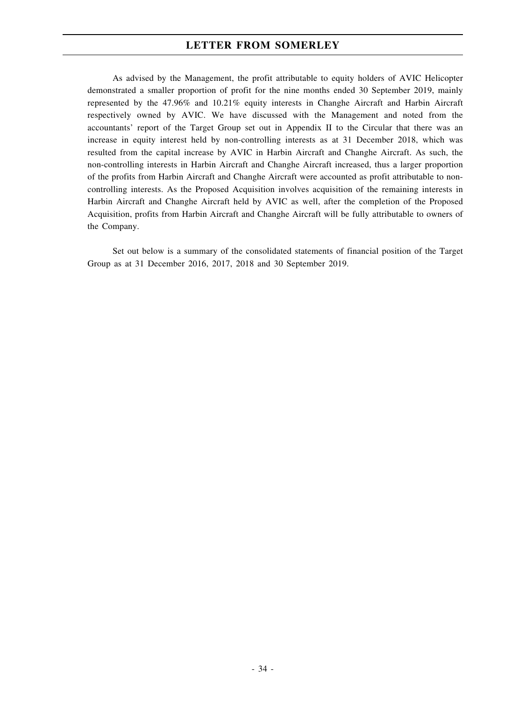As advised by the Management, the profit attributable to equity holders of AVIC Helicopter demonstrated a smaller proportion of profit for the nine months ended 30 September 2019, mainly represented by the 47.96% and 10.21% equity interests in Changhe Aircraft and Harbin Aircraft respectively owned by AVIC. We have discussed with the Management and noted from the accountants' report of the Target Group set out in Appendix II to the Circular that there was an increase in equity interest held by non-controlling interests as at 31 December 2018, which was resulted from the capital increase by AVIC in Harbin Aircraft and Changhe Aircraft. As such, the non-controlling interests in Harbin Aircraft and Changhe Aircraft increased, thus a larger proportion of the profits from Harbin Aircraft and Changhe Aircraft were accounted as profit attributable to noncontrolling interests. As the Proposed Acquisition involves acquisition of the remaining interests in Harbin Aircraft and Changhe Aircraft held by AVIC as well, after the completion of the Proposed Acquisition, profits from Harbin Aircraft and Changhe Aircraft will be fully attributable to owners of the Company.

Set out below is a summary of the consolidated statements of financial position of the Target Group as at 31 December 2016, 2017, 2018 and 30 September 2019.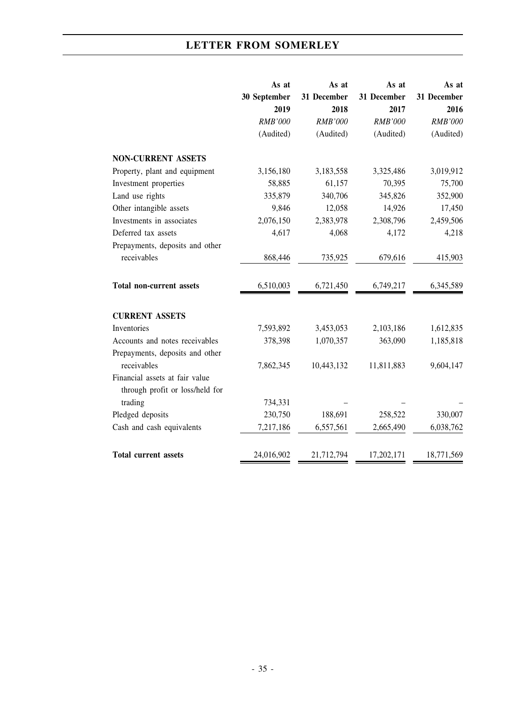|                                 | As at        | As at          | As at          | As at          |
|---------------------------------|--------------|----------------|----------------|----------------|
|                                 | 30 September | 31 December    | 31 December    | 31 December    |
|                                 | 2019         | 2018           | 2017           | 2016           |
|                                 | RMB'000      | <b>RMB'000</b> | <b>RMB'000</b> | <b>RMB'000</b> |
|                                 | (Audited)    | (Audited)      | (Audited)      | (Audited)      |
| <b>NON-CURRENT ASSETS</b>       |              |                |                |                |
| Property, plant and equipment   | 3,156,180    | 3,183,558      | 3,325,486      | 3,019,912      |
| Investment properties           | 58,885       | 61,157         | 70,395         | 75,700         |
| Land use rights                 | 335,879      | 340,706        | 345,826        | 352,900        |
| Other intangible assets         | 9,846        | 12,058         | 14,926         | 17,450         |
| Investments in associates       | 2,076,150    | 2,383,978      | 2,308,796      | 2,459,506      |
| Deferred tax assets             | 4,617        | 4,068          | 4,172          | 4,218          |
| Prepayments, deposits and other |              |                |                |                |
| receivables                     | 868,446      | 735,925        | 679,616        | 415,903        |
|                                 |              |                |                |                |
| <b>Total non-current assets</b> | 6,510,003    | 6,721,450      | 6,749,217      | 6,345,589      |
|                                 |              |                |                |                |
| <b>CURRENT ASSETS</b>           |              |                |                |                |
| Inventories                     | 7,593,892    | 3,453,053      | 2,103,186      | 1,612,835      |
| Accounts and notes receivables  | 378,398      | 1,070,357      | 363,090        | 1,185,818      |
| Prepayments, deposits and other |              |                |                |                |
| receivables                     | 7,862,345    | 10,443,132     | 11,811,883     | 9,604,147      |
| Financial assets at fair value  |              |                |                |                |
| through profit or loss/held for |              |                |                |                |
| trading                         | 734,331      |                |                |                |
| Pledged deposits                | 230,750      | 188,691        | 258,522        | 330,007        |
| Cash and cash equivalents       | 7,217,186    | 6,557,561      | 2,665,490      | 6,038,762      |
|                                 |              |                |                |                |
| <b>Total current assets</b>     | 24,016,902   | 21,712,794     | 17,202,171     | 18,771,569     |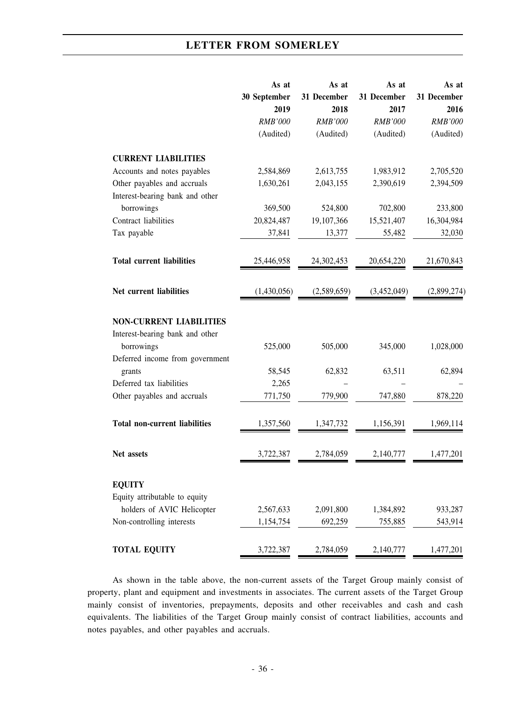|                                      | As at          | As at          | As at          | As at          |
|--------------------------------------|----------------|----------------|----------------|----------------|
|                                      | 30 September   | 31 December    | 31 December    | 31 December    |
|                                      | 2019           | 2018           | 2017           | 2016           |
|                                      | <b>RMB'000</b> | <b>RMB'000</b> | <b>RMB'000</b> | <b>RMB'000</b> |
|                                      | (Audited)      | (Audited)      | (Audited)      | (Audited)      |
| <b>CURRENT LIABILITIES</b>           |                |                |                |                |
| Accounts and notes payables          | 2,584,869      | 2,613,755      | 1,983,912      | 2,705,520      |
| Other payables and accruals          | 1,630,261      | 2,043,155      | 2,390,619      | 2,394,509      |
| Interest-bearing bank and other      |                |                |                |                |
| borrowings                           | 369,500        | 524,800        | 702,800        | 233,800        |
| Contract liabilities                 | 20,824,487     | 19,107,366     | 15,521,407     | 16,304,984     |
| Tax payable                          | 37,841         | 13,377         | 55,482         | 32,030         |
| <b>Total current liabilities</b>     | 25,446,958     | 24,302,453     | 20,654,220     | 21,670,843     |
|                                      |                |                |                |                |
| Net current liabilities              | (1,430,056)    | (2,589,659)    | (3,452,049)    | (2,899,274)    |
|                                      |                |                |                |                |
| <b>NON-CURRENT LIABILITIES</b>       |                |                |                |                |
| Interest-bearing bank and other      |                |                |                |                |
| borrowings                           | 525,000        | 505,000        | 345,000        | 1,028,000      |
| Deferred income from government      |                |                |                |                |
| grants                               | 58,545         | 62,832         | 63,511         | 62,894         |
| Deferred tax liabilities             | 2,265          |                |                |                |
| Other payables and accruals          | 771,750        | 779,900        | 747,880        | 878,220        |
| <b>Total non-current liabilities</b> | 1,357,560      | 1,347,732      | 1,156,391      | 1,969,114      |
| Net assets                           | 3,722,387      | 2,784,059      | 2,140,777      | 1,477,201      |
| <b>EQUITY</b>                        |                |                |                |                |
| Equity attributable to equity        |                |                |                |                |
| holders of AVIC Helicopter           | 2,567,633      | 2,091,800      | 1,384,892      | 933,287        |
| Non-controlling interests            | 1,154,754      | 692,259        | 755,885        | 543,914        |
|                                      |                |                |                |                |
| <b>TOTAL EQUITY</b>                  | 3,722,387      | 2,784,059      | 2,140,777      | 1,477,201      |

As shown in the table above, the non-current assets of the Target Group mainly consist of property, plant and equipment and investments in associates. The current assets of the Target Group mainly consist of inventories, prepayments, deposits and other receivables and cash and cash equivalents. The liabilities of the Target Group mainly consist of contract liabilities, accounts and notes payables, and other payables and accruals.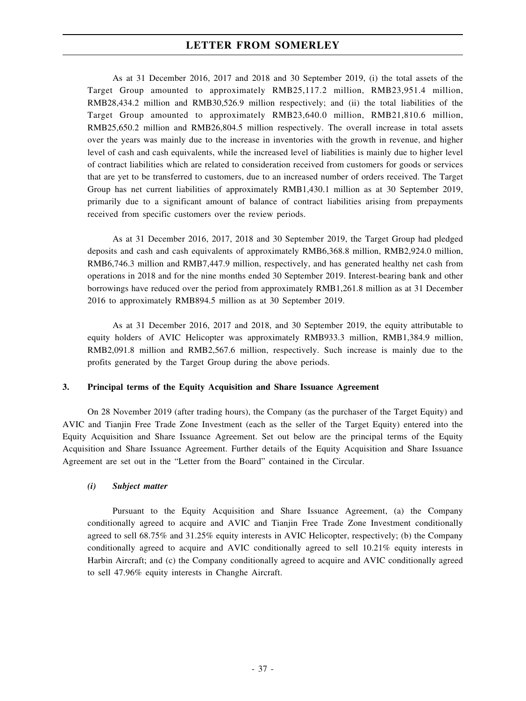As at 31 December 2016, 2017 and 2018 and 30 September 2019, (i) the total assets of the Target Group amounted to approximately RMB25,117.2 million, RMB23,951.4 million, RMB28,434.2 million and RMB30,526.9 million respectively; and (ii) the total liabilities of the Target Group amounted to approximately RMB23,640.0 million, RMB21,810.6 million, RMB25,650.2 million and RMB26,804.5 million respectively. The overall increase in total assets over the years was mainly due to the increase in inventories with the growth in revenue, and higher level of cash and cash equivalents, while the increased level of liabilities is mainly due to higher level of contract liabilities which are related to consideration received from customers for goods or services that are yet to be transferred to customers, due to an increased number of orders received. The Target Group has net current liabilities of approximately RMB1,430.1 million as at 30 September 2019, primarily due to a significant amount of balance of contract liabilities arising from prepayments received from specific customers over the review periods.

As at 31 December 2016, 2017, 2018 and 30 September 2019, the Target Group had pledged deposits and cash and cash equivalents of approximately RMB6,368.8 million, RMB2,924.0 million, RMB6,746.3 million and RMB7,447.9 million, respectively, and has generated healthy net cash from operations in 2018 and for the nine months ended 30 September 2019. Interest-bearing bank and other borrowings have reduced over the period from approximately RMB1,261.8 million as at 31 December 2016 to approximately RMB894.5 million as at 30 September 2019.

As at 31 December 2016, 2017 and 2018, and 30 September 2019, the equity attributable to equity holders of AVIC Helicopter was approximately RMB933.3 million, RMB1,384.9 million, RMB2,091.8 million and RMB2,567.6 million, respectively. Such increase is mainly due to the profits generated by the Target Group during the above periods.

## **3. Principal terms of the Equity Acquisition and Share Issuance Agreement**

On 28 November 2019 (after trading hours), the Company (as the purchaser of the Target Equity) and AVIC and Tianjin Free Trade Zone Investment (each as the seller of the Target Equity) entered into the Equity Acquisition and Share Issuance Agreement. Set out below are the principal terms of the Equity Acquisition and Share Issuance Agreement. Further details of the Equity Acquisition and Share Issuance Agreement are set out in the "Letter from the Board" contained in the Circular.

## *(i) Subject matter*

Pursuant to the Equity Acquisition and Share Issuance Agreement, (a) the Company conditionally agreed to acquire and AVIC and Tianjin Free Trade Zone Investment conditionally agreed to sell 68.75% and 31.25% equity interests in AVIC Helicopter, respectively; (b) the Company conditionally agreed to acquire and AVIC conditionally agreed to sell 10.21% equity interests in Harbin Aircraft; and (c) the Company conditionally agreed to acquire and AVIC conditionally agreed to sell 47.96% equity interests in Changhe Aircraft.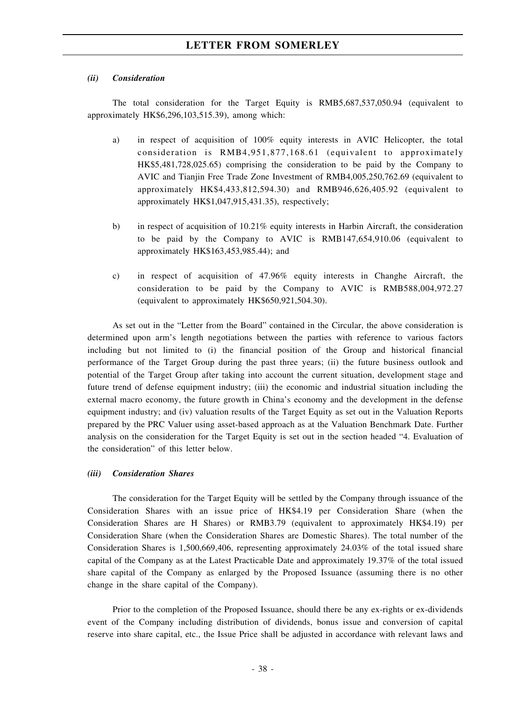#### *(ii) Consideration*

The total consideration for the Target Equity is RMB5,687,537,050.94 (equivalent to approximately HK\$6,296,103,515.39), among which:

- a) in respect of acquisition of 100% equity interests in AVIC Helicopter, the total consideration is RMB4,951,877,168.61 (equivalent to approximately HK\$5,481,728,025.65) comprising the consideration to be paid by the Company to AVIC and Tianjin Free Trade Zone Investment of RMB4,005,250,762.69 (equivalent to approximately HK\$4,433,812,594.30) and RMB946,626,405.92 (equivalent to approximately HK\$1,047,915,431.35), respectively;
- b) in respect of acquisition of 10.21% equity interests in Harbin Aircraft, the consideration to be paid by the Company to AVIC is RMB147,654,910.06 (equivalent to approximately HK\$163,453,985.44); and
- c) in respect of acquisition of 47.96% equity interests in Changhe Aircraft, the consideration to be paid by the Company to AVIC is RMB588,004,972.27 (equivalent to approximately HK\$650,921,504.30).

As set out in the "Letter from the Board" contained in the Circular, the above consideration is determined upon arm's length negotiations between the parties with reference to various factors including but not limited to (i) the financial position of the Group and historical financial performance of the Target Group during the past three years; (ii) the future business outlook and potential of the Target Group after taking into account the current situation, development stage and future trend of defense equipment industry; (iii) the economic and industrial situation including the external macro economy, the future growth in China's economy and the development in the defense equipment industry; and (iv) valuation results of the Target Equity as set out in the Valuation Reports prepared by the PRC Valuer using asset-based approach as at the Valuation Benchmark Date. Further analysis on the consideration for the Target Equity is set out in the section headed "4. Evaluation of the consideration" of this letter below.

#### *(iii) Consideration Shares*

The consideration for the Target Equity will be settled by the Company through issuance of the Consideration Shares with an issue price of HK\$4.19 per Consideration Share (when the Consideration Shares are H Shares) or RMB3.79 (equivalent to approximately HK\$4.19) per Consideration Share (when the Consideration Shares are Domestic Shares). The total number of the Consideration Shares is 1,500,669,406, representing approximately 24.03% of the total issued share capital of the Company as at the Latest Practicable Date and approximately 19.37% of the total issued share capital of the Company as enlarged by the Proposed Issuance (assuming there is no other change in the share capital of the Company).

Prior to the completion of the Proposed Issuance, should there be any ex-rights or ex-dividends event of the Company including distribution of dividends, bonus issue and conversion of capital reserve into share capital, etc., the Issue Price shall be adjusted in accordance with relevant laws and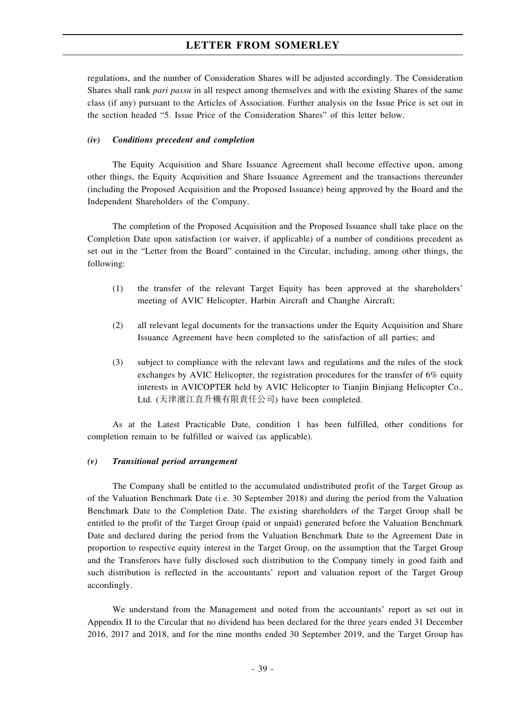regulations, and the number of Consideration Shares will be adjusted accordingly. The Consideration Shares shall rank *pari passu* in all respect among themselves and with the existing Shares of the same class (if any) pursuant to the Articles of Association. Further analysis on the Issue Price is set out in the section headed "5. Issue Price of the Consideration Shares" of this letter below.

#### *(iv) Conditions precedent and completion*

The Equity Acquisition and Share Issuance Agreement shall become effective upon, among other things, the Equity Acquisition and Share Issuance Agreement and the transactions thereunder (including the Proposed Acquisition and the Proposed Issuance) being approved by the Board and the Independent Shareholders of the Company.

The completion of the Proposed Acquisition and the Proposed Issuance shall take place on the Completion Date upon satisfaction (or waiver, if applicable) of a number of conditions precedent as set out in the "Letter from the Board" contained in the Circular, including, among other things, the following:

- (1) the transfer of the relevant Target Equity has been approved at the shareholders' meeting of AVIC Helicopter, Harbin Aircraft and Changhe Aircraft;
- (2) all relevant legal documents for the transactions under the Equity Acquisition and Share Issuance Agreement have been completed to the satisfaction of all parties; and
- (3) subject to compliance with the relevant laws and regulations and the rules of the stock exchanges by AVIC Helicopter, the registration procedures for the transfer of 6% equity interests in AVICOPTER held by AVIC Helicopter to Tianjin Binjiang Helicopter Co., Ltd. (天津濱江直升機有限責任公司) have been completed.

As at the Latest Practicable Date, condition 1 has been fulfilled, other conditions for completion remain to be fulfilled or waived (as applicable).

## *(v) Transitional period arrangement*

The Company shall be entitled to the accumulated undistributed profit of the Target Group as of the Valuation Benchmark Date (i.e. 30 September 2018) and during the period from the Valuation Benchmark Date to the Completion Date. The existing shareholders of the Target Group shall be entitled to the profit of the Target Group (paid or unpaid) generated before the Valuation Benchmark Date and declared during the period from the Valuation Benchmark Date to the Agreement Date in proportion to respective equity interest in the Target Group, on the assumption that the Target Group and the Transferors have fully disclosed such distribution to the Company timely in good faith and such distribution is reflected in the accountants' report and valuation report of the Target Group accordingly.

We understand from the Management and noted from the accountants' report as set out in Appendix II to the Circular that no dividend has been declared for the three years ended 31 December 2016, 2017 and 2018, and for the nine months ended 30 September 2019, and the Target Group has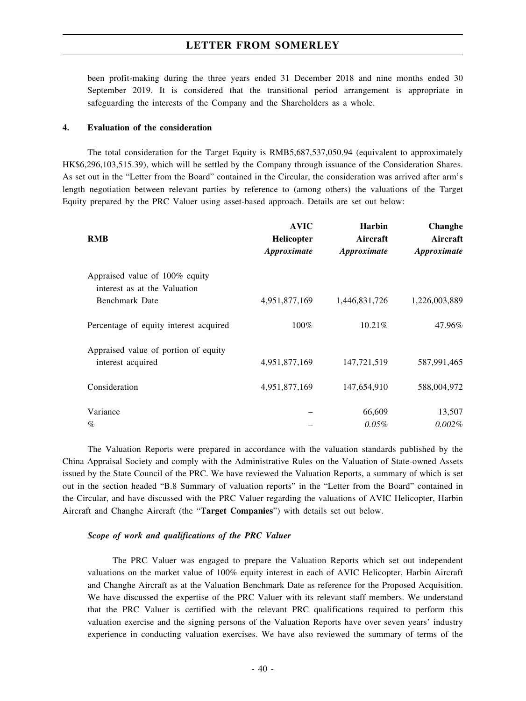been profit-making during the three years ended 31 December 2018 and nine months ended 30 September 2019. It is considered that the transitional period arrangement is appropriate in safeguarding the interests of the Company and the Shareholders as a whole.

#### **4. Evaluation of the consideration**

The total consideration for the Target Equity is RMB5,687,537,050.94 (equivalent to approximately HK\$6,296,103,515.39), which will be settled by the Company through issuance of the Consideration Shares. As set out in the "Letter from the Board" contained in the Circular, the consideration was arrived after arm's length negotiation between relevant parties by reference to (among others) the valuations of the Target Equity prepared by the PRC Valuer using asset-based approach. Details are set out below:

| <b>RMB</b>                                                     | <b>AVIC</b><br><b>Helicopter</b><br>Approximate | <b>Harbin</b><br>Aircraft<br>Approximate | <b>Changhe</b><br>Aircraft<br>Approximate |
|----------------------------------------------------------------|-------------------------------------------------|------------------------------------------|-------------------------------------------|
| Appraised value of 100% equity<br>interest as at the Valuation |                                                 |                                          |                                           |
| Benchmark Date                                                 | 4,951,877,169                                   | 1,446,831,726                            | 1,226,003,889                             |
| Percentage of equity interest acquired                         | 100%                                            | 10.21%                                   | 47.96%                                    |
| Appraised value of portion of equity<br>interest acquired      | 4,951,877,169                                   | 147,721,519                              | 587,991,465                               |
| Consideration                                                  | 4,951,877,169                                   | 147,654,910                              | 588,004,972                               |
| Variance<br>$\%$                                               |                                                 | 66,609<br>$0.05\%$                       | 13,507<br>$0.002\%$                       |

The Valuation Reports were prepared in accordance with the valuation standards published by the China Appraisal Society and comply with the Administrative Rules on the Valuation of State-owned Assets issued by the State Council of the PRC. We have reviewed the Valuation Reports, a summary of which is set out in the section headed "B.8 Summary of valuation reports" in the "Letter from the Board" contained in the Circular, and have discussed with the PRC Valuer regarding the valuations of AVIC Helicopter, Harbin Aircraft and Changhe Aircraft (the "**Target Companies**") with details set out below.

### *Scope of work and qualifications of the PRC Valuer*

The PRC Valuer was engaged to prepare the Valuation Reports which set out independent valuations on the market value of 100% equity interest in each of AVIC Helicopter, Harbin Aircraft and Changhe Aircraft as at the Valuation Benchmark Date as reference for the Proposed Acquisition. We have discussed the expertise of the PRC Valuer with its relevant staff members. We understand that the PRC Valuer is certified with the relevant PRC qualifications required to perform this valuation exercise and the signing persons of the Valuation Reports have over seven years' industry experience in conducting valuation exercises. We have also reviewed the summary of terms of the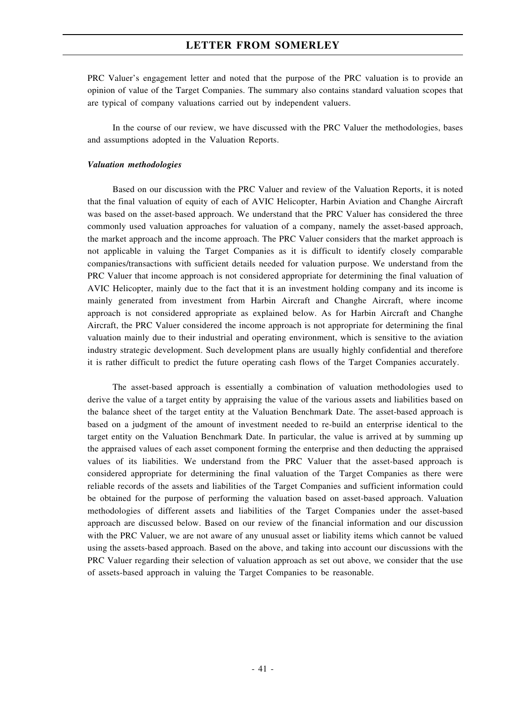PRC Valuer's engagement letter and noted that the purpose of the PRC valuation is to provide an opinion of value of the Target Companies. The summary also contains standard valuation scopes that are typical of company valuations carried out by independent valuers.

In the course of our review, we have discussed with the PRC Valuer the methodologies, bases and assumptions adopted in the Valuation Reports.

#### *Valuation methodologies*

Based on our discussion with the PRC Valuer and review of the Valuation Reports, it is noted that the final valuation of equity of each of AVIC Helicopter, Harbin Aviation and Changhe Aircraft was based on the asset-based approach. We understand that the PRC Valuer has considered the three commonly used valuation approaches for valuation of a company, namely the asset-based approach, the market approach and the income approach. The PRC Valuer considers that the market approach is not applicable in valuing the Target Companies as it is difficult to identify closely comparable companies/transactions with sufficient details needed for valuation purpose. We understand from the PRC Valuer that income approach is not considered appropriate for determining the final valuation of AVIC Helicopter, mainly due to the fact that it is an investment holding company and its income is mainly generated from investment from Harbin Aircraft and Changhe Aircraft, where income approach is not considered appropriate as explained below. As for Harbin Aircraft and Changhe Aircraft, the PRC Valuer considered the income approach is not appropriate for determining the final valuation mainly due to their industrial and operating environment, which is sensitive to the aviation industry strategic development. Such development plans are usually highly confidential and therefore it is rather difficult to predict the future operating cash flows of the Target Companies accurately.

The asset-based approach is essentially a combination of valuation methodologies used to derive the value of a target entity by appraising the value of the various assets and liabilities based on the balance sheet of the target entity at the Valuation Benchmark Date. The asset-based approach is based on a judgment of the amount of investment needed to re-build an enterprise identical to the target entity on the Valuation Benchmark Date. In particular, the value is arrived at by summing up the appraised values of each asset component forming the enterprise and then deducting the appraised values of its liabilities. We understand from the PRC Valuer that the asset-based approach is considered appropriate for determining the final valuation of the Target Companies as there were reliable records of the assets and liabilities of the Target Companies and sufficient information could be obtained for the purpose of performing the valuation based on asset-based approach. Valuation methodologies of different assets and liabilities of the Target Companies under the asset-based approach are discussed below. Based on our review of the financial information and our discussion with the PRC Valuer, we are not aware of any unusual asset or liability items which cannot be valued using the assets-based approach. Based on the above, and taking into account our discussions with the PRC Valuer regarding their selection of valuation approach as set out above, we consider that the use of assets-based approach in valuing the Target Companies to be reasonable.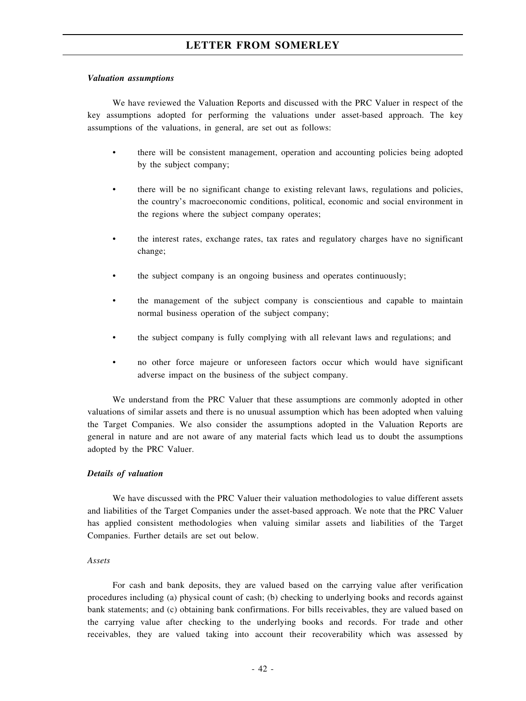#### *Valuation assumptions*

We have reviewed the Valuation Reports and discussed with the PRC Valuer in respect of the key assumptions adopted for performing the valuations under asset-based approach. The key assumptions of the valuations, in general, are set out as follows:

- there will be consistent management, operation and accounting policies being adopted by the subject company;
- there will be no significant change to existing relevant laws, regulations and policies, the country's macroeconomic conditions, political, economic and social environment in the regions where the subject company operates;
- the interest rates, exchange rates, tax rates and regulatory charges have no significant change;
- the subject company is an ongoing business and operates continuously;
- the management of the subject company is conscientious and capable to maintain normal business operation of the subject company;
- the subject company is fully complying with all relevant laws and regulations; and
- no other force majeure or unforeseen factors occur which would have significant adverse impact on the business of the subject company.

We understand from the PRC Valuer that these assumptions are commonly adopted in other valuations of similar assets and there is no unusual assumption which has been adopted when valuing the Target Companies. We also consider the assumptions adopted in the Valuation Reports are general in nature and are not aware of any material facts which lead us to doubt the assumptions adopted by the PRC Valuer.

## *Details of valuation*

We have discussed with the PRC Valuer their valuation methodologies to value different assets and liabilities of the Target Companies under the asset-based approach. We note that the PRC Valuer has applied consistent methodologies when valuing similar assets and liabilities of the Target Companies. Further details are set out below.

#### *Assets*

For cash and bank deposits, they are valued based on the carrying value after verification procedures including (a) physical count of cash; (b) checking to underlying books and records against bank statements; and (c) obtaining bank confirmations. For bills receivables, they are valued based on the carrying value after checking to the underlying books and records. For trade and other receivables, they are valued taking into account their recoverability which was assessed by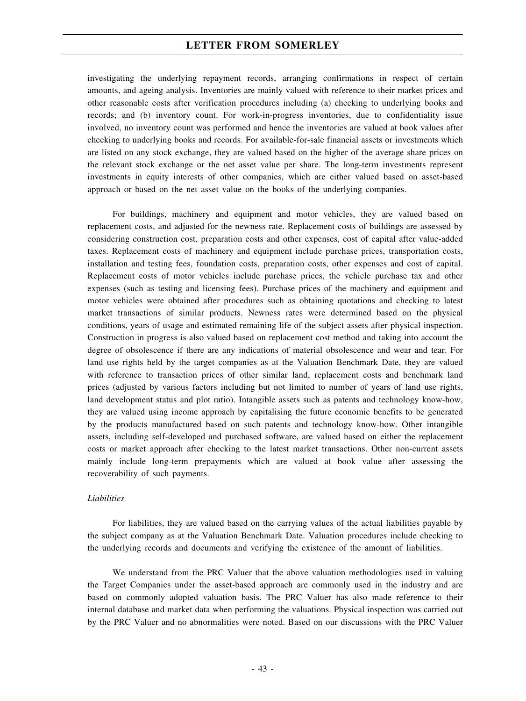investigating the underlying repayment records, arranging confirmations in respect of certain amounts, and ageing analysis. Inventories are mainly valued with reference to their market prices and other reasonable costs after verification procedures including (a) checking to underlying books and records; and (b) inventory count. For work-in-progress inventories, due to confidentiality issue involved, no inventory count was performed and hence the inventories are valued at book values after checking to underlying books and records. For available-for-sale financial assets or investments which are listed on any stock exchange, they are valued based on the higher of the average share prices on the relevant stock exchange or the net asset value per share. The long-term investments represent investments in equity interests of other companies, which are either valued based on asset-based approach or based on the net asset value on the books of the underlying companies.

For buildings, machinery and equipment and motor vehicles, they are valued based on replacement costs, and adjusted for the newness rate. Replacement costs of buildings are assessed by considering construction cost, preparation costs and other expenses, cost of capital after value-added taxes. Replacement costs of machinery and equipment include purchase prices, transportation costs, installation and testing fees, foundation costs, preparation costs, other expenses and cost of capital. Replacement costs of motor vehicles include purchase prices, the vehicle purchase tax and other expenses (such as testing and licensing fees). Purchase prices of the machinery and equipment and motor vehicles were obtained after procedures such as obtaining quotations and checking to latest market transactions of similar products. Newness rates were determined based on the physical conditions, years of usage and estimated remaining life of the subject assets after physical inspection. Construction in progress is also valued based on replacement cost method and taking into account the degree of obsolescence if there are any indications of material obsolescence and wear and tear. For land use rights held by the target companies as at the Valuation Benchmark Date, they are valued with reference to transaction prices of other similar land, replacement costs and benchmark land prices (adjusted by various factors including but not limited to number of years of land use rights, land development status and plot ratio). Intangible assets such as patents and technology know-how, they are valued using income approach by capitalising the future economic benefits to be generated by the products manufactured based on such patents and technology know-how. Other intangible assets, including self-developed and purchased software, are valued based on either the replacement costs or market approach after checking to the latest market transactions. Other non-current assets mainly include long-term prepayments which are valued at book value after assessing the recoverability of such payments.

## *Liabilities*

For liabilities, they are valued based on the carrying values of the actual liabilities payable by the subject company as at the Valuation Benchmark Date. Valuation procedures include checking to the underlying records and documents and verifying the existence of the amount of liabilities.

We understand from the PRC Valuer that the above valuation methodologies used in valuing the Target Companies under the asset-based approach are commonly used in the industry and are based on commonly adopted valuation basis. The PRC Valuer has also made reference to their internal database and market data when performing the valuations. Physical inspection was carried out by the PRC Valuer and no abnormalities were noted. Based on our discussions with the PRC Valuer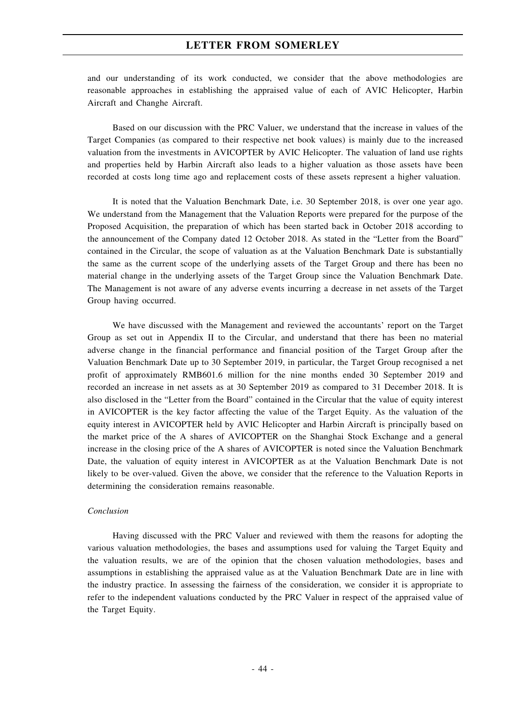and our understanding of its work conducted, we consider that the above methodologies are reasonable approaches in establishing the appraised value of each of AVIC Helicopter, Harbin Aircraft and Changhe Aircraft.

Based on our discussion with the PRC Valuer, we understand that the increase in values of the Target Companies (as compared to their respective net book values) is mainly due to the increased valuation from the investments in AVICOPTER by AVIC Helicopter. The valuation of land use rights and properties held by Harbin Aircraft also leads to a higher valuation as those assets have been recorded at costs long time ago and replacement costs of these assets represent a higher valuation.

It is noted that the Valuation Benchmark Date, i.e. 30 September 2018, is over one year ago. We understand from the Management that the Valuation Reports were prepared for the purpose of the Proposed Acquisition, the preparation of which has been started back in October 2018 according to the announcement of the Company dated 12 October 2018. As stated in the "Letter from the Board" contained in the Circular, the scope of valuation as at the Valuation Benchmark Date is substantially the same as the current scope of the underlying assets of the Target Group and there has been no material change in the underlying assets of the Target Group since the Valuation Benchmark Date. The Management is not aware of any adverse events incurring a decrease in net assets of the Target Group having occurred.

We have discussed with the Management and reviewed the accountants' report on the Target Group as set out in Appendix II to the Circular, and understand that there has been no material adverse change in the financial performance and financial position of the Target Group after the Valuation Benchmark Date up to 30 September 2019, in particular, the Target Group recognised a net profit of approximately RMB601.6 million for the nine months ended 30 September 2019 and recorded an increase in net assets as at 30 September 2019 as compared to 31 December 2018. It is also disclosed in the "Letter from the Board" contained in the Circular that the value of equity interest in AVICOPTER is the key factor affecting the value of the Target Equity. As the valuation of the equity interest in AVICOPTER held by AVIC Helicopter and Harbin Aircraft is principally based on the market price of the A shares of AVICOPTER on the Shanghai Stock Exchange and a general increase in the closing price of the A shares of AVICOPTER is noted since the Valuation Benchmark Date, the valuation of equity interest in AVICOPTER as at the Valuation Benchmark Date is not likely to be over-valued. Given the above, we consider that the reference to the Valuation Reports in determining the consideration remains reasonable.

### *Conclusion*

Having discussed with the PRC Valuer and reviewed with them the reasons for adopting the various valuation methodologies, the bases and assumptions used for valuing the Target Equity and the valuation results, we are of the opinion that the chosen valuation methodologies, bases and assumptions in establishing the appraised value as at the Valuation Benchmark Date are in line with the industry practice. In assessing the fairness of the consideration, we consider it is appropriate to refer to the independent valuations conducted by the PRC Valuer in respect of the appraised value of the Target Equity.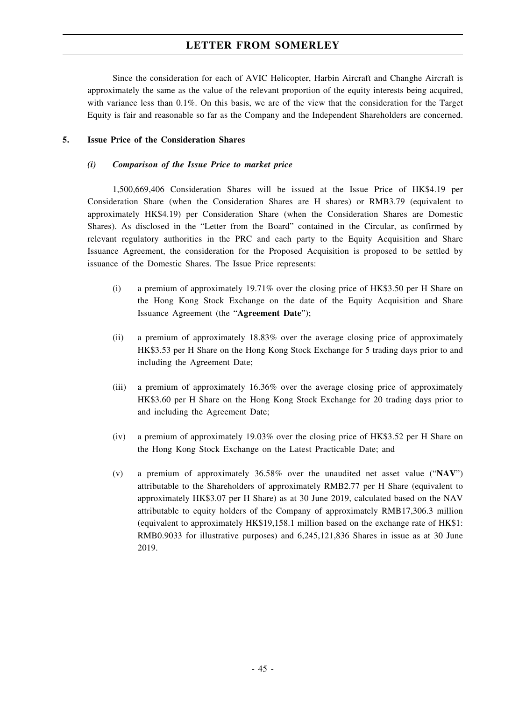Since the consideration for each of AVIC Helicopter, Harbin Aircraft and Changhe Aircraft is approximately the same as the value of the relevant proportion of the equity interests being acquired, with variance less than 0.1%. On this basis, we are of the view that the consideration for the Target Equity is fair and reasonable so far as the Company and the Independent Shareholders are concerned.

## **5. Issue Price of the Consideration Shares**

## *(i) Comparison of the Issue Price to market price*

1,500,669,406 Consideration Shares will be issued at the Issue Price of HK\$4.19 per Consideration Share (when the Consideration Shares are H shares) or RMB3.79 (equivalent to approximately HK\$4.19) per Consideration Share (when the Consideration Shares are Domestic Shares). As disclosed in the "Letter from the Board" contained in the Circular, as confirmed by relevant regulatory authorities in the PRC and each party to the Equity Acquisition and Share Issuance Agreement, the consideration for the Proposed Acquisition is proposed to be settled by issuance of the Domestic Shares. The Issue Price represents:

- (i) a premium of approximately 19.71% over the closing price of HK\$3.50 per H Share on the Hong Kong Stock Exchange on the date of the Equity Acquisition and Share Issuance Agreement (the "**Agreement Date**");
- (ii) a premium of approximately 18.83% over the average closing price of approximately HK\$3.53 per H Share on the Hong Kong Stock Exchange for 5 trading days prior to and including the Agreement Date;
- (iii) a premium of approximately 16.36% over the average closing price of approximately HK\$3.60 per H Share on the Hong Kong Stock Exchange for 20 trading days prior to and including the Agreement Date;
- (iv) a premium of approximately 19.03% over the closing price of HK\$3.52 per H Share on the Hong Kong Stock Exchange on the Latest Practicable Date; and
- (v) a premium of approximately 36.58% over the unaudited net asset value ("**NAV**") attributable to the Shareholders of approximately RMB2.77 per H Share (equivalent to approximately HK\$3.07 per H Share) as at 30 June 2019, calculated based on the NAV attributable to equity holders of the Company of approximately RMB17,306.3 million (equivalent to approximately HK\$19,158.1 million based on the exchange rate of HK\$1: RMB0.9033 for illustrative purposes) and 6,245,121,836 Shares in issue as at 30 June 2019.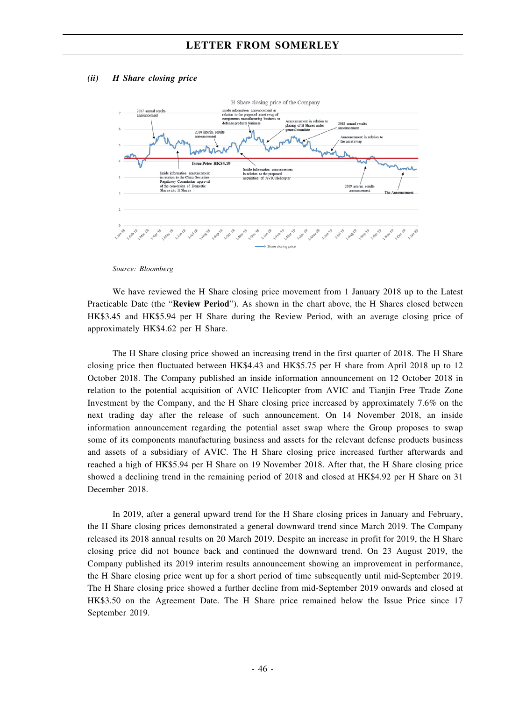### *(ii) H Share closing price*



*Source: Bloomberg*

We have reviewed the H Share closing price movement from 1 January 2018 up to the Latest Practicable Date (the "**Review Period**"). As shown in the chart above, the H Shares closed between HK\$3.45 and HK\$5.94 per H Share during the Review Period, with an average closing price of approximately HK\$4.62 per H Share.

The H Share closing price showed an increasing trend in the first quarter of 2018. The H Share closing price then fluctuated between HK\$4.43 and HK\$5.75 per H share from April 2018 up to 12 October 2018. The Company published an inside information announcement on 12 October 2018 in relation to the potential acquisition of AVIC Helicopter from AVIC and Tianjin Free Trade Zone Investment by the Company, and the H Share closing price increased by approximately 7.6% on the next trading day after the release of such announcement. On 14 November 2018, an inside information announcement regarding the potential asset swap where the Group proposes to swap some of its components manufacturing business and assets for the relevant defense products business and assets of a subsidiary of AVIC. The H Share closing price increased further afterwards and reached a high of HK\$5.94 per H Share on 19 November 2018. After that, the H Share closing price showed a declining trend in the remaining period of 2018 and closed at HK\$4.92 per H Share on 31 December 2018.

In 2019, after a general upward trend for the H Share closing prices in January and February, the H Share closing prices demonstrated a general downward trend since March 2019. The Company released its 2018 annual results on 20 March 2019. Despite an increase in profit for 2019, the H Share closing price did not bounce back and continued the downward trend. On 23 August 2019, the Company published its 2019 interim results announcement showing an improvement in performance, the H Share closing price went up for a short period of time subsequently until mid-September 2019. The H Share closing price showed a further decline from mid-September 2019 onwards and closed at HK\$3.50 on the Agreement Date. The H Share price remained below the Issue Price since 17 September 2019.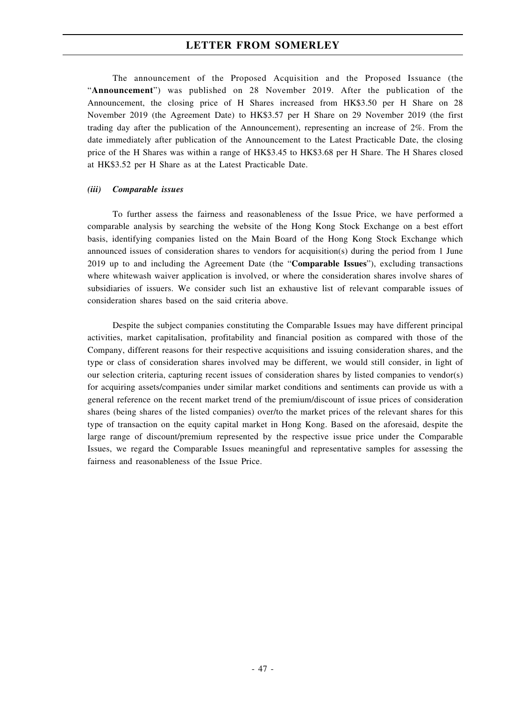The announcement of the Proposed Acquisition and the Proposed Issuance (the "**Announcement**") was published on 28 November 2019. After the publication of the Announcement, the closing price of H Shares increased from HK\$3.50 per H Share on 28 November 2019 (the Agreement Date) to HK\$3.57 per H Share on 29 November 2019 (the first trading day after the publication of the Announcement), representing an increase of 2%. From the date immediately after publication of the Announcement to the Latest Practicable Date, the closing price of the H Shares was within a range of HK\$3.45 to HK\$3.68 per H Share. The H Shares closed at HK\$3.52 per H Share as at the Latest Practicable Date.

#### *(iii) Comparable issues*

To further assess the fairness and reasonableness of the Issue Price, we have performed a comparable analysis by searching the website of the Hong Kong Stock Exchange on a best effort basis, identifying companies listed on the Main Board of the Hong Kong Stock Exchange which announced issues of consideration shares to vendors for acquisition(s) during the period from 1 June 2019 up to and including the Agreement Date (the "**Comparable Issues**"), excluding transactions where whitewash waiver application is involved, or where the consideration shares involve shares of subsidiaries of issuers. We consider such list an exhaustive list of relevant comparable issues of consideration shares based on the said criteria above.

Despite the subject companies constituting the Comparable Issues may have different principal activities, market capitalisation, profitability and financial position as compared with those of the Company, different reasons for their respective acquisitions and issuing consideration shares, and the type or class of consideration shares involved may be different, we would still consider, in light of our selection criteria, capturing recent issues of consideration shares by listed companies to vendor(s) for acquiring assets/companies under similar market conditions and sentiments can provide us with a general reference on the recent market trend of the premium/discount of issue prices of consideration shares (being shares of the listed companies) over/to the market prices of the relevant shares for this type of transaction on the equity capital market in Hong Kong. Based on the aforesaid, despite the large range of discount/premium represented by the respective issue price under the Comparable Issues, we regard the Comparable Issues meaningful and representative samples for assessing the fairness and reasonableness of the Issue Price.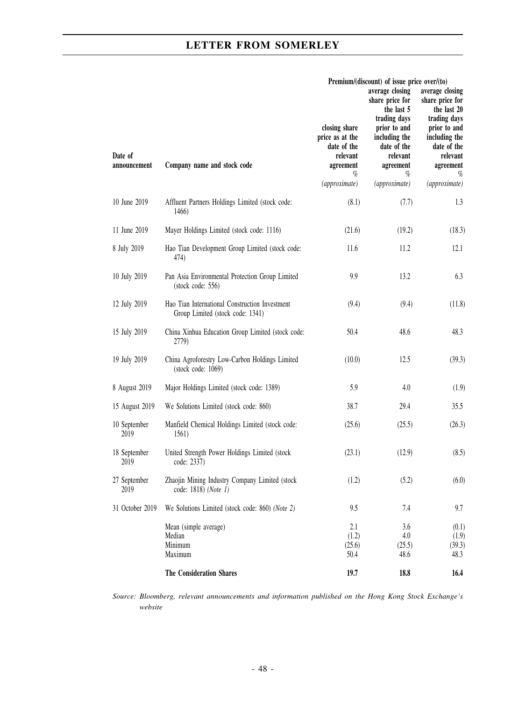$\overline{a}$ 

| Date of<br>announcement | Company name and stock code                                                        | closing share<br>price as at the<br>date of the<br>relevant<br>agreement<br>%<br>(approximate) | Premium/(discount) of issue price over/(to)<br>average closing<br>share price for<br>the last 5<br>trading days<br>prior to and<br>including the<br>date of the<br>relevant<br>agreement<br>$\%$<br>(approximate) | average closing<br>share price for<br>the last 20<br>trading days<br>prior to and<br>including the<br>date of the<br>relevant<br>agreement<br>%<br>(approximate) |
|-------------------------|------------------------------------------------------------------------------------|------------------------------------------------------------------------------------------------|-------------------------------------------------------------------------------------------------------------------------------------------------------------------------------------------------------------------|------------------------------------------------------------------------------------------------------------------------------------------------------------------|
| 10 June 2019            | Affluent Partners Holdings Limited (stock code:<br>1466)                           | (8.1)                                                                                          | (7.7)                                                                                                                                                                                                             | 1.3                                                                                                                                                              |
| 11 June 2019            | Mayer Holdings Limited (stock code: 1116)                                          | (21.6)                                                                                         | (19.2)                                                                                                                                                                                                            | (18.3)                                                                                                                                                           |
| 8 July 2019             | Hao Tian Development Group Limited (stock code:<br>474)                            | 11.6                                                                                           | 11.2                                                                                                                                                                                                              | 12.1                                                                                                                                                             |
| 10 July 2019            | Pan Asia Environmental Protection Group Limited<br>$(\text{stock code: } 556)$     | 9.9                                                                                            | 13.2                                                                                                                                                                                                              | 6.3                                                                                                                                                              |
| 12 July 2019            | Hao Tian International Construction Investment<br>Group Limited (stock code: 1341) | (9.4)                                                                                          | (9.4)                                                                                                                                                                                                             | (11.8)                                                                                                                                                           |
| 15 July 2019            | China Xinhua Education Group Limited (stock code:<br>2779)                         | 50.4                                                                                           | 48.6                                                                                                                                                                                                              | 48.3                                                                                                                                                             |
| 19 July 2019            | China Agroforestry Low-Carbon Holdings Limited<br>(stock code: 1069)               | (10.0)                                                                                         | 12.5                                                                                                                                                                                                              | (39.3)                                                                                                                                                           |
| 8 August 2019           | Major Holdings Limited (stock code: 1389)                                          | 5.9                                                                                            | 4.0                                                                                                                                                                                                               | (1.9)                                                                                                                                                            |
| 15 August 2019          | We Solutions Limited (stock code: 860)                                             | 38.7                                                                                           | 29.4                                                                                                                                                                                                              | 35.5                                                                                                                                                             |
| 10 September<br>2019    | Manfield Chemical Holdings Limited (stock code:<br>1561)                           | (25.6)                                                                                         | (25.5)                                                                                                                                                                                                            | (26.3)                                                                                                                                                           |
| 18 September<br>2019    | United Strength Power Holdings Limited (stock<br>code: 2337)                       | (23.1)                                                                                         | (12.9)                                                                                                                                                                                                            | (8.5)                                                                                                                                                            |
| 27 September<br>2019    | Zhaojin Mining Industry Company Limited (stock<br>code: 1818) (Note 1)             | (1.2)                                                                                          | (5.2)                                                                                                                                                                                                             | (6.0)                                                                                                                                                            |
| 31 October 2019         | We Solutions Limited (stock code: 860) (Note 2)                                    | 9.5                                                                                            | 7.4                                                                                                                                                                                                               | 9.7                                                                                                                                                              |
|                         | Mean (simple average)<br>Median<br>Minimum<br>Maximum                              | 2.1<br>(1.2)<br>(25.6)<br>50.4                                                                 | 3.6<br>4.0<br>(25.5)<br>48.6                                                                                                                                                                                      | (0.1)<br>(1.9)<br>(39.3)<br>48.3                                                                                                                                 |
|                         | The Consideration Shares                                                           | 19.7                                                                                           | 18.8                                                                                                                                                                                                              | 16.4                                                                                                                                                             |

*Source: Bloomberg, relevant announcements and information published on the Hong Kong Stock Exchange's website*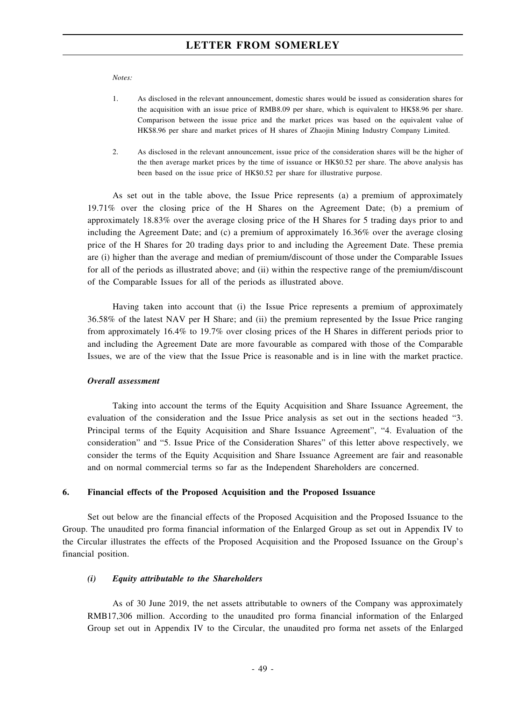*Notes:*

- 1. As disclosed in the relevant announcement, domestic shares would be issued as consideration shares for the acquisition with an issue price of RMB8.09 per share, which is equivalent to HK\$8.96 per share. Comparison between the issue price and the market prices was based on the equivalent value of HK\$8.96 per share and market prices of H shares of Zhaojin Mining Industry Company Limited.
- 2. As disclosed in the relevant announcement, issue price of the consideration shares will be the higher of the then average market prices by the time of issuance or HK\$0.52 per share. The above analysis has been based on the issue price of HK\$0.52 per share for illustrative purpose.

As set out in the table above, the Issue Price represents (a) a premium of approximately 19.71% over the closing price of the H Shares on the Agreement Date; (b) a premium of approximately 18.83% over the average closing price of the H Shares for 5 trading days prior to and including the Agreement Date; and (c) a premium of approximately 16.36% over the average closing price of the H Shares for 20 trading days prior to and including the Agreement Date. These premia are (i) higher than the average and median of premium/discount of those under the Comparable Issues for all of the periods as illustrated above; and (ii) within the respective range of the premium/discount of the Comparable Issues for all of the periods as illustrated above.

Having taken into account that (i) the Issue Price represents a premium of approximately 36.58% of the latest NAV per H Share; and (ii) the premium represented by the Issue Price ranging from approximately 16.4% to 19.7% over closing prices of the H Shares in different periods prior to and including the Agreement Date are more favourable as compared with those of the Comparable Issues, we are of the view that the Issue Price is reasonable and is in line with the market practice.

### *Overall assessment*

Taking into account the terms of the Equity Acquisition and Share Issuance Agreement, the evaluation of the consideration and the Issue Price analysis as set out in the sections headed "3. Principal terms of the Equity Acquisition and Share Issuance Agreement", "4. Evaluation of the consideration" and "5. Issue Price of the Consideration Shares" of this letter above respectively, we consider the terms of the Equity Acquisition and Share Issuance Agreement are fair and reasonable and on normal commercial terms so far as the Independent Shareholders are concerned.

### **6. Financial effects of the Proposed Acquisition and the Proposed Issuance**

Set out below are the financial effects of the Proposed Acquisition and the Proposed Issuance to the Group. The unaudited pro forma financial information of the Enlarged Group as set out in Appendix IV to the Circular illustrates the effects of the Proposed Acquisition and the Proposed Issuance on the Group's financial position.

#### *(i) Equity attributable to the Shareholders*

As of 30 June 2019, the net assets attributable to owners of the Company was approximately RMB17,306 million. According to the unaudited pro forma financial information of the Enlarged Group set out in Appendix IV to the Circular, the unaudited pro forma net assets of the Enlarged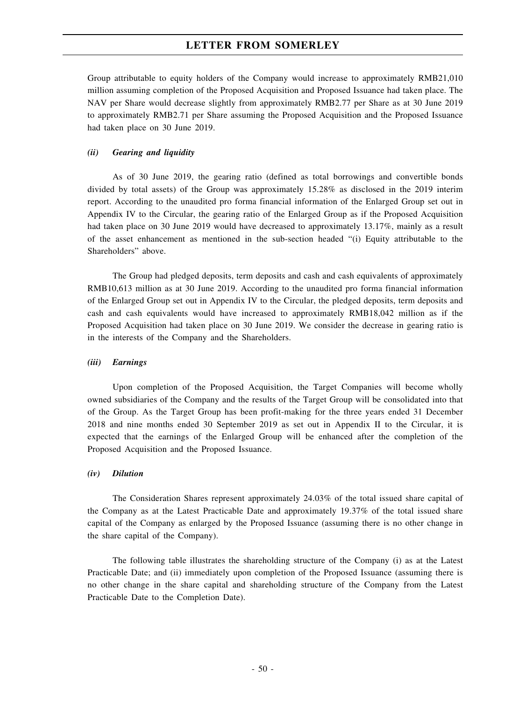Group attributable to equity holders of the Company would increase to approximately RMB21,010 million assuming completion of the Proposed Acquisition and Proposed Issuance had taken place. The NAV per Share would decrease slightly from approximately RMB2.77 per Share as at 30 June 2019 to approximately RMB2.71 per Share assuming the Proposed Acquisition and the Proposed Issuance had taken place on 30 June 2019.

### *(ii) Gearing and liquidity*

As of 30 June 2019, the gearing ratio (defined as total borrowings and convertible bonds divided by total assets) of the Group was approximately 15.28% as disclosed in the 2019 interim report. According to the unaudited pro forma financial information of the Enlarged Group set out in Appendix IV to the Circular, the gearing ratio of the Enlarged Group as if the Proposed Acquisition had taken place on 30 June 2019 would have decreased to approximately 13.17%, mainly as a result of the asset enhancement as mentioned in the sub-section headed "(i) Equity attributable to the Shareholders" above.

The Group had pledged deposits, term deposits and cash and cash equivalents of approximately RMB10,613 million as at 30 June 2019. According to the unaudited pro forma financial information of the Enlarged Group set out in Appendix IV to the Circular, the pledged deposits, term deposits and cash and cash equivalents would have increased to approximately RMB18,042 million as if the Proposed Acquisition had taken place on 30 June 2019. We consider the decrease in gearing ratio is in the interests of the Company and the Shareholders.

#### *(iii) Earnings*

Upon completion of the Proposed Acquisition, the Target Companies will become wholly owned subsidiaries of the Company and the results of the Target Group will be consolidated into that of the Group. As the Target Group has been profit-making for the three years ended 31 December 2018 and nine months ended 30 September 2019 as set out in Appendix II to the Circular, it is expected that the earnings of the Enlarged Group will be enhanced after the completion of the Proposed Acquisition and the Proposed Issuance.

#### *(iv) Dilution*

The Consideration Shares represent approximately 24.03% of the total issued share capital of the Company as at the Latest Practicable Date and approximately 19.37% of the total issued share capital of the Company as enlarged by the Proposed Issuance (assuming there is no other change in the share capital of the Company).

The following table illustrates the shareholding structure of the Company (i) as at the Latest Practicable Date; and (ii) immediately upon completion of the Proposed Issuance (assuming there is no other change in the share capital and shareholding structure of the Company from the Latest Practicable Date to the Completion Date).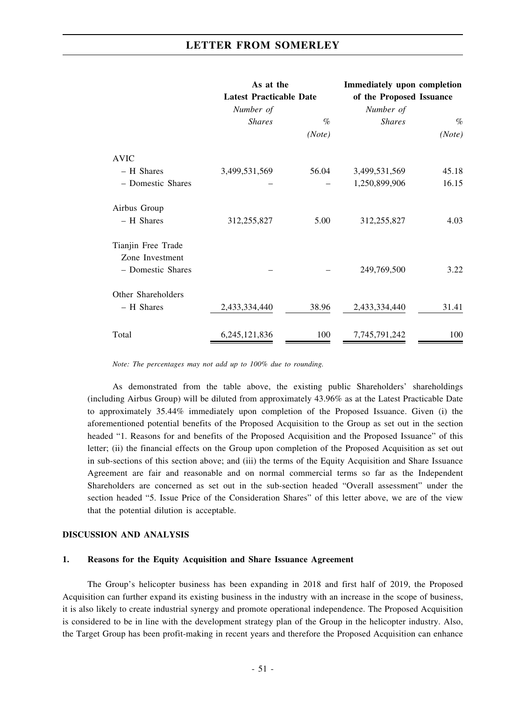|                    | As at the                      |        | <b>Immediately upon completion</b> |        |  |  |  |
|--------------------|--------------------------------|--------|------------------------------------|--------|--|--|--|
|                    | <b>Latest Practicable Date</b> |        | of the Proposed Issuance           |        |  |  |  |
|                    | Number of                      |        | Number of                          |        |  |  |  |
|                    | <b>Shares</b>                  | $\%$   | <b>Shares</b>                      | $\%$   |  |  |  |
|                    |                                | (Note) |                                    | (Note) |  |  |  |
| <b>AVIC</b>        |                                |        |                                    |        |  |  |  |
| - H Shares         | 3,499,531,569                  | 56.04  | 3,499,531,569                      | 45.18  |  |  |  |
| - Domestic Shares  |                                |        | 1,250,899,906                      | 16.15  |  |  |  |
| Airbus Group       |                                |        |                                    |        |  |  |  |
| - H Shares         | 312,255,827                    | 5.00   | 312,255,827                        | 4.03   |  |  |  |
| Tianjin Free Trade |                                |        |                                    |        |  |  |  |
| Zone Investment    |                                |        |                                    |        |  |  |  |
| - Domestic Shares  |                                |        | 249,769,500                        | 3.22   |  |  |  |
| Other Shareholders |                                |        |                                    |        |  |  |  |
| - H Shares         | 2,433,334,440                  | 38.96  | 2,433,334,440                      | 31.41  |  |  |  |
| Total              | 6,245,121,836                  | 100    | 7,745,791,242                      | 100    |  |  |  |

*Note: The percentages may not add up to 100% due to rounding.*

As demonstrated from the table above, the existing public Shareholders' shareholdings (including Airbus Group) will be diluted from approximately 43.96% as at the Latest Practicable Date to approximately 35.44% immediately upon completion of the Proposed Issuance. Given (i) the aforementioned potential benefits of the Proposed Acquisition to the Group as set out in the section headed "1. Reasons for and benefits of the Proposed Acquisition and the Proposed Issuance" of this letter; (ii) the financial effects on the Group upon completion of the Proposed Acquisition as set out in sub-sections of this section above; and (iii) the terms of the Equity Acquisition and Share Issuance Agreement are fair and reasonable and on normal commercial terms so far as the Independent Shareholders are concerned as set out in the sub-section headed "Overall assessment" under the section headed "5. Issue Price of the Consideration Shares" of this letter above, we are of the view that the potential dilution is acceptable.

#### **DISCUSSION AND ANALYSIS**

## **1. Reasons for the Equity Acquisition and Share Issuance Agreement**

The Group's helicopter business has been expanding in 2018 and first half of 2019, the Proposed Acquisition can further expand its existing business in the industry with an increase in the scope of business, it is also likely to create industrial synergy and promote operational independence. The Proposed Acquisition is considered to be in line with the development strategy plan of the Group in the helicopter industry. Also, the Target Group has been profit-making in recent years and therefore the Proposed Acquisition can enhance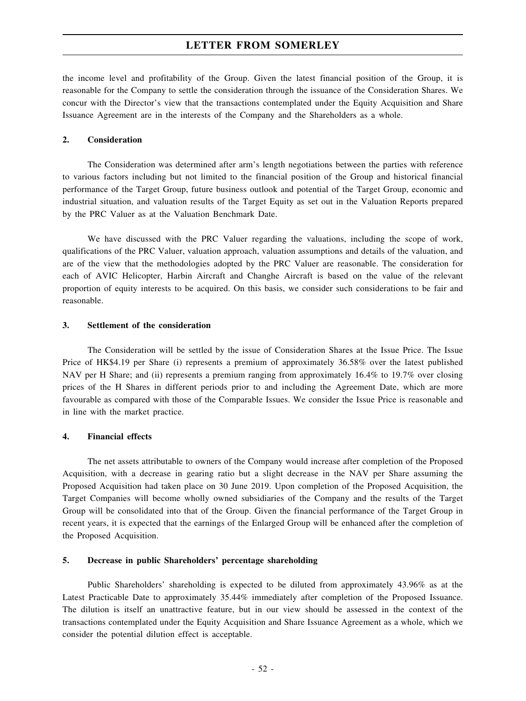the income level and profitability of the Group. Given the latest financial position of the Group, it is reasonable for the Company to settle the consideration through the issuance of the Consideration Shares. We concur with the Director's view that the transactions contemplated under the Equity Acquisition and Share Issuance Agreement are in the interests of the Company and the Shareholders as a whole.

### **2. Consideration**

The Consideration was determined after arm's length negotiations between the parties with reference to various factors including but not limited to the financial position of the Group and historical financial performance of the Target Group, future business outlook and potential of the Target Group, economic and industrial situation, and valuation results of the Target Equity as set out in the Valuation Reports prepared by the PRC Valuer as at the Valuation Benchmark Date.

We have discussed with the PRC Valuer regarding the valuations, including the scope of work, qualifications of the PRC Valuer, valuation approach, valuation assumptions and details of the valuation, and are of the view that the methodologies adopted by the PRC Valuer are reasonable. The consideration for each of AVIC Helicopter, Harbin Aircraft and Changhe Aircraft is based on the value of the relevant proportion of equity interests to be acquired. On this basis, we consider such considerations to be fair and reasonable.

#### **3. Settlement of the consideration**

The Consideration will be settled by the issue of Consideration Shares at the Issue Price. The Issue Price of HK\$4.19 per Share (i) represents a premium of approximately 36.58% over the latest published NAV per H Share; and (ii) represents a premium ranging from approximately 16.4% to 19.7% over closing prices of the H Shares in different periods prior to and including the Agreement Date, which are more favourable as compared with those of the Comparable Issues. We consider the Issue Price is reasonable and in line with the market practice.

#### **4. Financial effects**

The net assets attributable to owners of the Company would increase after completion of the Proposed Acquisition, with a decrease in gearing ratio but a slight decrease in the NAV per Share assuming the Proposed Acquisition had taken place on 30 June 2019. Upon completion of the Proposed Acquisition, the Target Companies will become wholly owned subsidiaries of the Company and the results of the Target Group will be consolidated into that of the Group. Given the financial performance of the Target Group in recent years, it is expected that the earnings of the Enlarged Group will be enhanced after the completion of the Proposed Acquisition.

#### **5. Decrease in public Shareholders' percentage shareholding**

Public Shareholders' shareholding is expected to be diluted from approximately 43.96% as at the Latest Practicable Date to approximately 35.44% immediately after completion of the Proposed Issuance. The dilution is itself an unattractive feature, but in our view should be assessed in the context of the transactions contemplated under the Equity Acquisition and Share Issuance Agreement as a whole, which we consider the potential dilution effect is acceptable.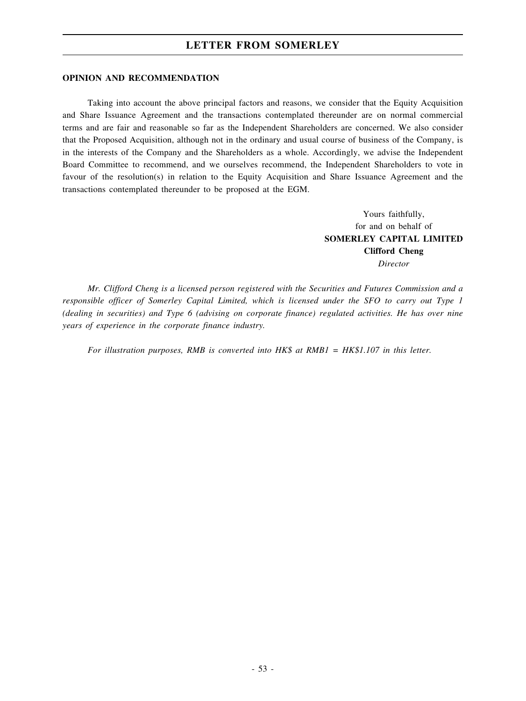#### **OPINION AND RECOMMENDATION**

Taking into account the above principal factors and reasons, we consider that the Equity Acquisition and Share Issuance Agreement and the transactions contemplated thereunder are on normal commercial terms and are fair and reasonable so far as the Independent Shareholders are concerned. We also consider that the Proposed Acquisition, although not in the ordinary and usual course of business of the Company, is in the interests of the Company and the Shareholders as a whole. Accordingly, we advise the Independent Board Committee to recommend, and we ourselves recommend, the Independent Shareholders to vote in favour of the resolution(s) in relation to the Equity Acquisition and Share Issuance Agreement and the transactions contemplated thereunder to be proposed at the EGM.

> Yours faithfully, for and on behalf of **SOMERLEY CAPITAL LIMITED Clifford Cheng** *Director*

*Mr. Clifford Cheng is a licensed person registered with the Securities and Futures Commission and a responsible officer of Somerley Capital Limited, which is licensed under the SFO to carry out Type 1 (dealing in securities) and Type 6 (advising on corporate finance) regulated activities. He has over nine years of experience in the corporate finance industry.*

*For illustration purposes, RMB is converted into HK\$ at RMB1 = HK\$1.107 in this letter.*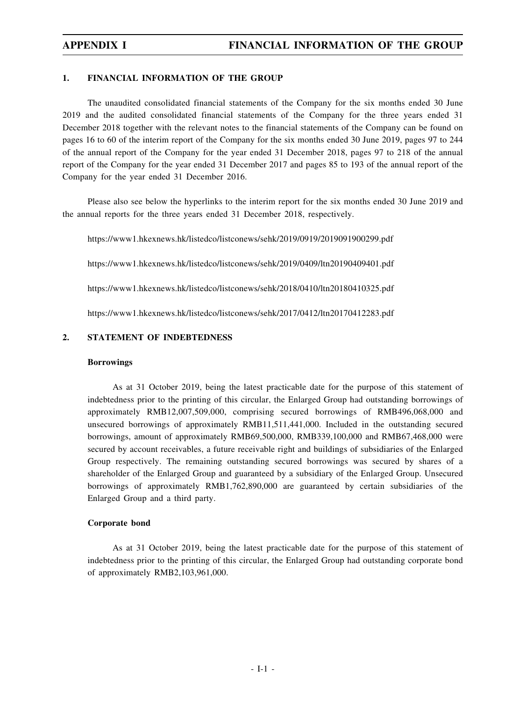### **1. FINANCIAL INFORMATION OF THE GROUP**

The unaudited consolidated financial statements of the Company for the six months ended 30 June 2019 and the audited consolidated financial statements of the Company for the three years ended 31 December 2018 together with the relevant notes to the financial statements of the Company can be found on pages 16 to 60 of the interim report of the Company for the six months ended 30 June 2019, pages 97 to 244 of the annual report of the Company for the year ended 31 December 2018, pages 97 to 218 of the annual report of the Company for the year ended 31 December 2017 and pages 85 to 193 of the annual report of the Company for the year ended 31 December 2016.

Please also see below the hyperlinks to the interim report for the six months ended 30 June 2019 and the annual reports for the three years ended 31 December 2018, respectively.

https://www1.hkexnews.hk/listedco/listconews/sehk/2019/0919/2019091900299.pdf

https://www1.hkexnews.hk/listedco/listconews/sehk/2019/0409/ltn20190409401.pdf

https://www1.hkexnews.hk/listedco/listconews/sehk/2018/0410/ltn20180410325.pdf

https://www1.hkexnews.hk/listedco/listconews/sehk/2017/0412/ltn20170412283.pdf

## **2. STATEMENT OF INDEBTEDNESS**

#### **Borrowings**

As at 31 October 2019, being the latest practicable date for the purpose of this statement of indebtedness prior to the printing of this circular, the Enlarged Group had outstanding borrowings of approximately RMB12,007,509,000, comprising secured borrowings of RMB496,068,000 and unsecured borrowings of approximately RMB11,511,441,000. Included in the outstanding secured borrowings, amount of approximately RMB69,500,000, RMB339,100,000 and RMB67,468,000 were secured by account receivables, a future receivable right and buildings of subsidiaries of the Enlarged Group respectively. The remaining outstanding secured borrowings was secured by shares of a shareholder of the Enlarged Group and guaranteed by a subsidiary of the Enlarged Group. Unsecured borrowings of approximately RMB1,762,890,000 are guaranteed by certain subsidiaries of the Enlarged Group and a third party.

#### **Corporate bond**

As at 31 October 2019, being the latest practicable date for the purpose of this statement of indebtedness prior to the printing of this circular, the Enlarged Group had outstanding corporate bond of approximately RMB2,103,961,000.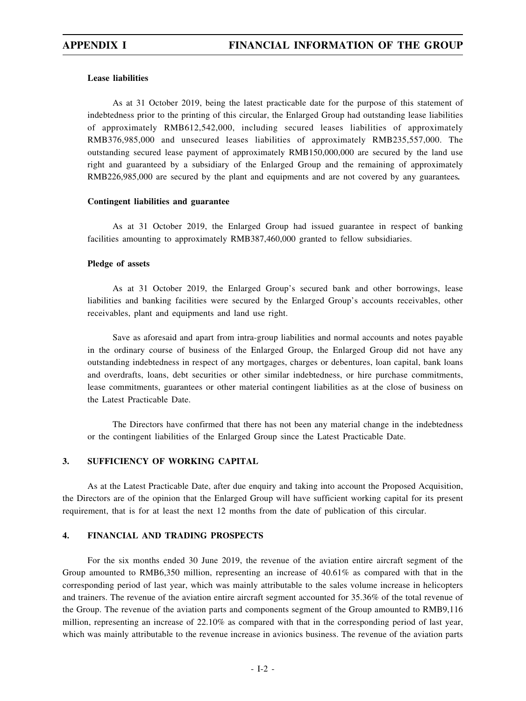### **Lease liabilities**

As at 31 October 2019, being the latest practicable date for the purpose of this statement of indebtedness prior to the printing of this circular, the Enlarged Group had outstanding lease liabilities of approximately RMB612,542,000, including secured leases liabilities of approximately RMB376,985,000 and unsecured leases liabilities of approximately RMB235,557,000. The outstanding secured lease payment of approximately RMB150,000,000 are secured by the land use right and guaranteed by a subsidiary of the Enlarged Group and the remaining of approximately RMB226,985,000 are secured by the plant and equipments and are not covered by any guarantees*.*

#### **Contingent liabilities and guarantee**

As at 31 October 2019, the Enlarged Group had issued guarantee in respect of banking facilities amounting to approximately RMB387,460,000 granted to fellow subsidiaries.

#### **Pledge of assets**

As at 31 October 2019, the Enlarged Group's secured bank and other borrowings, lease liabilities and banking facilities were secured by the Enlarged Group's accounts receivables, other receivables, plant and equipments and land use right.

Save as aforesaid and apart from intra-group liabilities and normal accounts and notes payable in the ordinary course of business of the Enlarged Group, the Enlarged Group did not have any outstanding indebtedness in respect of any mortgages, charges or debentures, loan capital, bank loans and overdrafts, loans, debt securities or other similar indebtedness, or hire purchase commitments, lease commitments, guarantees or other material contingent liabilities as at the close of business on the Latest Practicable Date.

The Directors have confirmed that there has not been any material change in the indebtedness or the contingent liabilities of the Enlarged Group since the Latest Practicable Date.

## **3. SUFFICIENCY OF WORKING CAPITAL**

As at the Latest Practicable Date, after due enquiry and taking into account the Proposed Acquisition, the Directors are of the opinion that the Enlarged Group will have sufficient working capital for its present requirement, that is for at least the next 12 months from the date of publication of this circular.

### **4. FINANCIAL AND TRADING PROSPECTS**

For the six months ended 30 June 2019, the revenue of the aviation entire aircraft segment of the Group amounted to RMB6,350 million, representing an increase of 40.61% as compared with that in the corresponding period of last year, which was mainly attributable to the sales volume increase in helicopters and trainers. The revenue of the aviation entire aircraft segment accounted for 35.36% of the total revenue of the Group. The revenue of the aviation parts and components segment of the Group amounted to RMB9,116 million, representing an increase of 22.10% as compared with that in the corresponding period of last year, which was mainly attributable to the revenue increase in avionics business. The revenue of the aviation parts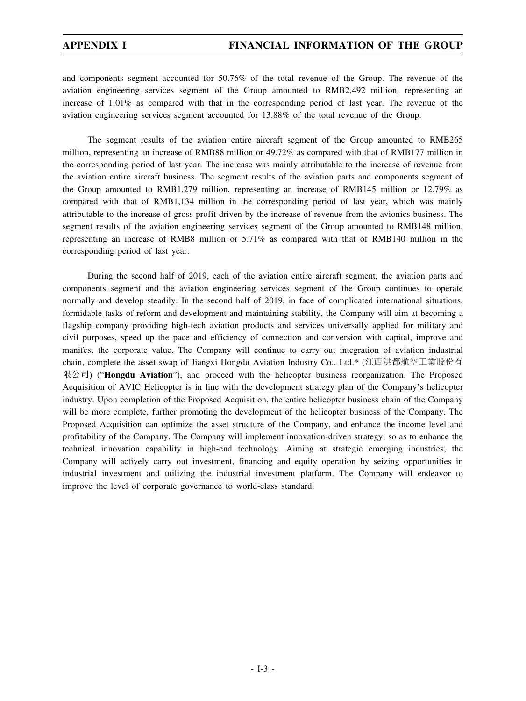and components segment accounted for 50.76% of the total revenue of the Group. The revenue of the aviation engineering services segment of the Group amounted to RMB2,492 million, representing an increase of 1.01% as compared with that in the corresponding period of last year. The revenue of the aviation engineering services segment accounted for 13.88% of the total revenue of the Group.

The segment results of the aviation entire aircraft segment of the Group amounted to RMB265 million, representing an increase of RMB88 million or 49.72% as compared with that of RMB177 million in the corresponding period of last year. The increase was mainly attributable to the increase of revenue from the aviation entire aircraft business. The segment results of the aviation parts and components segment of the Group amounted to RMB1,279 million, representing an increase of RMB145 million or 12.79% as compared with that of RMB1,134 million in the corresponding period of last year, which was mainly attributable to the increase of gross profit driven by the increase of revenue from the avionics business. The segment results of the aviation engineering services segment of the Group amounted to RMB148 million, representing an increase of RMB8 million or 5.71% as compared with that of RMB140 million in the corresponding period of last year.

During the second half of 2019, each of the aviation entire aircraft segment, the aviation parts and components segment and the aviation engineering services segment of the Group continues to operate normally and develop steadily. In the second half of 2019, in face of complicated international situations, formidable tasks of reform and development and maintaining stability, the Company will aim at becoming a flagship company providing high-tech aviation products and services universally applied for military and civil purposes, speed up the pace and efficiency of connection and conversion with capital, improve and manifest the corporate value. The Company will continue to carry out integration of aviation industrial chain, complete the asset swap of Jiangxi Hongdu Aviation Industry Co., Ltd.\* (江西洪都航空工業股份有 限公司) ("**Hongdu Aviation**"), and proceed with the helicopter business reorganization. The Proposed Acquisition of AVIC Helicopter is in line with the development strategy plan of the Company's helicopter industry. Upon completion of the Proposed Acquisition, the entire helicopter business chain of the Company will be more complete, further promoting the development of the helicopter business of the Company. The Proposed Acquisition can optimize the asset structure of the Company, and enhance the income level and profitability of the Company. The Company will implement innovation-driven strategy, so as to enhance the technical innovation capability in high-end technology. Aiming at strategic emerging industries, the Company will actively carry out investment, financing and equity operation by seizing opportunities in industrial investment and utilizing the industrial investment platform. The Company will endeavor to improve the level of corporate governance to world-class standard.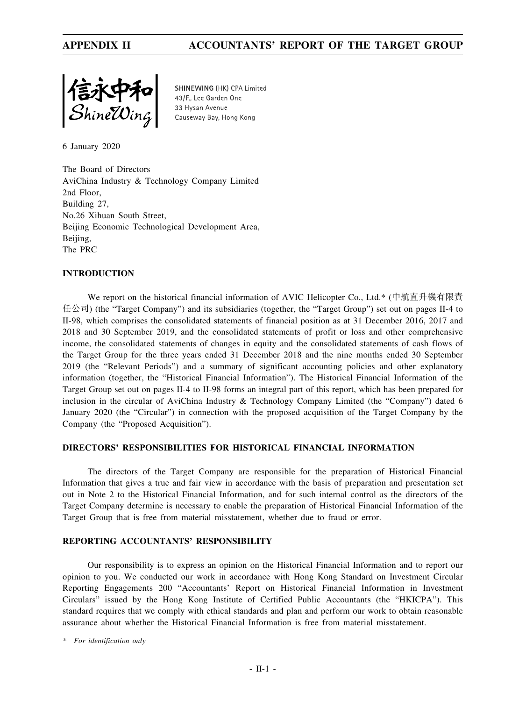

SHINEWING (HK) CPA Limited 43/F., Lee Garden One 33 Hysan Avenue Causeway Bay, Hong Kong

6 January 2020

The Board of Directors AviChina Industry & Technology Company Limited 2nd Floor, Building 27, No.26 Xihuan South Street, Beijing Economic Technological Development Area, Beijing, The PRC

## **INTRODUCTION**

We report on the historical financial information of AVIC Helicopter Co., Ltd.\* (中航直升機有限責 任公司) (the "Target Company") and its subsidiaries (together, the "Target Group") set out on pages II-4 to II-98, which comprises the consolidated statements of financial position as at 31 December 2016, 2017 and 2018 and 30 September 2019, and the consolidated statements of profit or loss and other comprehensive income, the consolidated statements of changes in equity and the consolidated statements of cash flows of the Target Group for the three years ended 31 December 2018 and the nine months ended 30 September 2019 (the "Relevant Periods") and a summary of significant accounting policies and other explanatory information (together, the "Historical Financial Information"). The Historical Financial Information of the Target Group set out on pages II-4 to II-98 forms an integral part of this report, which has been prepared for inclusion in the circular of AviChina Industry & Technology Company Limited (the "Company") dated 6 January 2020 (the "Circular") in connection with the proposed acquisition of the Target Company by the Company (the "Proposed Acquisition").

## **DIRECTORS' RESPONSIBILITIES FOR HISTORICAL FINANCIAL INFORMATION**

The directors of the Target Company are responsible for the preparation of Historical Financial Information that gives a true and fair view in accordance with the basis of preparation and presentation set out in Note 2 to the Historical Financial Information, and for such internal control as the directors of the Target Company determine is necessary to enable the preparation of Historical Financial Information of the Target Group that is free from material misstatement, whether due to fraud or error.

## **REPORTING ACCOUNTANTS' RESPONSIBILITY**

Our responsibility is to express an opinion on the Historical Financial Information and to report our opinion to you. We conducted our work in accordance with Hong Kong Standard on Investment Circular Reporting Engagements 200 "Accountants' Report on Historical Financial Information in Investment Circulars" issued by the Hong Kong Institute of Certified Public Accountants (the "HKICPA"). This standard requires that we comply with ethical standards and plan and perform our work to obtain reasonable assurance about whether the Historical Financial Information is free from material misstatement.

*\* For identification only*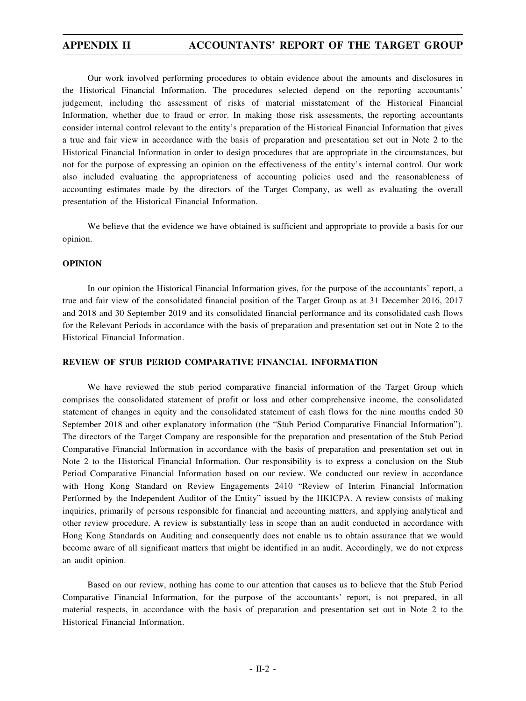Our work involved performing procedures to obtain evidence about the amounts and disclosures in the Historical Financial Information. The procedures selected depend on the reporting accountants' judgement, including the assessment of risks of material misstatement of the Historical Financial Information, whether due to fraud or error. In making those risk assessments, the reporting accountants consider internal control relevant to the entity's preparation of the Historical Financial Information that gives a true and fair view in accordance with the basis of preparation and presentation set out in Note 2 to the Historical Financial Information in order to design procedures that are appropriate in the circumstances, but not for the purpose of expressing an opinion on the effectiveness of the entity's internal control. Our work also included evaluating the appropriateness of accounting policies used and the reasonableness of accounting estimates made by the directors of the Target Company, as well as evaluating the overall presentation of the Historical Financial Information.

We believe that the evidence we have obtained is sufficient and appropriate to provide a basis for our opinion.

#### **OPINION**

In our opinion the Historical Financial Information gives, for the purpose of the accountants' report, a true and fair view of the consolidated financial position of the Target Group as at 31 December 2016, 2017 and 2018 and 30 September 2019 and its consolidated financial performance and its consolidated cash flows for the Relevant Periods in accordance with the basis of preparation and presentation set out in Note 2 to the Historical Financial Information.

### **REVIEW OF STUB PERIOD COMPARATIVE FINANCIAL INFORMATION**

We have reviewed the stub period comparative financial information of the Target Group which comprises the consolidated statement of profit or loss and other comprehensive income, the consolidated statement of changes in equity and the consolidated statement of cash flows for the nine months ended 30 September 2018 and other explanatory information (the "Stub Period Comparative Financial Information"). The directors of the Target Company are responsible for the preparation and presentation of the Stub Period Comparative Financial Information in accordance with the basis of preparation and presentation set out in Note 2 to the Historical Financial Information. Our responsibility is to express a conclusion on the Stub Period Comparative Financial Information based on our review. We conducted our review in accordance with Hong Kong Standard on Review Engagements 2410 "Review of Interim Financial Information Performed by the Independent Auditor of the Entity" issued by the HKICPA. A review consists of making inquiries, primarily of persons responsible for financial and accounting matters, and applying analytical and other review procedure. A review is substantially less in scope than an audit conducted in accordance with Hong Kong Standards on Auditing and consequently does not enable us to obtain assurance that we would become aware of all significant matters that might be identified in an audit. Accordingly, we do not express an audit opinion.

Based on our review, nothing has come to our attention that causes us to believe that the Stub Period Comparative Financial Information, for the purpose of the accountants' report, is not prepared, in all material respects, in accordance with the basis of preparation and presentation set out in Note 2 to the Historical Financial Information.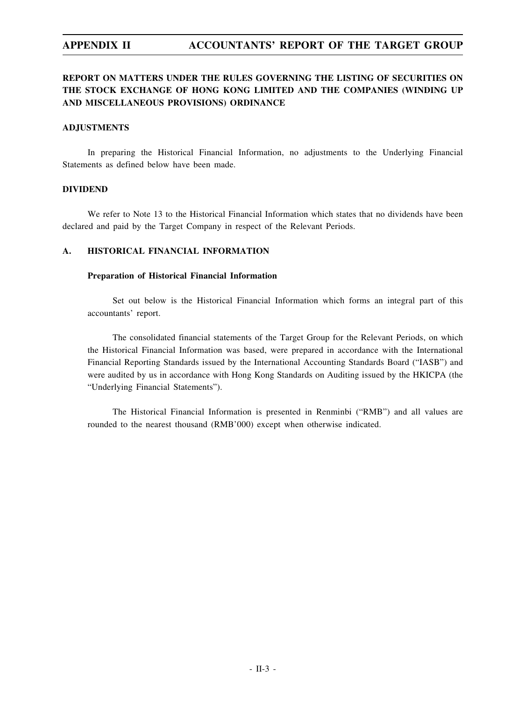# **REPORT ON MATTERS UNDER THE RULES GOVERNING THE LISTING OF SECURITIES ON THE STOCK EXCHANGE OF HONG KONG LIMITED AND THE COMPANIES (WINDING UP AND MISCELLANEOUS PROVISIONS) ORDINANCE**

### **ADJUSTMENTS**

In preparing the Historical Financial Information, no adjustments to the Underlying Financial Statements as defined below have been made.

## **DIVIDEND**

We refer to Note 13 to the Historical Financial Information which states that no dividends have been declared and paid by the Target Company in respect of the Relevant Periods.

## **A. HISTORICAL FINANCIAL INFORMATION**

#### **Preparation of Historical Financial Information**

Set out below is the Historical Financial Information which forms an integral part of this accountants' report.

The consolidated financial statements of the Target Group for the Relevant Periods, on which the Historical Financial Information was based, were prepared in accordance with the International Financial Reporting Standards issued by the International Accounting Standards Board ("IASB") and were audited by us in accordance with Hong Kong Standards on Auditing issued by the HKICPA (the "Underlying Financial Statements").

The Historical Financial Information is presented in Renminbi ("RMB") and all values are rounded to the nearest thousand (RMB'000) except when otherwise indicated.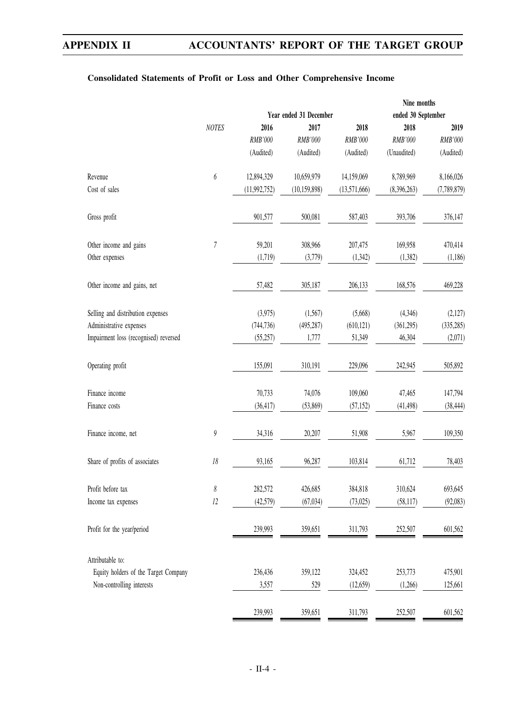# **Consolidated Statements of Profit or Loss and Other Comprehensive Income**

|                                       |                       |                |                        |              | Nine months        |             |
|---------------------------------------|-----------------------|----------------|------------------------|--------------|--------------------|-------------|
|                                       |                       |                | Year ended 31 December |              | ended 30 September |             |
|                                       | <b>NOTES</b>          | 2016           | 2017                   | 2018         | 2018               | 2019        |
|                                       |                       | RMB'000        | RMB'000                | RMB'000      | RMB'000            | RMB'000     |
|                                       |                       | (Audited)      | (Audited)              | (Audited)    | (Unaudited)        | (Audited)   |
| Revenue                               | 6                     | 12,894,329     | 10,659,979             | 14,159,069   | 8,789,969          | 8,166,026   |
| Cost of sales                         |                       | (11, 992, 752) | (10, 159, 898)         | (13,571,666) | (8,396,263)        | (7,789,879) |
| Gross profit                          |                       | 901,577        | 500,081                | 587,403      | 393,706            | 376,147     |
| Other income and gains                | 7                     | 59,201         | 308,966                | 207,475      | 169,958            | 470,414     |
| Other expenses                        |                       | (1,719)        | (3,779)                | (1, 342)     | (1,382)            | (1,186)     |
| Other income and gains, net           |                       | 57,482         | 305,187                | 206,133      | 168,576            | 469,228     |
| Selling and distribution expenses     |                       | (3,975)        | (1,567)                | (5,668)      | (4,346)            | (2,127)     |
| Administrative expenses               |                       | (744, 736)     | (495, 287)             | (610, 121)   | (361, 295)         | (335, 285)  |
| Impairment loss (recognised) reversed |                       | (55,257)       | 1,777                  | 51,349       | 46,304             | (2,071)     |
| Operating profit                      |                       | 155,091        | 310,191                | 229,096      | 242,945            | 505,892     |
| Finance income                        |                       | 70,733         | 74,076                 | 109,060      | 47,465             | 147,794     |
| Finance costs                         |                       | (36, 417)      | (53,869)               | (57, 152)    | (41, 498)          | (38, 444)   |
| Finance income, net                   | $\boldsymbol{9}$      | 34,316         | 20,207                 | 51,908       | 5,967              | 109,350     |
| Share of profits of associates        | $18\,$                | 93,165         | 96,287                 | 103,814      | 61,712             | 78,403      |
| Profit before tax                     | $\boldsymbol{\delta}$ | 282,572        | 426,685                | 384,818      | 310,624            | 693,645     |
| Income tax expenses                   | $\it 12$              | (42,579)       | (67, 034)              | (73, 025)    | (58, 117)          | (92,083)    |
| Profit for the year/period            |                       | 239,993        | 359,651                | 311,793      | 252,507            | 601,562     |
| Attributable to:                      |                       |                |                        |              |                    |             |
| Equity holders of the Target Company  |                       | 236,436        | 359,122                | 324,452      | 253,773            | 475,901     |
| Non-controlling interests             |                       | 3,557          | 529                    | (12, 659)    | (1,266)            | 125,661     |
|                                       |                       | 239,993        | 359,651                | 311,793      | 252,507            | 601,562     |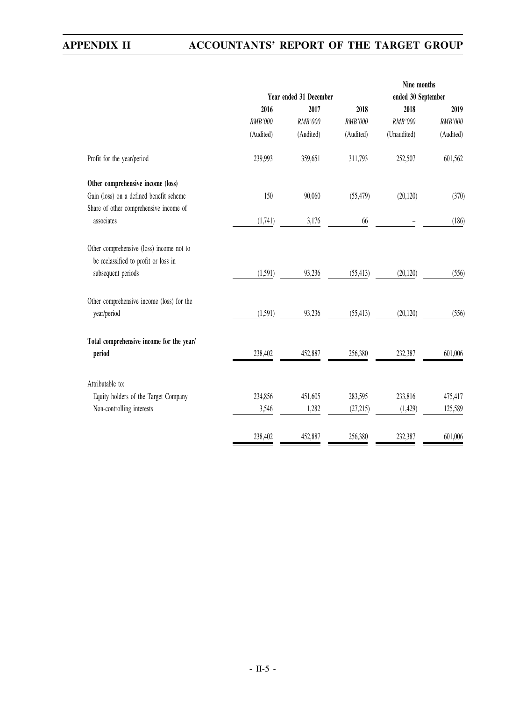|                                           |                |                        |           | Nine months        |           |
|-------------------------------------------|----------------|------------------------|-----------|--------------------|-----------|
|                                           |                | Year ended 31 December |           | ended 30 September |           |
|                                           | 2016           | 2017                   | 2018      | 2018               | 2019      |
|                                           | <b>RMB'000</b> | RMB'000                | RMB'000   | RMB'000            | RMB'000   |
|                                           | (Audited)      | (Audited)              | (Audited) | (Unaudited)        | (Audited) |
| Profit for the year/period                | 239,993        | 359,651                | 311,793   | 252,507            | 601,562   |
| Other comprehensive income (loss)         |                |                        |           |                    |           |
| Gain (loss) on a defined benefit scheme   | 150            | 90,060                 | (55, 479) | (20, 120)          | (370)     |
| Share of other comprehensive income of    |                |                        |           |                    |           |
| associates                                | (1,741)        | 3,176                  | 66        |                    | (186)     |
| Other comprehensive (loss) income not to  |                |                        |           |                    |           |
| be reclassified to profit or loss in      |                |                        |           |                    |           |
| subsequent periods                        | (1, 591)       | 93,236                 | (55, 413) | (20, 120)          | (556)     |
| Other comprehensive income (loss) for the |                |                        |           |                    |           |
| year/period                               | (1,591)        | 93,236                 | (55, 413) | (20, 120)          | (556)     |
| Total comprehensive income for the year/  |                |                        |           |                    |           |
| period                                    | 238,402        | 452,887                | 256,380   | 232,387            | 601,006   |
| Attributable to:                          |                |                        |           |                    |           |
| Equity holders of the Target Company      | 234,856        | 451,605                | 283,595   | 233,816            | 475,417   |
| Non-controlling interests                 | 3,546          | 1,282                  | (27, 215) | (1,429)            | 125,589   |
|                                           |                |                        |           |                    |           |
|                                           | 238,402        | 452,887                | 256,380   | 232,387            | 601,006   |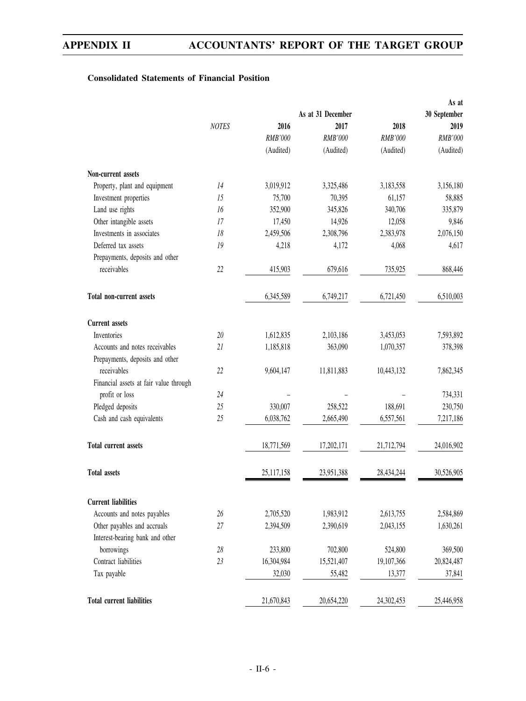## **Consolidated Statements of Financial Position**

|                                        |              |            |                   |            | As at        |
|----------------------------------------|--------------|------------|-------------------|------------|--------------|
|                                        |              |            | As at 31 December |            | 30 September |
|                                        | <b>NOTES</b> | 2016       | 2017              | 2018       | 2019         |
|                                        |              | RMB'000    | RMB'000           | RMB'000    | RMB'000      |
|                                        |              | (Audited)  | (Audited)         | (Audited)  | (Audited)    |
| Non-current assets                     |              |            |                   |            |              |
| Property, plant and equipment          | 14           | 3,019,912  | 3,325,486         | 3,183,558  | 3,156,180    |
| Investment properties                  | 15           | 75,700     | 70,395            | 61,157     | 58,885       |
| Land use rights                        | 16           | 352,900    | 345,826           | 340,706    | 335,879      |
| Other intangible assets                | 17           | 17,450     | 14,926            | 12,058     | 9,846        |
| Investments in associates              | 18           | 2,459,506  | 2,308,796         | 2,383,978  | 2,076,150    |
| Deferred tax assets                    | 19           | 4,218      | 4,172             | 4,068      | 4,617        |
| Prepayments, deposits and other        |              |            |                   |            |              |
| receivables                            | 22           | 415,903    | 679,616           | 735,925    | 868,446      |
| <b>Total non-current assets</b>        |              | 6,345,589  | 6,749,217         | 6,721,450  | 6,510,003    |
| <b>Current</b> assets                  |              |            |                   |            |              |
| Inventories                            | 20           | 1,612,835  | 2,103,186         | 3,453,053  | 7,593,892    |
| Accounts and notes receivables         | 21           | 1,185,818  | 363,090           | 1,070,357  | 378,398      |
| Prepayments, deposits and other        |              |            |                   |            |              |
| receivables                            | 22           | 9,604,147  | 11,811,883        | 10,443,132 | 7,862,345    |
| Financial assets at fair value through |              |            |                   |            |              |
| profit or loss                         | 24           |            |                   |            | 734,331      |
| Pledged deposits                       | 25           | 330,007    | 258,522           | 188,691    | 230,750      |
| Cash and cash equivalents              | 25           | 6,038,762  | 2,665,490         | 6,557,561  | 7,217,186    |
| <b>Total current assets</b>            |              | 18,771,569 | 17,202,171        | 21,712,794 | 24,016,902   |
| <b>Total assets</b>                    |              | 25,117,158 | 23,951,388        | 28,434,244 | 30,526,905   |
| <b>Current liabilities</b>             |              |            |                   |            |              |
| Accounts and notes payables            | 26           | 2,705,520  | 1,983,912         | 2,613,755  | 2,584,869    |
| Other payables and accruals            | 27           | 2,394,509  | 2,390,619         | 2,043,155  | 1,630,261    |
| Interest-bearing bank and other        |              |            |                   |            |              |
| borrowings                             | 28           | 233,800    | 702,800           | 524,800    | 369,500      |
| Contract liabilities                   | 23           | 16,304,984 | 15,521,407        | 19,107,366 | 20,824,487   |
| Tax payable                            |              | 32,030     | 55,482            | 13,377     | 37,841       |
| <b>Total current liabilities</b>       |              |            |                   |            |              |
|                                        |              | 21,670,843 | 20,654,220        | 24,302,453 | 25,446,958   |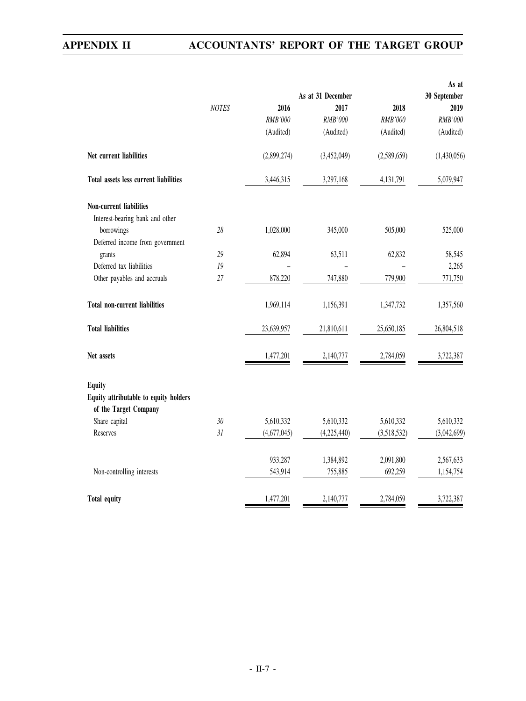|                                        |              |                |                           |                | As at                |
|----------------------------------------|--------------|----------------|---------------------------|----------------|----------------------|
|                                        | <b>NOTES</b> | 2016           | As at 31 December<br>2017 | 2018           | 30 September<br>2019 |
|                                        |              | <b>RMB'000</b> | <b>RMB'000</b>            | <b>RMB'000</b> | <b>RMB'000</b>       |
|                                        |              | (Audited)      | (Audited)                 | (Audited)      | (Audited)            |
|                                        |              |                |                           |                |                      |
| Net current liabilities                |              | (2,899,274)    | (3,452,049)               | (2,589,659)    | (1,430,056)          |
| Total assets less current liabilities  |              | 3,446,315      | 3,297,168                 | 4,131,791      | 5,079,947            |
| Non-current liabilities                |              |                |                           |                |                      |
| Interest-bearing bank and other        |              |                |                           |                |                      |
| borrowings                             | 28           | 1,028,000      | 345,000                   | 505,000        | 525,000              |
| Deferred income from government        |              |                |                           |                |                      |
| grants                                 | 29           | 62,894         | 63,511                    | 62,832         | 58,545               |
| Deferred tax liabilities               | 19           |                |                           |                | 2,265                |
| Other payables and accruals            | 27           | 878,220        | 747,880                   | 779,900        | 771,750              |
| <b>Total non-current liabilities</b>   |              | 1,969,114      | 1,156,391                 | 1,347,732      | 1,357,560            |
| <b>Total liabilities</b>               |              | 23,639,957     | 21,810,611                | 25,650,185     | 26,804,518           |
| Net assets                             |              | 1,477,201      | 2,140,777                 | 2,784,059      | 3,722,387            |
| <b>Equity</b>                          |              |                |                           |                |                      |
| Equity attributable to equity holders  |              |                |                           |                |                      |
| of the Target Company<br>Share capital | 30           | 5,610,332      | 5,610,332                 | 5,610,332      |                      |
| Reserves                               | 31           |                |                           |                | 5,610,332            |
|                                        |              | (4,677,045)    | (4,225,440)               | (3,518,532)    | (3,042,699)          |
|                                        |              | 933,287        | 1,384,892                 | 2,091,800      | 2,567,633            |
| Non-controlling interests              |              | 543,914        | 755,885                   | 692,259        | 1,154,754            |
| <b>Total equity</b>                    |              | 1,477,201      | 2,140,777                 | 2,784,059      | 3,722,387            |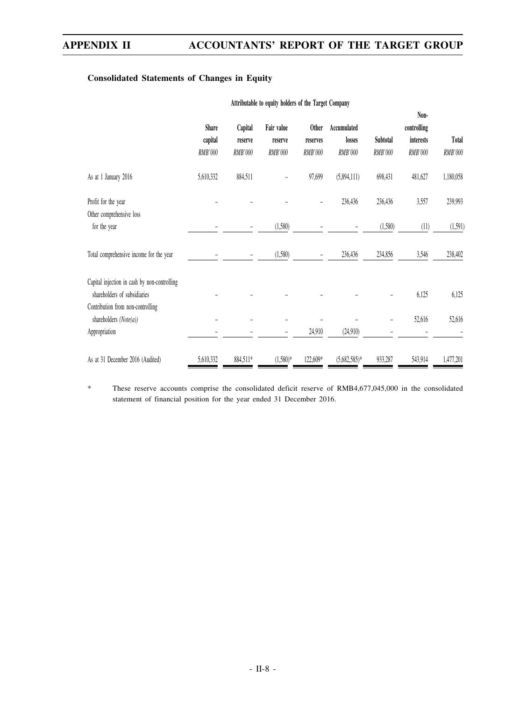## **Consolidated Statements of Changes in Equity**

|                                              | <b>Share</b> | Capital  | Fair value | <b>Other</b>             | Accumulated    |          | Non-<br>controlling |           |
|----------------------------------------------|--------------|----------|------------|--------------------------|----------------|----------|---------------------|-----------|
|                                              | capital      | reserve  | reserve    | reserves                 | losses         | Subtotal | interests           | Total     |
|                                              | RMB'000      | RMB'000  | RMB'000    | RMB'000                  | <b>RMB'000</b> | RMB'000  | RMB'000             | RMB'000   |
| As at 1 January 2016                         | 5,610,332    | 884,511  |            | 97,699                   | (5,894,111)    | 698,431  | 481,627             | 1,180,058 |
| Profit for the year                          |              |          |            |                          | 236,436        | 236,436  | 3,557               | 239,993   |
| Other comprehensive loss<br>for the year     |              |          | (1,580)    |                          |                | (1,580)  | (11)                | (1, 591)  |
| Total comprehensive income for the year      |              |          | (1,580)    | $\overline{\phantom{a}}$ | 236,436        | 234,856  | 3,546               | 238,402   |
| Capital injection in cash by non-controlling |              |          |            |                          |                |          |                     |           |
| shareholders of subsidiaries                 |              |          |            |                          |                |          | 6,125               | 6,125     |
| Contribution from non-controlling            |              |          |            |                          |                |          |                     |           |
| shareholders $(Note(a))$<br>Appropriation    |              |          |            | 24,910                   | (24,910)       |          | 52,616              | 52,616    |
| As at 31 December 2016 (Audited)             | 5,610,332    | 884,511* | $(1,580)*$ | 122,609*                 | $(5,682,585)*$ | 933,287  | 543,914             | 1,477,201 |

**Attributable to equity holders of the Target Company**

\* These reserve accounts comprise the consolidated deficit reserve of RMB4,677,045,000 in the consolidated statement of financial position for the year ended 31 December 2016.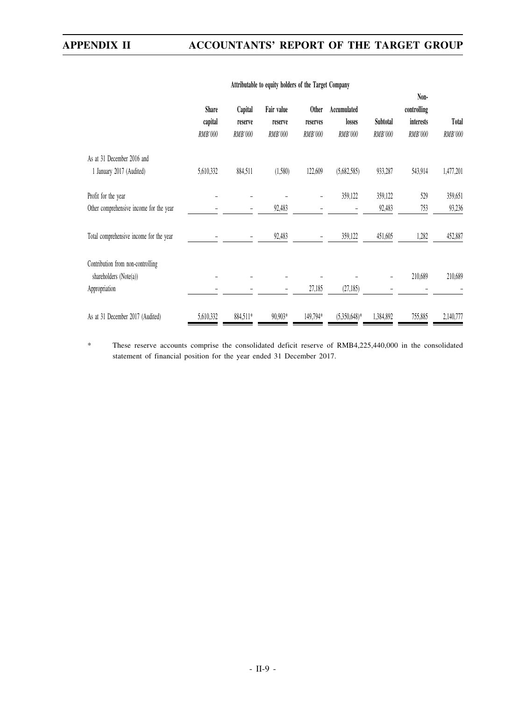|                                         | <b>Share</b> | Capital        | Fair value     | <b>Other</b>             | Accumulated     |           | Non-<br>controlling |              |
|-----------------------------------------|--------------|----------------|----------------|--------------------------|-----------------|-----------|---------------------|--------------|
|                                         | capital      | reserve        | reserve        | reserves                 | losses          | Subtotal  | interests           | <b>Total</b> |
|                                         | RMB'000      | <b>RMB'000</b> | <b>RMB'000</b> | <b>RMB'000</b>           | RMB'000         | RMB'000   | RMB'000             | RMB'000      |
| As at 31 December 2016 and              |              |                |                |                          |                 |           |                     |              |
| 1 January 2017 (Audited)                | 5,610,332    | 884,511        | (1,580)        | 122,609                  | (5,682,585)     | 933,287   | 543,914             | 1,477,201    |
| Profit for the year                     |              |                |                | $\overline{\phantom{0}}$ | 359,122         | 359,122   | 529                 | 359,651      |
| Other comprehensive income for the year |              |                | 92,483         |                          |                 | 92,483    | 753                 | 93,236       |
| Total comprehensive income for the year |              |                | 92,483         | $\overline{\phantom{0}}$ | 359,122         | 451,605   | 1,282               | 452,887      |
| Contribution from non-controlling       |              |                |                |                          |                 |           |                     |              |
| shareholders $(Note(a))$                |              |                |                |                          |                 | -         | 210,689             | 210,689      |
| Appropriation                           |              |                | -              | 27,185                   | (27, 185)       |           |                     |              |
| As at 31 December 2017 (Audited)        | 5,610,332    | 884,511*       | 90,903*        | 149,794*                 | $(5,350,648)$ * | 1,384,892 | 755,885             | 2,140,777    |

## **Attributable to equity holders of the Target Company**

\* These reserve accounts comprise the consolidated deficit reserve of RMB4,225,440,000 in the consolidated statement of financial position for the year ended 31 December 2017.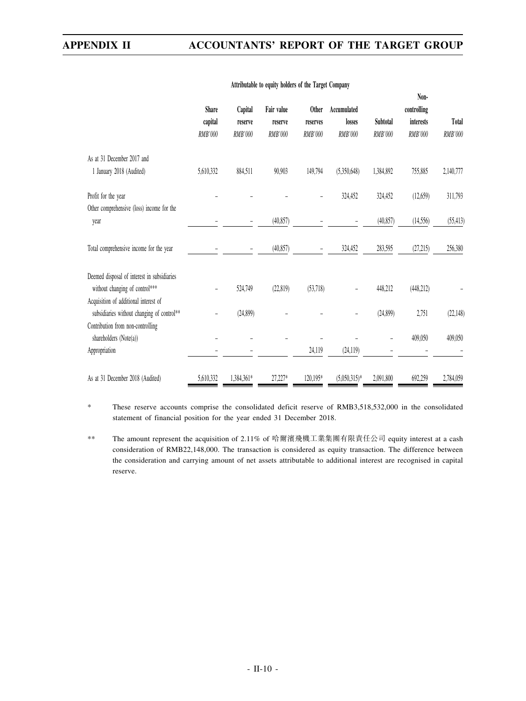|                                             |                         |                    |                       |                          |                       |           | Non-                     |                |
|---------------------------------------------|-------------------------|--------------------|-----------------------|--------------------------|-----------------------|-----------|--------------------------|----------------|
|                                             | <b>Share</b><br>capital | Capital<br>reserve | Fair value<br>reserve | <b>Other</b><br>reserves | Accumulated<br>losses | Subtotal  | controlling<br>interests | Total          |
|                                             | RMB'000                 | <b>RMB'000</b>     | <b>RMB'000</b>        | <b>RMB'000</b>           | <b>RMB'000</b>        | RMB'000   | <b>RMB'000</b>           | <b>RMB'000</b> |
|                                             |                         |                    |                       |                          |                       |           |                          |                |
| As at 31 December 2017 and                  |                         |                    |                       |                          |                       |           |                          |                |
| 1 January 2018 (Audited)                    | 5,610,332               | 884,511            | 90,903                | 149,794                  | (5,350,648)           | 1,384,892 | 755,885                  | 2,140,777      |
| Profit for the year                         |                         |                    |                       |                          | 324,452               | 324,452   | (12, 659)                | 311,793        |
| Other comprehensive (loss) income for the   |                         |                    |                       |                          |                       |           |                          |                |
| year                                        |                         |                    | (40, 857)             |                          |                       | (40, 857) | (14, 556)                | (55, 413)      |
| Total comprehensive income for the year     |                         |                    | (40, 857)             |                          | 324,452               | 283,595   | (27, 215)                | 256,380        |
| Deemed disposal of interest in subsidiaries |                         |                    |                       |                          |                       |           |                          |                |
| without changing of control***              |                         | 524,749            | (22, 819)             | (53,718)                 |                       | 448,212   | (448, 212)               |                |
| Acquisition of additional interest of       |                         |                    |                       |                          |                       |           |                          |                |
| subsidiaries without changing of control**  |                         | (24,899)           |                       |                          |                       | (24,899)  | 2,751                    | (22, 148)      |
| Contribution from non-controlling           |                         |                    |                       |                          |                       |           |                          |                |
| shareholders (Note(a))                      |                         |                    |                       |                          |                       |           | 409,050                  | 409,050        |
| Appropriation                               |                         |                    |                       | 24,119                   | (24, 119)             |           |                          |                |
| As at 31 December 2018 (Audited)            | 5,610,332               | 1,384,361*         | 27,227*               | 120,195*                 | $(5,050,315)*$        | 2,091,800 | 692,259                  | 2,784,059      |

### **Attributable to equity holders of the Target Company**

\* These reserve accounts comprise the consolidated deficit reserve of RMB3,518,532,000 in the consolidated statement of financial position for the year ended 31 December 2018.

\*\* The amount represent the acquisition of 2.11% of 哈爾濱飛機工業集團有限責任公司 equity interest at a cash consideration of RMB22,148,000. The transaction is considered as equity transaction. The difference between the consideration and carrying amount of net assets attributable to additional interest are recognised in capital reserve.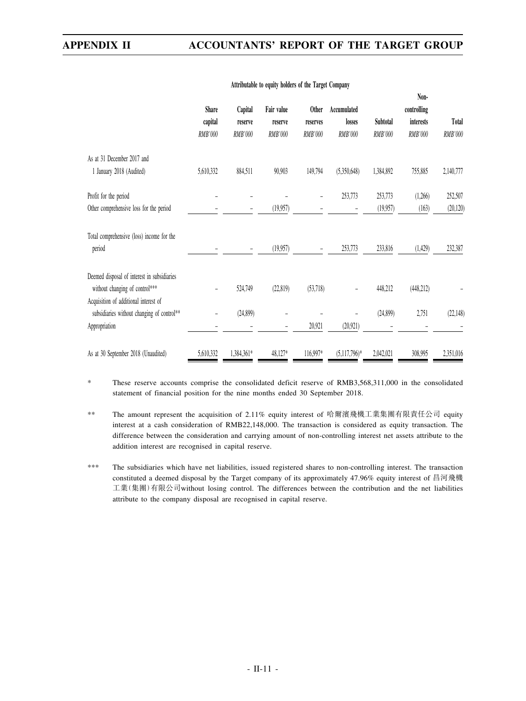|                                                                                                      | <b>Share</b><br>capital<br>RMB'000 | Capital<br>reserve<br>RMB'000 | Fair value<br>reserve<br><b>RMB'000</b> | <b>Other</b><br>reserves<br>RMB'000 | Accumulated<br>losses<br>RMB'000 | Subtotal<br>RMB'000 | Non-<br>controlling<br>interests<br>RMB'000 | Total<br>RMB'000 |
|------------------------------------------------------------------------------------------------------|------------------------------------|-------------------------------|-----------------------------------------|-------------------------------------|----------------------------------|---------------------|---------------------------------------------|------------------|
| As at 31 December 2017 and                                                                           |                                    |                               |                                         |                                     |                                  |                     |                                             |                  |
| 1 January 2018 (Audited)                                                                             | 5,610,332                          | 884,511                       | 90,903                                  | 149,794                             | (5,350,648)                      | 1,384,892           | 755,885                                     | 2,140,777        |
| Profit for the period                                                                                |                                    |                               |                                         |                                     | 253,773                          | 253,773             | (1,266)                                     | 252,507          |
| Other comprehensive loss for the period                                                              |                                    |                               | (19,957)                                |                                     |                                  | (19,957)            | (163)                                       | (20, 120)        |
| Total comprehensive (loss) income for the<br>period                                                  |                                    |                               | (19,957)                                |                                     | 253,773                          | 233,816             | (1,429)                                     | 232,387          |
| Deemed disposal of interest in subsidiaries<br>without changing of control***                        | $\overline{\phantom{a}}$           | 524,749                       | (22,819)                                | (53,718)                            | -                                | 448,212             | (448, 212)                                  |                  |
| Acquisition of additional interest of<br>subsidiaries without changing of control**<br>Appropriation |                                    | (24,899)                      | $\overline{\phantom{0}}$                | 20,921                              | (20, 921)                        | (24,899)            | 2,751                                       | (22, 148)        |
| As at 30 September 2018 (Unaudited)                                                                  | 5,610,332                          | 1,384,361*                    | 48,127*                                 | 116,997*                            | $(5,117,796)*$                   | 2,042,021           | 308,995                                     | 2,351,016        |

#### **Attributable to equity holders of the Target Company**

\* These reserve accounts comprise the consolidated deficit reserve of RMB3,568,311,000 in the consolidated statement of financial position for the nine months ended 30 September 2018.

\*\* The amount represent the acquisition of 2.11% equity interest of 哈爾濱飛機工業集團有限責任公司 equity interest at a cash consideration of RMB22,148,000. The transaction is considered as equity transaction. The difference between the consideration and carrying amount of non-controlling interest net assets attribute to the addition interest are recognised in capital reserve.

\*\*\* The subsidiaries which have net liabilities, issued registered shares to non-controlling interest. The transaction constituted a deemed disposal by the Target company of its approximately 47.96% equity interest of 昌河飛機 工業(集團)有限公司without losing control. The differences between the contribution and the net liabilities attribute to the company disposal are recognised in capital reserve.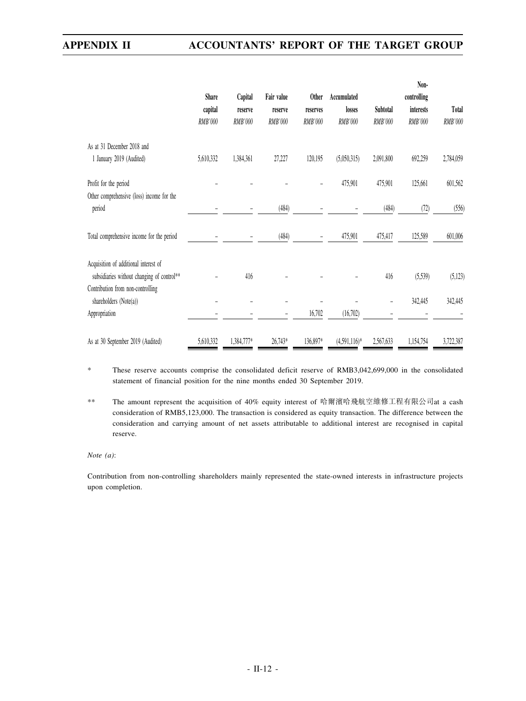|                                                                                     | <b>Share</b>       | Capital            | Fair value                | <b>Other</b>        | Accumulated       |                     | Non-<br>controlling  |                  |
|-------------------------------------------------------------------------------------|--------------------|--------------------|---------------------------|---------------------|-------------------|---------------------|----------------------|------------------|
|                                                                                     | capital<br>RMB'000 | reserve<br>RMB'000 | reserve<br><b>RMB'000</b> | reserves<br>RMB'000 | losses<br>RMB'000 | Subtotal<br>RMB'000 | interests<br>RMB'000 | Total<br>RMB'000 |
| As at 31 December 2018 and<br>1 January 2019 (Audited)                              | 5,610,332          | 1,384,361          | 27,227                    | 120,195             | (5,050,315)       | 2,091,800           | 692,259              | 2,784,059        |
| Profit for the period<br>Other comprehensive (loss) income for the                  |                    |                    |                           |                     | 475,901           | 475,901             | 125,661              | 601,562          |
| period                                                                              |                    |                    | (484)                     |                     |                   | (484)               | (72)                 | (556)            |
| Total comprehensive income for the period                                           |                    |                    | (484)                     |                     | 475,901           | 475,417             | 125,589              | 601,006          |
| Acquisition of additional interest of<br>subsidiaries without changing of control** |                    | 416                |                           |                     |                   | 416                 | (5,539)              | (5, 123)         |
| Contribution from non-controlling<br>shareholders (Note(a))                         |                    |                    |                           |                     |                   |                     | 342,445              | 342,445          |
| Appropriation                                                                       |                    |                    | ۳                         | 16,702              | (16,702)          |                     |                      |                  |
| As at 30 September 2019 (Audited)                                                   | 5,610,332          | 1,384,777*         | 26,743*                   | 136,897*            | $(4,591,116)*$    | 2,567,633           | 1,154,754            | 3,722,387        |

\* These reserve accounts comprise the consolidated deficit reserve of RMB3,042,699,000 in the consolidated statement of financial position for the nine months ended 30 September 2019.

\*\* The amount represent the acquisition of 40% equity interest of 哈爾濱哈飛航空維修工程有限公司at a cash consideration of RMB5,123,000. The transaction is considered as equity transaction. The difference between the consideration and carrying amount of net assets attributable to additional interest are recognised in capital reserve.

*Note (a)*:

Contribution from non-controlling shareholders mainly represented the state-owned interests in infrastructure projects upon completion.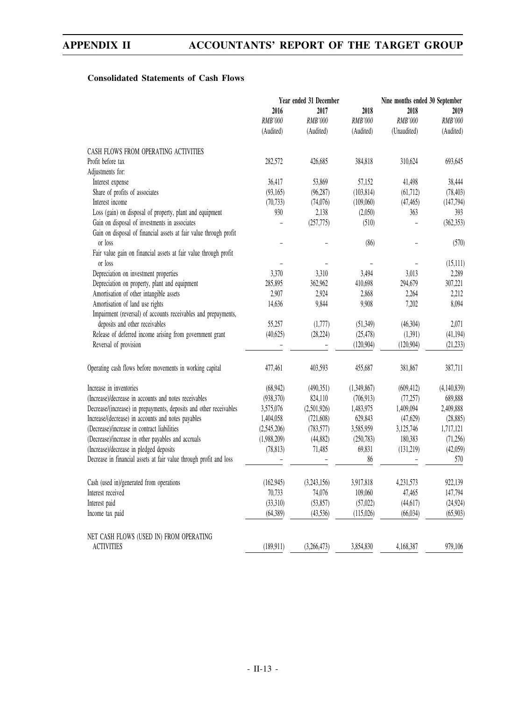## **Consolidated Statements of Cash Flows**

| 2016<br>2017<br>2018<br>2018<br>2019<br>RMB'000<br>RMB'000<br>RMB'000<br>RMB'000<br>RMB'000<br>(Audited)<br>(Unaudited)<br>(Audited)<br>(Audited)<br>(Audited)<br>CASH FLOWS FROM OPERATING ACTIVITIES<br>Profit before tax<br>282,572<br>310,624<br>693,645<br>426,685<br>384,818<br>Adjustments for:<br>Interest expense<br>36,417<br>53,869<br>57,152<br>38,444<br>41,498<br>Share of profits of associates<br>(93,165)<br>(96, 287)<br>(103, 814)<br>(61, 712)<br>(78, 403)<br>Interest income<br>(70, 733)<br>(74,076)<br>(109,060)<br>(47, 465)<br>(147, 794)<br>Loss (gain) on disposal of property, plant and equipment<br>930<br>2,138<br>(2,050)<br>363<br>393<br>Gain on disposal of investments in associates<br>(257, 775)<br>(362, 353)<br>(510)<br>Gain on disposal of financial assets at fair value through profit<br>or loss<br>(86)<br>(570)<br>Fair value gain on financial assets at fair value through profit<br>or loss<br>(15,111)<br>Depreciation on investment properties<br>3,370<br>3,310<br>3,494<br>3,013<br>2,289<br>Depreciation on property, plant and equipment<br>285,895<br>362,962<br>307,221<br>410,698<br>294,679<br>Amortisation of other intangible assets<br>2,907<br>2,924<br>2,868<br>2,264<br>2,212<br>Amortisation of land use rights<br>14,636<br>9,844<br>9,908<br>7,202<br>8,094<br>Impairment (reversal) of accounts receivables and prepayments,<br>deposits and other receivables<br>55,257<br>(1,777)<br>2,071<br>(51,349)<br>(46,304)<br>Release of deferred income arising from government grant<br>(40,625)<br>(28, 224)<br>(25, 478)<br>(1,391)<br>(41, 194)<br>Reversal of provision<br>(120, 904)<br>(120, 904)<br>(21, 233)<br>Operating cash flows before movements in working capital<br>477,461<br>403,593<br>381,867<br>387,711<br>455,687<br>Increase in inventories<br>(4,140,839)<br>(68, 942)<br>(490, 351)<br>(1,349,867)<br>(609, 412)<br>(Increase)/decrease in accounts and notes receivables<br>824,110<br>689,888<br>(938,370)<br>(706, 913)<br>(77, 257)<br>Decrease/(increase) in prepayments, deposits and other receivables<br>3,575,076<br>(2,501,926)<br>1,483,975<br>1,409,094<br>2,409,888<br>Increase/(decrease) in accounts and notes payables<br>629,843<br>(28, 885)<br>1,404,058<br>(721,608)<br>(47,629)<br>(Decrease)/increase in contract liabilities<br>(2,545,206)<br>(783, 577)<br>3,585,959<br>3,125,746<br>1,717,121<br>(Decrease)/increase in other payables and accruals<br>(1,988,209)<br>(44, 882)<br>(250, 783)<br>180,383<br>(71,256)<br>(Increase)/decrease in pledged deposits<br>(78, 813)<br>71,485<br>69,831<br>(131, 219)<br>(42,059)<br>Decrease in financial assets at fair value through profit and loss<br>86<br>570<br>Cash (used in)/generated from operations<br>922,139<br>(162, 945)<br>(3,243,156)<br>3,917,818<br>4,231,573<br>Interest received<br>70,733<br>74,076<br>147,794<br>109,060<br>47,465<br>(33,310)<br>Interest paid<br>(53, 857)<br>(57,022)<br>(44, 617)<br>(24, 924)<br>Income tax paid<br>(64, 389)<br>(43,536)<br>(115,026)<br>(66, 034)<br>(65,903)<br>NET CASH FLOWS (USED IN) FROM OPERATING<br>979,106<br><b>ACTIVITIES</b><br>3,854,830<br>(189, 911)<br>(3,266,473)<br>4,168,387 | Year ended 31 December |  |  | Nine months ended 30 September |  |  |
|--------------------------------------------------------------------------------------------------------------------------------------------------------------------------------------------------------------------------------------------------------------------------------------------------------------------------------------------------------------------------------------------------------------------------------------------------------------------------------------------------------------------------------------------------------------------------------------------------------------------------------------------------------------------------------------------------------------------------------------------------------------------------------------------------------------------------------------------------------------------------------------------------------------------------------------------------------------------------------------------------------------------------------------------------------------------------------------------------------------------------------------------------------------------------------------------------------------------------------------------------------------------------------------------------------------------------------------------------------------------------------------------------------------------------------------------------------------------------------------------------------------------------------------------------------------------------------------------------------------------------------------------------------------------------------------------------------------------------------------------------------------------------------------------------------------------------------------------------------------------------------------------------------------------------------------------------------------------------------------------------------------------------------------------------------------------------------------------------------------------------------------------------------------------------------------------------------------------------------------------------------------------------------------------------------------------------------------------------------------------------------------------------------------------------------------------------------------------------------------------------------------------------------------------------------------------------------------------------------------------------------------------------------------------------------------------------------------------------------------------------------------------------------------------------------------------------------------------------------------------------------------------------------------------------------------------------------------------------------------------------------------------------------------------------------------------------------------------------------------------------------------------------------------------------------------------------------------------------------|------------------------|--|--|--------------------------------|--|--|
|                                                                                                                                                                                                                                                                                                                                                                                                                                                                                                                                                                                                                                                                                                                                                                                                                                                                                                                                                                                                                                                                                                                                                                                                                                                                                                                                                                                                                                                                                                                                                                                                                                                                                                                                                                                                                                                                                                                                                                                                                                                                                                                                                                                                                                                                                                                                                                                                                                                                                                                                                                                                                                                                                                                                                                                                                                                                                                                                                                                                                                                                                                                                                                                                                                |                        |  |  |                                |  |  |
|                                                                                                                                                                                                                                                                                                                                                                                                                                                                                                                                                                                                                                                                                                                                                                                                                                                                                                                                                                                                                                                                                                                                                                                                                                                                                                                                                                                                                                                                                                                                                                                                                                                                                                                                                                                                                                                                                                                                                                                                                                                                                                                                                                                                                                                                                                                                                                                                                                                                                                                                                                                                                                                                                                                                                                                                                                                                                                                                                                                                                                                                                                                                                                                                                                |                        |  |  |                                |  |  |
|                                                                                                                                                                                                                                                                                                                                                                                                                                                                                                                                                                                                                                                                                                                                                                                                                                                                                                                                                                                                                                                                                                                                                                                                                                                                                                                                                                                                                                                                                                                                                                                                                                                                                                                                                                                                                                                                                                                                                                                                                                                                                                                                                                                                                                                                                                                                                                                                                                                                                                                                                                                                                                                                                                                                                                                                                                                                                                                                                                                                                                                                                                                                                                                                                                |                        |  |  |                                |  |  |
|                                                                                                                                                                                                                                                                                                                                                                                                                                                                                                                                                                                                                                                                                                                                                                                                                                                                                                                                                                                                                                                                                                                                                                                                                                                                                                                                                                                                                                                                                                                                                                                                                                                                                                                                                                                                                                                                                                                                                                                                                                                                                                                                                                                                                                                                                                                                                                                                                                                                                                                                                                                                                                                                                                                                                                                                                                                                                                                                                                                                                                                                                                                                                                                                                                |                        |  |  |                                |  |  |
|                                                                                                                                                                                                                                                                                                                                                                                                                                                                                                                                                                                                                                                                                                                                                                                                                                                                                                                                                                                                                                                                                                                                                                                                                                                                                                                                                                                                                                                                                                                                                                                                                                                                                                                                                                                                                                                                                                                                                                                                                                                                                                                                                                                                                                                                                                                                                                                                                                                                                                                                                                                                                                                                                                                                                                                                                                                                                                                                                                                                                                                                                                                                                                                                                                |                        |  |  |                                |  |  |
|                                                                                                                                                                                                                                                                                                                                                                                                                                                                                                                                                                                                                                                                                                                                                                                                                                                                                                                                                                                                                                                                                                                                                                                                                                                                                                                                                                                                                                                                                                                                                                                                                                                                                                                                                                                                                                                                                                                                                                                                                                                                                                                                                                                                                                                                                                                                                                                                                                                                                                                                                                                                                                                                                                                                                                                                                                                                                                                                                                                                                                                                                                                                                                                                                                |                        |  |  |                                |  |  |
|                                                                                                                                                                                                                                                                                                                                                                                                                                                                                                                                                                                                                                                                                                                                                                                                                                                                                                                                                                                                                                                                                                                                                                                                                                                                                                                                                                                                                                                                                                                                                                                                                                                                                                                                                                                                                                                                                                                                                                                                                                                                                                                                                                                                                                                                                                                                                                                                                                                                                                                                                                                                                                                                                                                                                                                                                                                                                                                                                                                                                                                                                                                                                                                                                                |                        |  |  |                                |  |  |
|                                                                                                                                                                                                                                                                                                                                                                                                                                                                                                                                                                                                                                                                                                                                                                                                                                                                                                                                                                                                                                                                                                                                                                                                                                                                                                                                                                                                                                                                                                                                                                                                                                                                                                                                                                                                                                                                                                                                                                                                                                                                                                                                                                                                                                                                                                                                                                                                                                                                                                                                                                                                                                                                                                                                                                                                                                                                                                                                                                                                                                                                                                                                                                                                                                |                        |  |  |                                |  |  |
|                                                                                                                                                                                                                                                                                                                                                                                                                                                                                                                                                                                                                                                                                                                                                                                                                                                                                                                                                                                                                                                                                                                                                                                                                                                                                                                                                                                                                                                                                                                                                                                                                                                                                                                                                                                                                                                                                                                                                                                                                                                                                                                                                                                                                                                                                                                                                                                                                                                                                                                                                                                                                                                                                                                                                                                                                                                                                                                                                                                                                                                                                                                                                                                                                                |                        |  |  |                                |  |  |
|                                                                                                                                                                                                                                                                                                                                                                                                                                                                                                                                                                                                                                                                                                                                                                                                                                                                                                                                                                                                                                                                                                                                                                                                                                                                                                                                                                                                                                                                                                                                                                                                                                                                                                                                                                                                                                                                                                                                                                                                                                                                                                                                                                                                                                                                                                                                                                                                                                                                                                                                                                                                                                                                                                                                                                                                                                                                                                                                                                                                                                                                                                                                                                                                                                |                        |  |  |                                |  |  |
|                                                                                                                                                                                                                                                                                                                                                                                                                                                                                                                                                                                                                                                                                                                                                                                                                                                                                                                                                                                                                                                                                                                                                                                                                                                                                                                                                                                                                                                                                                                                                                                                                                                                                                                                                                                                                                                                                                                                                                                                                                                                                                                                                                                                                                                                                                                                                                                                                                                                                                                                                                                                                                                                                                                                                                                                                                                                                                                                                                                                                                                                                                                                                                                                                                |                        |  |  |                                |  |  |
|                                                                                                                                                                                                                                                                                                                                                                                                                                                                                                                                                                                                                                                                                                                                                                                                                                                                                                                                                                                                                                                                                                                                                                                                                                                                                                                                                                                                                                                                                                                                                                                                                                                                                                                                                                                                                                                                                                                                                                                                                                                                                                                                                                                                                                                                                                                                                                                                                                                                                                                                                                                                                                                                                                                                                                                                                                                                                                                                                                                                                                                                                                                                                                                                                                |                        |  |  |                                |  |  |
|                                                                                                                                                                                                                                                                                                                                                                                                                                                                                                                                                                                                                                                                                                                                                                                                                                                                                                                                                                                                                                                                                                                                                                                                                                                                                                                                                                                                                                                                                                                                                                                                                                                                                                                                                                                                                                                                                                                                                                                                                                                                                                                                                                                                                                                                                                                                                                                                                                                                                                                                                                                                                                                                                                                                                                                                                                                                                                                                                                                                                                                                                                                                                                                                                                |                        |  |  |                                |  |  |
|                                                                                                                                                                                                                                                                                                                                                                                                                                                                                                                                                                                                                                                                                                                                                                                                                                                                                                                                                                                                                                                                                                                                                                                                                                                                                                                                                                                                                                                                                                                                                                                                                                                                                                                                                                                                                                                                                                                                                                                                                                                                                                                                                                                                                                                                                                                                                                                                                                                                                                                                                                                                                                                                                                                                                                                                                                                                                                                                                                                                                                                                                                                                                                                                                                |                        |  |  |                                |  |  |
|                                                                                                                                                                                                                                                                                                                                                                                                                                                                                                                                                                                                                                                                                                                                                                                                                                                                                                                                                                                                                                                                                                                                                                                                                                                                                                                                                                                                                                                                                                                                                                                                                                                                                                                                                                                                                                                                                                                                                                                                                                                                                                                                                                                                                                                                                                                                                                                                                                                                                                                                                                                                                                                                                                                                                                                                                                                                                                                                                                                                                                                                                                                                                                                                                                |                        |  |  |                                |  |  |
|                                                                                                                                                                                                                                                                                                                                                                                                                                                                                                                                                                                                                                                                                                                                                                                                                                                                                                                                                                                                                                                                                                                                                                                                                                                                                                                                                                                                                                                                                                                                                                                                                                                                                                                                                                                                                                                                                                                                                                                                                                                                                                                                                                                                                                                                                                                                                                                                                                                                                                                                                                                                                                                                                                                                                                                                                                                                                                                                                                                                                                                                                                                                                                                                                                |                        |  |  |                                |  |  |
|                                                                                                                                                                                                                                                                                                                                                                                                                                                                                                                                                                                                                                                                                                                                                                                                                                                                                                                                                                                                                                                                                                                                                                                                                                                                                                                                                                                                                                                                                                                                                                                                                                                                                                                                                                                                                                                                                                                                                                                                                                                                                                                                                                                                                                                                                                                                                                                                                                                                                                                                                                                                                                                                                                                                                                                                                                                                                                                                                                                                                                                                                                                                                                                                                                |                        |  |  |                                |  |  |
|                                                                                                                                                                                                                                                                                                                                                                                                                                                                                                                                                                                                                                                                                                                                                                                                                                                                                                                                                                                                                                                                                                                                                                                                                                                                                                                                                                                                                                                                                                                                                                                                                                                                                                                                                                                                                                                                                                                                                                                                                                                                                                                                                                                                                                                                                                                                                                                                                                                                                                                                                                                                                                                                                                                                                                                                                                                                                                                                                                                                                                                                                                                                                                                                                                |                        |  |  |                                |  |  |
|                                                                                                                                                                                                                                                                                                                                                                                                                                                                                                                                                                                                                                                                                                                                                                                                                                                                                                                                                                                                                                                                                                                                                                                                                                                                                                                                                                                                                                                                                                                                                                                                                                                                                                                                                                                                                                                                                                                                                                                                                                                                                                                                                                                                                                                                                                                                                                                                                                                                                                                                                                                                                                                                                                                                                                                                                                                                                                                                                                                                                                                                                                                                                                                                                                |                        |  |  |                                |  |  |
|                                                                                                                                                                                                                                                                                                                                                                                                                                                                                                                                                                                                                                                                                                                                                                                                                                                                                                                                                                                                                                                                                                                                                                                                                                                                                                                                                                                                                                                                                                                                                                                                                                                                                                                                                                                                                                                                                                                                                                                                                                                                                                                                                                                                                                                                                                                                                                                                                                                                                                                                                                                                                                                                                                                                                                                                                                                                                                                                                                                                                                                                                                                                                                                                                                |                        |  |  |                                |  |  |
|                                                                                                                                                                                                                                                                                                                                                                                                                                                                                                                                                                                                                                                                                                                                                                                                                                                                                                                                                                                                                                                                                                                                                                                                                                                                                                                                                                                                                                                                                                                                                                                                                                                                                                                                                                                                                                                                                                                                                                                                                                                                                                                                                                                                                                                                                                                                                                                                                                                                                                                                                                                                                                                                                                                                                                                                                                                                                                                                                                                                                                                                                                                                                                                                                                |                        |  |  |                                |  |  |
|                                                                                                                                                                                                                                                                                                                                                                                                                                                                                                                                                                                                                                                                                                                                                                                                                                                                                                                                                                                                                                                                                                                                                                                                                                                                                                                                                                                                                                                                                                                                                                                                                                                                                                                                                                                                                                                                                                                                                                                                                                                                                                                                                                                                                                                                                                                                                                                                                                                                                                                                                                                                                                                                                                                                                                                                                                                                                                                                                                                                                                                                                                                                                                                                                                |                        |  |  |                                |  |  |
|                                                                                                                                                                                                                                                                                                                                                                                                                                                                                                                                                                                                                                                                                                                                                                                                                                                                                                                                                                                                                                                                                                                                                                                                                                                                                                                                                                                                                                                                                                                                                                                                                                                                                                                                                                                                                                                                                                                                                                                                                                                                                                                                                                                                                                                                                                                                                                                                                                                                                                                                                                                                                                                                                                                                                                                                                                                                                                                                                                                                                                                                                                                                                                                                                                |                        |  |  |                                |  |  |
|                                                                                                                                                                                                                                                                                                                                                                                                                                                                                                                                                                                                                                                                                                                                                                                                                                                                                                                                                                                                                                                                                                                                                                                                                                                                                                                                                                                                                                                                                                                                                                                                                                                                                                                                                                                                                                                                                                                                                                                                                                                                                                                                                                                                                                                                                                                                                                                                                                                                                                                                                                                                                                                                                                                                                                                                                                                                                                                                                                                                                                                                                                                                                                                                                                |                        |  |  |                                |  |  |
|                                                                                                                                                                                                                                                                                                                                                                                                                                                                                                                                                                                                                                                                                                                                                                                                                                                                                                                                                                                                                                                                                                                                                                                                                                                                                                                                                                                                                                                                                                                                                                                                                                                                                                                                                                                                                                                                                                                                                                                                                                                                                                                                                                                                                                                                                                                                                                                                                                                                                                                                                                                                                                                                                                                                                                                                                                                                                                                                                                                                                                                                                                                                                                                                                                |                        |  |  |                                |  |  |
|                                                                                                                                                                                                                                                                                                                                                                                                                                                                                                                                                                                                                                                                                                                                                                                                                                                                                                                                                                                                                                                                                                                                                                                                                                                                                                                                                                                                                                                                                                                                                                                                                                                                                                                                                                                                                                                                                                                                                                                                                                                                                                                                                                                                                                                                                                                                                                                                                                                                                                                                                                                                                                                                                                                                                                                                                                                                                                                                                                                                                                                                                                                                                                                                                                |                        |  |  |                                |  |  |
|                                                                                                                                                                                                                                                                                                                                                                                                                                                                                                                                                                                                                                                                                                                                                                                                                                                                                                                                                                                                                                                                                                                                                                                                                                                                                                                                                                                                                                                                                                                                                                                                                                                                                                                                                                                                                                                                                                                                                                                                                                                                                                                                                                                                                                                                                                                                                                                                                                                                                                                                                                                                                                                                                                                                                                                                                                                                                                                                                                                                                                                                                                                                                                                                                                |                        |  |  |                                |  |  |
|                                                                                                                                                                                                                                                                                                                                                                                                                                                                                                                                                                                                                                                                                                                                                                                                                                                                                                                                                                                                                                                                                                                                                                                                                                                                                                                                                                                                                                                                                                                                                                                                                                                                                                                                                                                                                                                                                                                                                                                                                                                                                                                                                                                                                                                                                                                                                                                                                                                                                                                                                                                                                                                                                                                                                                                                                                                                                                                                                                                                                                                                                                                                                                                                                                |                        |  |  |                                |  |  |
|                                                                                                                                                                                                                                                                                                                                                                                                                                                                                                                                                                                                                                                                                                                                                                                                                                                                                                                                                                                                                                                                                                                                                                                                                                                                                                                                                                                                                                                                                                                                                                                                                                                                                                                                                                                                                                                                                                                                                                                                                                                                                                                                                                                                                                                                                                                                                                                                                                                                                                                                                                                                                                                                                                                                                                                                                                                                                                                                                                                                                                                                                                                                                                                                                                |                        |  |  |                                |  |  |
|                                                                                                                                                                                                                                                                                                                                                                                                                                                                                                                                                                                                                                                                                                                                                                                                                                                                                                                                                                                                                                                                                                                                                                                                                                                                                                                                                                                                                                                                                                                                                                                                                                                                                                                                                                                                                                                                                                                                                                                                                                                                                                                                                                                                                                                                                                                                                                                                                                                                                                                                                                                                                                                                                                                                                                                                                                                                                                                                                                                                                                                                                                                                                                                                                                |                        |  |  |                                |  |  |
|                                                                                                                                                                                                                                                                                                                                                                                                                                                                                                                                                                                                                                                                                                                                                                                                                                                                                                                                                                                                                                                                                                                                                                                                                                                                                                                                                                                                                                                                                                                                                                                                                                                                                                                                                                                                                                                                                                                                                                                                                                                                                                                                                                                                                                                                                                                                                                                                                                                                                                                                                                                                                                                                                                                                                                                                                                                                                                                                                                                                                                                                                                                                                                                                                                |                        |  |  |                                |  |  |
|                                                                                                                                                                                                                                                                                                                                                                                                                                                                                                                                                                                                                                                                                                                                                                                                                                                                                                                                                                                                                                                                                                                                                                                                                                                                                                                                                                                                                                                                                                                                                                                                                                                                                                                                                                                                                                                                                                                                                                                                                                                                                                                                                                                                                                                                                                                                                                                                                                                                                                                                                                                                                                                                                                                                                                                                                                                                                                                                                                                                                                                                                                                                                                                                                                |                        |  |  |                                |  |  |
|                                                                                                                                                                                                                                                                                                                                                                                                                                                                                                                                                                                                                                                                                                                                                                                                                                                                                                                                                                                                                                                                                                                                                                                                                                                                                                                                                                                                                                                                                                                                                                                                                                                                                                                                                                                                                                                                                                                                                                                                                                                                                                                                                                                                                                                                                                                                                                                                                                                                                                                                                                                                                                                                                                                                                                                                                                                                                                                                                                                                                                                                                                                                                                                                                                |                        |  |  |                                |  |  |
|                                                                                                                                                                                                                                                                                                                                                                                                                                                                                                                                                                                                                                                                                                                                                                                                                                                                                                                                                                                                                                                                                                                                                                                                                                                                                                                                                                                                                                                                                                                                                                                                                                                                                                                                                                                                                                                                                                                                                                                                                                                                                                                                                                                                                                                                                                                                                                                                                                                                                                                                                                                                                                                                                                                                                                                                                                                                                                                                                                                                                                                                                                                                                                                                                                |                        |  |  |                                |  |  |
|                                                                                                                                                                                                                                                                                                                                                                                                                                                                                                                                                                                                                                                                                                                                                                                                                                                                                                                                                                                                                                                                                                                                                                                                                                                                                                                                                                                                                                                                                                                                                                                                                                                                                                                                                                                                                                                                                                                                                                                                                                                                                                                                                                                                                                                                                                                                                                                                                                                                                                                                                                                                                                                                                                                                                                                                                                                                                                                                                                                                                                                                                                                                                                                                                                |                        |  |  |                                |  |  |
|                                                                                                                                                                                                                                                                                                                                                                                                                                                                                                                                                                                                                                                                                                                                                                                                                                                                                                                                                                                                                                                                                                                                                                                                                                                                                                                                                                                                                                                                                                                                                                                                                                                                                                                                                                                                                                                                                                                                                                                                                                                                                                                                                                                                                                                                                                                                                                                                                                                                                                                                                                                                                                                                                                                                                                                                                                                                                                                                                                                                                                                                                                                                                                                                                                |                        |  |  |                                |  |  |
|                                                                                                                                                                                                                                                                                                                                                                                                                                                                                                                                                                                                                                                                                                                                                                                                                                                                                                                                                                                                                                                                                                                                                                                                                                                                                                                                                                                                                                                                                                                                                                                                                                                                                                                                                                                                                                                                                                                                                                                                                                                                                                                                                                                                                                                                                                                                                                                                                                                                                                                                                                                                                                                                                                                                                                                                                                                                                                                                                                                                                                                                                                                                                                                                                                |                        |  |  |                                |  |  |
|                                                                                                                                                                                                                                                                                                                                                                                                                                                                                                                                                                                                                                                                                                                                                                                                                                                                                                                                                                                                                                                                                                                                                                                                                                                                                                                                                                                                                                                                                                                                                                                                                                                                                                                                                                                                                                                                                                                                                                                                                                                                                                                                                                                                                                                                                                                                                                                                                                                                                                                                                                                                                                                                                                                                                                                                                                                                                                                                                                                                                                                                                                                                                                                                                                |                        |  |  |                                |  |  |
|                                                                                                                                                                                                                                                                                                                                                                                                                                                                                                                                                                                                                                                                                                                                                                                                                                                                                                                                                                                                                                                                                                                                                                                                                                                                                                                                                                                                                                                                                                                                                                                                                                                                                                                                                                                                                                                                                                                                                                                                                                                                                                                                                                                                                                                                                                                                                                                                                                                                                                                                                                                                                                                                                                                                                                                                                                                                                                                                                                                                                                                                                                                                                                                                                                |                        |  |  |                                |  |  |
|                                                                                                                                                                                                                                                                                                                                                                                                                                                                                                                                                                                                                                                                                                                                                                                                                                                                                                                                                                                                                                                                                                                                                                                                                                                                                                                                                                                                                                                                                                                                                                                                                                                                                                                                                                                                                                                                                                                                                                                                                                                                                                                                                                                                                                                                                                                                                                                                                                                                                                                                                                                                                                                                                                                                                                                                                                                                                                                                                                                                                                                                                                                                                                                                                                |                        |  |  |                                |  |  |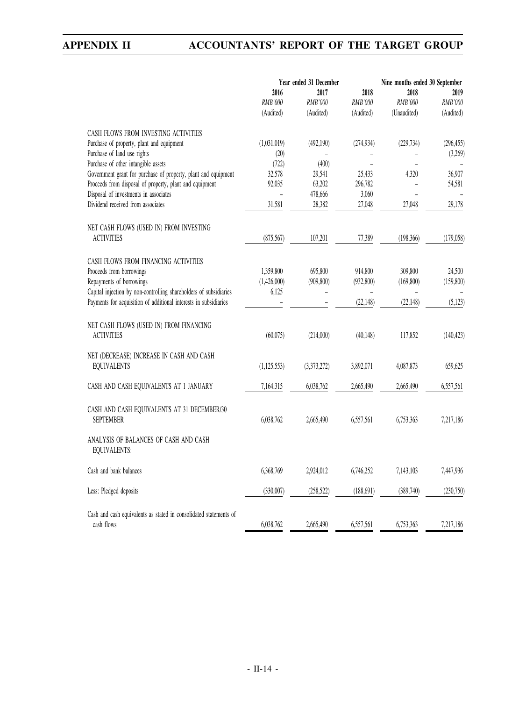|                                                                                   | Year ended 31 December              |                              |                                     | Nine months ended 30 September        |                              |  |
|-----------------------------------------------------------------------------------|-------------------------------------|------------------------------|-------------------------------------|---------------------------------------|------------------------------|--|
|                                                                                   | 2016<br><b>RMB'000</b><br>(Audited) | 2017<br>RMB'000<br>(Audited) | 2018<br><b>RMB'000</b><br>(Audited) | 2018<br><b>RMB'000</b><br>(Unaudited) | 2019<br>RMB'000<br>(Audited) |  |
|                                                                                   |                                     |                              |                                     |                                       |                              |  |
| CASH FLOWS FROM INVESTING ACTIVITIES<br>Purchase of property, plant and equipment | (1,031,019)                         | (492,190)                    | (274, 934)                          | (229, 734)                            | (296, 455)                   |  |
| Purchase of land use rights                                                       | (20)                                |                              |                                     |                                       | (3,269)                      |  |
| Purchase of other intangible assets                                               | (722)                               | (400)                        |                                     |                                       |                              |  |
| Government grant for purchase of property, plant and equipment                    | 32,578                              | 29,541                       | 25,433                              | 4,320                                 | 36,907                       |  |
| Proceeds from disposal of property, plant and equipment                           | 92,035                              | 63,202                       | 296,782                             |                                       | 54,581                       |  |
| Disposal of investments in associates                                             |                                     | 478,666                      | 3,060                               |                                       |                              |  |
| Dividend received from associates                                                 | 31,581                              | 28,382                       | 27,048                              | 27,048                                | 29,178                       |  |
| NET CASH FLOWS (USED IN) FROM INVESTING                                           |                                     |                              |                                     |                                       |                              |  |
| <b>ACTIVITIES</b>                                                                 | (875, 567)                          | 107,201                      | 77,389                              | (198, 366)                            | (179, 058)                   |  |
|                                                                                   |                                     |                              |                                     |                                       |                              |  |
| CASH FLOWS FROM FINANCING ACTIVITIES<br>Proceeds from borrowings                  |                                     | 695,800                      | 914,800                             | 309,800                               |                              |  |
| Repayments of borrowings                                                          | 1,359,800<br>(1,426,000)            | (909, 800)                   | (932,800)                           | (169, 800)                            | 24,500<br>(159, 800)         |  |
| Capital injection by non-controlling shareholders of subsidiaries                 | 6,125                               |                              |                                     |                                       |                              |  |
| Payments for acquisition of additional interests in subsidiaries                  |                                     |                              | (22, 148)                           | (22, 148)                             | (5, 123)                     |  |
|                                                                                   |                                     |                              |                                     |                                       |                              |  |
| NET CASH FLOWS (USED IN) FROM FINANCING<br><b>ACTIVITIES</b>                      | (60,075)                            | (214,000)                    | (40, 148)                           | 117,852                               | (140, 423)                   |  |
|                                                                                   |                                     |                              |                                     |                                       |                              |  |
| NET (DECREASE) INCREASE IN CASH AND CASH<br><b>EQUIVALENTS</b>                    | (1, 125, 553)                       | (3,373,272)                  | 3,892,071                           | 4,087,873                             | 659,625                      |  |
|                                                                                   |                                     |                              |                                     |                                       |                              |  |
| CASH AND CASH EQUIVALENTS AT 1 JANUARY                                            | 7,164,315                           | 6,038,762                    | 2,665,490                           | 2,665,490                             | 6,557,561                    |  |
| CASH AND CASH EQUIVALENTS AT 31 DECEMBER/30                                       |                                     |                              |                                     |                                       |                              |  |
| <b>SEPTEMBER</b>                                                                  | 6,038,762                           | 2,665,490                    | 6,557,561                           | 6,753,363                             | 7,217,186                    |  |
| ANALYSIS OF BALANCES OF CASH AND CASH                                             |                                     |                              |                                     |                                       |                              |  |
| EQUIVALENTS:                                                                      |                                     |                              |                                     |                                       |                              |  |
| Cash and bank balances                                                            | 6,368,769                           | 2,924,012                    | 6,746,252                           | 7,143,103                             | 7,447,936                    |  |
|                                                                                   |                                     |                              |                                     |                                       |                              |  |
| Less: Pledged deposits                                                            | (330,007)                           | (258, 522)                   | (188, 691)                          | (389,740)                             | (230,750)                    |  |
| Cash and cash equivalents as stated in consolidated statements of                 |                                     |                              |                                     |                                       |                              |  |
| cash flows                                                                        | 6,038,762                           | 2,665,490                    | 6,557,561                           | 6,753,363                             | 7,217,186                    |  |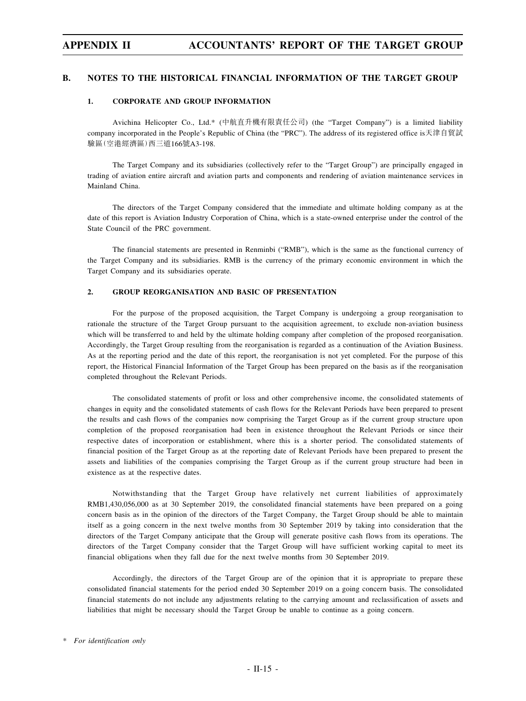#### **B. NOTES TO THE HISTORICAL FINANCIAL INFORMATION OF THE TARGET GROUP**

#### **1. CORPORATE AND GROUP INFORMATION**

Avichina Helicopter Co., Ltd.\* (中航直升機有限責任公司) (the "Target Company") is a limited liability company incorporated in the People's Republic of China (the "PRC"). The address of its registered office is天津自貿試 驗區(空港經濟區)西三道166號A3-198.

The Target Company and its subsidiaries (collectively refer to the "Target Group") are principally engaged in trading of aviation entire aircraft and aviation parts and components and rendering of aviation maintenance services in Mainland China.

The directors of the Target Company considered that the immediate and ultimate holding company as at the date of this report is Aviation Industry Corporation of China, which is a state-owned enterprise under the control of the State Council of the PRC government.

The financial statements are presented in Renminbi ("RMB"), which is the same as the functional currency of the Target Company and its subsidiaries. RMB is the currency of the primary economic environment in which the Target Company and its subsidiaries operate.

### **2. GROUP REORGANISATION AND BASIC OF PRESENTATION**

For the purpose of the proposed acquisition, the Target Company is undergoing a group reorganisation to rationale the structure of the Target Group pursuant to the acquisition agreement, to exclude non-aviation business which will be transferred to and held by the ultimate holding company after completion of the proposed reorganisation. Accordingly, the Target Group resulting from the reorganisation is regarded as a continuation of the Aviation Business. As at the reporting period and the date of this report, the reorganisation is not yet completed. For the purpose of this report, the Historical Financial Information of the Target Group has been prepared on the basis as if the reorganisation completed throughout the Relevant Periods.

The consolidated statements of profit or loss and other comprehensive income, the consolidated statements of changes in equity and the consolidated statements of cash flows for the Relevant Periods have been prepared to present the results and cash flows of the companies now comprising the Target Group as if the current group structure upon completion of the proposed reorganisation had been in existence throughout the Relevant Periods or since their respective dates of incorporation or establishment, where this is a shorter period. The consolidated statements of financial position of the Target Group as at the reporting date of Relevant Periods have been prepared to present the assets and liabilities of the companies comprising the Target Group as if the current group structure had been in existence as at the respective dates.

Notwithstanding that the Target Group have relatively net current liabilities of approximately RMB1,430,056,000 as at 30 September 2019, the consolidated financial statements have been prepared on a going concern basis as in the opinion of the directors of the Target Company, the Target Group should be able to maintain itself as a going concern in the next twelve months from 30 September 2019 by taking into consideration that the directors of the Target Company anticipate that the Group will generate positive cash flows from its operations. The directors of the Target Company consider that the Target Group will have sufficient working capital to meet its financial obligations when they fall due for the next twelve months from 30 September 2019.

Accordingly, the directors of the Target Group are of the opinion that it is appropriate to prepare these consolidated financial statements for the period ended 30 September 2019 on a going concern basis. The consolidated financial statements do not include any adjustments relating to the carrying amount and reclassification of assets and liabilities that might be necessary should the Target Group be unable to continue as a going concern.

*<sup>\*</sup> For identification only*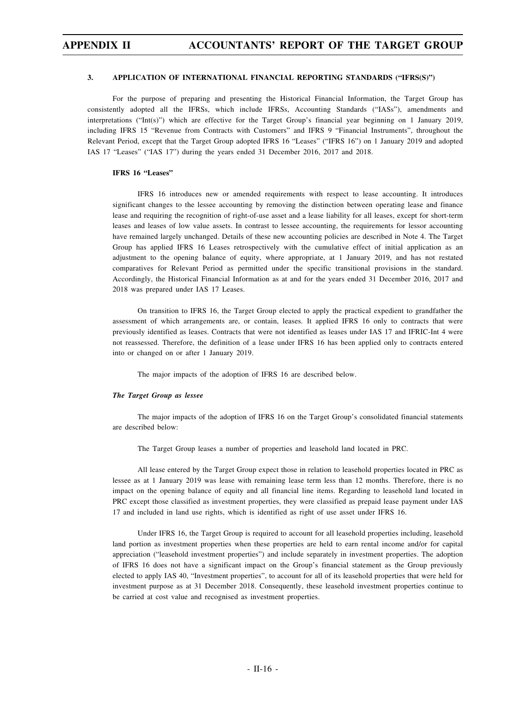#### **3. APPLICATION OF INTERNATIONAL FINANCIAL REPORTING STANDARDS ("IFRS(S)")**

For the purpose of preparing and presenting the Historical Financial Information, the Target Group has consistently adopted all the IFRSs, which include IFRSs, Accounting Standards ("IASs"), amendments and interpretations ("Int(s)") which are effective for the Target Group's financial year beginning on 1 January 2019, including IFRS 15 "Revenue from Contracts with Customers" and IFRS 9 "Financial Instruments", throughout the Relevant Period, except that the Target Group adopted IFRS 16 "Leases" ("IFRS 16") on 1 January 2019 and adopted IAS 17 "Leases" ("IAS 17") during the years ended 31 December 2016, 2017 and 2018.

#### **IFRS 16 "Leases"**

IFRS 16 introduces new or amended requirements with respect to lease accounting. It introduces significant changes to the lessee accounting by removing the distinction between operating lease and finance lease and requiring the recognition of right-of-use asset and a lease liability for all leases, except for short-term leases and leases of low value assets. In contrast to lessee accounting, the requirements for lessor accounting have remained largely unchanged. Details of these new accounting policies are described in Note 4. The Target Group has applied IFRS 16 Leases retrospectively with the cumulative effect of initial application as an adjustment to the opening balance of equity, where appropriate, at 1 January 2019, and has not restated comparatives for Relevant Period as permitted under the specific transitional provisions in the standard. Accordingly, the Historical Financial Information as at and for the years ended 31 December 2016, 2017 and 2018 was prepared under IAS 17 Leases.

On transition to IFRS 16, the Target Group elected to apply the practical expedient to grandfather the assessment of which arrangements are, or contain, leases. It applied IFRS 16 only to contracts that were previously identified as leases. Contracts that were not identified as leases under IAS 17 and IFRIC-Int 4 were not reassessed. Therefore, the definition of a lease under IFRS 16 has been applied only to contracts entered into or changed on or after 1 January 2019.

The major impacts of the adoption of IFRS 16 are described below.

#### *The Target Group as lessee*

The major impacts of the adoption of IFRS 16 on the Target Group's consolidated financial statements are described below:

The Target Group leases a number of properties and leasehold land located in PRC.

All lease entered by the Target Group expect those in relation to leasehold properties located in PRC as lessee as at 1 January 2019 was lease with remaining lease term less than 12 months. Therefore, there is no impact on the opening balance of equity and all financial line items. Regarding to leasehold land located in PRC except those classified as investment properties, they were classified as prepaid lease payment under IAS 17 and included in land use rights, which is identified as right of use asset under IFRS 16.

Under IFRS 16, the Target Group is required to account for all leasehold properties including, leasehold land portion as investment properties when these properties are held to earn rental income and/or for capital appreciation ("leasehold investment properties") and include separately in investment properties. The adoption of IFRS 16 does not have a significant impact on the Group's financial statement as the Group previously elected to apply IAS 40, "Investment properties", to account for all of its leasehold properties that were held for investment purpose as at 31 December 2018. Consequently, these leasehold investment properties continue to be carried at cost value and recognised as investment properties.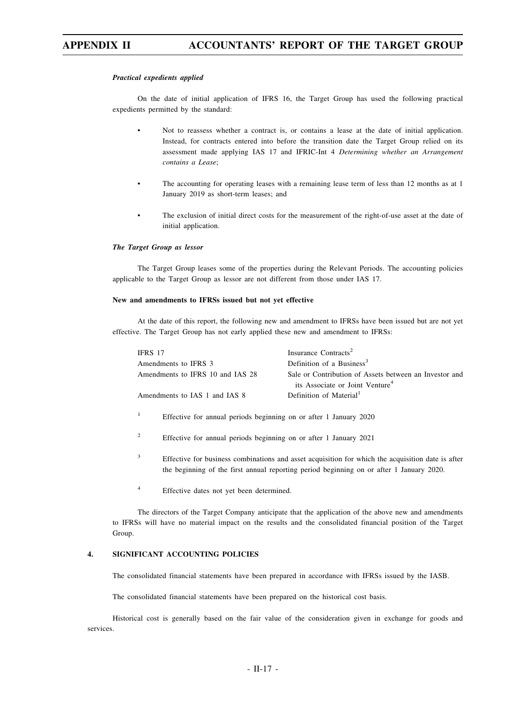#### *Practical expedients applied*

On the date of initial application of IFRS 16, the Target Group has used the following practical expedients permitted by the standard:

- Not to reassess whether a contract is, or contains a lease at the date of initial application. Instead, for contracts entered into before the transition date the Target Group relied on its assessment made applying IAS 17 and IFRIC-Int 4 *Determining whether an Arrangement contains a Lease*;
- The accounting for operating leases with a remaining lease term of less than 12 months as at 1 January 2019 as short-term leases; and
- The exclusion of initial direct costs for the measurement of the right-of-use asset at the date of initial application.

#### *The Target Group as lessor*

The Target Group leases some of the properties during the Relevant Periods. The accounting policies applicable to the Target Group as lessor are not different from those under IAS 17.

#### **New and amendments to IFRSs issued but not yet effective**

At the date of this report, the following new and amendment to IFRSs have been issued but are not yet effective. The Target Group has not early applied these new and amendment to IFRSs:

| IFRS 17                          | Insurance Contracts <sup>2</sup>                                                                      |
|----------------------------------|-------------------------------------------------------------------------------------------------------|
| Amendments to IFRS 3             | Definition of a Business <sup>3</sup>                                                                 |
| Amendments to IFRS 10 and IAS 28 | Sale or Contribution of Assets between an Investor and<br>its Associate or Joint Venture <sup>4</sup> |
| Amendments to IAS 1 and IAS 8    | Definition of Material <sup>1</sup>                                                                   |

- <sup>1</sup> Effective for annual periods beginning on or after 1 January 2020
- <sup>2</sup> Effective for annual periods beginning on or after 1 January 2021
- <sup>3</sup> Effective for business combinations and asset acquisition for which the acquisition date is after the beginning of the first annual reporting period beginning on or after 1 January 2020.
- <sup>4</sup> Effective dates not yet been determined.

The directors of the Target Company anticipate that the application of the above new and amendments to IFRSs will have no material impact on the results and the consolidated financial position of the Target Group.

### **4. SIGNIFICANT ACCOUNTING POLICIES**

The consolidated financial statements have been prepared in accordance with IFRSs issued by the IASB.

The consolidated financial statements have been prepared on the historical cost basis.

Historical cost is generally based on the fair value of the consideration given in exchange for goods and services.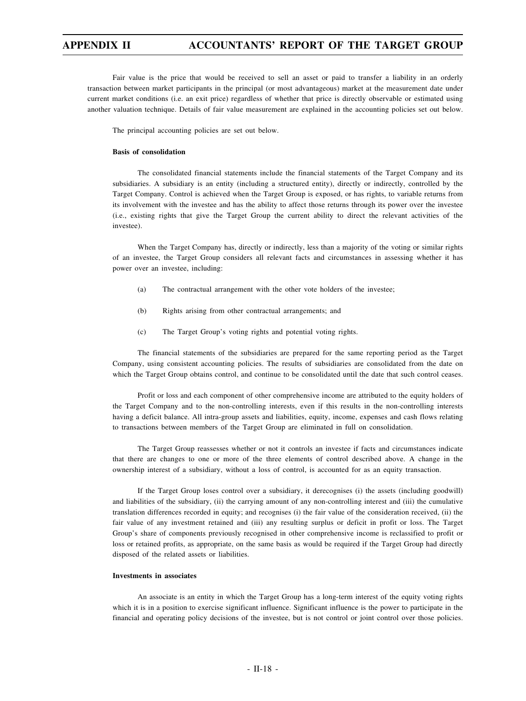Fair value is the price that would be received to sell an asset or paid to transfer a liability in an orderly transaction between market participants in the principal (or most advantageous) market at the measurement date under current market conditions (i.e. an exit price) regardless of whether that price is directly observable or estimated using another valuation technique. Details of fair value measurement are explained in the accounting policies set out below.

The principal accounting policies are set out below.

#### **Basis of consolidation**

The consolidated financial statements include the financial statements of the Target Company and its subsidiaries. A subsidiary is an entity (including a structured entity), directly or indirectly, controlled by the Target Company. Control is achieved when the Target Group is exposed, or has rights, to variable returns from its involvement with the investee and has the ability to affect those returns through its power over the investee (i.e., existing rights that give the Target Group the current ability to direct the relevant activities of the investee).

When the Target Company has, directly or indirectly, less than a majority of the voting or similar rights of an investee, the Target Group considers all relevant facts and circumstances in assessing whether it has power over an investee, including:

- (a) The contractual arrangement with the other vote holders of the investee;
- (b) Rights arising from other contractual arrangements; and
- (c) The Target Group's voting rights and potential voting rights.

The financial statements of the subsidiaries are prepared for the same reporting period as the Target Company, using consistent accounting policies. The results of subsidiaries are consolidated from the date on which the Target Group obtains control, and continue to be consolidated until the date that such control ceases.

Profit or loss and each component of other comprehensive income are attributed to the equity holders of the Target Company and to the non-controlling interests, even if this results in the non-controlling interests having a deficit balance. All intra-group assets and liabilities, equity, income, expenses and cash flows relating to transactions between members of the Target Group are eliminated in full on consolidation.

The Target Group reassesses whether or not it controls an investee if facts and circumstances indicate that there are changes to one or more of the three elements of control described above. A change in the ownership interest of a subsidiary, without a loss of control, is accounted for as an equity transaction.

If the Target Group loses control over a subsidiary, it derecognises (i) the assets (including goodwill) and liabilities of the subsidiary, (ii) the carrying amount of any non-controlling interest and (iii) the cumulative translation differences recorded in equity; and recognises (i) the fair value of the consideration received, (ii) the fair value of any investment retained and (iii) any resulting surplus or deficit in profit or loss. The Target Group's share of components previously recognised in other comprehensive income is reclassified to profit or loss or retained profits, as appropriate, on the same basis as would be required if the Target Group had directly disposed of the related assets or liabilities.

### **Investments in associates**

An associate is an entity in which the Target Group has a long-term interest of the equity voting rights which it is in a position to exercise significant influence. Significant influence is the power to participate in the financial and operating policy decisions of the investee, but is not control or joint control over those policies.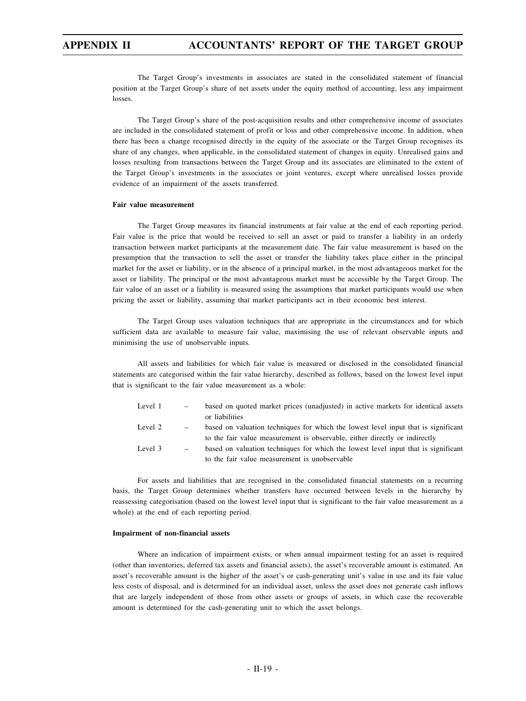The Target Group's investments in associates are stated in the consolidated statement of financial position at the Target Group's share of net assets under the equity method of accounting, less any impairment losses.

The Target Group's share of the post-acquisition results and other comprehensive income of associates are included in the consolidated statement of profit or loss and other comprehensive income. In addition, when there has been a change recognised directly in the equity of the associate or the Target Group recognises its share of any changes, when applicable, in the consolidated statement of changes in equity. Unrealised gains and losses resulting from transactions between the Target Group and its associates are eliminated to the extent of the Target Group's investments in the associates or joint ventures, except where unrealised losses provide evidence of an impairment of the assets transferred.

#### **Fair value measurement**

The Target Group measures its financial instruments at fair value at the end of each reporting period. Fair value is the price that would be received to sell an asset or paid to transfer a liability in an orderly transaction between market participants at the measurement date. The fair value measurement is based on the presumption that the transaction to sell the asset or transfer the liability takes place either in the principal market for the asset or liability, or in the absence of a principal market, in the most advantageous market for the asset or liability. The principal or the most advantageous market must be accessible by the Target Group. The fair value of an asset or a liability is measured using the assumptions that market participants would use when pricing the asset or liability, assuming that market participants act in their economic best interest.

The Target Group uses valuation techniques that are appropriate in the circumstances and for which sufficient data are available to measure fair value, maximising the use of relevant observable inputs and minimising the use of unobservable inputs.

All assets and liabilities for which fair value is measured or disclosed in the consolidated financial statements are categorised within the fair value hierarchy, described as follows, based on the lowest level input that is significant to the fair value measurement as a whole:

| Level 1 |     | based on quoted market prices (unadjusted) in active markets for identical assets  |
|---------|-----|------------------------------------------------------------------------------------|
|         |     | or liabilities                                                                     |
| Level 2 | $-$ | based on valuation techniques for which the lowest level input that is significant |
|         |     | to the fair value measurement is observable, either directly or indirectly         |
| Level 3 | $-$ | based on valuation techniques for which the lowest level input that is significant |
|         |     | to the fair value measurement is unobservable                                      |

For assets and liabilities that are recognised in the consolidated financial statements on a recurring basis, the Target Group determines whether transfers have occurred between levels in the hierarchy by reassessing categorisation (based on the lowest level input that is significant to the fair value measurement as a whole) at the end of each reporting period.

#### **Impairment of non-financial assets**

Where an indication of impairment exists, or when annual impairment testing for an asset is required (other than inventories, deferred tax assets and financial assets), the asset's recoverable amount is estimated. An asset's recoverable amount is the higher of the asset's or cash-generating unit's value in use and its fair value less costs of disposal, and is determined for an individual asset, unless the asset does not generate cash inflows that are largely independent of those from other assets or groups of assets, in which case the recoverable amount is determined for the cash-generating unit to which the asset belongs.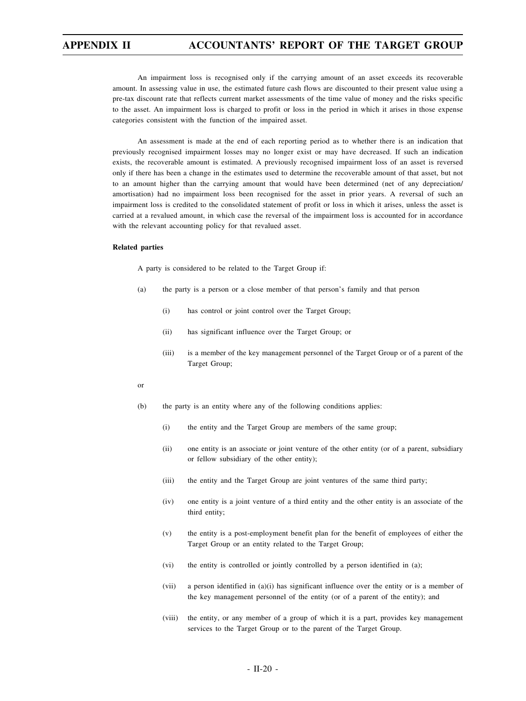An impairment loss is recognised only if the carrying amount of an asset exceeds its recoverable amount. In assessing value in use, the estimated future cash flows are discounted to their present value using a pre-tax discount rate that reflects current market assessments of the time value of money and the risks specific to the asset. An impairment loss is charged to profit or loss in the period in which it arises in those expense categories consistent with the function of the impaired asset.

An assessment is made at the end of each reporting period as to whether there is an indication that previously recognised impairment losses may no longer exist or may have decreased. If such an indication exists, the recoverable amount is estimated. A previously recognised impairment loss of an asset is reversed only if there has been a change in the estimates used to determine the recoverable amount of that asset, but not to an amount higher than the carrying amount that would have been determined (net of any depreciation/ amortisation) had no impairment loss been recognised for the asset in prior years. A reversal of such an impairment loss is credited to the consolidated statement of profit or loss in which it arises, unless the asset is carried at a revalued amount, in which case the reversal of the impairment loss is accounted for in accordance with the relevant accounting policy for that revalued asset.

#### **Related parties**

A party is considered to be related to the Target Group if:

- (a) the party is a person or a close member of that person's family and that person
	- (i) has control or joint control over the Target Group;
	- (ii) has significant influence over the Target Group; or
	- (iii) is a member of the key management personnel of the Target Group or of a parent of the Target Group;
- or
- (b) the party is an entity where any of the following conditions applies:
	- (i) the entity and the Target Group are members of the same group;
	- (ii) one entity is an associate or joint venture of the other entity (or of a parent, subsidiary or fellow subsidiary of the other entity);
	- (iii) the entity and the Target Group are joint ventures of the same third party;
	- (iv) one entity is a joint venture of a third entity and the other entity is an associate of the third entity;
	- (v) the entity is a post-employment benefit plan for the benefit of employees of either the Target Group or an entity related to the Target Group;
	- (vi) the entity is controlled or jointly controlled by a person identified in (a);
	- (vii) a person identified in (a)(i) has significant influence over the entity or is a member of the key management personnel of the entity (or of a parent of the entity); and
	- (viii) the entity, or any member of a group of which it is a part, provides key management services to the Target Group or to the parent of the Target Group.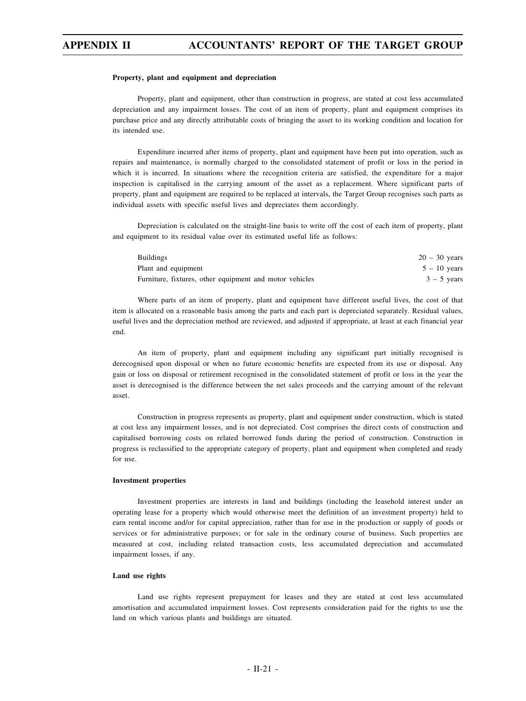#### **Property, plant and equipment and depreciation**

Property, plant and equipment, other than construction in progress, are stated at cost less accumulated depreciation and any impairment losses. The cost of an item of property, plant and equipment comprises its purchase price and any directly attributable costs of bringing the asset to its working condition and location for its intended use.

Expenditure incurred after items of property, plant and equipment have been put into operation, such as repairs and maintenance, is normally charged to the consolidated statement of profit or loss in the period in which it is incurred. In situations where the recognition criteria are satisfied, the expenditure for a major inspection is capitalised in the carrying amount of the asset as a replacement. Where significant parts of property, plant and equipment are required to be replaced at intervals, the Target Group recognises such parts as individual assets with specific useful lives and depreciates them accordingly.

Depreciation is calculated on the straight-line basis to write off the cost of each item of property, plant and equipment to its residual value over its estimated useful life as follows:

| <b>Buildings</b>                                        | $20 - 30$ years |
|---------------------------------------------------------|-----------------|
| Plant and equipment                                     | $5 - 10$ vears  |
| Furniture, fixtures, other equipment and motor vehicles | $3 - 5$ vears   |

Where parts of an item of property, plant and equipment have different useful lives, the cost of that item is allocated on a reasonable basis among the parts and each part is depreciated separately. Residual values, useful lives and the depreciation method are reviewed, and adjusted if appropriate, at least at each financial year end.

An item of property, plant and equipment including any significant part initially recognised is derecognised upon disposal or when no future economic benefits are expected from its use or disposal. Any gain or loss on disposal or retirement recognised in the consolidated statement of profit or loss in the year the asset is derecognised is the difference between the net sales proceeds and the carrying amount of the relevant asset.

Construction in progress represents as property, plant and equipment under construction, which is stated at cost less any impairment losses, and is not depreciated. Cost comprises the direct costs of construction and capitalised borrowing costs on related borrowed funds during the period of construction. Construction in progress is reclassified to the appropriate category of property, plant and equipment when completed and ready for use.

#### **Investment properties**

Investment properties are interests in land and buildings (including the leasehold interest under an operating lease for a property which would otherwise meet the definition of an investment property) held to earn rental income and/or for capital appreciation, rather than for use in the production or supply of goods or services or for administrative purposes; or for sale in the ordinary course of business. Such properties are measured at cost, including related transaction costs, less accumulated depreciation and accumulated impairment losses, if any.

#### **Land use rights**

Land use rights represent prepayment for leases and they are stated at cost less accumulated amortisation and accumulated impairment losses. Cost represents consideration paid for the rights to use the land on which various plants and buildings are situated.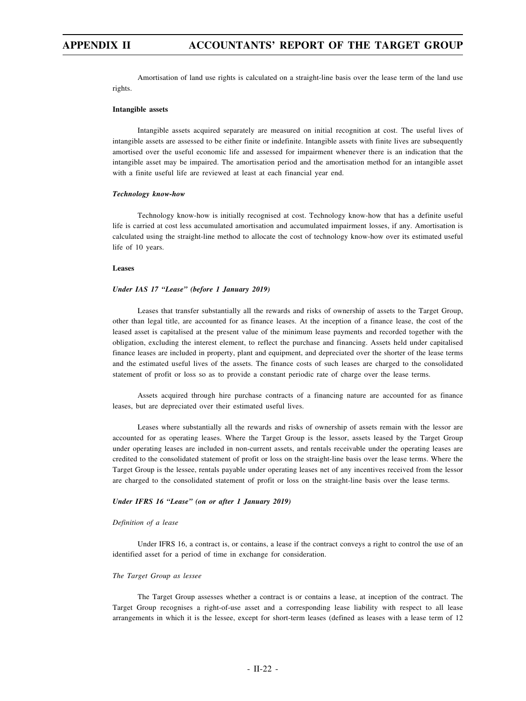Amortisation of land use rights is calculated on a straight-line basis over the lease term of the land use rights.

#### **Intangible assets**

Intangible assets acquired separately are measured on initial recognition at cost. The useful lives of intangible assets are assessed to be either finite or indefinite. Intangible assets with finite lives are subsequently amortised over the useful economic life and assessed for impairment whenever there is an indication that the intangible asset may be impaired. The amortisation period and the amortisation method for an intangible asset with a finite useful life are reviewed at least at each financial year end.

#### *Technology know-how*

Technology know-how is initially recognised at cost. Technology know-how that has a definite useful life is carried at cost less accumulated amortisation and accumulated impairment losses, if any. Amortisation is calculated using the straight-line method to allocate the cost of technology know-how over its estimated useful life of 10 years.

#### **Leases**

#### *Under IAS 17 "Lease" (before 1 January 2019)*

Leases that transfer substantially all the rewards and risks of ownership of assets to the Target Group, other than legal title, are accounted for as finance leases. At the inception of a finance lease, the cost of the leased asset is capitalised at the present value of the minimum lease payments and recorded together with the obligation, excluding the interest element, to reflect the purchase and financing. Assets held under capitalised finance leases are included in property, plant and equipment, and depreciated over the shorter of the lease terms and the estimated useful lives of the assets. The finance costs of such leases are charged to the consolidated statement of profit or loss so as to provide a constant periodic rate of charge over the lease terms.

Assets acquired through hire purchase contracts of a financing nature are accounted for as finance leases, but are depreciated over their estimated useful lives.

Leases where substantially all the rewards and risks of ownership of assets remain with the lessor are accounted for as operating leases. Where the Target Group is the lessor, assets leased by the Target Group under operating leases are included in non-current assets, and rentals receivable under the operating leases are credited to the consolidated statement of profit or loss on the straight-line basis over the lease terms. Where the Target Group is the lessee, rentals payable under operating leases net of any incentives received from the lessor are charged to the consolidated statement of profit or loss on the straight-line basis over the lease terms.

#### *Under IFRS 16 "Lease" (on or after 1 January 2019)*

#### *Definition of a lease*

Under IFRS 16, a contract is, or contains, a lease if the contract conveys a right to control the use of an identified asset for a period of time in exchange for consideration.

#### *The Target Group as lessee*

The Target Group assesses whether a contract is or contains a lease, at inception of the contract. The Target Group recognises a right-of-use asset and a corresponding lease liability with respect to all lease arrangements in which it is the lessee, except for short-term leases (defined as leases with a lease term of 12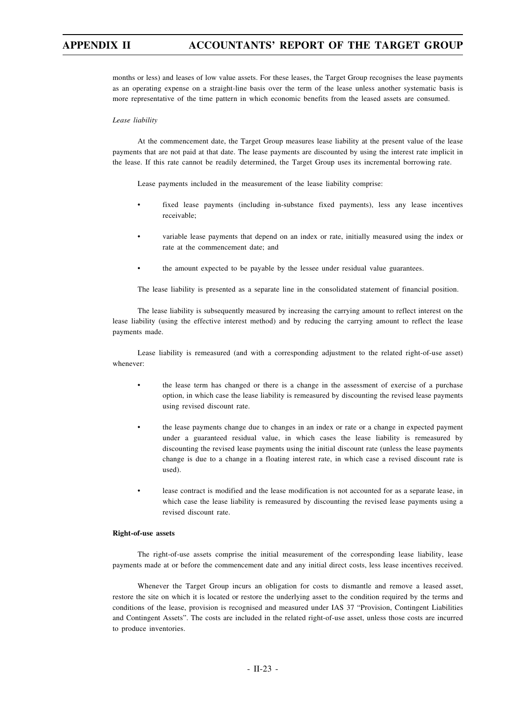months or less) and leases of low value assets. For these leases, the Target Group recognises the lease payments as an operating expense on a straight-line basis over the term of the lease unless another systematic basis is more representative of the time pattern in which economic benefits from the leased assets are consumed.

#### *Lease liability*

At the commencement date, the Target Group measures lease liability at the present value of the lease payments that are not paid at that date. The lease payments are discounted by using the interest rate implicit in the lease. If this rate cannot be readily determined, the Target Group uses its incremental borrowing rate.

Lease payments included in the measurement of the lease liability comprise:

- fixed lease payments (including in-substance fixed payments), less any lease incentives receivable;
- variable lease payments that depend on an index or rate, initially measured using the index or rate at the commencement date; and
- the amount expected to be payable by the lessee under residual value guarantees.

The lease liability is presented as a separate line in the consolidated statement of financial position.

The lease liability is subsequently measured by increasing the carrying amount to reflect interest on the lease liability (using the effective interest method) and by reducing the carrying amount to reflect the lease payments made.

Lease liability is remeasured (and with a corresponding adjustment to the related right-of-use asset) whenever:

- the lease term has changed or there is a change in the assessment of exercise of a purchase option, in which case the lease liability is remeasured by discounting the revised lease payments using revised discount rate.
- the lease payments change due to changes in an index or rate or a change in expected payment under a guaranteed residual value, in which cases the lease liability is remeasured by discounting the revised lease payments using the initial discount rate (unless the lease payments change is due to a change in a floating interest rate, in which case a revised discount rate is used).
- lease contract is modified and the lease modification is not accounted for as a separate lease, in which case the lease liability is remeasured by discounting the revised lease payments using a revised discount rate.

#### **Right-of-use assets**

The right-of-use assets comprise the initial measurement of the corresponding lease liability, lease payments made at or before the commencement date and any initial direct costs, less lease incentives received.

Whenever the Target Group incurs an obligation for costs to dismantle and remove a leased asset, restore the site on which it is located or restore the underlying asset to the condition required by the terms and conditions of the lease, provision is recognised and measured under IAS 37 "Provision, Contingent Liabilities and Contingent Assets". The costs are included in the related right-of-use asset, unless those costs are incurred to produce inventories.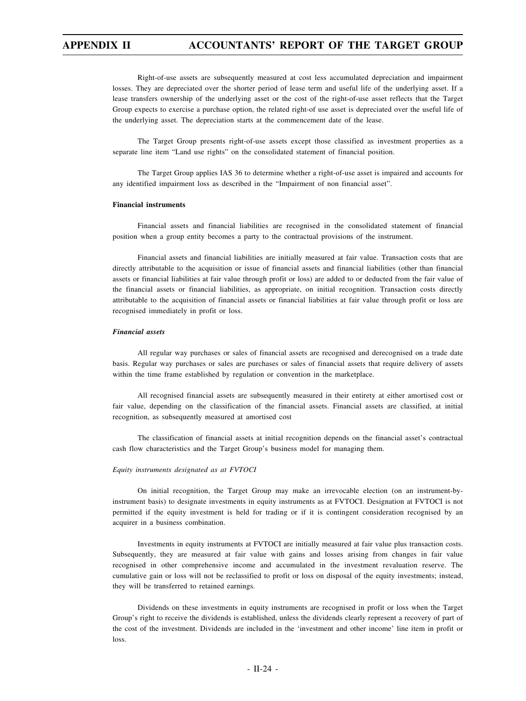Right-of-use assets are subsequently measured at cost less accumulated depreciation and impairment losses. They are depreciated over the shorter period of lease term and useful life of the underlying asset. If a lease transfers ownership of the underlying asset or the cost of the right-of-use asset reflects that the Target Group expects to exercise a purchase option, the related right-of use asset is depreciated over the useful life of the underlying asset. The depreciation starts at the commencement date of the lease.

The Target Group presents right-of-use assets except those classified as investment properties as a separate line item "Land use rights" on the consolidated statement of financial position.

The Target Group applies IAS 36 to determine whether a right-of-use asset is impaired and accounts for any identified impairment loss as described in the "Impairment of non financial asset".

#### **Financial instruments**

Financial assets and financial liabilities are recognised in the consolidated statement of financial position when a group entity becomes a party to the contractual provisions of the instrument.

Financial assets and financial liabilities are initially measured at fair value. Transaction costs that are directly attributable to the acquisition or issue of financial assets and financial liabilities (other than financial assets or financial liabilities at fair value through profit or loss) are added to or deducted from the fair value of the financial assets or financial liabilities, as appropriate, on initial recognition. Transaction costs directly attributable to the acquisition of financial assets or financial liabilities at fair value through profit or loss are recognised immediately in profit or loss.

#### *Financial assets*

All regular way purchases or sales of financial assets are recognised and derecognised on a trade date basis. Regular way purchases or sales are purchases or sales of financial assets that require delivery of assets within the time frame established by regulation or convention in the marketplace.

All recognised financial assets are subsequently measured in their entirety at either amortised cost or fair value, depending on the classification of the financial assets. Financial assets are classified, at initial recognition, as subsequently measured at amortised cost

The classification of financial assets at initial recognition depends on the financial asset's contractual cash flow characteristics and the Target Group's business model for managing them.

#### *Equity instruments designated as at FVTOCI*

On initial recognition, the Target Group may make an irrevocable election (on an instrument-byinstrument basis) to designate investments in equity instruments as at FVTOCI. Designation at FVTOCI is not permitted if the equity investment is held for trading or if it is contingent consideration recognised by an acquirer in a business combination.

Investments in equity instruments at FVTOCI are initially measured at fair value plus transaction costs. Subsequently, they are measured at fair value with gains and losses arising from changes in fair value recognised in other comprehensive income and accumulated in the investment revaluation reserve. The cumulative gain or loss will not be reclassified to profit or loss on disposal of the equity investments; instead, they will be transferred to retained earnings.

Dividends on these investments in equity instruments are recognised in profit or loss when the Target Group's right to receive the dividends is established, unless the dividends clearly represent a recovery of part of the cost of the investment. Dividends are included in the 'investment and other income' line item in profit or loss.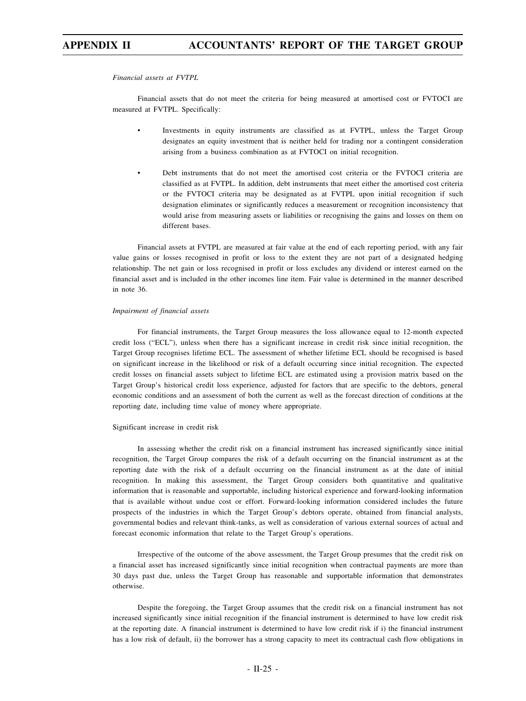*Financial assets at FVTPL*

Financial assets that do not meet the criteria for being measured at amortised cost or FVTOCI are measured at FVTPL. Specifically:

- Investments in equity instruments are classified as at FVTPL, unless the Target Group designates an equity investment that is neither held for trading nor a contingent consideration arising from a business combination as at FVTOCI on initial recognition.
- Debt instruments that do not meet the amortised cost criteria or the FVTOCI criteria are classified as at FVTPL. In addition, debt instruments that meet either the amortised cost criteria or the FVTOCI criteria may be designated as at FVTPL upon initial recognition if such designation eliminates or significantly reduces a measurement or recognition inconsistency that would arise from measuring assets or liabilities or recognising the gains and losses on them on different bases.

Financial assets at FVTPL are measured at fair value at the end of each reporting period, with any fair value gains or losses recognised in profit or loss to the extent they are not part of a designated hedging relationship. The net gain or loss recognised in profit or loss excludes any dividend or interest earned on the financial asset and is included in the other incomes line item. Fair value is determined in the manner described in note 36.

#### *Impairment of financial assets*

For financial instruments, the Target Group measures the loss allowance equal to 12-month expected credit loss ("ECL"), unless when there has a significant increase in credit risk since initial recognition, the Target Group recognises lifetime ECL. The assessment of whether lifetime ECL should be recognised is based on significant increase in the likelihood or risk of a default occurring since initial recognition. The expected credit losses on financial assets subject to lifetime ECL are estimated using a provision matrix based on the Target Group's historical credit loss experience, adjusted for factors that are specific to the debtors, general economic conditions and an assessment of both the current as well as the forecast direction of conditions at the reporting date, including time value of money where appropriate.

#### Significant increase in credit risk

In assessing whether the credit risk on a financial instrument has increased significantly since initial recognition, the Target Group compares the risk of a default occurring on the financial instrument as at the reporting date with the risk of a default occurring on the financial instrument as at the date of initial recognition. In making this assessment, the Target Group considers both quantitative and qualitative information that is reasonable and supportable, including historical experience and forward-looking information that is available without undue cost or effort. Forward-looking information considered includes the future prospects of the industries in which the Target Group's debtors operate, obtained from financial analysts, governmental bodies and relevant think-tanks, as well as consideration of various external sources of actual and forecast economic information that relate to the Target Group's operations.

Irrespective of the outcome of the above assessment, the Target Group presumes that the credit risk on a financial asset has increased significantly since initial recognition when contractual payments are more than 30 days past due, unless the Target Group has reasonable and supportable information that demonstrates otherwise.

Despite the foregoing, the Target Group assumes that the credit risk on a financial instrument has not increased significantly since initial recognition if the financial instrument is determined to have low credit risk at the reporting date. A financial instrument is determined to have low credit risk if i) the financial instrument has a low risk of default, ii) the borrower has a strong capacity to meet its contractual cash flow obligations in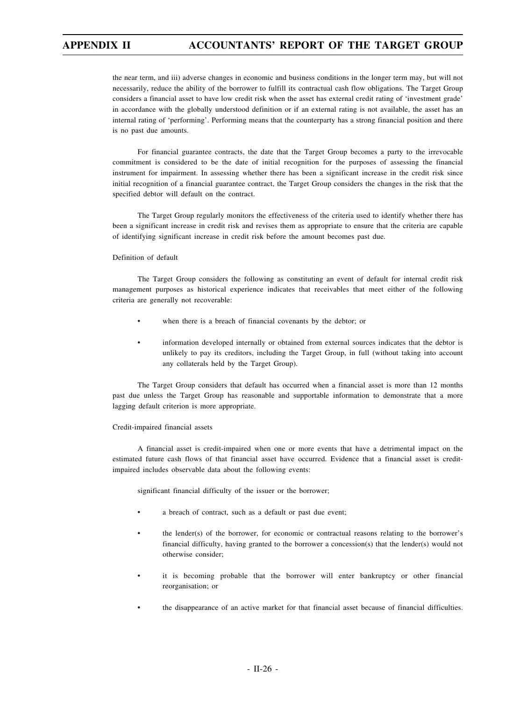the near term, and iii) adverse changes in economic and business conditions in the longer term may, but will not necessarily, reduce the ability of the borrower to fulfill its contractual cash flow obligations. The Target Group considers a financial asset to have low credit risk when the asset has external credit rating of 'investment grade' in accordance with the globally understood definition or if an external rating is not available, the asset has an internal rating of 'performing'. Performing means that the counterparty has a strong financial position and there is no past due amounts.

For financial guarantee contracts, the date that the Target Group becomes a party to the irrevocable commitment is considered to be the date of initial recognition for the purposes of assessing the financial instrument for impairment. In assessing whether there has been a significant increase in the credit risk since initial recognition of a financial guarantee contract, the Target Group considers the changes in the risk that the specified debtor will default on the contract.

The Target Group regularly monitors the effectiveness of the criteria used to identify whether there has been a significant increase in credit risk and revises them as appropriate to ensure that the criteria are capable of identifying significant increase in credit risk before the amount becomes past due.

#### Definition of default

The Target Group considers the following as constituting an event of default for internal credit risk management purposes as historical experience indicates that receivables that meet either of the following criteria are generally not recoverable:

- when there is a breach of financial covenants by the debtor; or
- information developed internally or obtained from external sources indicates that the debtor is unlikely to pay its creditors, including the Target Group, in full (without taking into account any collaterals held by the Target Group).

The Target Group considers that default has occurred when a financial asset is more than 12 months past due unless the Target Group has reasonable and supportable information to demonstrate that a more lagging default criterion is more appropriate.

#### Credit-impaired financial assets

A financial asset is credit-impaired when one or more events that have a detrimental impact on the estimated future cash flows of that financial asset have occurred. Evidence that a financial asset is creditimpaired includes observable data about the following events:

significant financial difficulty of the issuer or the borrower;

- a breach of contract, such as a default or past due event;
- the lender(s) of the borrower, for economic or contractual reasons relating to the borrower's financial difficulty, having granted to the borrower a concession(s) that the lender(s) would not otherwise consider;
- it is becoming probable that the borrower will enter bankruptcy or other financial reorganisation; or
- the disappearance of an active market for that financial asset because of financial difficulties.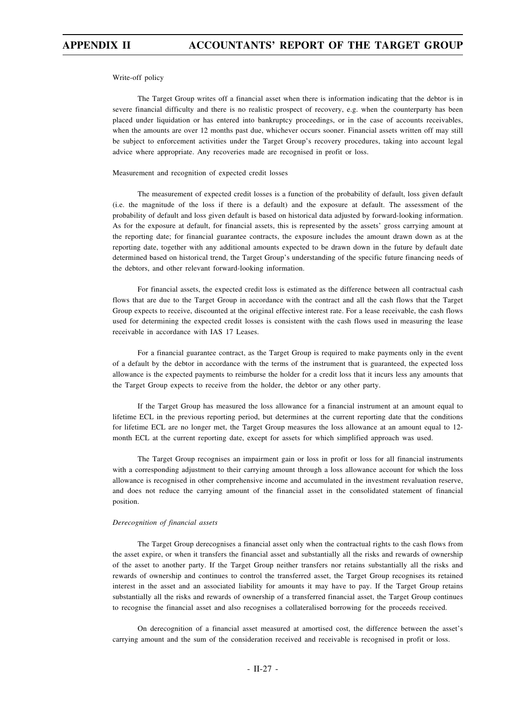Write-off policy

The Target Group writes off a financial asset when there is information indicating that the debtor is in severe financial difficulty and there is no realistic prospect of recovery, e.g. when the counterparty has been placed under liquidation or has entered into bankruptcy proceedings, or in the case of accounts receivables, when the amounts are over 12 months past due, whichever occurs sooner. Financial assets written off may still be subject to enforcement activities under the Target Group's recovery procedures, taking into account legal advice where appropriate. Any recoveries made are recognised in profit or loss.

#### Measurement and recognition of expected credit losses

The measurement of expected credit losses is a function of the probability of default, loss given default (i.e. the magnitude of the loss if there is a default) and the exposure at default. The assessment of the probability of default and loss given default is based on historical data adjusted by forward-looking information. As for the exposure at default, for financial assets, this is represented by the assets' gross carrying amount at the reporting date; for financial guarantee contracts, the exposure includes the amount drawn down as at the reporting date, together with any additional amounts expected to be drawn down in the future by default date determined based on historical trend, the Target Group's understanding of the specific future financing needs of the debtors, and other relevant forward-looking information.

For financial assets, the expected credit loss is estimated as the difference between all contractual cash flows that are due to the Target Group in accordance with the contract and all the cash flows that the Target Group expects to receive, discounted at the original effective interest rate. For a lease receivable, the cash flows used for determining the expected credit losses is consistent with the cash flows used in measuring the lease receivable in accordance with IAS 17 Leases.

For a financial guarantee contract, as the Target Group is required to make payments only in the event of a default by the debtor in accordance with the terms of the instrument that is guaranteed, the expected loss allowance is the expected payments to reimburse the holder for a credit loss that it incurs less any amounts that the Target Group expects to receive from the holder, the debtor or any other party.

If the Target Group has measured the loss allowance for a financial instrument at an amount equal to lifetime ECL in the previous reporting period, but determines at the current reporting date that the conditions for lifetime ECL are no longer met, the Target Group measures the loss allowance at an amount equal to 12 month ECL at the current reporting date, except for assets for which simplified approach was used.

The Target Group recognises an impairment gain or loss in profit or loss for all financial instruments with a corresponding adjustment to their carrying amount through a loss allowance account for which the loss allowance is recognised in other comprehensive income and accumulated in the investment revaluation reserve, and does not reduce the carrying amount of the financial asset in the consolidated statement of financial position.

#### *Derecognition of financial assets*

The Target Group derecognises a financial asset only when the contractual rights to the cash flows from the asset expire, or when it transfers the financial asset and substantially all the risks and rewards of ownership of the asset to another party. If the Target Group neither transfers nor retains substantially all the risks and rewards of ownership and continues to control the transferred asset, the Target Group recognises its retained interest in the asset and an associated liability for amounts it may have to pay. If the Target Group retains substantially all the risks and rewards of ownership of a transferred financial asset, the Target Group continues to recognise the financial asset and also recognises a collateralised borrowing for the proceeds received.

On derecognition of a financial asset measured at amortised cost, the difference between the asset's carrying amount and the sum of the consideration received and receivable is recognised in profit or loss.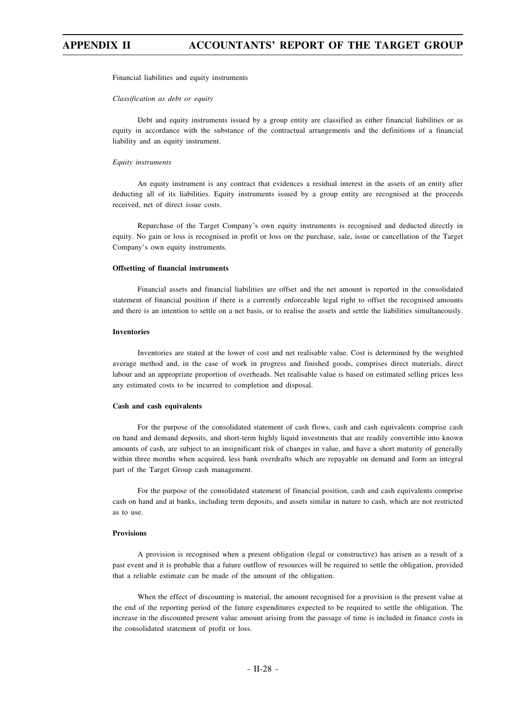Financial liabilities and equity instruments

#### *Classification as debt or equity*

Debt and equity instruments issued by a group entity are classified as either financial liabilities or as equity in accordance with the substance of the contractual arrangements and the definitions of a financial liability and an equity instrument.

#### *Equity instruments*

An equity instrument is any contract that evidences a residual interest in the assets of an entity after deducting all of its liabilities. Equity instruments issued by a group entity are recognised at the proceeds received, net of direct issue costs.

Repurchase of the Target Company's own equity instruments is recognised and deducted directly in equity. No gain or loss is recognised in profit or loss on the purchase, sale, issue or cancellation of the Target Company's own equity instruments.

#### **Offsetting of financial instruments**

Financial assets and financial liabilities are offset and the net amount is reported in the consolidated statement of financial position if there is a currently enforceable legal right to offset the recognised amounts and there is an intention to settle on a net basis, or to realise the assets and settle the liabilities simultaneously.

#### **Inventories**

Inventories are stated at the lower of cost and net realisable value. Cost is determined by the weighted average method and, in the case of work in progress and finished goods, comprises direct materials, direct labour and an appropriate proportion of overheads. Net realisable value is based on estimated selling prices less any estimated costs to be incurred to completion and disposal.

#### **Cash and cash equivalents**

For the purpose of the consolidated statement of cash flows, cash and cash equivalents comprise cash on hand and demand deposits, and short-term highly liquid investments that are readily convertible into known amounts of cash, are subject to an insignificant risk of changes in value, and have a short maturity of generally within three months when acquired, less bank overdrafts which are repayable on demand and form an integral part of the Target Group cash management.

For the purpose of the consolidated statement of financial position, cash and cash equivalents comprise cash on hand and at banks, including term deposits, and assets similar in nature to cash, which are not restricted as to use.

### **Provisions**

A provision is recognised when a present obligation (legal or constructive) has arisen as a result of a past event and it is probable that a future outflow of resources will be required to settle the obligation, provided that a reliable estimate can be made of the amount of the obligation.

When the effect of discounting is material, the amount recognised for a provision is the present value at the end of the reporting period of the future expenditures expected to be required to settle the obligation. The increase in the discounted present value amount arising from the passage of time is included in finance costs in the consolidated statement of profit or loss.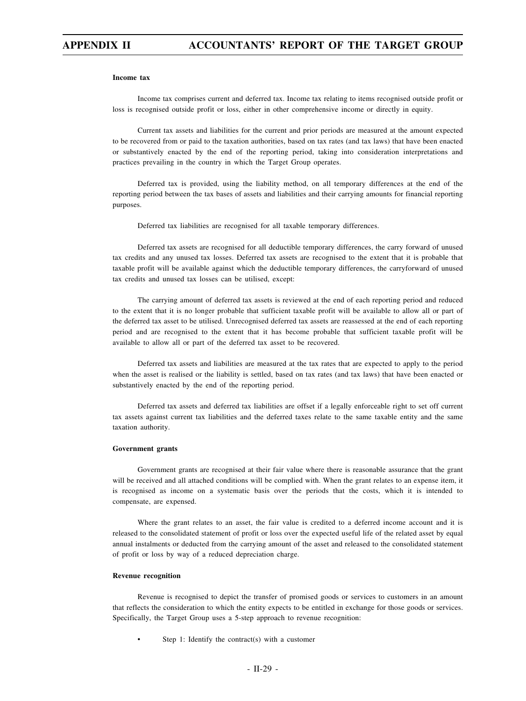#### **Income tax**

Income tax comprises current and deferred tax. Income tax relating to items recognised outside profit or loss is recognised outside profit or loss, either in other comprehensive income or directly in equity.

Current tax assets and liabilities for the current and prior periods are measured at the amount expected to be recovered from or paid to the taxation authorities, based on tax rates (and tax laws) that have been enacted or substantively enacted by the end of the reporting period, taking into consideration interpretations and practices prevailing in the country in which the Target Group operates.

Deferred tax is provided, using the liability method, on all temporary differences at the end of the reporting period between the tax bases of assets and liabilities and their carrying amounts for financial reporting purposes.

Deferred tax liabilities are recognised for all taxable temporary differences.

Deferred tax assets are recognised for all deductible temporary differences, the carry forward of unused tax credits and any unused tax losses. Deferred tax assets are recognised to the extent that it is probable that taxable profit will be available against which the deductible temporary differences, the carryforward of unused tax credits and unused tax losses can be utilised, except:

The carrying amount of deferred tax assets is reviewed at the end of each reporting period and reduced to the extent that it is no longer probable that sufficient taxable profit will be available to allow all or part of the deferred tax asset to be utilised. Unrecognised deferred tax assets are reassessed at the end of each reporting period and are recognised to the extent that it has become probable that sufficient taxable profit will be available to allow all or part of the deferred tax asset to be recovered.

Deferred tax assets and liabilities are measured at the tax rates that are expected to apply to the period when the asset is realised or the liability is settled, based on tax rates (and tax laws) that have been enacted or substantively enacted by the end of the reporting period.

Deferred tax assets and deferred tax liabilities are offset if a legally enforceable right to set off current tax assets against current tax liabilities and the deferred taxes relate to the same taxable entity and the same taxation authority.

#### **Government grants**

Government grants are recognised at their fair value where there is reasonable assurance that the grant will be received and all attached conditions will be complied with. When the grant relates to an expense item, it is recognised as income on a systematic basis over the periods that the costs, which it is intended to compensate, are expensed.

Where the grant relates to an asset, the fair value is credited to a deferred income account and it is released to the consolidated statement of profit or loss over the expected useful life of the related asset by equal annual instalments or deducted from the carrying amount of the asset and released to the consolidated statement of profit or loss by way of a reduced depreciation charge.

### **Revenue recognition**

Revenue is recognised to depict the transfer of promised goods or services to customers in an amount that reflects the consideration to which the entity expects to be entitled in exchange for those goods or services. Specifically, the Target Group uses a 5-step approach to revenue recognition:

Step 1: Identify the contract(s) with a customer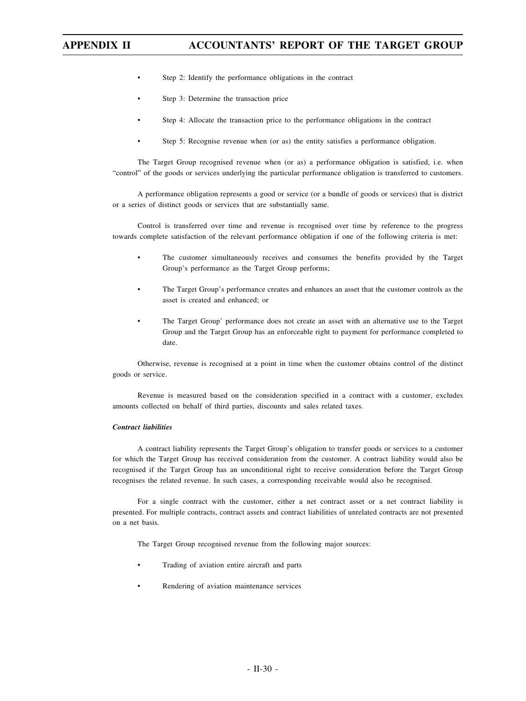- Step 2: Identify the performance obligations in the contract
- Step 3: Determine the transaction price
- Step 4: Allocate the transaction price to the performance obligations in the contract
- Step 5: Recognise revenue when (or as) the entity satisfies a performance obligation.

The Target Group recognised revenue when (or as) a performance obligation is satisfied, i.e. when "control" of the goods or services underlying the particular performance obligation is transferred to customers.

A performance obligation represents a good or service (or a bundle of goods or services) that is district or a series of distinct goods or services that are substantially same.

Control is transferred over time and revenue is recognised over time by reference to the progress towards complete satisfaction of the relevant performance obligation if one of the following criteria is met:

- The customer simultaneously receives and consumes the benefits provided by the Target Group's performance as the Target Group performs;
- The Target Group's performance creates and enhances an asset that the customer controls as the asset is created and enhanced; or
- The Target Group' performance does not create an asset with an alternative use to the Target Group and the Target Group has an enforceable right to payment for performance completed to date.

Otherwise, revenue is recognised at a point in time when the customer obtains control of the distinct goods or service.

Revenue is measured based on the consideration specified in a contract with a customer, excludes amounts collected on behalf of third parties, discounts and sales related taxes.

#### *Contract liabilities*

A contract liability represents the Target Group's obligation to transfer goods or services to a customer for which the Target Group has received consideration from the customer. A contract liability would also be recognised if the Target Group has an unconditional right to receive consideration before the Target Group recognises the related revenue. In such cases, a corresponding receivable would also be recognised.

For a single contract with the customer, either a net contract asset or a net contract liability is presented. For multiple contracts, contract assets and contract liabilities of unrelated contracts are not presented on a net basis.

The Target Group recognised revenue from the following major sources:

- Trading of aviation entire aircraft and parts
- Rendering of aviation maintenance services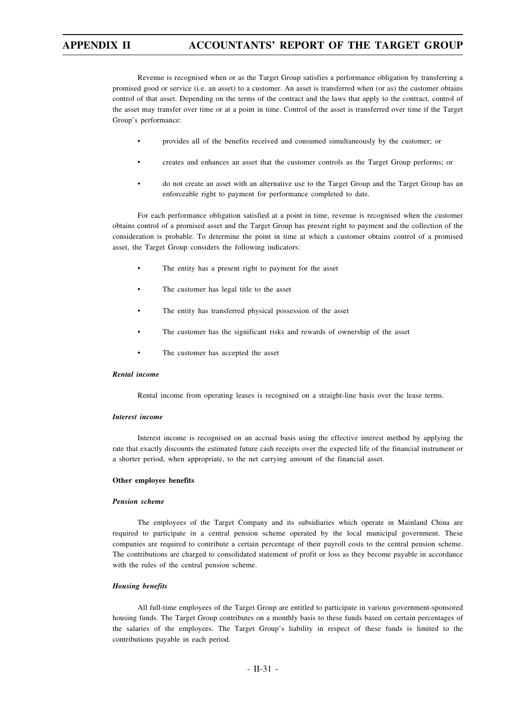Revenue is recognised when or as the Target Group satisfies a performance obligation by transferring a promised good or service (i.e. an asset) to a customer. An asset is transferred when (or as) the customer obtains control of that asset. Depending on the terms of the contract and the laws that apply to the contract, control of the asset may transfer over time or at a point in time. Control of the asset is transferred over time if the Target Group's performance:

- provides all of the benefits received and consumed simultaneously by the customer; or
- creates and enhances an asset that the customer controls as the Target Group performs; or
- do not create an asset with an alternative use to the Target Group and the Target Group has an enforceable right to payment for performance completed to date.

For each performance obligation satisfied at a point in time, revenue is recognised when the customer obtains control of a promised asset and the Target Group has present right to payment and the collection of the consideration is probable. To determine the point in time at which a customer obtains control of a promised asset, the Target Group considers the following indicators:

- The entity has a present right to payment for the asset
- The customer has legal title to the asset
- The entity has transferred physical possession of the asset
- The customer has the significant risks and rewards of ownership of the asset
- The customer has accepted the asset

### *Rental income*

Rental income from operating leases is recognised on a straight-line basis over the lease terms.

#### *Interest income*

Interest income is recognised on an accrual basis using the effective interest method by applying the rate that exactly discounts the estimated future cash receipts over the expected life of the financial instrument or a shorter period, when appropriate, to the net carrying amount of the financial asset.

#### **Other employee benefits**

#### *Pension scheme*

The employees of the Target Company and its subsidiaries which operate in Mainland China are required to participate in a central pension scheme operated by the local municipal government. These companies are required to contribute a certain percentage of their payroll costs to the central pension scheme. The contributions are charged to consolidated statement of profit or loss as they become payable in accordance with the rules of the central pension scheme.

#### *Housing benefits*

All full-time employees of the Target Group are entitled to participate in various government-sponsored housing funds. The Target Group contributes on a monthly basis to these funds based on certain percentages of the salaries of the employees. The Target Group's liability in respect of these funds is limited to the contributions payable in each period.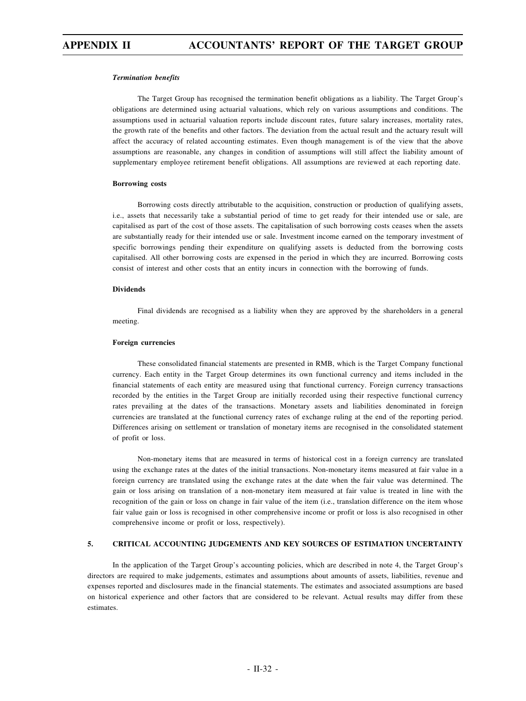#### *Termination benefits*

The Target Group has recognised the termination benefit obligations as a liability. The Target Group's obligations are determined using actuarial valuations, which rely on various assumptions and conditions. The assumptions used in actuarial valuation reports include discount rates, future salary increases, mortality rates, the growth rate of the benefits and other factors. The deviation from the actual result and the actuary result will affect the accuracy of related accounting estimates. Even though management is of the view that the above assumptions are reasonable, any changes in condition of assumptions will still affect the liability amount of supplementary employee retirement benefit obligations. All assumptions are reviewed at each reporting date.

#### **Borrowing costs**

Borrowing costs directly attributable to the acquisition, construction or production of qualifying assets, i.e., assets that necessarily take a substantial period of time to get ready for their intended use or sale, are capitalised as part of the cost of those assets. The capitalisation of such borrowing costs ceases when the assets are substantially ready for their intended use or sale. Investment income earned on the temporary investment of specific borrowings pending their expenditure on qualifying assets is deducted from the borrowing costs capitalised. All other borrowing costs are expensed in the period in which they are incurred. Borrowing costs consist of interest and other costs that an entity incurs in connection with the borrowing of funds.

#### **Dividends**

Final dividends are recognised as a liability when they are approved by the shareholders in a general meeting.

#### **Foreign currencies**

These consolidated financial statements are presented in RMB, which is the Target Company functional currency. Each entity in the Target Group determines its own functional currency and items included in the financial statements of each entity are measured using that functional currency. Foreign currency transactions recorded by the entities in the Target Group are initially recorded using their respective functional currency rates prevailing at the dates of the transactions. Monetary assets and liabilities denominated in foreign currencies are translated at the functional currency rates of exchange ruling at the end of the reporting period. Differences arising on settlement or translation of monetary items are recognised in the consolidated statement of profit or loss.

Non-monetary items that are measured in terms of historical cost in a foreign currency are translated using the exchange rates at the dates of the initial transactions. Non-monetary items measured at fair value in a foreign currency are translated using the exchange rates at the date when the fair value was determined. The gain or loss arising on translation of a non-monetary item measured at fair value is treated in line with the recognition of the gain or loss on change in fair value of the item (i.e., translation difference on the item whose fair value gain or loss is recognised in other comprehensive income or profit or loss is also recognised in other comprehensive income or profit or loss, respectively).

### **5. CRITICAL ACCOUNTING JUDGEMENTS AND KEY SOURCES OF ESTIMATION UNCERTAINTY**

In the application of the Target Group's accounting policies, which are described in note 4, the Target Group's directors are required to make judgements, estimates and assumptions about amounts of assets, liabilities, revenue and expenses reported and disclosures made in the financial statements. The estimates and associated assumptions are based on historical experience and other factors that are considered to be relevant. Actual results may differ from these estimates.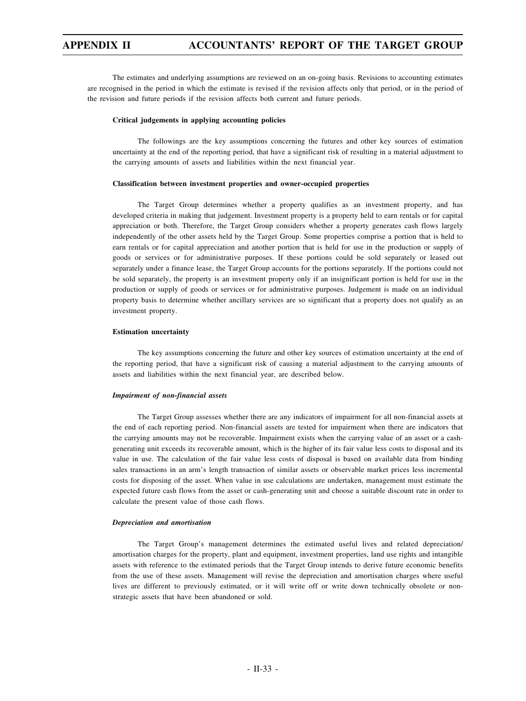The estimates and underlying assumptions are reviewed on an on-going basis. Revisions to accounting estimates are recognised in the period in which the estimate is revised if the revision affects only that period, or in the period of the revision and future periods if the revision affects both current and future periods.

#### **Critical judgements in applying accounting policies**

The followings are the key assumptions concerning the futures and other key sources of estimation uncertainty at the end of the reporting period, that have a significant risk of resulting in a material adjustment to the carrying amounts of assets and liabilities within the next financial year.

#### **Classification between investment properties and owner-occupied properties**

The Target Group determines whether a property qualifies as an investment property, and has developed criteria in making that judgement. Investment property is a property held to earn rentals or for capital appreciation or both. Therefore, the Target Group considers whether a property generates cash flows largely independently of the other assets held by the Target Group. Some properties comprise a portion that is held to earn rentals or for capital appreciation and another portion that is held for use in the production or supply of goods or services or for administrative purposes. If these portions could be sold separately or leased out separately under a finance lease, the Target Group accounts for the portions separately. If the portions could not be sold separately, the property is an investment property only if an insignificant portion is held for use in the production or supply of goods or services or for administrative purposes. Judgement is made on an individual property basis to determine whether ancillary services are so significant that a property does not qualify as an investment property.

#### **Estimation uncertainty**

The key assumptions concerning the future and other key sources of estimation uncertainty at the end of the reporting period, that have a significant risk of causing a material adjustment to the carrying amounts of assets and liabilities within the next financial year, are described below.

#### *Impairment of non-financial assets*

The Target Group assesses whether there are any indicators of impairment for all non-financial assets at the end of each reporting period. Non-financial assets are tested for impairment when there are indicators that the carrying amounts may not be recoverable. Impairment exists when the carrying value of an asset or a cashgenerating unit exceeds its recoverable amount, which is the higher of its fair value less costs to disposal and its value in use. The calculation of the fair value less costs of disposal is based on available data from binding sales transactions in an arm's length transaction of similar assets or observable market prices less incremental costs for disposing of the asset. When value in use calculations are undertaken, management must estimate the expected future cash flows from the asset or cash-generating unit and choose a suitable discount rate in order to calculate the present value of those cash flows.

#### *Depreciation and amortisation*

The Target Group's management determines the estimated useful lives and related depreciation/ amortisation charges for the property, plant and equipment, investment properties, land use rights and intangible assets with reference to the estimated periods that the Target Group intends to derive future economic benefits from the use of these assets. Management will revise the depreciation and amortisation charges where useful lives are different to previously estimated, or it will write off or write down technically obsolete or nonstrategic assets that have been abandoned or sold.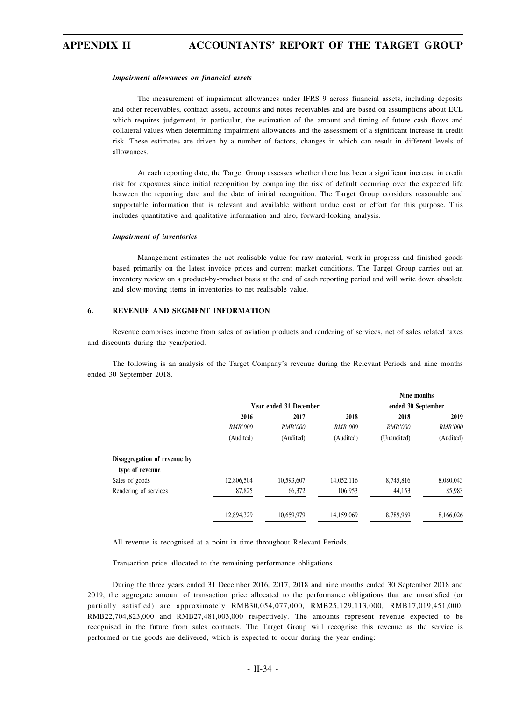#### *Impairment allowances on financial assets*

The measurement of impairment allowances under IFRS 9 across financial assets, including deposits and other receivables, contract assets, accounts and notes receivables and are based on assumptions about ECL which requires judgement, in particular, the estimation of the amount and timing of future cash flows and collateral values when determining impairment allowances and the assessment of a significant increase in credit risk. These estimates are driven by a number of factors, changes in which can result in different levels of allowances.

At each reporting date, the Target Group assesses whether there has been a significant increase in credit risk for exposures since initial recognition by comparing the risk of default occurring over the expected life between the reporting date and the date of initial recognition. The Target Group considers reasonable and supportable information that is relevant and available without undue cost or effort for this purpose. This includes quantitative and qualitative information and also, forward-looking analysis.

#### *Impairment of inventories*

Management estimates the net realisable value for raw material, work-in progress and finished goods based primarily on the latest invoice prices and current market conditions. The Target Group carries out an inventory review on a product-by-product basis at the end of each reporting period and will write down obsolete and slow-moving items in inventories to net realisable value.

#### **6. REVENUE AND SEGMENT INFORMATION**

Revenue comprises income from sales of aviation products and rendering of services, net of sales related taxes and discounts during the year/period.

The following is an analysis of the Target Company's revenue during the Relevant Periods and nine months ended 30 September 2018.

|                                                 |                |                        |                | Nine months        |                |
|-------------------------------------------------|----------------|------------------------|----------------|--------------------|----------------|
|                                                 |                | Year ended 31 December |                | ended 30 September |                |
|                                                 | 2016           | 2017                   | 2018           | 2018               | 2019           |
|                                                 | <b>RMB'000</b> | <b>RMB'000</b>         | <b>RMB'000</b> | <b>RMB'000</b>     | <b>RMB'000</b> |
|                                                 | (Audited)      | (Audited)              | (Audited)      | (Unaudited)        | (Audited)      |
| Disaggregation of revenue by<br>type of revenue |                |                        |                |                    |                |
| Sales of goods                                  | 12,806,504     | 10,593,607             | 14,052,116     | 8,745,816          | 8,080,043      |
| Rendering of services                           | 87,825         | 66,372                 | 106,953        | 44,153             | 85,983         |
|                                                 | 12,894.329     | 10.659.979             | 14,159,069     | 8.789.969          | 8,166,026      |

All revenue is recognised at a point in time throughout Relevant Periods.

Transaction price allocated to the remaining performance obligations

During the three years ended 31 December 2016, 2017, 2018 and nine months ended 30 September 2018 and 2019, the aggregate amount of transaction price allocated to the performance obligations that are unsatisfied (or partially satisfied) are approximately RMB30,054,077,000, RMB25,129,113,000, RMB17,019,451,000, RMB22,704,823,000 and RMB27,481,003,000 respectively. The amounts represent revenue expected to be recognised in the future from sales contracts. The Target Group will recognise this revenue as the service is performed or the goods are delivered, which is expected to occur during the year ending: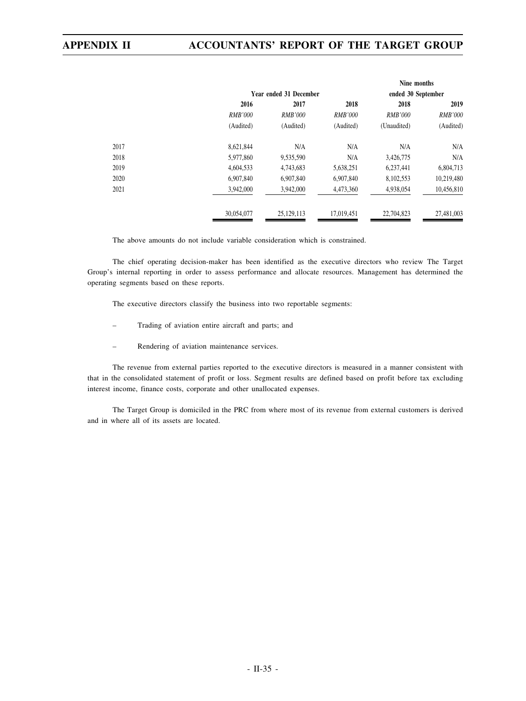|      |                |                        |                | Nine months        |                |
|------|----------------|------------------------|----------------|--------------------|----------------|
|      |                | Year ended 31 December |                | ended 30 September |                |
|      | 2016           | 2017                   | 2018           | 2018               | 2019           |
|      | <b>RMB'000</b> | RMB'000                | <i>RMB'000</i> | <b>RMB'000</b>     | <b>RMB'000</b> |
|      | (Audited)      | (Audited)              | (Audited)      | (Unaudited)        | (Audited)      |
| 2017 | 8,621,844      | N/A                    | N/A            | N/A                | N/A            |
| 2018 | 5,977,860      | 9,535,590              | N/A            | 3,426,775          | N/A            |
| 2019 | 4,604,533      | 4,743,683              | 5,638,251      | 6,237,441          | 6,804,713      |
| 2020 | 6.907.840      | 6,907,840              | 6,907,840      | 8,102,553          | 10,219,480     |
| 2021 | 3,942,000      | 3,942,000              | 4,473,360      | 4,938,054          | 10,456,810     |
|      | 30,054,077     | 25,129,113             | 17,019,451     | 22,704,823         | 27,481,003     |

The above amounts do not include variable consideration which is constrained.

The chief operating decision-maker has been identified as the executive directors who review The Target Group's internal reporting in order to assess performance and allocate resources. Management has determined the operating segments based on these reports.

The executive directors classify the business into two reportable segments:

- Trading of aviation entire aircraft and parts; and
- Rendering of aviation maintenance services.

The revenue from external parties reported to the executive directors is measured in a manner consistent with that in the consolidated statement of profit or loss. Segment results are defined based on profit before tax excluding interest income, finance costs, corporate and other unallocated expenses.

The Target Group is domiciled in the PRC from where most of its revenue from external customers is derived and in where all of its assets are located.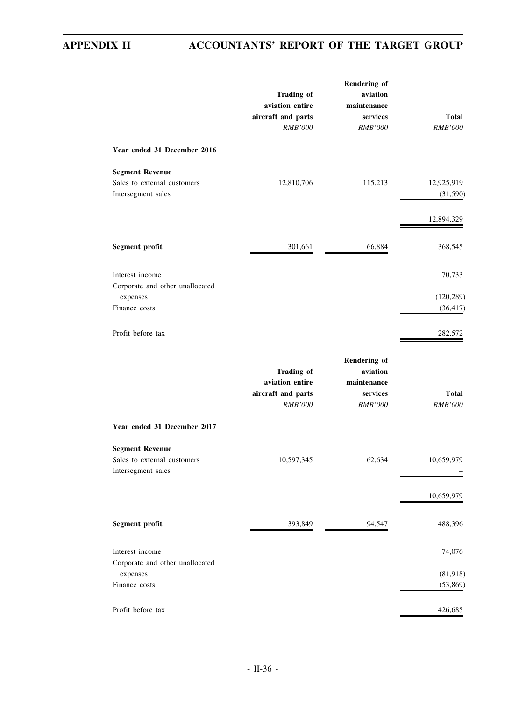|                                                                                 | <b>Trading of</b><br>aviation entire<br>aircraft and parts<br>RMB'000        | <b>Rendering of</b><br>aviation<br>maintenance<br>services<br><b>RMB'000</b> | <b>Total</b><br><b>RMB'000</b>    |
|---------------------------------------------------------------------------------|------------------------------------------------------------------------------|------------------------------------------------------------------------------|-----------------------------------|
| Year ended 31 December 2016                                                     |                                                                              |                                                                              |                                   |
| <b>Segment Revenue</b><br>Sales to external customers<br>Intersegment sales     | 12,810,706                                                                   | 115,213                                                                      | 12,925,919<br>(31,590)            |
|                                                                                 |                                                                              |                                                                              | 12,894,329                        |
| Segment profit                                                                  | 301,661                                                                      | 66,884                                                                       | 368,545                           |
| Interest income<br>Corporate and other unallocated<br>expenses<br>Finance costs |                                                                              |                                                                              | 70,733<br>(120, 289)<br>(36, 417) |
| Profit before tax                                                               |                                                                              |                                                                              | 282,572                           |
|                                                                                 | <b>Trading of</b><br>aviation entire<br>aircraft and parts<br><b>RMB'000</b> | Rendering of<br>aviation<br>maintenance<br>services<br><b>RMB'000</b>        | <b>Total</b><br><b>RMB'000</b>    |
| Year ended 31 December 2017                                                     |                                                                              |                                                                              |                                   |
| <b>Segment Revenue</b><br>Sales to external customers<br>Intersegment sales     | 10,597,345                                                                   | 62,634                                                                       | 10,659,979                        |
|                                                                                 |                                                                              |                                                                              | 10,659,979                        |
| Segment profit                                                                  | 393,849                                                                      | 94,547                                                                       | 488,396                           |
| Interest income                                                                 |                                                                              |                                                                              | 74,076                            |
| Corporate and other unallocated<br>expenses<br>Finance costs                    |                                                                              |                                                                              | (81,918)<br>(53, 869)             |
| Profit before tax                                                               |                                                                              |                                                                              | 426,685                           |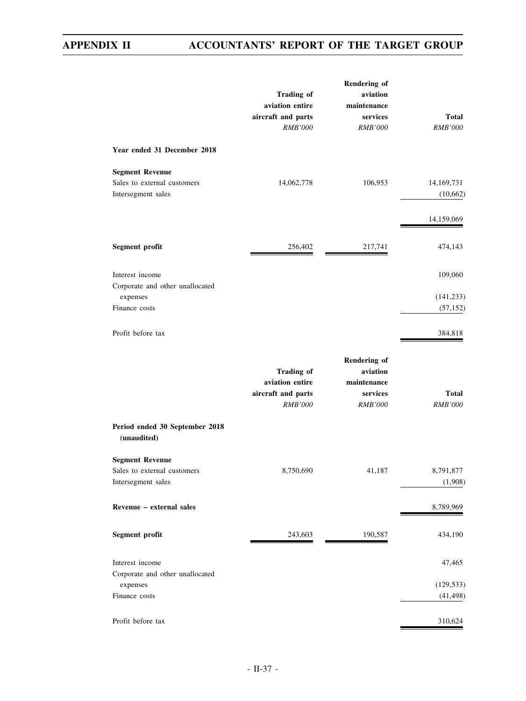|                                                                             | <b>Trading of</b><br>aviation entire<br>aircraft and parts<br><b>RMB'000</b> | <b>Rendering of</b><br>aviation<br>maintenance<br>services<br><b>RMB'000</b> | Total<br><b>RMB'000</b> |
|-----------------------------------------------------------------------------|------------------------------------------------------------------------------|------------------------------------------------------------------------------|-------------------------|
| Year ended 31 December 2018                                                 |                                                                              |                                                                              |                         |
| <b>Segment Revenue</b><br>Sales to external customers<br>Intersegment sales | 14,062,778                                                                   | 106,953                                                                      | 14,169,731<br>(10,662)  |
|                                                                             |                                                                              |                                                                              | 14,159,069              |
| Segment profit                                                              | 256,402                                                                      | 217,741                                                                      | 474,143                 |
| Interest income<br>Corporate and other unallocated                          |                                                                              |                                                                              | 109,060                 |
| expenses<br>Finance costs                                                   |                                                                              |                                                                              | (141, 233)<br>(57, 152) |
| Profit before tax                                                           |                                                                              |                                                                              | 384,818                 |
|                                                                             | <b>Trading of</b><br>aviation entire<br>aircraft and parts<br><b>RMB'000</b> | Rendering of<br>aviation<br>maintenance<br>services<br><b>RMB'000</b>        | Total<br><b>RMB'000</b> |
| Period ended 30 September 2018<br>(unaudited)                               |                                                                              |                                                                              |                         |
| <b>Segment Revenue</b><br>Sales to external customers<br>Intersegment sales | 8,750,690                                                                    | 41,187                                                                       | 8,791,877<br>(1,908)    |
| Revenue - external sales                                                    |                                                                              |                                                                              | 8,789,969               |
| Segment profit                                                              | 243,603                                                                      | 190,587                                                                      | 434,190                 |
| Interest income<br>Corporate and other unallocated                          |                                                                              |                                                                              | 47,465                  |
| expenses<br>Finance costs                                                   |                                                                              |                                                                              | (129, 533)<br>(41, 498) |
| Profit before tax                                                           |                                                                              |                                                                              | 310,624                 |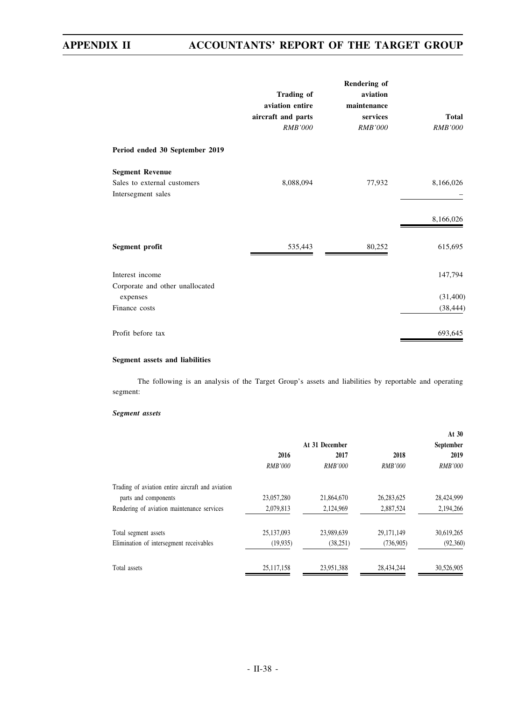|                                 |                    | Rendering of   |                |
|---------------------------------|--------------------|----------------|----------------|
|                                 | <b>Trading of</b>  | aviation       |                |
|                                 | aviation entire    | maintenance    |                |
|                                 | aircraft and parts | services       | <b>Total</b>   |
|                                 | <b>RMB'000</b>     | <b>RMB'000</b> | <b>RMB'000</b> |
| Period ended 30 September 2019  |                    |                |                |
| <b>Segment Revenue</b>          |                    |                |                |
| Sales to external customers     | 8,088,094          | 77,932         | 8,166,026      |
| Intersegment sales              |                    |                |                |
|                                 |                    |                | 8,166,026      |
| Segment profit                  | 535,443            | 80,252         | 615,695        |
| Interest income                 |                    |                | 147,794        |
| Corporate and other unallocated |                    |                |                |
| expenses                        |                    |                | (31,400)       |
| Finance costs                   |                    |                | (38, 444)      |
| Profit before tax               |                    |                | 693,645        |

### **Segment assets and liabilities**

The following is an analysis of the Target Group's assets and liabilities by reportable and operating segment:

#### *Segment assets*

|                |                |                | At $30$        |
|----------------|----------------|----------------|----------------|
|                |                |                | September      |
| 2016           | 2017           | 2018           | 2019           |
| <b>RMB'000</b> | <b>RMB'000</b> | <i>RMB'000</i> | <b>RMB'000</b> |
|                |                |                |                |
| 23,057,280     | 21,864,670     | 26, 283, 625   | 28,424,999     |
| 2,079,813      | 2,124,969      | 2,887,524      | 2,194,266      |
| 25,137,093     | 23,989,639     | 29, 171, 149   | 30,619,265     |
| (19, 935)      | (38, 251)      | (736,905)      | (92,360)       |
| 25,117,158     | 23,951,388     | 28,434,244     | 30,526,905     |
|                |                | At 31 December |                |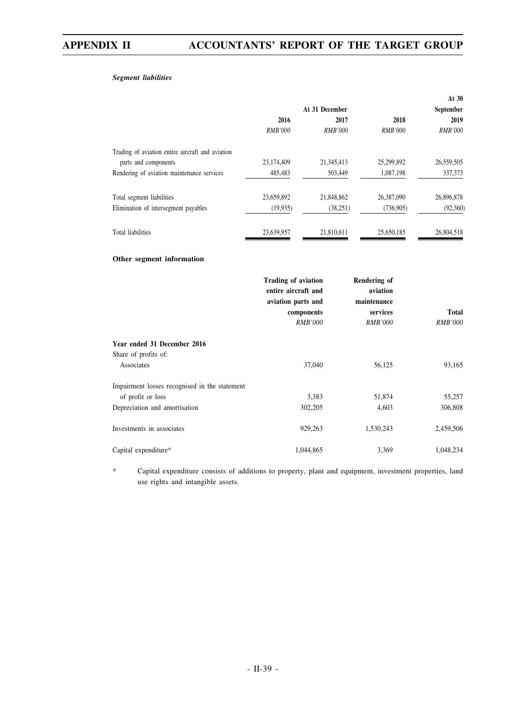### *Segment liabilities*

|                                                     |                                                                  |                |                                                | At 30          |
|-----------------------------------------------------|------------------------------------------------------------------|----------------|------------------------------------------------|----------------|
|                                                     |                                                                  | At 31 December |                                                | September      |
|                                                     | 2016                                                             | 2017           | 2018                                           | 2019           |
|                                                     | <b>RMB'000</b>                                                   | <b>RMB'000</b> | <b>RMB'000</b>                                 | RMB'000        |
| Trading of aviation entire aircraft and aviation    |                                                                  |                |                                                |                |
| parts and components                                | 23,174,409                                                       | 21,345,413     | 25,299,892                                     | 26,559,505     |
| Rendering of aviation maintenance services          | 485,483                                                          | 503,449        | 1,087,198                                      | 337,373        |
| Total segment liabilities                           | 23,659,892                                                       | 21,848,862     | 26,387,090                                     | 26,896,878     |
| Elimination of intersegment payables                | (19, 935)                                                        | (38, 251)      | (736,905)                                      | (92,360)       |
| <b>Total liabilities</b>                            | 23,639,957                                                       | 21,810,611     | 25,650,185                                     | 26,804,518     |
| Other segment information                           |                                                                  |                |                                                |                |
|                                                     | Trading of aviation<br>entire aircraft and<br>aviation parts and |                | <b>Rendering of</b><br>aviation<br>maintenance |                |
|                                                     | components                                                       |                | services                                       | <b>Total</b>   |
|                                                     | <b>RMB'000</b>                                                   |                | <b>RMB'000</b>                                 | <b>RMB'000</b> |
| Year ended 31 December 2016<br>Share of profits of: |                                                                  |                |                                                |                |
| Associates                                          | 37,040                                                           |                | 56,125                                         | 93,165         |
| Impairment losses recognised in the statement       |                                                                  |                |                                                |                |
| of profit or loss                                   |                                                                  | 3,383          | 51,874                                         | 55,257         |
| Depreciation and amortisation                       | 302,205                                                          |                | 4,603                                          | 306,808        |
| Investments in associates                           | 929,263                                                          |                | 1,530,243                                      | 2,459,506      |
| Capital expenditure*                                | 1,044,865                                                        |                | 3,369                                          | 1,048,234      |

\* Capital expenditure consists of additions to property, plant and equipment, investment properties, land use rights and intangible assets.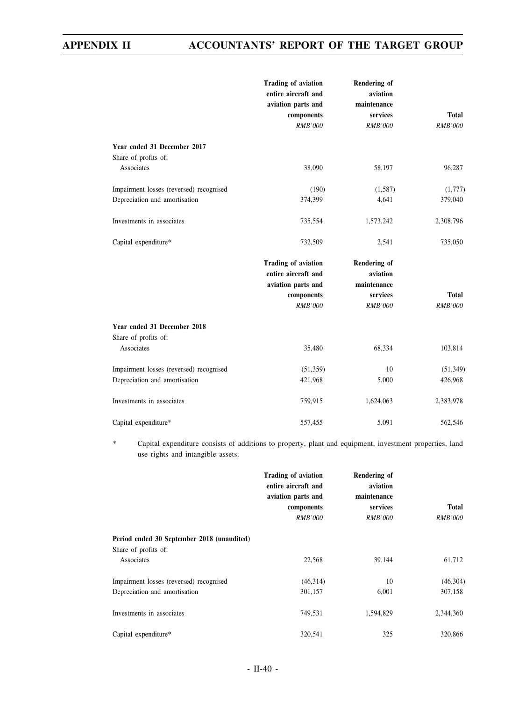|                                                                   | <b>Trading of aviation</b><br>entire aircraft and<br>aviation parts and<br>components<br><b>RMB'000</b> | <b>Rendering of</b><br>aviation<br>maintenance<br>services<br><b>RMB'000</b> | <b>Total</b><br><b>RMB'000</b> |
|-------------------------------------------------------------------|---------------------------------------------------------------------------------------------------------|------------------------------------------------------------------------------|--------------------------------|
| Year ended 31 December 2017                                       |                                                                                                         |                                                                              |                                |
| Share of profits of:<br>Associates                                | 38,090                                                                                                  | 58,197                                                                       | 96,287                         |
|                                                                   |                                                                                                         |                                                                              |                                |
| Impairment losses (reversed) recognised                           | (190)                                                                                                   | (1,587)                                                                      | (1,777)                        |
| Depreciation and amortisation                                     | 374,399                                                                                                 | 4,641                                                                        | 379,040                        |
| Investments in associates                                         | 735,554                                                                                                 | 1,573,242                                                                    | 2,308,796                      |
| Capital expenditure*                                              | 732,509                                                                                                 | 2,541                                                                        | 735,050                        |
|                                                                   | <b>Trading of aviation</b><br>entire aircraft and<br>aviation parts and<br>components<br><b>RMB'000</b> | <b>Rendering of</b><br>aviation<br>maintenance<br>services<br><b>RMB'000</b> | <b>Total</b><br>RMB'000        |
| Year ended 31 December 2018<br>Share of profits of:<br>Associates | 35,480                                                                                                  | 68,334                                                                       | 103,814                        |
| Impairment losses (reversed) recognised                           | (51,359)                                                                                                | 10                                                                           | (51, 349)                      |
| Depreciation and amortisation                                     | 421,968                                                                                                 | 5,000                                                                        | 426,968                        |
| Investments in associates                                         | 759,915                                                                                                 | 1,624,063                                                                    | 2,383,978                      |
| Capital expenditure*                                              | 557,455                                                                                                 | 5,091                                                                        | 562,546                        |

\* Capital expenditure consists of additions to property, plant and equipment, investment properties, land use rights and intangible assets.

|                                                                                  | Trading of aviation<br>entire aircraft and<br>aviation parts and<br>components<br><b>RMB'000</b> | Rendering of<br>aviation<br>maintenance<br>services<br><i>RMB'000</i> | <b>Total</b><br><b>RMB'000</b> |
|----------------------------------------------------------------------------------|--------------------------------------------------------------------------------------------------|-----------------------------------------------------------------------|--------------------------------|
| Period ended 30 September 2018 (unaudited)<br>Share of profits of:<br>Associates | 22,568                                                                                           | 39,144                                                                | 61,712                         |
| Impairment losses (reversed) recognised<br>Depreciation and amortisation         | (46,314)<br>301,157                                                                              | 10<br>6,001                                                           | (46,304)<br>307,158            |
| Investments in associates                                                        | 749,531                                                                                          | 1,594,829                                                             | 2,344,360                      |
| Capital expenditure*                                                             | 320.541                                                                                          | 325                                                                   | 320,866                        |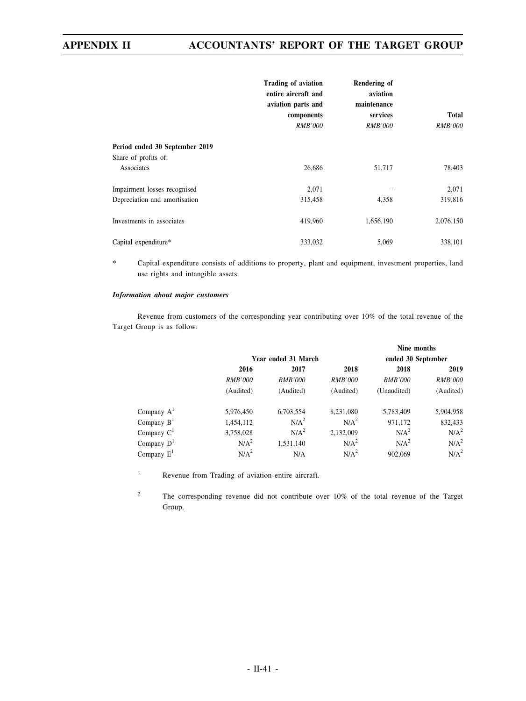|                                                                      | <b>Trading of aviation</b><br>entire aircraft and<br>aviation parts and<br>components<br><i>RMB'000</i> | Rendering of<br>aviation<br>maintenance<br>services<br><i>RMB'000</i> | <b>Total</b><br><i>RMB'000</i> |
|----------------------------------------------------------------------|---------------------------------------------------------------------------------------------------------|-----------------------------------------------------------------------|--------------------------------|
| Period ended 30 September 2019<br>Share of profits of:<br>Associates | 26,686                                                                                                  | 51,717                                                                | 78,403                         |
| Impairment losses recognised<br>Depreciation and amortisation        | 2,071<br>315,458                                                                                        | 4,358                                                                 | 2,071<br>319,816               |
| Investments in associates                                            | 419,960                                                                                                 | 1,656,190                                                             | 2,076,150                      |
| Capital expenditure*                                                 | 333,032                                                                                                 | 5,069                                                                 | 338,101                        |

\* Capital expenditure consists of additions to property, plant and equipment, investment properties, land use rights and intangible assets.

### *Information about major customers*

Revenue from customers of the corresponding year contributing over 10% of the total revenue of the Target Group is as follow:

|               |                  |                     |                  |                    | Nine months      |  |  |
|---------------|------------------|---------------------|------------------|--------------------|------------------|--|--|
|               |                  | Year ended 31 March |                  | ended 30 September |                  |  |  |
|               | 2016             | 2017                |                  | 2018               | 2019             |  |  |
|               | <b>RMB'000</b>   | <i>RMB'000</i>      | <b>RMB'000</b>   | <b>RMB'000</b>     | <b>RMB'000</b>   |  |  |
|               | (Audited)        | (Audited)           | (Audited)        | (Unaudited)        | (Audited)        |  |  |
| Company $A^1$ | 5,976,450        | 6,703,554           | 8,231,080        | 5,783,409          | 5,904,958        |  |  |
| Company $BT$  | 1,454,112        | N/A <sup>2</sup>    | N/A <sup>2</sup> | 971,172            | 832,433          |  |  |
| Company $C1$  | 3,758,028        | N/A <sup>2</sup>    | 2,132,009        | N/A <sup>2</sup>   | N/A <sup>2</sup> |  |  |
| Company $D^1$ | N/A <sup>2</sup> | 1,531,140           | N/A <sup>2</sup> | N/A <sup>2</sup>   | N/A <sup>2</sup> |  |  |
| Company $E^1$ | N/A <sup>2</sup> | N/A                 | N/A <sup>2</sup> | 902,069            | N/A <sup>2</sup> |  |  |

<sup>1</sup> Revenue from Trading of aviation entire aircraft.

<sup>2</sup> The corresponding revenue did not contribute over 10% of the total revenue of the Target Group.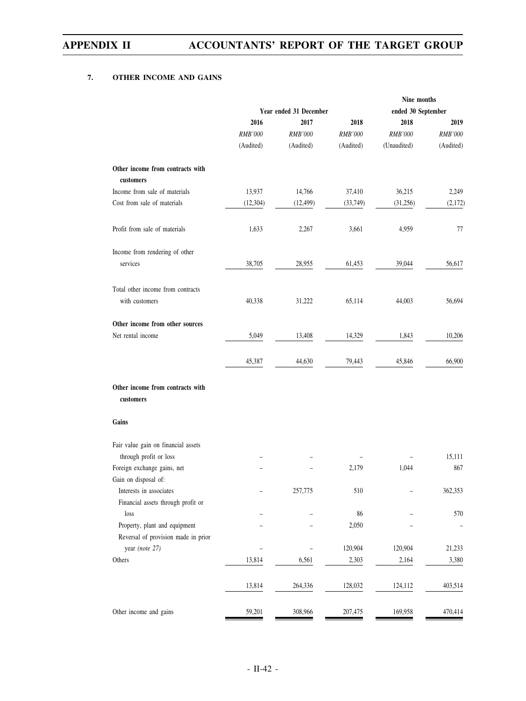### **7. OTHER INCOME AND GAINS**

|                        |           |           | Nine months                     |                  |  |
|------------------------|-----------|-----------|---------------------------------|------------------|--|
| Year ended 31 December |           |           | ended 30 September              |                  |  |
| 2016                   | 2017      | 2018      | 2018                            | 2019             |  |
| <b>RMB'000</b>         | RMB'000   | RMB'000   | <b>RMB'000</b>                  | <b>RMB'000</b>   |  |
| (Audited)              | (Audited) | (Audited) | (Unaudited)                     | (Audited)        |  |
|                        |           |           |                                 |                  |  |
|                        |           |           |                                 |                  |  |
| 13,937                 | 14,766    | 37,410    | 36,215                          | 2,249            |  |
| (12, 304)              | (12, 499) | (33, 749) | (31,256)                        | (2,172)          |  |
| 1,633                  | 2,267     | 3,661     | 4,959                           | 77               |  |
|                        |           |           |                                 |                  |  |
| 38,705                 | 28,955    | 61,453    | 39,044                          | 56,617           |  |
|                        |           |           |                                 |                  |  |
| 40,338                 | 31,222    | 65,114    | 44,003                          | 56,694           |  |
|                        |           |           |                                 |                  |  |
| 5,049                  | 13,408    | 14,329    | 1,843                           | 10,206           |  |
| 45,387                 | 44,630    | 79,443    | 45,846                          | 66,900           |  |
|                        |           |           |                                 |                  |  |
|                        |           |           |                                 |                  |  |
|                        |           |           |                                 |                  |  |
|                        |           |           |                                 | 15,111           |  |
|                        |           | 2,179     | 1,044                           | 867              |  |
|                        | 257,775   | 510       |                                 | 362,353          |  |
|                        |           |           |                                 |                  |  |
|                        |           |           |                                 | 570              |  |
|                        |           |           |                                 |                  |  |
|                        |           |           |                                 |                  |  |
|                        |           |           |                                 | 21,233           |  |
|                        |           |           |                                 | 3,380            |  |
| 13,814                 | 264,336   | 128,032   | 124,112                         | 403,514          |  |
| 59,201                 | 308,966   | 207,475   | 169,958                         | 470,414          |  |
|                        | 13,814    | 6,561     | 86<br>2,050<br>120,904<br>2,303 | 120,904<br>2,164 |  |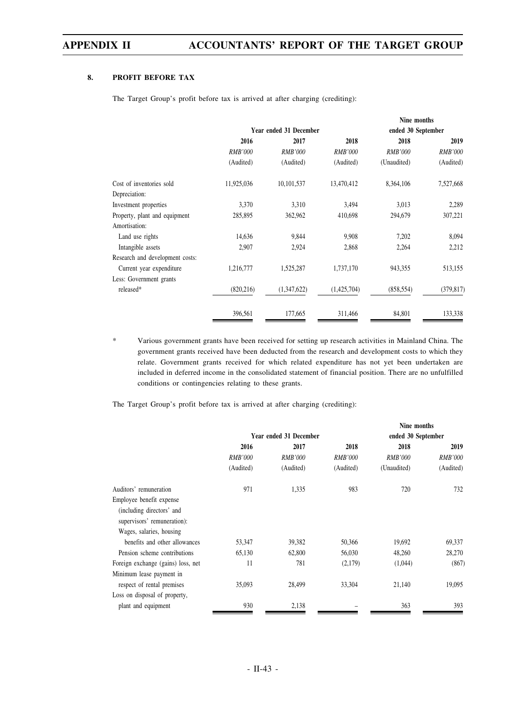### **8. PROFIT BEFORE TAX**

The Target Group's profit before tax is arrived at after charging (crediting):

|                                 |                |                        |                | Nine months        |                |
|---------------------------------|----------------|------------------------|----------------|--------------------|----------------|
|                                 |                | Year ended 31 December |                | ended 30 September |                |
|                                 | 2016           | 2017                   | 2018           | 2018               | 2019           |
|                                 | <i>RMB'000</i> | <b>RMB'000</b>         | <b>RMB'000</b> | <b>RMB'000</b>     | <i>RMB'000</i> |
|                                 | (Audited)      | (Audited)              | (Audited)      | (Unaudited)        | (Audited)      |
| Cost of inventories sold        | 11,925,036     | 10,101,537             | 13,470,412     | 8,364,106          | 7,527,668      |
| Depreciation:                   |                |                        |                |                    |                |
| Investment properties           | 3,370          | 3,310                  | 3,494          | 3,013              | 2,289          |
| Property, plant and equipment   | 285,895        | 362,962                | 410,698        | 294,679            | 307,221        |
| Amortisation:                   |                |                        |                |                    |                |
| Land use rights                 | 14,636         | 9,844                  | 9,908          | 7,202              | 8,094          |
| Intangible assets               | 2,907          | 2,924                  | 2,868          | 2,264              | 2,212          |
| Research and development costs: |                |                        |                |                    |                |
| Current year expenditure        | 1,216,777      | 1,525,287              | 1,737,170      | 943,355            | 513,155        |
| Less: Government grants         |                |                        |                |                    |                |
| released*                       | (820, 216)     | (1,347,622)            | (1,425,704)    | (858, 554)         | (379, 817)     |
|                                 | 396,561        | 177,665                | 311,466        | 84,801             | 133,338        |

Various government grants have been received for setting up research activities in Mainland China. The government grants received have been deducted from the research and development costs to which they relate. Government grants received for which related expenditure has not yet been undertaken are included in deferred income in the consolidated statement of financial position. There are no unfulfilled conditions or contingencies relating to these grants.

The Target Group's profit before tax is arrived at after charging (crediting):

|                                    |                |                        |                | Nine months        |                |
|------------------------------------|----------------|------------------------|----------------|--------------------|----------------|
|                                    |                | Year ended 31 December |                | ended 30 September |                |
|                                    | 2016           | 2017                   | 2018           | 2018               | 2019           |
|                                    | <b>RMB'000</b> | <b>RMB'000</b>         | <i>RMB'000</i> | <b>RMB'000</b>     | <b>RMB'000</b> |
|                                    | (Audited)      | (Audited)              | (Audited)      | (Unaudited)        | (Audited)      |
| Auditors' remuneration             | 971            | 1,335                  | 983            | 720                | 732            |
| Employee benefit expense           |                |                        |                |                    |                |
| (including directors' and          |                |                        |                |                    |                |
| supervisors' remuneration):        |                |                        |                |                    |                |
| Wages, salaries, housing           |                |                        |                |                    |                |
| benefits and other allowances      | 53,347         | 39,382                 | 50,366         | 19,692             | 69,337         |
| Pension scheme contributions       | 65,130         | 62,800                 | 56,030         | 48,260             | 28,270         |
| Foreign exchange (gains) loss, net | 11             | 781                    | (2,179)        | (1,044)            | (867)          |
| Minimum lease payment in           |                |                        |                |                    |                |
| respect of rental premises         | 35,093         | 28,499                 | 33,304         | 21,140             | 19,095         |
| Loss on disposal of property,      |                |                        |                |                    |                |
| plant and equipment                | 930            | 2,138                  |                | 363                | 393            |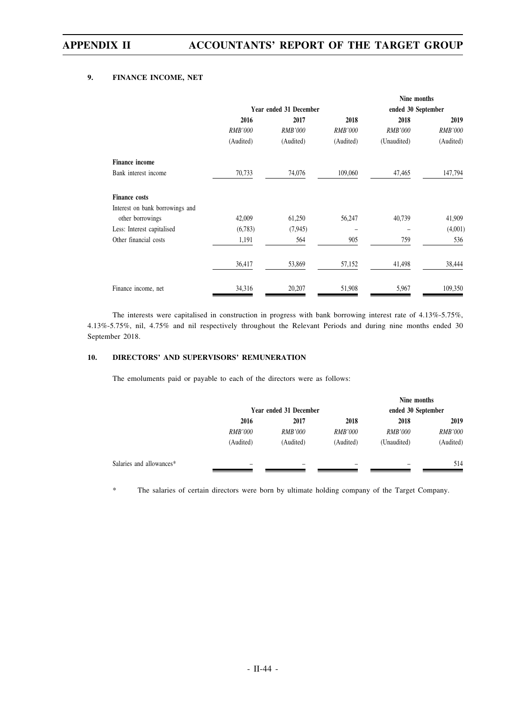### **9. FINANCE INCOME, NET**

|                                 |                |                        |                | Nine months        |                |
|---------------------------------|----------------|------------------------|----------------|--------------------|----------------|
|                                 |                | Year ended 31 December |                | ended 30 September |                |
|                                 | 2016           | 2017                   | 2018           | 2018               | 2019           |
|                                 | <b>RMB'000</b> | <b>RMB'000</b>         | <b>RMB'000</b> | <b>RMB'000</b>     | <b>RMB'000</b> |
|                                 | (Audited)      | (Audited)              | (Audited)      | (Unaudited)        | (Audited)      |
| <b>Finance income</b>           |                |                        |                |                    |                |
| Bank interest income            | 70,733         | 74,076                 | 109,060        | 47,465             | 147,794        |
| <b>Finance costs</b>            |                |                        |                |                    |                |
| Interest on bank borrowings and |                |                        |                |                    |                |
| other borrowings                | 42,009         | 61,250                 | 56,247         | 40,739             | 41,909         |
| Less: Interest capitalised      | (6,783)        | (7, 945)               | -              |                    | (4,001)        |
| Other financial costs           | 1,191          | 564                    | 905            | 759                | 536            |
|                                 | 36,417         | 53,869                 | 57,152         | 41,498             | 38,444         |
| Finance income, net             | 34,316         | 20,207                 | 51,908         | 5,967              | 109,350        |

The interests were capitalised in construction in progress with bank borrowing interest rate of 4.13%-5.75%, 4.13%-5.75%, nil, 4.75% and nil respectively throughout the Relevant Periods and during nine months ended 30 September 2018.

### **10. DIRECTORS' AND SUPERVISORS' REMUNERATION**

The emoluments paid or payable to each of the directors were as follows:

|                          |                        |                |                | Nine months        |                |
|--------------------------|------------------------|----------------|----------------|--------------------|----------------|
|                          | Year ended 31 December |                |                | ended 30 September |                |
|                          | 2016                   | 2017           | 2018           | 2018               | 2019           |
|                          | <i>RMB'000</i>         | <i>RMB'000</i> | <i>RMB'000</i> | <b>RMB'000</b>     | <i>RMB'000</i> |
|                          | (Audited)              | (Audited)      | (Audited)      | (Unaudited)        | (Audited)      |
| Salaries and allowances* | -                      | -              |                |                    | 514            |

\* The salaries of certain directors were born by ultimate holding company of the Target Company.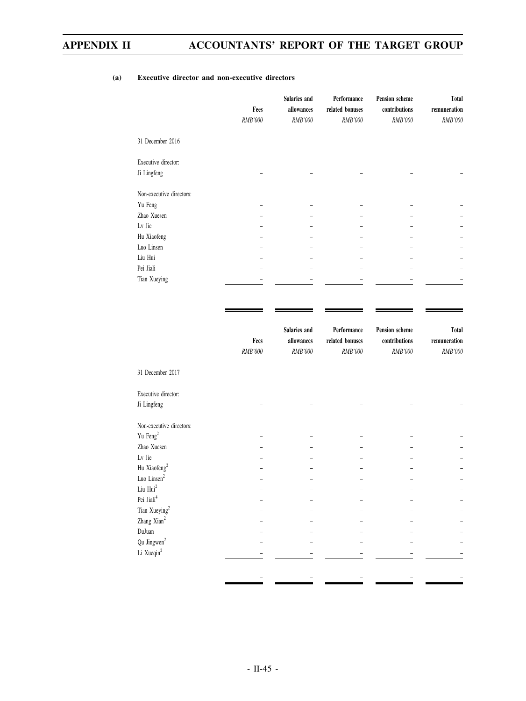|                          | Fees<br><b>RMB'000</b> | Salaries and<br>allowances<br>RMB'000 | Performance<br>related bonuses<br>RMB'000 | Pension scheme<br>contributions<br><b>RMB'000</b> | <b>Total</b><br>remuneration<br>RMB'000       |
|--------------------------|------------------------|---------------------------------------|-------------------------------------------|---------------------------------------------------|-----------------------------------------------|
| 31 December 2016         |                        |                                       |                                           |                                                   |                                               |
| Executive director:      |                        |                                       |                                           |                                                   |                                               |
| Ji Lingfeng              |                        |                                       |                                           |                                                   |                                               |
| Non-executive directors: |                        |                                       |                                           |                                                   |                                               |
| Yu Feng                  |                        |                                       |                                           |                                                   |                                               |
| Zhao Xuesen              |                        |                                       |                                           |                                                   |                                               |
| Lv Jie                   |                        |                                       |                                           |                                                   |                                               |
| Hu Xiaofeng              |                        |                                       |                                           |                                                   |                                               |
| Luo Linsen               |                        |                                       |                                           |                                                   |                                               |
| Liu Hui                  |                        |                                       |                                           |                                                   |                                               |
| Pei Jiali                |                        |                                       |                                           |                                                   |                                               |
| Tian Xueying             |                        |                                       |                                           |                                                   |                                               |
|                          |                        |                                       |                                           |                                                   |                                               |
|                          |                        |                                       |                                           |                                                   |                                               |
|                          | Fees<br>RMB'000        | Salaries and<br>allowances<br>RMB'000 | Performance<br>related bonuses<br>RMB'000 | Pension scheme<br>contributions<br>RMB'000        | <b>Total</b><br>$\bf remuneration$<br>RMB'000 |
| 31 December 2017         |                        |                                       |                                           |                                                   |                                               |
| Executive director:      |                        |                                       |                                           |                                                   |                                               |
| Ji Lingfeng              |                        |                                       |                                           |                                                   |                                               |
| Non-executive directors: |                        |                                       |                                           |                                                   |                                               |
| Yu Feng <sup>2</sup>     |                        |                                       |                                           |                                                   |                                               |
| Zhao Xuesen              |                        |                                       |                                           |                                                   |                                               |
| Lv Jie                   |                        |                                       |                                           |                                                   |                                               |
| Hu Xiaofeng <sup>2</sup> |                        |                                       |                                           |                                                   |                                               |
| Luo Linsen <sup>2</sup>  |                        |                                       |                                           |                                                   |                                               |
| Liu ${\rm Hui}^2$        |                        |                                       |                                           |                                                   |                                               |

Pei Jiali<sup>4</sup> – – – – – Tian Xueying<sup>2</sup> – – – – – Zhang Xian<sup>2</sup> – – – – – DuJuan – – – – – Qu Jingwen<sup>2</sup> – – – – – Li Xueqin<sup>2</sup> – – – – –

– – – – –

### **(a) Executive director and non-executive directors**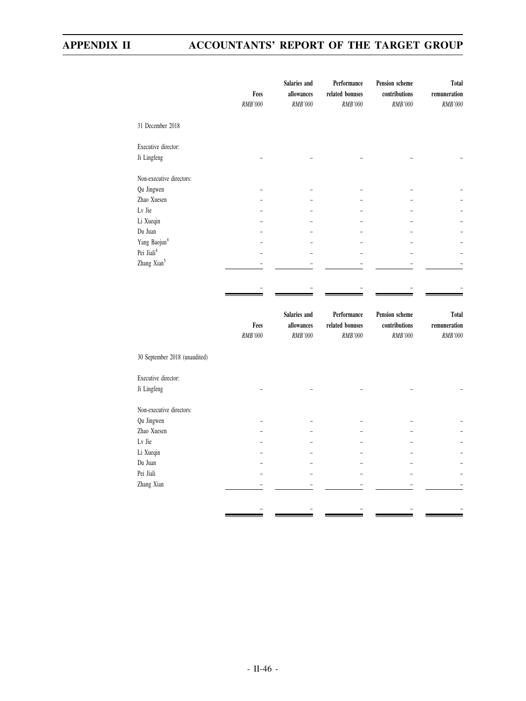|                               | Fees<br>RMB'000 | Salaries and<br>allowances<br>RMB'000 | Performance<br>related bonuses<br>RMB'000        | <b>Pension scheme</b><br>contributions<br><b>RMB'000</b> | Total<br>$\bf remuneration$<br>RMB'000 |
|-------------------------------|-----------------|---------------------------------------|--------------------------------------------------|----------------------------------------------------------|----------------------------------------|
| 31 December 2018              |                 |                                       |                                                  |                                                          |                                        |
| Executive director:           |                 |                                       |                                                  |                                                          |                                        |
| Ji Lingfeng                   |                 |                                       |                                                  |                                                          |                                        |
| Non-executive directors:      |                 |                                       |                                                  |                                                          |                                        |
| Qu Jingwen                    |                 |                                       |                                                  |                                                          |                                        |
| Zhao Xuesen                   |                 |                                       |                                                  |                                                          |                                        |
| Lv Jie                        |                 |                                       |                                                  |                                                          |                                        |
| Li Xueqin                     |                 |                                       |                                                  |                                                          |                                        |
| Du Juan                       |                 |                                       |                                                  |                                                          |                                        |
| Yang Baojun <sup>4</sup>      |                 |                                       |                                                  |                                                          |                                        |
| Pei Jiali <sup>4</sup>        |                 |                                       |                                                  |                                                          |                                        |
| Zhang Xian <sup>5</sup>       |                 |                                       |                                                  |                                                          |                                        |
|                               | Fees<br>RMB'000 | Salaries and<br>allowances<br>RMB'000 | Performance<br>related bonuses<br><b>RMB'000</b> | Pension scheme<br>contributions<br><b>RMB'000</b>        | Total<br>remuneration<br>RMB'000       |
| 30 September 2018 (unaudited) |                 |                                       |                                                  |                                                          |                                        |
| Executive director:           |                 |                                       |                                                  |                                                          |                                        |
| Ji Lingfeng                   |                 |                                       |                                                  |                                                          |                                        |
| Non-executive directors:      |                 |                                       |                                                  |                                                          |                                        |
| Qu Jingwen                    |                 |                                       |                                                  |                                                          |                                        |
| Zhao Xuesen                   |                 |                                       |                                                  |                                                          |                                        |
| Lv Jie                        |                 |                                       |                                                  |                                                          |                                        |
| Li Xueqin                     |                 |                                       |                                                  |                                                          |                                        |
| Du Juan                       |                 |                                       |                                                  |                                                          |                                        |
| Pei Jiali                     |                 |                                       |                                                  |                                                          |                                        |
| Zhang Xian                    |                 |                                       |                                                  |                                                          |                                        |
|                               |                 |                                       |                                                  |                                                          |                                        |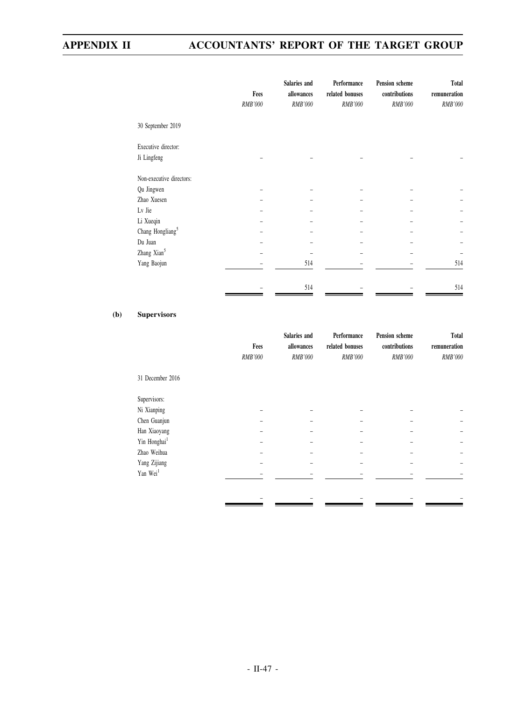|                              | Fees    | Salaries and<br>allowances | Performance<br>related bonuses | Pension scheme<br>contributions | Total<br>remuneration |
|------------------------------|---------|----------------------------|--------------------------------|---------------------------------|-----------------------|
|                              | RMB'000 | RMB'000                    | RMB'000                        | RMB'000                         | RMB'000               |
| 30 September 2019            |         |                            |                                |                                 |                       |
| Executive director:          |         |                            |                                |                                 |                       |
| Ji Lingfeng                  |         |                            |                                |                                 |                       |
| Non-executive directors:     |         |                            |                                |                                 |                       |
| Qu Jingwen                   |         |                            |                                |                                 |                       |
| Zhao Xuesen                  |         |                            |                                |                                 |                       |
| Lv Jie                       |         |                            |                                |                                 |                       |
| Li Xueqin                    |         |                            |                                |                                 |                       |
| Chang Hongliang <sup>5</sup> |         |                            |                                |                                 |                       |
| Du Juan                      |         |                            |                                |                                 |                       |
| Zhang Xian <sup>5</sup>      |         |                            |                                |                                 |                       |
| Yang Baojun                  |         | 514                        |                                |                                 | 514                   |
|                              |         | 514                        |                                |                                 | 514                   |

## **(b) Supervisors**

|                          |         | Salaries and   |                 | Pension scheme | Total        |
|--------------------------|---------|----------------|-----------------|----------------|--------------|
|                          | Fees    | allowances     | related bonuses | contributions  | remuneration |
|                          | RMB'000 | <b>RMB'000</b> | <b>RMB'000</b>  | <b>RMB'000</b> | RMB'000      |
| 31 December 2016         |         |                |                 |                |              |
| Supervisors:             |         |                |                 |                |              |
| Ni Xianping              |         |                |                 |                |              |
| Chen Guanjun             |         |                |                 |                |              |
| Han Xiaoyang             |         |                |                 |                |              |
| Yin Honghai <sup>1</sup> |         |                |                 |                |              |
| Zhao Weihua              |         |                |                 |                |              |
| Yang Zijiang             |         |                |                 |                |              |
| Yan Wei <sup>1</sup>     |         |                |                 |                |              |
|                          |         |                |                 |                |              |
|                          |         |                |                 |                |              |
|                          |         |                |                 |                |              |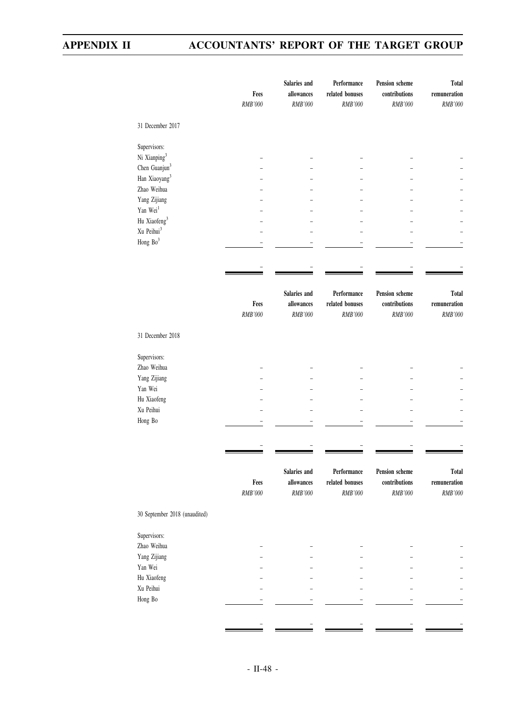|                                                        | Fees<br>RMB'000 | Salaries and<br>allowances<br>RMB'000 | Performance<br>related bonuses<br><b>RMB'000</b> | Pension scheme<br>contributions<br>RMB'000 | <b>Total</b><br>$\bf remuneration$<br>RMB'000 |
|--------------------------------------------------------|-----------------|---------------------------------------|--------------------------------------------------|--------------------------------------------|-----------------------------------------------|
| 31 December 2017                                       |                 |                                       |                                                  |                                            |                                               |
| Supervisors:                                           |                 |                                       |                                                  |                                            |                                               |
| Ni Xianping <sup>3</sup>                               |                 |                                       |                                                  |                                            |                                               |
| Chen Guanjun <sup>3</sup><br>Han Xiaoyang <sup>3</sup> |                 |                                       |                                                  |                                            |                                               |
| Zhao Weihua                                            |                 |                                       |                                                  |                                            |                                               |
| Yang Zijiang                                           |                 |                                       |                                                  |                                            |                                               |
| Yan Wei <sup>1</sup>                                   |                 |                                       |                                                  |                                            |                                               |
| Hu Xiaofeng <sup>3</sup>                               |                 |                                       |                                                  |                                            |                                               |
| Xu Peihui <sup>3</sup>                                 |                 |                                       |                                                  |                                            |                                               |
| Hong Bo <sup>3</sup>                                   |                 |                                       |                                                  |                                            |                                               |
|                                                        |                 |                                       |                                                  |                                            |                                               |
|                                                        |                 |                                       |                                                  |                                            |                                               |
|                                                        |                 |                                       |                                                  |                                            |                                               |
|                                                        |                 | Salaries and                          | Performance                                      | Pension scheme                             | <b>Total</b>                                  |
|                                                        | Fees            | allowances<br>RMB'000                 | related bonuses                                  | contributions<br>RMB'000                   | remuneration<br>RMB'000                       |
|                                                        | RMB'000         |                                       | RMB'000                                          |                                            |                                               |
| 31 December 2018                                       |                 |                                       |                                                  |                                            |                                               |
| Supervisors:                                           |                 |                                       |                                                  |                                            |                                               |
| Zhao Weihua                                            |                 |                                       |                                                  |                                            |                                               |
| Yang Zijiang                                           |                 |                                       |                                                  |                                            |                                               |
| Yan Wei                                                |                 |                                       |                                                  |                                            |                                               |
| Hu Xiaofeng                                            |                 |                                       |                                                  |                                            |                                               |
| Xu Peihui                                              |                 |                                       |                                                  |                                            |                                               |
| Hong Bo                                                |                 |                                       |                                                  |                                            |                                               |
|                                                        |                 |                                       |                                                  |                                            |                                               |
|                                                        |                 |                                       |                                                  |                                            |                                               |
|                                                        | Fees            | Salaries and<br>allowances            | Performance<br>related bonuses                   | Pension scheme<br>contributions            | <b>Total</b><br>remuneration                  |
|                                                        | RMB'000         | RMB'000                               | <b>RMB'000</b>                                   | RMB'000                                    | RMB'000                                       |
| 30 September 2018 (unaudited)                          |                 |                                       |                                                  |                                            |                                               |
| Supervisors:                                           |                 |                                       |                                                  |                                            |                                               |
| Zhao Weihua                                            |                 |                                       |                                                  |                                            |                                               |
| Yang Zijiang                                           |                 |                                       |                                                  |                                            |                                               |
| Yan Wei                                                |                 |                                       |                                                  |                                            |                                               |
| Hu Xiaofeng                                            |                 |                                       |                                                  |                                            |                                               |
| Xu Peihui                                              |                 |                                       |                                                  |                                            |                                               |
| Hong Bo                                                |                 |                                       |                                                  |                                            |                                               |
|                                                        |                 |                                       |                                                  |                                            |                                               |
|                                                        |                 |                                       |                                                  |                                            |                                               |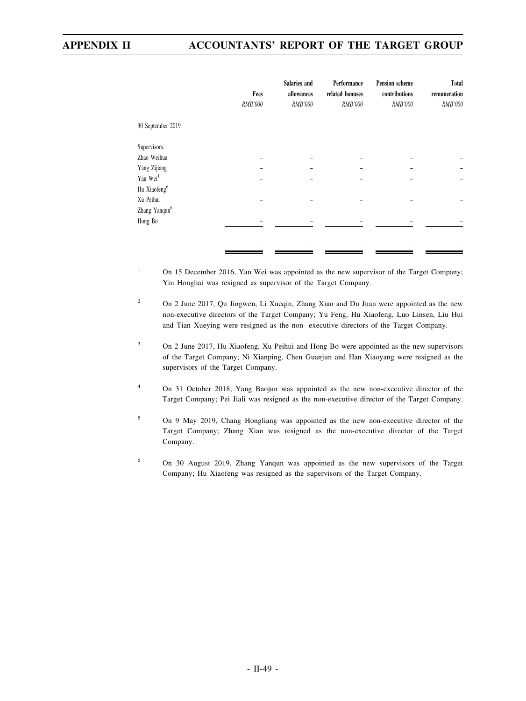|                           | Fees<br>RMB'000 | Salaries and<br>allowances<br>RMB'000 | Performance<br>related bonuses<br>RMB'000 | Pension scheme<br>contributions<br>RMB'000 | <b>Total</b><br>remuneration<br>RMB'000 |
|---------------------------|-----------------|---------------------------------------|-------------------------------------------|--------------------------------------------|-----------------------------------------|
| 30 September 2019         |                 |                                       |                                           |                                            |                                         |
| Supervisors:              |                 |                                       |                                           |                                            |                                         |
| Zhao Weihua               |                 |                                       |                                           |                                            |                                         |
| Yang Zijiang              |                 |                                       |                                           |                                            |                                         |
| Yan Wei <sup>1</sup>      |                 |                                       |                                           |                                            |                                         |
| Hu Xiaofeng <sup>6</sup>  |                 |                                       |                                           |                                            |                                         |
| Xu Peihui                 |                 |                                       |                                           |                                            |                                         |
| Zhang Yanqun <sup>6</sup> |                 |                                       |                                           |                                            |                                         |
| Hong Bo                   |                 |                                       |                                           |                                            |                                         |
|                           |                 |                                       |                                           |                                            |                                         |
|                           |                 |                                       |                                           |                                            |                                         |
|                           |                 |                                       |                                           |                                            |                                         |

- <sup>1</sup> On 15 December 2016, Yan Wei was appointed as the new supervisor of the Target Company; Yin Honghai was resigned as supervisor of the Target Company.
- <sup>2</sup> On 2 June 2017, Qu Jingwen, Li Xueqin, Zhang Xian and Du Juan were appointed as the new non-executive directors of the Target Company; Yu Feng, Hu Xiaofeng, Luo Linsen, Liu Hui and Tian Xueying were resigned as the non- executive directors of the Target Company.
- <sup>3</sup> On 2 June 2017, Hu Xiaofeng, Xu Peihui and Hong Bo were appointed as the new supervisors of the Target Company; Ni Xianping, Chen Guanjun and Han Xiaoyang were resigned as the supervisors of the Target Company.
- <sup>4</sup> On 31 October 2018, Yang Baojun was appointed as the new non-executive director of the Target Company; Pei Jiali was resigned as the non-executive director of the Target Company.
- <sup>5</sup> On 9 May 2019, Chang Hongliang was appointed as the new non-executive director of the Target Company; Zhang Xian was resigned as the non-executive director of the Target Company.
- <sup>6</sup> On 30 August 2019, Zhang Yanqun was appointed as the new supervisors of the Target Company; Hu Xiaofeng was resigned as the supervisors of the Target Company.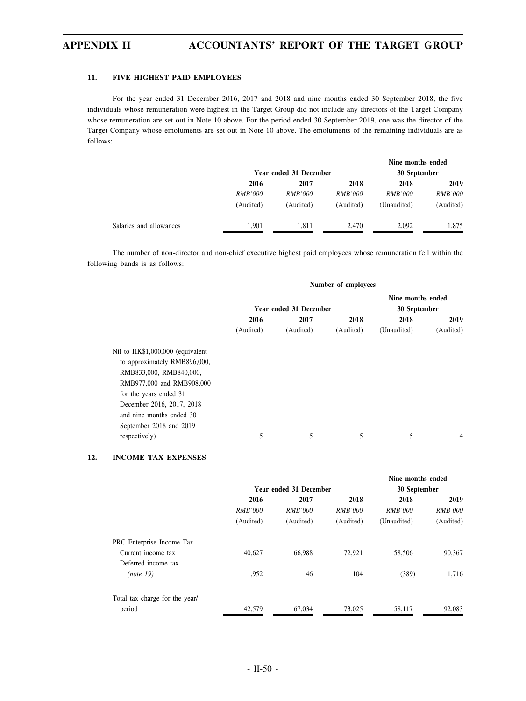#### **11. FIVE HIGHEST PAID EMPLOYEES**

For the year ended 31 December 2016, 2017 and 2018 and nine months ended 30 September 2018, the five individuals whose remuneration were highest in the Target Group did not include any directors of the Target Company whose remuneration are set out in Note 10 above. For the period ended 30 September 2019, one was the director of the Target Company whose emoluments are set out in Note 10 above. The emoluments of the remaining individuals are as follows:

|                |                        |                | Nine months ended |                |  |
|----------------|------------------------|----------------|-------------------|----------------|--|
|                | Year ended 31 December |                |                   | 30 September   |  |
| 2016           | 2017                   | 2018           | 2018              | 2019           |  |
| <i>RMB'000</i> | <i>RMB'000</i>         | <i>RMB'000</i> | <i>RMB'000</i>    | <i>RMB'000</i> |  |
| (Audited)      | (Audited)              | (Audited)      | (Unaudited)       | (Audited)      |  |
| 1.901          | 1.811                  | 2.470          | 2.092             | 1,875          |  |
|                |                        |                |                   |                |  |

The number of non-director and non-chief executive highest paid employees whose remuneration fell within the following bands is as follows:

|                                                                                                                                                                                                                                        | Number of employees |                        |                                   |             |           |  |
|----------------------------------------------------------------------------------------------------------------------------------------------------------------------------------------------------------------------------------------|---------------------|------------------------|-----------------------------------|-------------|-----------|--|
|                                                                                                                                                                                                                                        |                     | Year ended 31 December | Nine months ended<br>30 September |             |           |  |
|                                                                                                                                                                                                                                        | 2016                | 2017                   | 2018                              | 2018        | 2019      |  |
|                                                                                                                                                                                                                                        | (Audited)           | (Audited)              | (Audited)                         | (Unaudited) | (Audited) |  |
| Nil to HK\$1,000,000 (equivalent<br>to approximately RMB896,000,<br>RMB833,000, RMB840,000,<br>RMB977,000 and RMB908,000<br>for the years ended 31<br>December 2016, 2017, 2018<br>and nine months ended 30<br>September 2018 and 2019 |                     |                        |                                   |             |           |  |
| respectively)                                                                                                                                                                                                                          | 5                   | 5                      | 5                                 | 5           | 4         |  |

### **12. INCOME TAX EXPENSES**

|                                |                               |                | Nine months ended |                |                |
|--------------------------------|-------------------------------|----------------|-------------------|----------------|----------------|
|                                | <b>Year ended 31 December</b> |                |                   | 30 September   |                |
|                                | 2016                          | 2017           | 2018              | 2018           | 2019           |
|                                | <b>RMB'000</b>                | <i>RMB'000</i> | <i>RMB'000</i>    | <b>RMB'000</b> | <b>RMB'000</b> |
|                                | (Audited)                     | (Audited)      | (Audited)         | (Unaudited)    | (Audited)      |
| PRC Enterprise Income Tax      |                               |                |                   |                |                |
| Current income tax             | 40,627                        | 66,988         | 72,921            | 58,506         | 90,367         |
| Deferred income tax            |                               |                |                   |                |                |
| (note 19)                      | 1,952                         | 46             | 104               | (389)          | 1,716          |
| Total tax charge for the year/ |                               |                |                   |                |                |
| period                         | 42,579                        | 67.034         | 73,025            | 58,117         | 92,083         |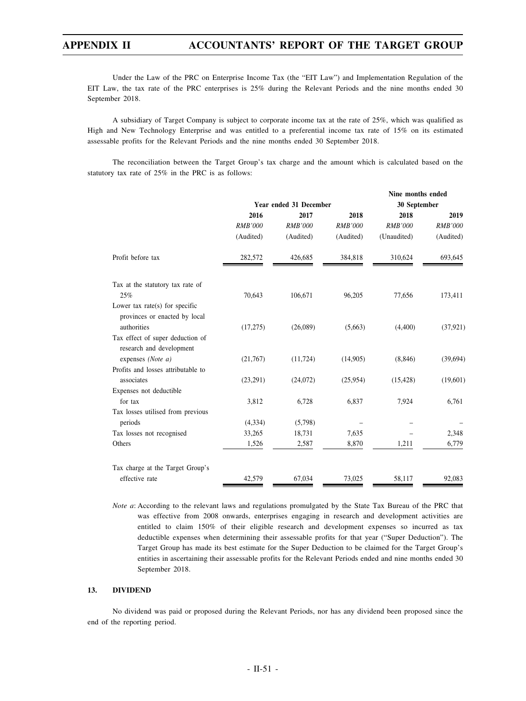Under the Law of the PRC on Enterprise Income Tax (the "EIT Law") and Implementation Regulation of the EIT Law, the tax rate of the PRC enterprises is 25% during the Relevant Periods and the nine months ended 30 September 2018.

A subsidiary of Target Company is subject to corporate income tax at the rate of 25%, which was qualified as High and New Technology Enterprise and was entitled to a preferential income tax rate of 15% on its estimated assessable profits for the Relevant Periods and the nine months ended 30 September 2018.

The reconciliation between the Target Group's tax charge and the amount which is calculated based on the statutory tax rate of 25% in the PRC is as follows:

|                                                                 |                |                        |                | Nine months ended |                |  |
|-----------------------------------------------------------------|----------------|------------------------|----------------|-------------------|----------------|--|
|                                                                 |                | Year ended 31 December |                | 30 September      |                |  |
|                                                                 | 2016           | 2017                   | 2018           | 2018              | 2019           |  |
|                                                                 | <b>RMB'000</b> | <b>RMB'000</b>         | <b>RMB'000</b> | <b>RMB'000</b>    | <b>RMB'000</b> |  |
|                                                                 | (Audited)      | (Audited)              | (Audited)      | (Unaudited)       | (Audited)      |  |
| Profit before tax                                               | 282,572        | 426,685                | 384,818        | 310,624           | 693,645        |  |
| Tax at the statutory tax rate of                                |                |                        |                |                   |                |  |
| 25%                                                             | 70,643         | 106,671                | 96,205         | 77,656            | 173,411        |  |
| Lower tax rate(s) for specific<br>provinces or enacted by local |                |                        |                |                   |                |  |
| authorities                                                     | (17,275)       | (26,089)               | (5,663)        | (4,400)           | (37, 921)      |  |
| Tax effect of super deduction of                                |                |                        |                |                   |                |  |
| research and development                                        |                |                        |                |                   |                |  |
| expenses (Note $a$ )                                            | (21,767)       | (11, 724)              | (14,905)       | (8, 846)          | (39,694)       |  |
| Profits and losses attributable to                              |                |                        |                |                   |                |  |
| associates                                                      | (23,291)       | (24,072)               | (25,954)       | (15, 428)         | (19,601)       |  |
| Expenses not deductible                                         |                |                        |                |                   |                |  |
| for tax                                                         | 3,812          | 6,728                  | 6,837          | 7,924             | 6,761          |  |
| Tax losses utilised from previous                               |                |                        |                |                   |                |  |
| periods                                                         | (4,334)        | (5,798)                |                |                   |                |  |
| Tax losses not recognised                                       | 33,265         | 18,731                 | 7,635          |                   | 2,348          |  |
| Others                                                          | 1,526          | 2,587                  | 8,870          | 1,211             | 6,779          |  |
| Tax charge at the Target Group's                                |                |                        |                |                   |                |  |
| effective rate                                                  | 42,579         | 67,034                 | 73,025         | 58,117            | 92,083         |  |
|                                                                 |                |                        |                |                   |                |  |

*Note a*: According to the relevant laws and regulations promulgated by the State Tax Bureau of the PRC that was effective from 2008 onwards, enterprises engaging in research and development activities are entitled to claim 150% of their eligible research and development expenses so incurred as tax deductible expenses when determining their assessable profits for that year ("Super Deduction"). The Target Group has made its best estimate for the Super Deduction to be claimed for the Target Group's entities in ascertaining their assessable profits for the Relevant Periods ended and nine months ended 30 September 2018.

#### **13. DIVIDEND**

No dividend was paid or proposed during the Relevant Periods, nor has any dividend been proposed since the end of the reporting period.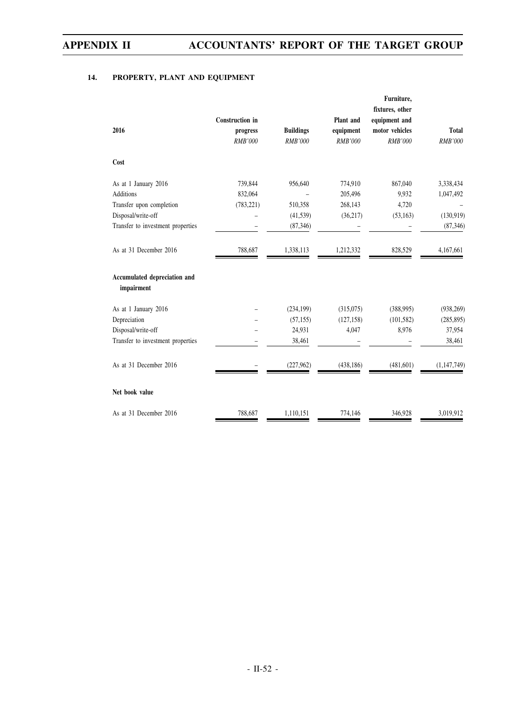## **14. PROPERTY, PLANT AND EQUIPMENT**

| 2016                                       | Construction in<br>progress<br><b>RMB'000</b> | <b>Buildings</b><br><b>RMB'000</b> | Plant and<br>equipment<br><b>RMB'000</b> | Furniture,<br>fixtures, other<br>equipment and<br>motor vehicles<br><b>RMB'000</b> | <b>Total</b><br><b>RMB'000</b> |
|--------------------------------------------|-----------------------------------------------|------------------------------------|------------------------------------------|------------------------------------------------------------------------------------|--------------------------------|
| Cost                                       |                                               |                                    |                                          |                                                                                    |                                |
| As at 1 January 2016                       | 739,844                                       | 956,640                            | 774,910                                  | 867,040                                                                            | 3,338,434                      |
| <b>Additions</b>                           | 832,064                                       |                                    | 205,496                                  | 9,932                                                                              | 1,047,492                      |
| Transfer upon completion                   | (783, 221)                                    | 510,358                            | 268,143                                  | 4,720                                                                              |                                |
| Disposal/write-off                         |                                               | (41, 539)                          | (36, 217)                                | (53, 163)                                                                          | (130, 919)                     |
| Transfer to investment properties          |                                               | (87, 346)                          |                                          |                                                                                    | (87, 346)                      |
| As at 31 December 2016                     | 788,687                                       | 1,338,113                          | 1,212,332                                | 828,529                                                                            | 4,167,661                      |
| Accumulated depreciation and<br>impairment |                                               |                                    |                                          |                                                                                    |                                |
| As at 1 January 2016                       |                                               | (234, 199)                         | (315,075)                                | (388,995)                                                                          | (938, 269)                     |
| Depreciation                               |                                               | (57, 155)                          | (127, 158)                               | (101, 582)                                                                         | (285, 895)                     |
| Disposal/write-off                         |                                               | 24,931                             | 4,047                                    | 8,976                                                                              | 37,954                         |
| Transfer to investment properties          |                                               | 38,461                             |                                          |                                                                                    | 38,461                         |
| As at 31 December 2016                     |                                               | (227,962)                          | (438, 186)                               | (481, 601)                                                                         | (1,147,749)                    |
| Net book value                             |                                               |                                    |                                          |                                                                                    |                                |
| As at 31 December 2016                     | 788,687                                       | 1,110,151                          | 774,146                                  | 346,928                                                                            | 3,019,912                      |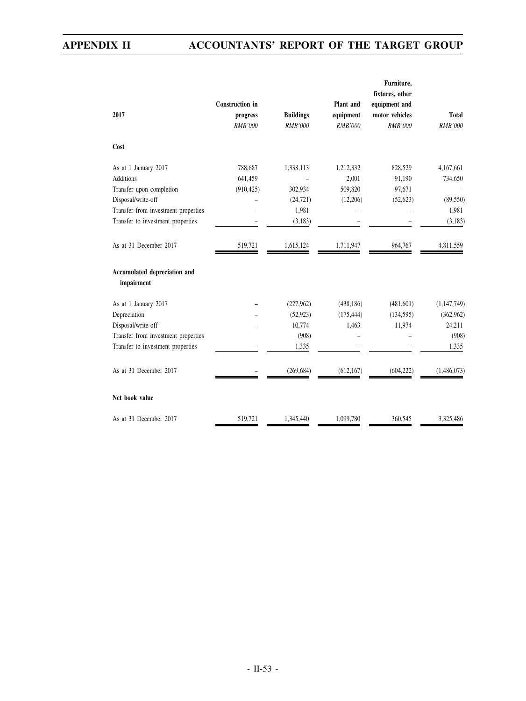|                                            |                        |                  |                | Furniture,                       |                |
|--------------------------------------------|------------------------|------------------|----------------|----------------------------------|----------------|
|                                            | <b>Construction</b> in |                  | Plant and      | fixtures, other<br>equipment and |                |
| 2017                                       | progress               | <b>Buildings</b> | equipment      | motor vehicles                   | <b>Total</b>   |
|                                            | <b>RMB'000</b>         | <b>RMB'000</b>   | <b>RMB'000</b> | <b>RMB'000</b>                   | <b>RMB'000</b> |
| Cost                                       |                        |                  |                |                                  |                |
| As at 1 January 2017                       | 788,687                | 1,338,113        | 1,212,332      | 828,529                          | 4,167,661      |
| <b>Additions</b>                           | 641,459                |                  | 2,001          | 91,190                           | 734,650        |
| Transfer upon completion                   | (910, 425)             | 302,934          | 509,820        | 97,671                           |                |
| Disposal/write-off                         |                        | (24, 721)        | (12,206)       | (52, 623)                        | (89, 550)      |
| Transfer from investment properties        |                        | 1,981            |                |                                  | 1,981          |
| Transfer to investment properties          |                        | (3,183)          |                |                                  | (3,183)        |
| As at 31 December 2017                     | 519,721                | 1,615,124        | 1,711,947      | 964,767                          | 4,811,559      |
| Accumulated depreciation and<br>impairment |                        |                  |                |                                  |                |
| As at 1 January 2017                       |                        | (227, 962)       | (438, 186)     | (481,601)                        | (1, 147, 749)  |
| Depreciation                               |                        | (52, 923)        | (175, 444)     | (134, 595)                       | (362, 962)     |
| Disposal/write-off                         |                        | 10,774           | 1,463          | 11,974                           | 24,211         |
| Transfer from investment properties        |                        | (908)            |                |                                  | (908)          |
| Transfer to investment properties          |                        | 1,335            |                |                                  | 1,335          |
| As at 31 December 2017                     |                        | (269, 684)       | (612, 167)     | (604, 222)                       | (1,486,073)    |
| Net book value                             |                        |                  |                |                                  |                |
| As at 31 December 2017                     | 519,721                | 1,345,440        | 1,099,780      | 360,545                          | 3,325,486      |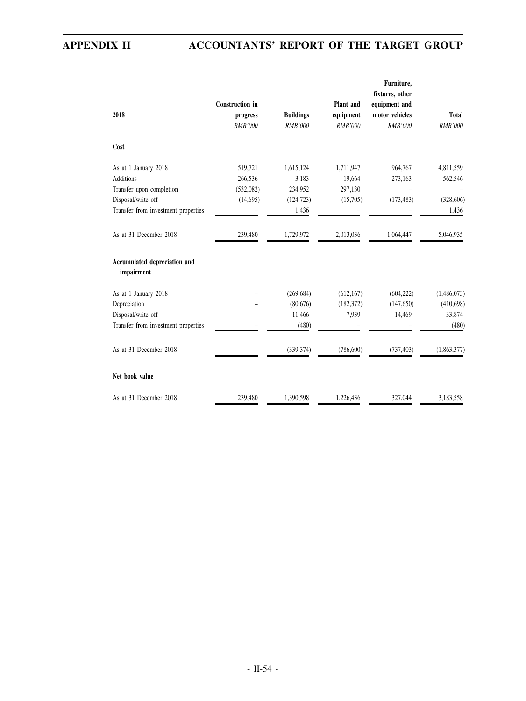|                                            |                        |                  |                | Furniture,      |                |
|--------------------------------------------|------------------------|------------------|----------------|-----------------|----------------|
|                                            |                        |                  |                | fixtures, other |                |
|                                            | <b>Construction</b> in |                  | Plant and      | equipment and   |                |
| 2018                                       | progress               | <b>Buildings</b> | equipment      | motor vehicles  | <b>Total</b>   |
|                                            | <b>RMB'000</b>         | <b>RMB'000</b>   | <b>RMB'000</b> | <b>RMB'000</b>  | <b>RMB'000</b> |
| Cost                                       |                        |                  |                |                 |                |
| As at 1 January 2018                       | 519,721                | 1,615,124        | 1,711,947      | 964,767         | 4,811,559      |
| <b>Additions</b>                           | 266,536                | 3,183            | 19,664         | 273,163         | 562,546        |
| Transfer upon completion                   | (532,082)              | 234,952          | 297,130        |                 |                |
| Disposal/write off                         | (14,695)               | (124, 723)       | (15,705)       | (173, 483)      | (328, 606)     |
| Transfer from investment properties        |                        | 1,436            |                |                 | 1,436          |
| As at 31 December 2018                     | 239,480                | 1,729,972        | 2,013,036      | 1,064,447       | 5,046,935      |
| Accumulated depreciation and<br>impairment |                        |                  |                |                 |                |
| As at 1 January 2018                       |                        | (269, 684)       | (612, 167)     | (604, 222)      | (1,486,073)    |
| Depreciation                               |                        | (80,676)         | (182, 372)     | (147, 650)      | (410, 698)     |
| Disposal/write off                         |                        | 11,466           | 7,939          | 14,469          | 33,874         |
| Transfer from investment properties        |                        | (480)            |                |                 | (480)          |
| As at 31 December 2018                     |                        | (339, 374)       | (786, 600)     | (737, 403)      | (1,863,377)    |
| Net book value                             |                        |                  |                |                 |                |
| As at 31 December 2018                     | 239,480                | 1,390,598        | 1,226,436      | 327,044         | 3,183,558      |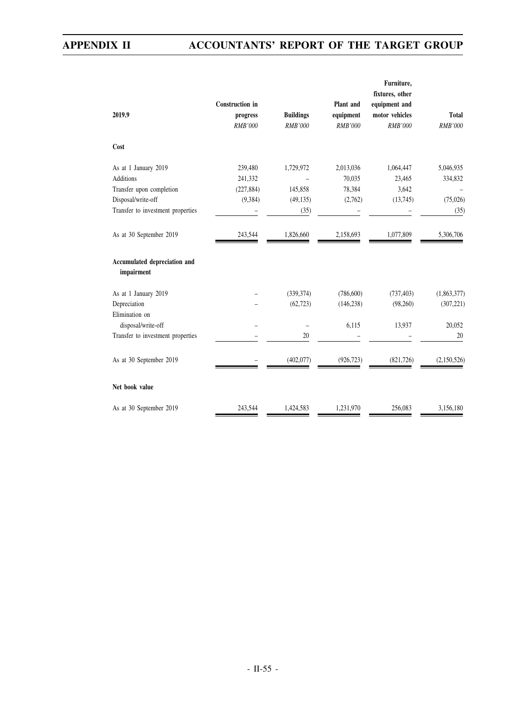| 2019.9                                     | <b>Construction</b> in<br>progress<br><b>RMB'000</b> | <b>Buildings</b><br><b>RMB'000</b> | Plant and<br>equipment<br><b>RMB'000</b> | Furniture,<br>fixtures, other<br>equipment and<br>motor vehicles<br><b>RMB'000</b> | <b>Total</b><br>RMB'000 |
|--------------------------------------------|------------------------------------------------------|------------------------------------|------------------------------------------|------------------------------------------------------------------------------------|-------------------------|
| Cost                                       |                                                      |                                    |                                          |                                                                                    |                         |
| As at 1 January 2019                       | 239,480                                              | 1,729,972                          | 2,013,036                                | 1,064,447                                                                          | 5,046,935               |
| <b>Additions</b>                           | 241,332                                              |                                    | 70,035                                   | 23,465                                                                             | 334,832                 |
| Transfer upon completion                   | (227, 884)                                           | 145,858                            | 78,384                                   | 3,642                                                                              |                         |
| Disposal/write-off                         | (9, 384)                                             | (49, 135)                          | (2,762)                                  | (13,745)                                                                           | (75,026)                |
| Transfer to investment properties          |                                                      | (35)                               |                                          |                                                                                    | (35)                    |
| As at 30 September 2019                    | 243,544                                              | 1,826,660                          | 2,158,693                                | 1,077,809                                                                          | 5,306,706               |
| Accumulated depreciation and<br>impairment |                                                      |                                    |                                          |                                                                                    |                         |
| As at 1 January 2019                       |                                                      | (339, 374)                         | (786, 600)                               | (737, 403)                                                                         | (1,863,377)             |
| Depreciation                               |                                                      | (62, 723)                          | (146, 238)                               | (98,260)                                                                           | (307, 221)              |
| Elimination on                             |                                                      |                                    |                                          |                                                                                    |                         |
| disposal/write-off                         |                                                      |                                    | 6,115                                    | 13,937                                                                             | 20,052                  |
| Transfer to investment properties          |                                                      | 20                                 |                                          |                                                                                    | 20                      |
| As at 30 September 2019                    |                                                      | (402,077)                          | (926, 723)                               | (821, 726)                                                                         | (2,150,526)             |
| Net book value                             |                                                      |                                    |                                          |                                                                                    |                         |
| As at 30 September 2019                    | 243,544                                              | 1,424,583                          | 1,231,970                                | 256,083                                                                            | 3,156,180               |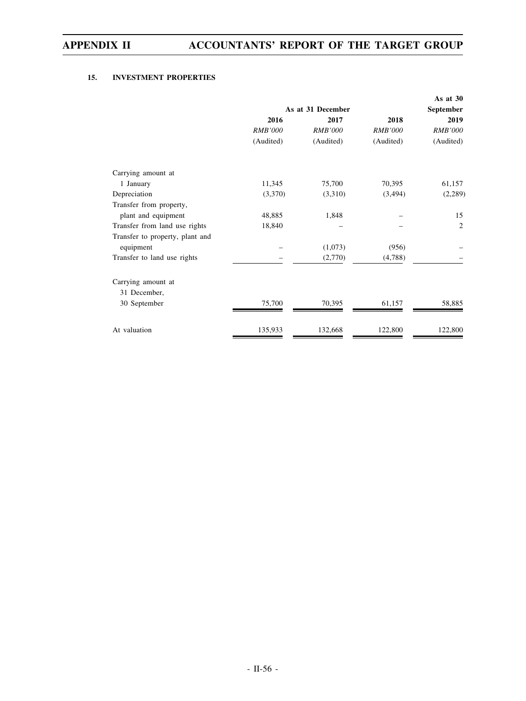### **15. INVESTMENT PROPERTIES**

|                                 |                |                   |                | As at $30$     |  |  |  |
|---------------------------------|----------------|-------------------|----------------|----------------|--|--|--|
|                                 |                | As at 31 December |                |                |  |  |  |
|                                 | 2016           | 2017              | 2018           | 2019           |  |  |  |
|                                 | <b>RMB'000</b> | <b>RMB'000</b>    | <b>RMB'000</b> | <b>RMB'000</b> |  |  |  |
|                                 | (Audited)      | (Audited)         | (Audited)      | (Audited)      |  |  |  |
| Carrying amount at              |                |                   |                |                |  |  |  |
| 1 January                       | 11,345         | 75,700            | 70,395         | 61,157         |  |  |  |
| Depreciation                    | (3,370)        | (3,310)           | (3,494)        | (2,289)        |  |  |  |
| Transfer from property,         |                |                   |                |                |  |  |  |
| plant and equipment             | 48,885         | 1,848             |                | 15             |  |  |  |
| Transfer from land use rights   | 18,840         |                   |                | 2              |  |  |  |
| Transfer to property, plant and |                |                   |                |                |  |  |  |
| equipment                       |                | (1,073)           | (956)          |                |  |  |  |
| Transfer to land use rights     |                | (2,770)           | (4,788)        |                |  |  |  |
| Carrying amount at              |                |                   |                |                |  |  |  |
| 31 December,                    |                |                   |                |                |  |  |  |
| 30 September                    | 75,700         | 70,395            | 61,157         | 58,885         |  |  |  |
| At valuation                    | 135,933        | 132,668           | 122,800        | 122,800        |  |  |  |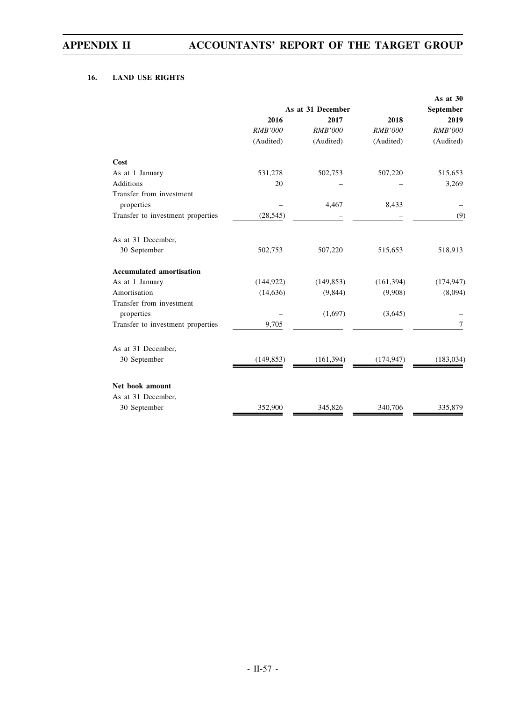### **16. LAND USE RIGHTS**

|                                        |                   |                |                | As at 30       |
|----------------------------------------|-------------------|----------------|----------------|----------------|
|                                        | As at 31 December | September      |                |                |
|                                        | 2016              | 2017           | 2018           | 2019           |
|                                        | <b>RMB'000</b>    | <b>RMB'000</b> | <b>RMB'000</b> | <b>RMB'000</b> |
|                                        | (Audited)         | (Audited)      | (Audited)      | (Audited)      |
| Cost                                   |                   |                |                |                |
| As at 1 January                        | 531,278           | 502,753        | 507,220        | 515,653        |
| <b>Additions</b>                       | 20                |                |                | 3,269          |
| Transfer from investment               |                   |                |                |                |
| properties                             |                   | 4,467          | 8,433          |                |
| Transfer to investment properties      | (28, 545)         |                |                | (9)            |
| As at 31 December,                     |                   |                |                |                |
| 30 September                           | 502,753           | 507,220        | 515,653        | 518,913        |
| <b>Accumulated amortisation</b>        |                   |                |                |                |
| As at 1 January                        | (144, 922)        | (149, 853)     | (161, 394)     | (174, 947)     |
| Amortisation                           | (14, 636)         | (9,844)        | (9,908)        | (8,094)        |
| Transfer from investment<br>properties |                   | (1,697)        | (3,645)        |                |
|                                        |                   |                |                |                |
| Transfer to investment properties      | 9,705             |                |                | 7              |
| As at 31 December,                     |                   |                |                |                |
| 30 September                           | (149, 853)        | (161, 394)     | (174, 947)     | (183, 034)     |
| Net book amount                        |                   |                |                |                |
| As at 31 December,                     |                   |                |                |                |
| 30 September                           | 352,900           | 345,826        | 340,706        | 335,879        |
|                                        |                   |                |                |                |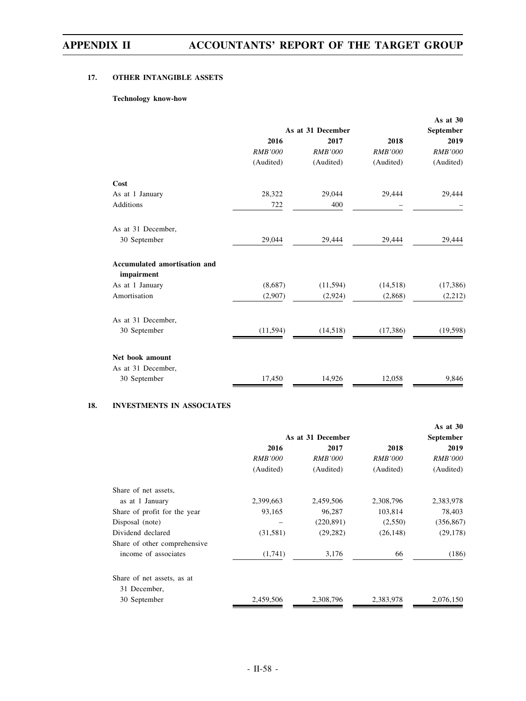### **17. OTHER INTANGIBLE ASSETS**

### **Technology know-how**

|                                 |                   |                |                | As at 30       |  |
|---------------------------------|-------------------|----------------|----------------|----------------|--|
|                                 | As at 31 December | September      |                |                |  |
|                                 | 2016              | 2017           | 2018           | 2019           |  |
|                                 | <b>RMB'000</b>    | <b>RMB'000</b> | <b>RMB'000</b> | <b>RMB'000</b> |  |
|                                 | (Audited)         | (Audited)      | (Audited)      | (Audited)      |  |
| Cost                            |                   |                |                |                |  |
| As at 1 January                 | 28,322            | 29,044         | 29,444         | 29,444         |  |
| <b>Additions</b>                | 722               | 400            |                |                |  |
| As at 31 December,              |                   |                |                |                |  |
| 30 September                    | 29,044            | 29,444         | 29,444         | 29,444         |  |
| Accumulated amortisation and    |                   |                |                |                |  |
| impairment                      |                   |                |                |                |  |
| As at 1 January<br>Amortisation | (8,687)           | (11,594)       | (14,518)       | (17, 386)      |  |
|                                 | (2,907)           | (2,924)        | (2,868)        | (2, 212)       |  |
| As at 31 December,              |                   |                |                |                |  |
| 30 September                    | (11, 594)         | (14,518)       | (17,386)       | (19, 598)      |  |
| Net book amount                 |                   |                |                |                |  |
| As at 31 December,              |                   |                |                |                |  |
| 30 September                    | 17,450            | 14,926         | 12,058         | 9,846          |  |
|                                 |                   |                |                |                |  |

### **18. INVESTMENTS IN ASSOCIATES**

|                              |                |                   |                | As at $30$     |  |  |
|------------------------------|----------------|-------------------|----------------|----------------|--|--|
|                              |                | As at 31 December |                |                |  |  |
|                              | 2016           | 2017              | 2018           | 2019           |  |  |
|                              | <i>RMB'000</i> | <i>RMB'000</i>    | <i>RMB'000</i> | <i>RMB'000</i> |  |  |
|                              | (Audited)      | (Audited)         | (Audited)      | (Audited)      |  |  |
| Share of net assets,         |                |                   |                |                |  |  |
| as at 1 January              | 2,399,663      | 2,459,506         | 2,308,796      | 2,383,978      |  |  |
| Share of profit for the year | 93,165         | 96,287            | 103,814        | 78,403         |  |  |
| Disposal (note)              |                | (220, 891)        | (2,550)        | (356, 867)     |  |  |
| Dividend declared            | (31, 581)      | (29, 282)         | (26, 148)      | (29, 178)      |  |  |
| Share of other comprehensive |                |                   |                |                |  |  |
| income of associates         | (1,741)        | 3,176             | 66             | (186)          |  |  |
| Share of net assets, as at   |                |                   |                |                |  |  |
| 31 December,                 |                |                   |                |                |  |  |
| 30 September                 | 2,459,506      | 2,308,796         | 2,383,978      | 2,076,150      |  |  |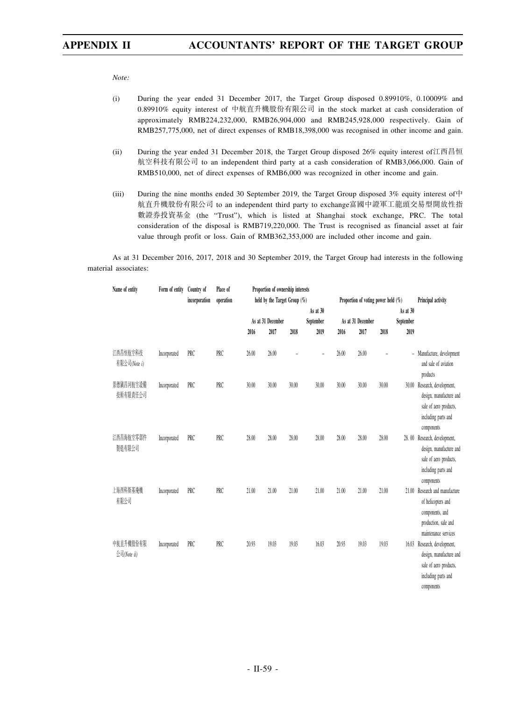*Note:*

- (i) During the year ended 31 December 2017, the Target Group disposed 0.89910%, 0.10009% and 0.89910% equity interest of 中航直升機股份有限公司 in the stock market at cash consideration of approximately RMB224,232,000, RMB26,904,000 and RMB245,928,000 respectively. Gain of RMB257,775,000, net of direct expenses of RMB18,398,000 was recognised in other income and gain.
- (ii) During the year ended 31 December 2018, the Target Group disposed 26% equity interest of江西昌恒 航空科技有限公司 to an independent third party at a cash consideration of RMB3,066,000. Gain of RMB510,000, net of direct expenses of RMB6,000 was recognized in other income and gain.
- (iii) During the nine months ended 30 September 2019, the Target Group disposed 3% equity interest of  $\dot{P}$ 航直升機股份有限公司 to an independent third party to exchange富國中證軍工龍頭交易型開放性指 數證券投資基金 (the "Trust"), which is listed at Shanghai stock exchange, PRC. The total consideration of the disposal is RMB719,220,000. The Trust is recognised as financial asset at fair value through profit or loss. Gain of RMB362,353,000 are included other income and gain.

As at 31 December 2016, 2017, 2018 and 30 September 2019, the Target Group had interests in the following material associates:

| Name of entity           | Form of entity | Country of    | Place of<br>operation |       | Proportion of ownership interests |       |           |       |                                        |       |                          |                                                                                                                   |
|--------------------------|----------------|---------------|-----------------------|-------|-----------------------------------|-------|-----------|-------|----------------------------------------|-------|--------------------------|-------------------------------------------------------------------------------------------------------------------|
|                          |                | incorporation |                       |       | held by the Target Group (%)      |       | As at 30  |       | Proportion of voting power held $(\%)$ |       | As at 30                 | Principal activity                                                                                                |
|                          |                |               |                       |       | As at 31 December                 |       | September |       | As at 31 December                      |       | September                |                                                                                                                   |
|                          |                |               |                       | 2016  | 2017                              | 2018  | 2019      | 2016  | 2017                                   | 2018  | 2019                     |                                                                                                                   |
| 江西昌恒航空科技<br>有限公司(Note i) | Incorporated   | PRC           | PRC                   | 26.00 | 26.00                             |       |           | 26.00 | 26.00                                  |       | $\overline{\phantom{a}}$ | Manufacture, development<br>and sale of aviation<br>products                                                      |
| 景德鎮昌河航空設備<br>技術有限責任公司    | Incorporated   | PRC           | PRC                   | 30.00 | 30.00                             | 30.00 | 30.00     | 30.00 | 30.00                                  | 30.00 | 30.00                    | Research, development,<br>design, manufacture and<br>sale of aero products,<br>including parts and<br>components  |
| 江西昌海航空零部件<br>製造有限公司      | Incorporated   | PRC           | PRC                   | 28.00 | 28.00                             | 28.00 | 28.00     | 28.00 | 28.00                                  | 28.00 | 28.00                    | Research, development,<br>design, manufacture and<br>sale of aero products,<br>including parts and<br>components  |
| 上海西科斯基飛機<br>有限公司         | Incorporated   | PRC           | PRC                   | 21.00 | 21.00                             | 21.00 | 21.00     | 21.00 | 21.00                                  | 21.00 | 21.00                    | Research and manufacture<br>of helicopters and<br>components, and<br>production, sale and<br>maintenance services |
| 中航直升機股份有限<br>公司(Note ii) | Incorporated   | PRC           | PRC                   | 20.93 | 19.03                             | 19.03 | 16.03     | 20.93 | 19.03                                  | 19.03 | 16.03                    | Research, development,<br>design, manufacture and<br>sale of aero products,<br>including parts and<br>components  |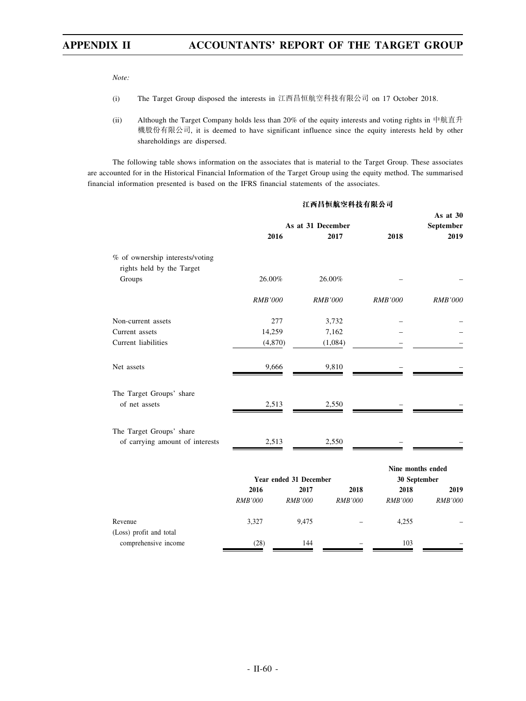*Note:*

- (i) The Target Group disposed the interests in 江西昌恒航空科技有限公司 on 17 October 2018.
- (ii) Although the Target Company holds less than 20% of the equity interests and voting rights in 中航直升 機股份有限公司, it is deemed to have significant influence since the equity interests held by other shareholdings are dispersed.

The following table shows information on the associates that is material to the Target Group. These associates are accounted for in the Historical Financial Information of the Target Group using the equity method. The summarised financial information presented is based on the IFRS financial statements of the associates.

|                                     |                   |                        | 江西昌恒航空科技有限公司   |                   |                |
|-------------------------------------|-------------------|------------------------|----------------|-------------------|----------------|
|                                     |                   |                        |                |                   | As at $30$     |
|                                     | As at 31 December |                        |                |                   | September      |
|                                     | 2016              |                        | 2017           | 2018              | 2019           |
| % of ownership interests/voting     |                   |                        |                |                   |                |
| rights held by the Target<br>Groups | 26.00%            |                        | 26.00%         |                   |                |
|                                     |                   |                        |                |                   |                |
|                                     | <b>RMB'000</b>    |                        | <b>RMB'000</b> | <b>RMB'000</b>    | <b>RMB'000</b> |
| Non-current assets                  | 277               |                        | 3,732          |                   |                |
| Current assets                      | 14,259            |                        | 7,162          |                   |                |
| Current liabilities                 | (4,870)           |                        | (1,084)        |                   |                |
| Net assets                          | 9,666             |                        | 9,810          |                   |                |
| The Target Groups' share            |                   |                        |                |                   |                |
| of net assets                       | 2,513             |                        | 2,550          |                   |                |
| The Target Groups' share            |                   |                        |                |                   |                |
| of carrying amount of interests     | 2,513             |                        | 2,550          |                   |                |
|                                     |                   |                        |                | Nine months ended |                |
|                                     |                   | Year ended 31 December |                | 30 September      |                |
|                                     | 2016              | 2017                   | 2018           | 2018              | 2019           |
|                                     | <b>RMB'000</b>    | <b>RMB'000</b>         | <b>RMB'000</b> | <b>RMB'000</b>    | <b>RMB'000</b> |
| Revenue                             | 3,327             | 9,475                  |                | 4,255             |                |
| (Loss) profit and total             |                   |                        |                |                   |                |
| comprehensive income                | (28)              | 144                    |                | 103               |                |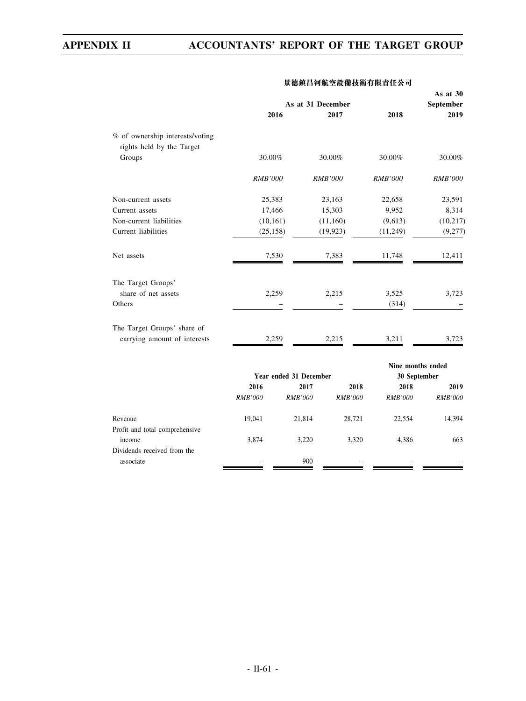|                                 |                |                        |                   |                   | As at 30       |
|---------------------------------|----------------|------------------------|-------------------|-------------------|----------------|
|                                 |                |                        | As at 31 December |                   | September      |
|                                 |                | 2016                   | 2017              | 2018              | 2019           |
| % of ownership interests/voting |                |                        |                   |                   |                |
| rights held by the Target       |                |                        |                   |                   |                |
| Groups                          | 30.00%         |                        | 30.00%            | 30.00%            | 30.00%         |
|                                 | <b>RMB'000</b> |                        | <b>RMB'000</b>    | <b>RMB'000</b>    | <b>RMB'000</b> |
| Non-current assets              | 25,383         |                        | 23,163            | 22,658            | 23,591         |
| Current assets                  | 17,466         |                        | 15,303            | 9,952             | 8,314          |
| Non-current liabilities         | (10, 161)      |                        | (11, 160)         | (9,613)           | (10, 217)      |
| Current liabilities             | (25, 158)      |                        | (19, 923)         | (11,249)          | (9,277)        |
| Net assets                      | 7,530          |                        | 7,383             | 11,748            | 12,411         |
| The Target Groups'              |                |                        |                   |                   |                |
| share of net assets             | 2,259          |                        | 2,215             | 3,525             | 3,723          |
| Others                          |                |                        |                   | (314)             |                |
| The Target Groups' share of     |                |                        |                   |                   |                |
| carrying amount of interests    | 2,259          |                        | 2,215             | 3,211             | 3,723          |
|                                 |                |                        |                   | Nine months ended |                |
|                                 |                | Year ended 31 December |                   | 30 September      |                |
|                                 | 2016           | 2017                   | 2018              | 2018              | 2019           |
|                                 | <b>RMB'000</b> | <b>RMB'000</b>         | <b>RMB'000</b>    | <b>RMB'000</b>    | <b>RMB'000</b> |
| Revenue                         | 19,041         | 21,814                 | 28,721            | 22,554            | 14,394         |
| Profit and total comprehensive  |                |                        |                   |                   |                |
| income                          | 3,874          | 3,220                  | 3,320             | 4,386             | 663            |
| Dividends received from the     |                |                        |                   |                   |                |
| associate                       |                | 900                    |                   |                   |                |

### **景德鎮昌河航空設備技術有限責任公司**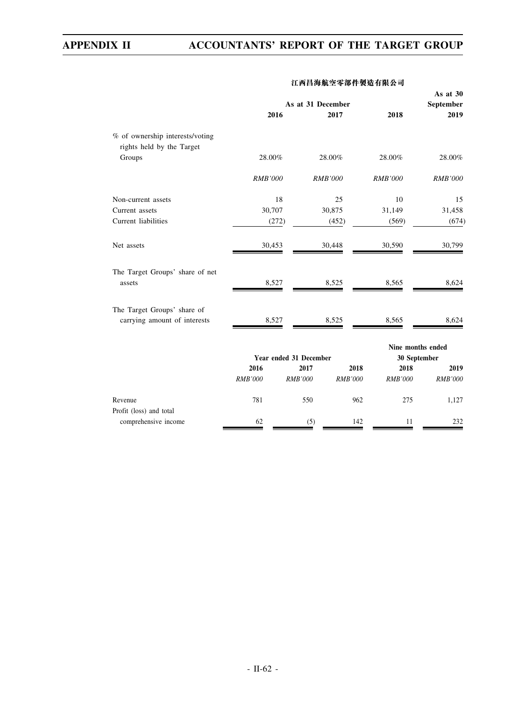|                                                              | As at 31 December |                        |                |                                   | As at 30<br>September |
|--------------------------------------------------------------|-------------------|------------------------|----------------|-----------------------------------|-----------------------|
|                                                              |                   | 2016                   | 2017           | 2018                              | 2019                  |
| % of ownership interests/voting<br>rights held by the Target |                   |                        |                |                                   |                       |
| Groups                                                       | 28.00%            |                        | 28.00%         | 28.00%                            | 28.00%                |
|                                                              | <b>RMB'000</b>    |                        | <b>RMB'000</b> | <b>RMB'000</b>                    | <b>RMB'000</b>        |
| Non-current assets                                           |                   | 18                     | 25             | 10                                | 15                    |
| Current assets                                               | 30,707            |                        | 30,875         | 31,149                            | 31,458                |
| Current liabilities                                          |                   | (272)                  | (452)          | (569)                             | (674)                 |
| Net assets                                                   | 30,453            |                        | 30,448         | 30,590                            | 30,799                |
| The Target Groups' share of net<br>assets                    | 8,527             |                        | 8,525          | 8,565                             | 8,624                 |
| The Target Groups' share of<br>carrying amount of interests  | 8,527             |                        | 8,525          | 8,565                             | 8,624                 |
|                                                              |                   | Year ended 31 December |                | Nine months ended<br>30 September |                       |
|                                                              | 2016              | 2017                   | 2018           | 2018                              | 2019                  |
|                                                              | <b>RMB'000</b>    | <b>RMB'000</b>         | <b>RMB'000</b> | <b>RMB'000</b>                    | <b>RMB'000</b>        |
| Revenue<br>Profit (loss) and total                           | 781               | 550                    | 962            | 275                               | 1,127                 |
| comprehensive income                                         | 62                | (5)                    | 142            | 11                                | 232                   |

### **江西昌海航空零部件製造有限公司**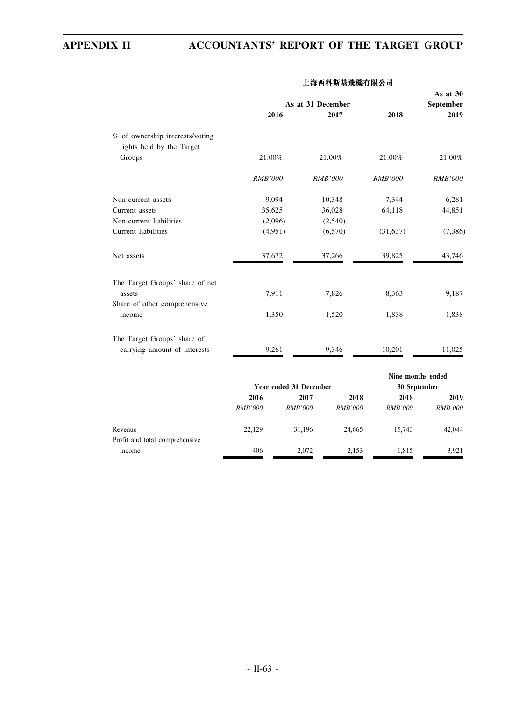|                                           |                |                        | As at 31 December |                   | As at 30<br>September |
|-------------------------------------------|----------------|------------------------|-------------------|-------------------|-----------------------|
|                                           |                | 2016                   | 2017              | 2018              | 2019                  |
| % of ownership interests/voting           |                |                        |                   |                   |                       |
| rights held by the Target                 |                |                        |                   |                   |                       |
| Groups                                    | 21.00%         |                        | 21.00%            | 21.00%            | 21.00%                |
|                                           | <b>RMB'000</b> |                        | <b>RMB'000</b>    | <b>RMB'000</b>    | RMB'000               |
| Non-current assets                        | 9,094          |                        | 10,348            | 7,344             | 6,281                 |
| Current assets                            | 35,625         |                        | 36,028            | 64,118            | 44,851                |
| Non-current liabilities                   | (2,096)        |                        | (2,540)           |                   |                       |
| Current liabilities                       | (4,951)        |                        | (6,570)           | (31, 637)         | (7,386)               |
| Net assets                                | 37,672         |                        | 37,266            | 39,825            | 43,746                |
| The Target Groups' share of net           |                |                        |                   |                   |                       |
| assets                                    | 7,911          |                        | 7,826             | 8,363             | 9,187                 |
| Share of other comprehensive              |                |                        |                   |                   |                       |
| income                                    | 1,350          |                        | 1,520             | 1,838             | 1,838                 |
| The Target Groups' share of               |                |                        |                   |                   |                       |
| carrying amount of interests              | 9,261          |                        | 9,346             | 10,201            | 11,025                |
|                                           |                |                        |                   | Nine months ended |                       |
|                                           |                | Year ended 31 December |                   | 30 September      |                       |
|                                           | 2016<br>2017   |                        | 2018              | 2018              | 2019                  |
|                                           | <b>RMB'000</b> | <b>RMB'000</b>         | <b>RMB'000</b>    | <b>RMB'000</b>    | <b>RMB'000</b>        |
| Revenue<br>Profit and total comprehensive | 22,129         | 31,196                 | 24,665            | 15,743            | 42,044                |
| income                                    | 406            | 2,072                  | 2,153             | 1,815             | 3,921                 |

### **上海西科斯基飛機有限公司**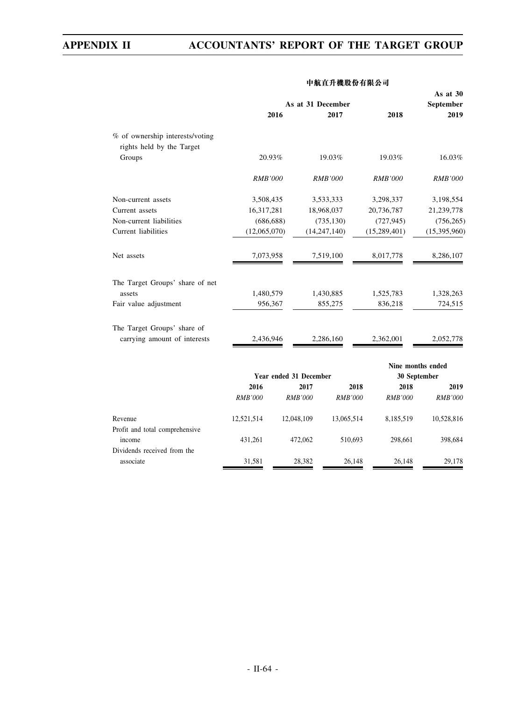|                                 | As at 31 December |                        |                |                | As at 30<br><b>September</b> |
|---------------------------------|-------------------|------------------------|----------------|----------------|------------------------------|
|                                 |                   | 2016                   | 2017           | 2018           | 2019                         |
| % of ownership interests/voting |                   |                        |                |                |                              |
| rights held by the Target       |                   |                        |                |                |                              |
| Groups                          | 20.93%            |                        | 19.03%         | 19.03%         | 16.03%                       |
|                                 | <b>RMB'000</b>    |                        | <b>RMB'000</b> | <b>RMB'000</b> | <b>RMB'000</b>               |
| Non-current assets              | 3,508,435         |                        | 3,533,333      | 3,298,337      | 3,198,554                    |
| Current assets                  | 16,317,281        |                        | 18,968,037     | 20,736,787     | 21,239,778                   |
| Non-current liabilities         | (686, 688)        |                        | (735, 130)     | (727, 945)     | (756, 265)                   |
| Current liabilities             | (12,065,070)      |                        | (14, 247, 140) | (15,289,401)   | (15,395,960)                 |
| Net assets                      | 7,073,958         |                        | 7,519,100      | 8,017,778      | 8,286,107                    |
| The Target Groups' share of net |                   |                        |                |                |                              |
| assets                          | 1,480,579         |                        | 1,430,885      | 1,525,783      | 1,328,263                    |
| Fair value adjustment           | 956,367           |                        | 855,275        | 836,218        | 724,515                      |
| The Target Groups' share of     |                   |                        |                |                |                              |
| carrying amount of interests    | 2,436,946         |                        | 2,286,160      | 2,362,001      | 2,052,778                    |
|                                 |                   |                        |                |                | Nine months ended            |
|                                 |                   | Year ended 31 December |                | 30 September   |                              |
|                                 | 2016              | 2017                   | 2018           | 2018           | 2019                         |
|                                 | <b>RMB'000</b>    | <b>RMB'000</b>         | <b>RMB'000</b> | <b>RMB'000</b> | <b>RMB'000</b>               |
| Revenue                         | 12,521,514        | 12,048,109             | 13,065,514     | 8,185,519      | 10,528,816                   |
| Profit and total comprehensive  |                   |                        |                |                |                              |
| income                          | 431,261           | 472,062                | 510,693        | 298,661        | 398,684                      |
| Dividends received from the     |                   |                        |                |                |                              |
| associate                       | 31,581            | 28,382                 | 26,148         | 26,148         | 29,178                       |

### **中航直升機股份有限公司**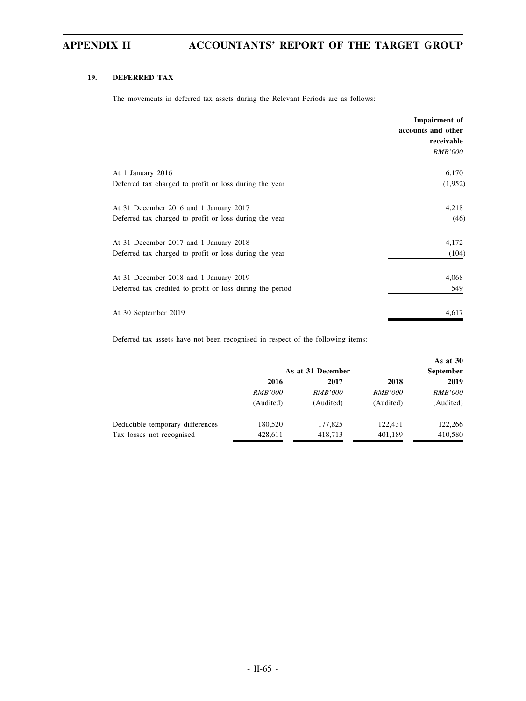### **19. DEFERRED TAX**

The movements in deferred tax assets during the Relevant Periods are as follows:

|                                                           | Impairment of<br>accounts and other<br>receivable<br><i>RMB'000</i> |
|-----------------------------------------------------------|---------------------------------------------------------------------|
| At 1 January 2016                                         | 6,170                                                               |
| Deferred tax charged to profit or loss during the year    | (1,952)                                                             |
| At 31 December 2016 and 1 January 2017                    | 4,218                                                               |
| Deferred tax charged to profit or loss during the year    | (46)                                                                |
| At 31 December 2017 and 1 January 2018                    | 4,172                                                               |
| Deferred tax charged to profit or loss during the year    | (104)                                                               |
| At 31 December 2018 and 1 January 2019                    | 4,068                                                               |
| Deferred tax credited to profit or loss during the period | 549                                                                 |
| At 30 September 2019                                      | 4,617                                                               |

Deferred tax assets have not been recognised in respect of the following items:

|                |                   |                | As at $30$     |  |
|----------------|-------------------|----------------|----------------|--|
|                | As at 31 December |                |                |  |
| 2016           | 2017              | 2018           | 2019           |  |
| <i>RMB'000</i> | <i>RMB'000</i>    | <i>RMB'000</i> | <i>RMB'000</i> |  |
| (Audited)      | (Audited)         | (Audited)      | (Audited)      |  |
| 180,520        | 177,825           | 122.431        | 122,266        |  |
| 428.611        | 418,713           | 401,189        | 410,580        |  |
|                |                   |                |                |  |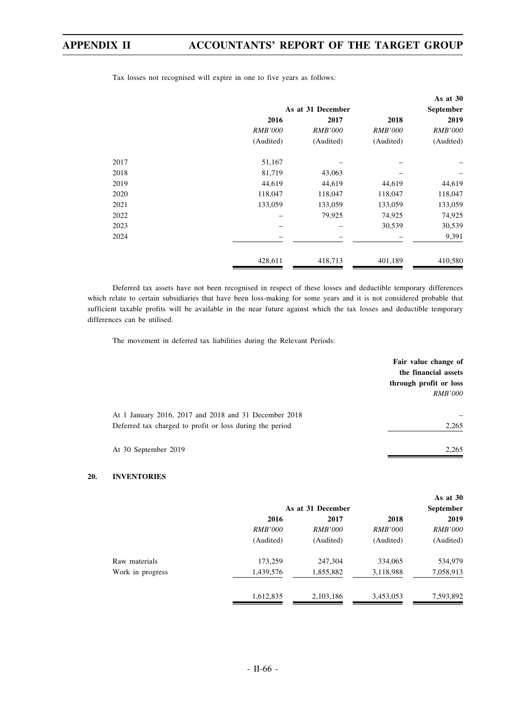|      |                |                   |                | As at 30       |
|------|----------------|-------------------|----------------|----------------|
|      |                | As at 31 December |                |                |
|      | 2016           | 2017              | 2018           | 2019           |
|      | <b>RMB'000</b> | <b>RMB'000</b>    | <i>RMB'000</i> | <b>RMB'000</b> |
|      | (Audited)      | (Audited)         | (Audited)      | (Audited)      |
| 2017 | 51,167         |                   |                |                |
| 2018 | 81,719         | 43,063            |                |                |
| 2019 | 44,619         | 44,619            | 44,619         | 44,619         |
| 2020 | 118,047        | 118,047           | 118,047        | 118,047        |
| 2021 | 133,059        | 133,059           | 133,059        | 133,059        |
| 2022 |                | 79,925            | 74,925         | 74,925         |
| 2023 |                |                   | 30,539         | 30,539         |
| 2024 |                |                   |                | 9,391          |
|      | 428,611        | 418,713           | 401,189        | 410,580        |

Tax losses not recognised will expire in one to five years as follows:

Deferred tax assets have not been recognised in respect of these losses and deductible temporary differences which relate to certain subsidiaries that have been loss-making for some years and it is not considered probable that sufficient taxable profits will be available in the near future against which the tax losses and deductible temporary differences can be utilised.

The movement in deferred tax liabilities during the Relevant Periods:

|                                                          | Fair value change of<br>the financial assets |
|----------------------------------------------------------|----------------------------------------------|
|                                                          | through profit or loss                       |
|                                                          | <i>RMB'000</i>                               |
| At 1 January 2016, 2017 and 2018 and 31 December 2018    |                                              |
| Deferred tax charged to profit or loss during the period | 2,265                                        |
|                                                          |                                              |
| At 30 September 2019                                     | 2,265                                        |
|                                                          |                                              |

### **20. INVENTORIES**

|                  |                |                   |                | As at $30$     |
|------------------|----------------|-------------------|----------------|----------------|
|                  |                | As at 31 December |                | September      |
|                  | 2016           | 2017              | 2018           | 2019           |
|                  | <i>RMB'000</i> | <i>RMB'000</i>    | <i>RMB'000</i> | <i>RMB'000</i> |
|                  | (Audited)      | (Audited)         | (Audited)      | (Audited)      |
| Raw materials    | 173,259        | 247,304           | 334,065        | 534,979        |
| Work in progress | 1,439,576      | 1,855,882         | 3,118,988      | 7,058,913      |
|                  | 1,612,835      | 2,103,186         | 3,453,053      | 7,593,892      |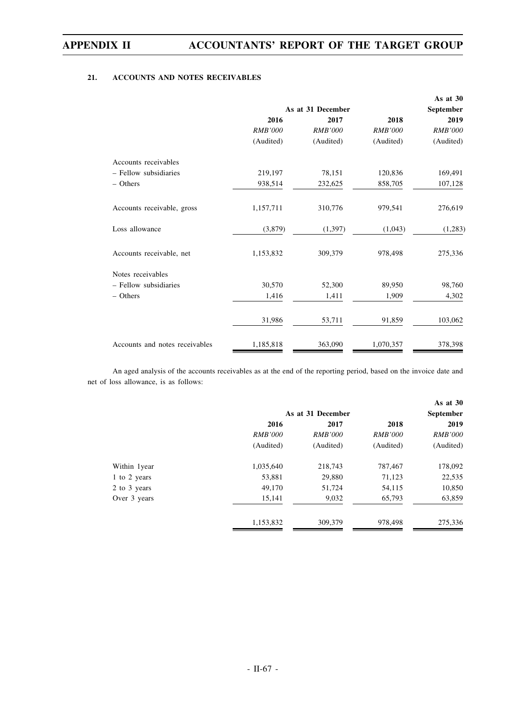### **21. ACCOUNTS AND NOTES RECEIVABLES**

|                                |                |                   |                | As at 30       |  |
|--------------------------------|----------------|-------------------|----------------|----------------|--|
|                                |                | As at 31 December |                |                |  |
|                                | 2016           | 2017              | 2018           | 2019           |  |
|                                | <b>RMB'000</b> | <b>RMB'000</b>    | <b>RMB'000</b> | <b>RMB'000</b> |  |
|                                | (Audited)      | (Audited)         | (Audited)      | (Audited)      |  |
| Accounts receivables           |                |                   |                |                |  |
| - Fellow subsidiaries          | 219,197        | 78,151            | 120,836        | 169,491        |  |
| - Others                       | 938,514        | 232,625           | 858,705        | 107,128        |  |
| Accounts receivable, gross     | 1,157,711      | 310,776           | 979,541        | 276,619        |  |
| Loss allowance                 | (3,879)        | (1, 397)          | (1,043)        | (1,283)        |  |
| Accounts receivable, net       | 1,153,832      | 309,379           | 978,498        | 275,336        |  |
| Notes receivables              |                |                   |                |                |  |
| - Fellow subsidiaries          | 30,570         | 52,300            | 89,950         | 98,760         |  |
| - Others                       | 1,416          | 1,411             | 1,909          | 4,302          |  |
|                                | 31,986         | 53,711            | 91,859         | 103,062        |  |
| Accounts and notes receivables | 1,185,818      | 363,090           | 1,070,357      | 378,398        |  |

An aged analysis of the accounts receivables as at the end of the reporting period, based on the invoice date and net of loss allowance, is as follows:

|              |                   |                  |                | As at $30$     |
|--------------|-------------------|------------------|----------------|----------------|
|              | As at 31 December | <b>September</b> |                |                |
|              | 2016              | 2017             | 2018           | 2019           |
|              | <i>RMB'000</i>    | <i>RMB'000</i>   | <i>RMB'000</i> | <i>RMB'000</i> |
|              | (Audited)         | (Audited)        | (Audited)      | (Audited)      |
| Within 1year | 1,035,640         | 218,743          | 787,467        | 178,092        |
| 1 to 2 years | 53,881            | 29,880           | 71,123         | 22,535         |
| 2 to 3 years | 49,170            | 51,724           | 54,115         | 10,850         |
| Over 3 years | 15,141            | 9,032            | 65,793         | 63,859         |
|              | 1,153,832         | 309,379          | 978,498        | 275,336        |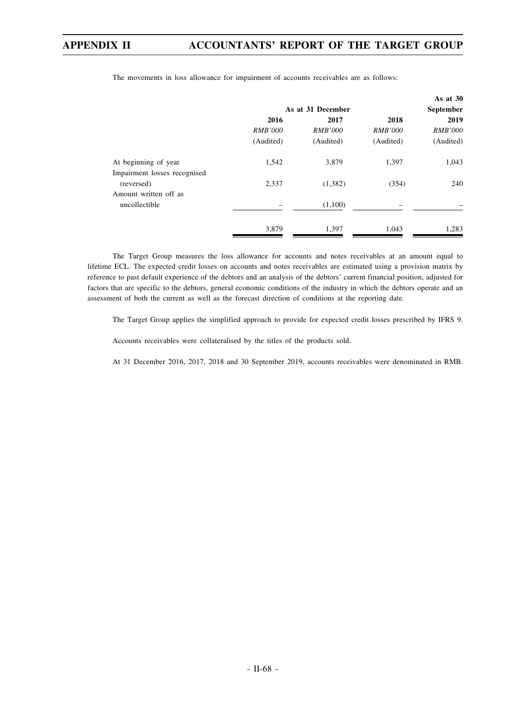|                              |                |                   |                | As at 30         |
|------------------------------|----------------|-------------------|----------------|------------------|
|                              |                | As at 31 December |                | <b>September</b> |
|                              | 2016           | 2017              | 2018           | 2019             |
|                              | <b>RMB'000</b> | <b>RMB'000</b>    | <b>RMB'000</b> | <b>RMB'000</b>   |
|                              | (Audited)      | (Audited)         | (Audited)      | (Audited)        |
| At beginning of year         | 1,542          | 3,879             | 1,397          | 1,043            |
| Impairment losses recognised |                |                   |                |                  |
| (reversed)                   | 2,337          | (1,382)           | (354)          | 240              |
| Amount written off as        |                |                   |                |                  |
| uncollectible                |                | (1,100)           |                |                  |
|                              | 3,879          | 1,397             | 1,043          | 1,283            |
|                              |                |                   |                |                  |

The movements in loss allowance for impairment of accounts receivables are as follows:

The Target Group measures the loss allowance for accounts and notes receivables at an amount equal to lifetime ECL. The expected credit losses on accounts and notes receivables are estimated using a provision matrix by reference to past default experience of the debtors and an analysis of the debtors' current financial position, adjusted for factors that are specific to the debtors, general economic conditions of the industry in which the debtors operate and an assessment of both the current as well as the forecast direction of conditions at the reporting date.

The Target Group applies the simplified approach to provide for expected credit losses prescribed by IFRS 9.

Accounts receivables were collateralised by the titles of the products sold.

At 31 December 2016, 2017, 2018 and 30 September 2019, accounts receivables were denominated in RMB.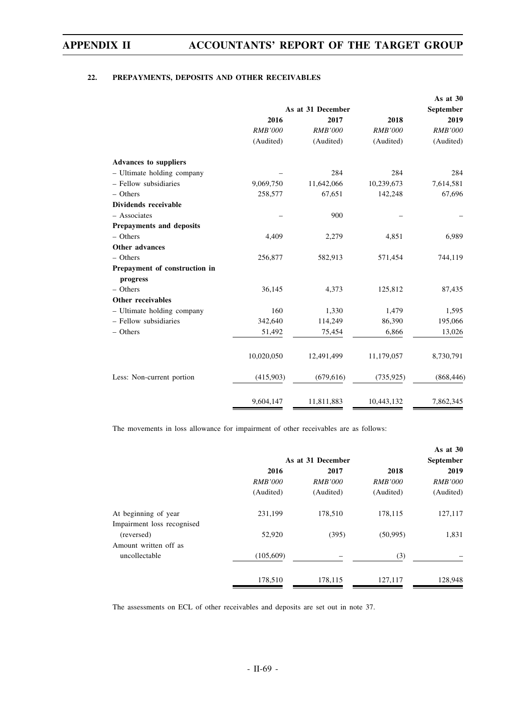### **22. PREPAYMENTS, DEPOSITS AND OTHER RECEIVABLES**

|                               |                |                   |                | As at 30       |
|-------------------------------|----------------|-------------------|----------------|----------------|
|                               |                | As at 31 December |                | September      |
|                               | 2016           | 2017              | 2018           | 2019           |
|                               | <b>RMB'000</b> | <b>RMB'000</b>    | <b>RMB'000</b> | <b>RMB'000</b> |
|                               | (Audited)      | (Audited)         | (Audited)      | (Audited)      |
| <b>Advances to suppliers</b>  |                |                   |                |                |
| - Ultimate holding company    |                | 284               | 284            | 284            |
| - Fellow subsidiaries         | 9,069,750      | 11,642,066        | 10,239,673     | 7,614,581      |
| - Others                      | 258,577        | 67,651            | 142,248        | 67,696         |
| Dividends receivable          |                |                   |                |                |
| - Associates                  |                | 900               |                |                |
| Prepayments and deposits      |                |                   |                |                |
| $-$ Others                    | 4,409          | 2,279             | 4,851          | 6,989          |
| <b>Other advances</b>         |                |                   |                |                |
| $-$ Others                    | 256,877        | 582,913           | 571,454        | 744,119        |
| Prepayment of construction in |                |                   |                |                |
| progress                      |                |                   |                |                |
| $-$ Others                    | 36,145         | 4,373             | 125,812        | 87,435         |
| Other receivables             |                |                   |                |                |
| - Ultimate holding company    | 160            | 1,330             | 1,479          | 1,595          |
| - Fellow subsidiaries         | 342,640        | 114,249           | 86,390         | 195,066        |
| - Others                      | 51,492         | 75,454            | 6,866          | 13,026         |
|                               | 10,020,050     | 12,491,499        | 11,179,057     | 8,730,791      |
| Less: Non-current portion     | (415,903)      | (679, 616)        | (735, 925)     | (868, 446)     |
|                               | 9,604,147      | 11,811,883        | 10,443,132     | 7,862,345      |

The movements in loss allowance for impairment of other receivables are as follows:

|                   |                |                | As at $30$       |
|-------------------|----------------|----------------|------------------|
| As at 31 December |                |                | <b>September</b> |
| 2016              | 2017           | 2018           | 2019             |
| <i>RMB'000</i>    | <i>RMB'000</i> | <i>RMB'000</i> | <i>RMB'000</i>   |
| (Audited)         | (Audited)      | (Audited)      | (Audited)        |
| 231,199           | 178,510        | 178,115        | 127,117          |
|                   |                |                |                  |
| 52,920            | (395)          | (50, 995)      | 1,831            |
|                   |                |                |                  |
| (105,609)         |                | (3)            |                  |
| 178,510           | 178,115        | 127,117        | 128,948          |
|                   |                |                |                  |

The assessments on ECL of other receivables and deposits are set out in note 37.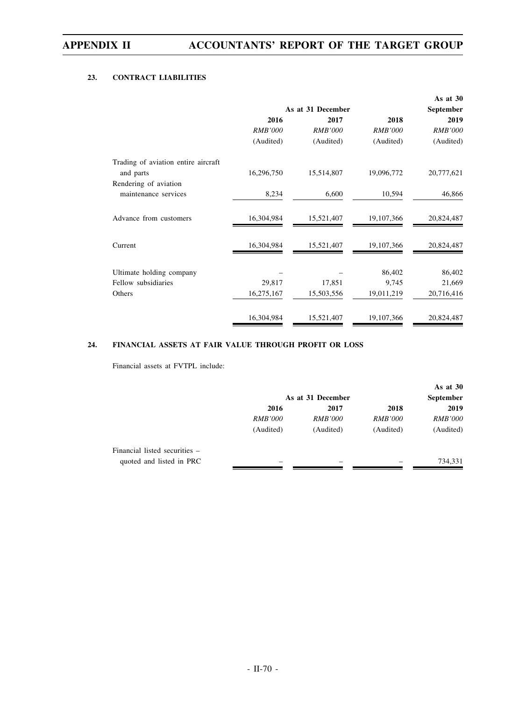### **23. CONTRACT LIABILITIES**

|                                     |                |                   |                | As at $30$     |
|-------------------------------------|----------------|-------------------|----------------|----------------|
|                                     |                | As at 31 December |                |                |
|                                     | 2016           | 2017              | 2018           | 2019           |
|                                     | <b>RMB'000</b> | <b>RMB'000</b>    | <b>RMB'000</b> | <b>RMB'000</b> |
|                                     | (Audited)      | (Audited)         | (Audited)      | (Audited)      |
| Trading of aviation entire aircraft |                |                   |                |                |
| and parts                           | 16,296,750     | 15,514,807        | 19,096,772     | 20,777,621     |
| Rendering of aviation               |                |                   |                |                |
| maintenance services                | 8,234          | 6,600             | 10,594         | 46,866         |
| Advance from customers              | 16,304,984     | 15,521,407        | 19, 107, 366   | 20,824,487     |
| Current                             | 16,304,984     | 15,521,407        | 19,107,366     | 20,824,487     |
| Ultimate holding company            |                |                   | 86,402         | 86,402         |
| Fellow subsidiaries                 | 29,817         | 17,851            | 9,745          | 21,669         |
| Others                              | 16,275,167     | 15,503,556        | 19,011,219     | 20,716,416     |
|                                     | 16,304,984     | 15,521,407        | 19,107,366     | 20,824,487     |

### **24. FINANCIAL ASSETS AT FAIR VALUE THROUGH PROFIT OR LOSS**

Financial assets at FVTPL include:

|                               |                   |                |                | As at $30$       |
|-------------------------------|-------------------|----------------|----------------|------------------|
|                               | As at 31 December |                |                | <b>September</b> |
|                               | 2016              | 2017           | 2018           | 2019             |
|                               | <i>RMB'000</i>    | <i>RMB'000</i> | <i>RMB'000</i> | <i>RMB'000</i>   |
|                               | (Audited)         | (Audited)      | (Audited)      | (Audited)        |
| Financial listed securities – |                   |                |                |                  |
| quoted and listed in PRC      |                   |                |                | 734,331          |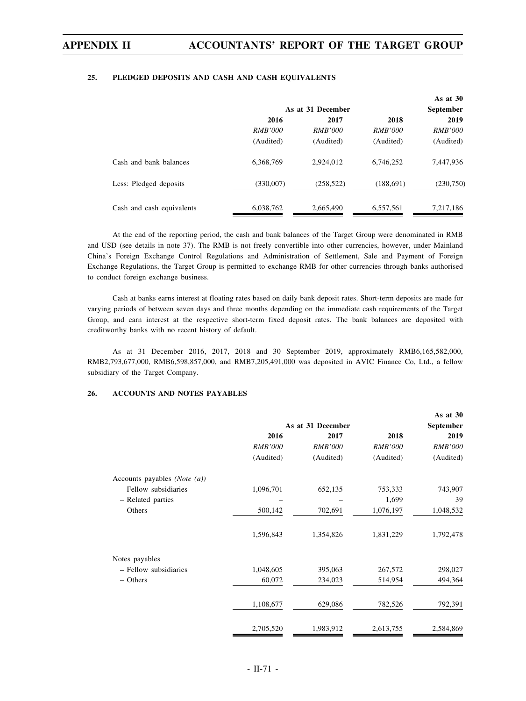### **25. PLEDGED DEPOSITS AND CASH AND CASH EQUIVALENTS**

|                           |                |                   |                | As at $30$     |  |
|---------------------------|----------------|-------------------|----------------|----------------|--|
|                           |                | As at 31 December |                |                |  |
|                           | 2016           | 2017              | 2018           | 2019           |  |
|                           | <i>RMB'000</i> | <i>RMB'000</i>    | <i>RMB'000</i> | <i>RMB'000</i> |  |
|                           | (Audited)      | (Audited)         | (Audited)      | (Audited)      |  |
| Cash and bank balances    | 6.368.769      | 2,924,012         | 6.746.252      | 7,447,936      |  |
| Less: Pledged deposits    | (330,007)      | (258, 522)        | (188, 691)     | (230,750)      |  |
| Cash and cash equivalents | 6,038,762      | 2,665,490         | 6,557,561      | 7,217,186      |  |

At the end of the reporting period, the cash and bank balances of the Target Group were denominated in RMB and USD (see details in note 37). The RMB is not freely convertible into other currencies, however, under Mainland China's Foreign Exchange Control Regulations and Administration of Settlement, Sale and Payment of Foreign Exchange Regulations, the Target Group is permitted to exchange RMB for other currencies through banks authorised to conduct foreign exchange business.

Cash at banks earns interest at floating rates based on daily bank deposit rates. Short-term deposits are made for varying periods of between seven days and three months depending on the immediate cash requirements of the Target Group, and earn interest at the respective short-term fixed deposit rates. The bank balances are deposited with creditworthy banks with no recent history of default.

As at 31 December 2016, 2017, 2018 and 30 September 2019, approximately RMB6,165,582,000, RMB2,793,677,000, RMB6,598,857,000, and RMB7,205,491,000 was deposited in AVIC Finance Co, Ltd., a fellow subsidiary of the Target Company.

### **26. ACCOUNTS AND NOTES PAYABLES**

|                                         |                   |                |                | As at 30         |
|-----------------------------------------|-------------------|----------------|----------------|------------------|
|                                         | As at 31 December |                |                | <b>September</b> |
|                                         | 2016              | 2017           | 2018           | 2019             |
|                                         | <b>RMB'000</b>    | <b>RMB'000</b> | <b>RMB'000</b> | <b>RMB'000</b>   |
|                                         | (Audited)         | (Audited)      | (Audited)      | (Audited)        |
| Accounts payables ( <i>Note</i> $(a)$ ) |                   |                |                |                  |
| - Fellow subsidiaries                   | 1,096,701         | 652,135        | 753,333        | 743,907          |
| - Related parties                       |                   |                | 1,699          | 39               |
| $-$ Others                              | 500,142           | 702,691        | 1,076,197      | 1,048,532        |
|                                         | 1,596,843         | 1,354,826      | 1,831,229      | 1,792,478        |
| Notes payables                          |                   |                |                |                  |
| - Fellow subsidiaries                   | 1,048,605         | 395,063        | 267,572        | 298,027          |
| - Others                                | 60,072            | 234,023        | 514,954        | 494,364          |
|                                         | 1,108,677         | 629,086        | 782,526        | 792,391          |
|                                         | 2,705,520         | 1,983,912      | 2,613,755      | 2,584,869        |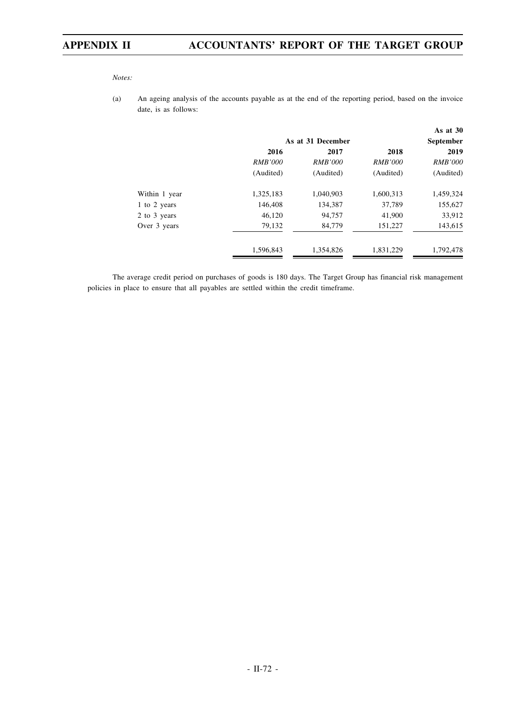*Notes:*

(a) An ageing analysis of the accounts payable as at the end of the reporting period, based on the invoice date, is as follows:

|               |                | As at 31 December |                | As at $30$<br><b>September</b> |
|---------------|----------------|-------------------|----------------|--------------------------------|
|               | 2016           | 2017              |                |                                |
|               | <i>RMB'000</i> | <i>RMB'000</i>    | <i>RMB'000</i> | <i>RMB'000</i>                 |
|               | (Audited)      | (Audited)         | (Audited)      | (Audited)                      |
| Within 1 year | 1,325,183      | 1,040,903         | 1,600,313      | 1,459,324                      |
| 1 to 2 years  | 146,408        | 134,387           | 37,789         | 155,627                        |
| 2 to 3 years  | 46,120         | 94,757            | 41,900         | 33,912                         |
| Over 3 years  | 79,132         | 84,779            | 151,227        | 143,615                        |
|               | 1,596,843      | 1,354,826         | 1,831,229      | 1,792,478                      |

The average credit period on purchases of goods is 180 days. The Target Group has financial risk management policies in place to ensure that all payables are settled within the credit timeframe.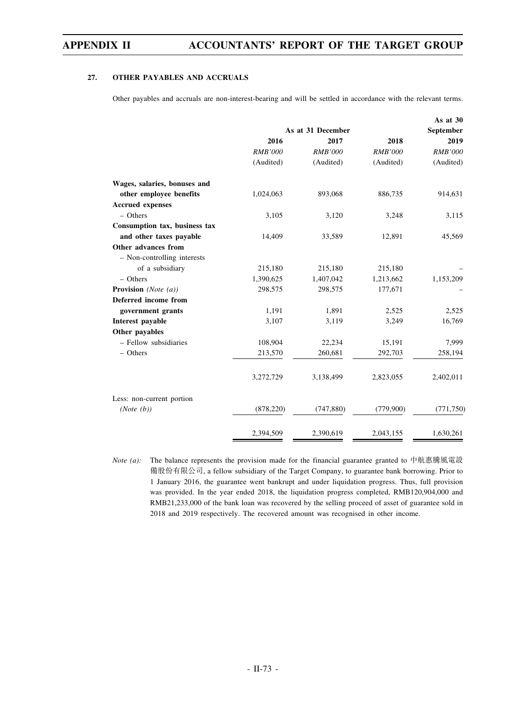#### **27. OTHER PAYABLES AND ACCRUALS**

Other payables and accruals are non-interest-bearing and will be settled in accordance with the relevant terms.

|                                |                   |                |                | As at 30       |  |
|--------------------------------|-------------------|----------------|----------------|----------------|--|
|                                | As at 31 December |                |                | September      |  |
|                                | 2016              | 2017           | 2018           | 2019           |  |
|                                | <b>RMB'000</b>    | <b>RMB'000</b> | <b>RMB'000</b> | <b>RMB'000</b> |  |
|                                | (Audited)         | (Audited)      | (Audited)      | (Audited)      |  |
| Wages, salaries, bonuses and   |                   |                |                |                |  |
| other employee benefits        | 1,024,063         | 893,068        | 886,735        | 914,631        |  |
| <b>Accrued</b> expenses        |                   |                |                |                |  |
| $-$ Others                     | 3,105             | 3,120          | 3,248          | 3,115          |  |
| Consumption tax, business tax  |                   |                |                |                |  |
| and other taxes payable        | 14,409            | 33,589         | 12,891         | 45,569         |  |
| Other advances from            |                   |                |                |                |  |
| - Non-controlling interests    |                   |                |                |                |  |
| of a subsidiary                | 215,180           | 215,180        | 215,180        |                |  |
| $-$ Others                     | 1,390,625         | 1,407,042      | 1,213,662      | 1,153,209      |  |
| <b>Provision</b> (Note $(a)$ ) | 298,575           | 298,575        | 177,671        |                |  |
| Deferred income from           |                   |                |                |                |  |
| government grants              | 1,191             | 1,891          | 2,525          | 2,525          |  |
| Interest payable               | 3,107             | 3,119          | 3,249          | 16,769         |  |
| Other payables                 |                   |                |                |                |  |
| - Fellow subsidiaries          | 108,904           | 22,234         | 15,191         | 7,999          |  |
| - Others                       | 213,570           | 260,681        | 292,703        | 258,194        |  |
|                                | 3,272,729         | 3,138,499      | 2,823,055      | 2,402,011      |  |
| Less: non-current portion      |                   |                |                |                |  |
| (Note (b))                     | (878, 220)        | (747, 880)     | (779,900)      | (771, 750)     |  |
|                                | 2,394,509         | 2,390,619      | 2,043,155      | 1,630,261      |  |

*Note (a):* The balance represents the provision made for the financial guarantee granted to 中航惠騰風電設 備股份有限公司, a fellow subsidiary of the Target Company, to guarantee bank borrowing. Prior to 1 January 2016, the guarantee went bankrupt and under liquidation progress. Thus, full provision was provided. In the year ended 2018, the liquidation progress completed, RMB120,904,000 and RMB21,233,000 of the bank loan was recovered by the selling proceed of asset of guarantee sold in 2018 and 2019 respectively. The recovered amount was recognised in other income.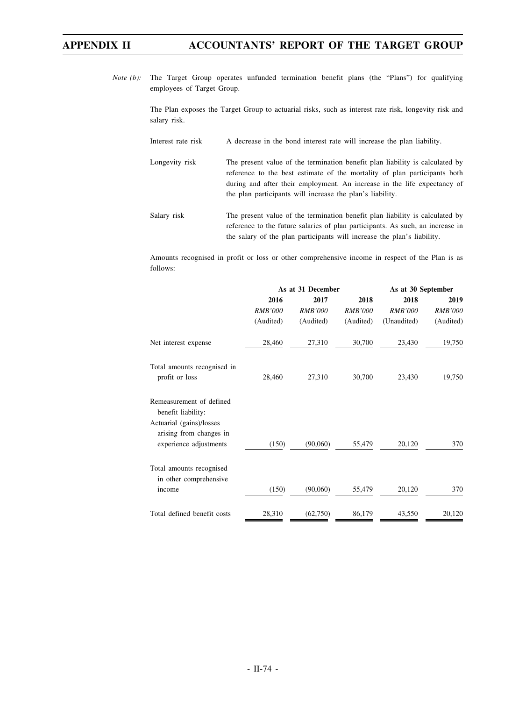*Note (b):* The Target Group operates unfunded termination benefit plans (the "Plans") for qualifying employees of Target Group.

> The Plan exposes the Target Group to actuarial risks, such as interest rate risk, longevity risk and salary risk.

- Interest rate risk A decrease in the bond interest rate will increase the plan liability.
- Longevity risk The present value of the termination benefit plan liability is calculated by reference to the best estimate of the mortality of plan participants both during and after their employment. An increase in the life expectancy of the plan participants will increase the plan's liability.
- Salary risk The present value of the termination benefit plan liability is calculated by reference to the future salaries of plan participants. As such, an increase in the salary of the plan participants will increase the plan's liability.

Amounts recognised in profit or loss or other comprehensive income in respect of the Plan is as follows:

|                                                                               | As at 31 December |                |                | As at 30 September |                |
|-------------------------------------------------------------------------------|-------------------|----------------|----------------|--------------------|----------------|
|                                                                               | 2016              | 2017           | 2018           | 2018               | 2019           |
|                                                                               | <b>RMB'000</b>    | <b>RMB'000</b> | <b>RMB'000</b> | <b>RMB'000</b>     | <b>RMB'000</b> |
|                                                                               | (Audited)         | (Audited)      | (Audited)      | (Unaudited)        | (Audited)      |
| Net interest expense                                                          | 28,460            | 27,310         | 30,700         | 23,430             | 19,750         |
| Total amounts recognised in<br>profit or loss                                 | 28,460            | 27,310         | 30,700         | 23,430             | 19,750         |
| Remeasurement of defined<br>benefit liability:                                |                   |                |                |                    |                |
| Actuarial (gains)/losses<br>arising from changes in<br>experience adjustments | (150)             | (90,060)       | 55,479         | 20,120             | 370            |
| Total amounts recognised<br>in other comprehensive                            |                   |                |                |                    |                |
| income                                                                        | (150)             | (90,060)       | 55,479         | 20,120             | 370            |
| Total defined benefit costs                                                   | 28,310            | (62,750)       | 86,179         | 43,550             | 20,120         |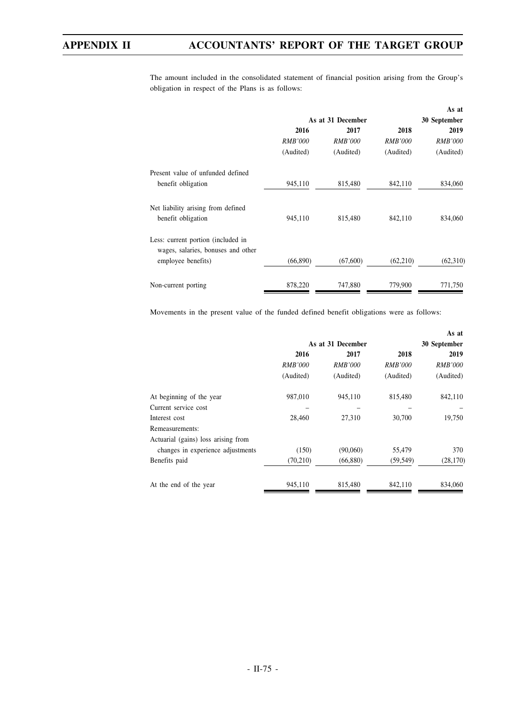The amount included in the consolidated statement of financial position arising from the Group's obligation in respect of the Plans is as follows:

|                                                                                                |                   |                |                | As at          |
|------------------------------------------------------------------------------------------------|-------------------|----------------|----------------|----------------|
|                                                                                                | As at 31 December |                |                | 30 September   |
|                                                                                                | 2016              | 2017           | 2018           | 2019           |
|                                                                                                | <b>RMB'000</b>    | <b>RMB'000</b> | <b>RMB'000</b> | <i>RMB'000</i> |
|                                                                                                | (Audited)         | (Audited)      | (Audited)      | (Audited)      |
| Present value of unfunded defined                                                              |                   |                |                |                |
| benefit obligation                                                                             | 945,110           | 815,480        | 842,110        | 834,060        |
| Net liability arising from defined<br>benefit obligation                                       | 945,110           | 815,480        | 842,110        | 834,060        |
| Less: current portion (included in<br>wages, salaries, bonuses and other<br>employee benefits) | (66,890)          | (67,600)       | (62,210)       | (62,310)       |
| Non-current porting                                                                            | 878,220           | 747,880        | 779,900        | 771,750        |

Movements in the present value of the funded defined benefit obligations were as follows:

|                                     |                   |                |                | As at          |  |
|-------------------------------------|-------------------|----------------|----------------|----------------|--|
|                                     | As at 31 December |                |                | 30 September   |  |
|                                     | 2016              | 2017           | 2018           | 2019           |  |
|                                     | <b>RMB'000</b>    | <b>RMB'000</b> | <i>RMB'000</i> | <b>RMB'000</b> |  |
|                                     | (Audited)         | (Audited)      | (Audited)      | (Audited)      |  |
| At beginning of the year            | 987,010           | 945,110        | 815,480        | 842,110        |  |
| Current service cost                |                   |                |                |                |  |
| Interest cost                       | 28,460            | 27.310         | 30,700         | 19,750         |  |
| Remeasurements:                     |                   |                |                |                |  |
| Actuarial (gains) loss arising from |                   |                |                |                |  |
| changes in experience adjustments   | (150)             | (90,060)       | 55,479         | 370            |  |
| Benefits paid                       | (70, 210)         | (66,880)       | (59, 549)      | (28, 170)      |  |
| At the end of the year              | 945,110           | 815,480        | 842.110        | 834,060        |  |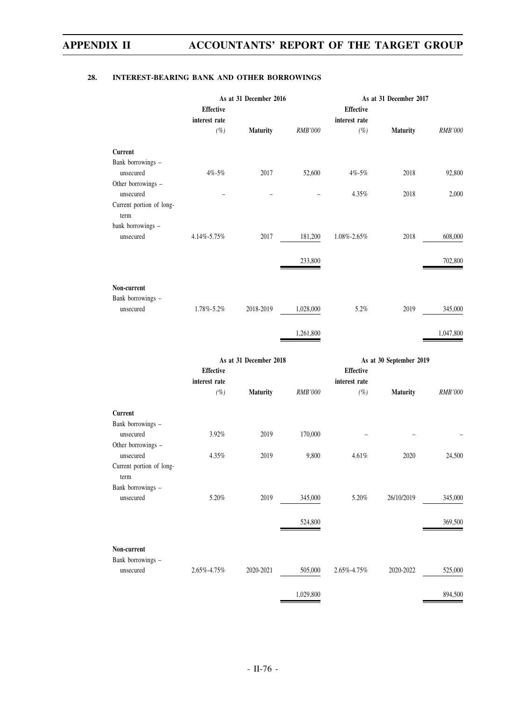### **28. INTEREST-BEARING BANK AND OTHER BORROWINGS**

|                                       |                         | As at 31 December 2016 |                |                         | As at 31 December 2017  |                |
|---------------------------------------|-------------------------|------------------------|----------------|-------------------------|-------------------------|----------------|
|                                       | <b>Effective</b>        |                        |                | <b>Effective</b>        |                         |                |
|                                       | interest rate<br>$(\%)$ | <b>Maturity</b>        | <b>RMB'000</b> | interest rate<br>$(\%)$ | <b>Maturity</b>         | <b>RMB'000</b> |
|                                       |                         |                        |                |                         |                         |                |
| Current                               |                         |                        |                |                         |                         |                |
| Bank borrowings -<br>unsecured        | 4%-5%                   | 2017                   | 52,600         | $4\% - 5\%$             | 2018                    | 92,800         |
| Other borrowings -                    |                         |                        |                |                         |                         |                |
| unsecured                             |                         |                        |                | 4.35%                   | 2018                    | 2,000          |
| Current portion of long-<br>term      |                         |                        |                |                         |                         |                |
| bank borrowings -                     |                         |                        |                |                         |                         |                |
| unsecured                             | 4.14%-5.75%             | 2017                   | 181,200        | 1.08%-2.65%             | 2018                    | 608,000        |
|                                       |                         |                        | 233,800        |                         |                         | 702,800        |
|                                       |                         |                        |                |                         |                         |                |
| Non-current                           |                         |                        |                |                         |                         |                |
| Bank borrowings -                     |                         |                        |                |                         |                         |                |
| unsecured                             | 1.78%-5.2%              | 2018-2019              | 1,028,000      | 5.2%                    | 2019                    | 345,000        |
|                                       |                         |                        |                |                         |                         |                |
|                                       |                         |                        | 1,261,800      |                         |                         | 1,047,800      |
|                                       |                         |                        |                |                         |                         |                |
|                                       |                         |                        |                |                         |                         |                |
|                                       | <b>Effective</b>        | As at 31 December 2018 |                | <b>Effective</b>        | As at 30 September 2019 |                |
|                                       | interest rate           |                        |                | interest rate           |                         |                |
|                                       | $(\%)$                  | Maturity               | RMB'000        | $(\%)$                  | <b>Maturity</b>         | <b>RMB'000</b> |
| Current                               |                         |                        |                |                         |                         |                |
| Bank borrowings -                     |                         |                        |                |                         |                         |                |
| unsecured                             | 3.92%                   | 2019                   | 170,000        |                         |                         |                |
| Other borrowings -                    |                         |                        |                |                         |                         |                |
| unsecured<br>Current portion of long- | 4.35%                   | 2019                   | 9,800          | 4.61%                   | 2020                    | 24,500         |
| term                                  |                         |                        |                |                         |                         |                |
| Bank borrowings -                     |                         |                        |                |                         |                         |                |
| unsecured                             | $5.20\%$                | 2019                   | 345,000        | 5.20%                   | 26/10/2019              | 345,000        |
|                                       |                         |                        |                |                         |                         |                |
|                                       |                         |                        | 524,800        |                         |                         | 369,500        |
| Non-current                           |                         |                        |                |                         |                         |                |
| Bank borrowings -                     |                         |                        |                |                         |                         |                |
| unsecured                             | 2.65%-4.75%             | 2020-2021              | 505,000        | 2.65%-4.75%             | 2020-2022               | 525,000        |
|                                       |                         |                        | 1,029,800      |                         |                         | 894,500        |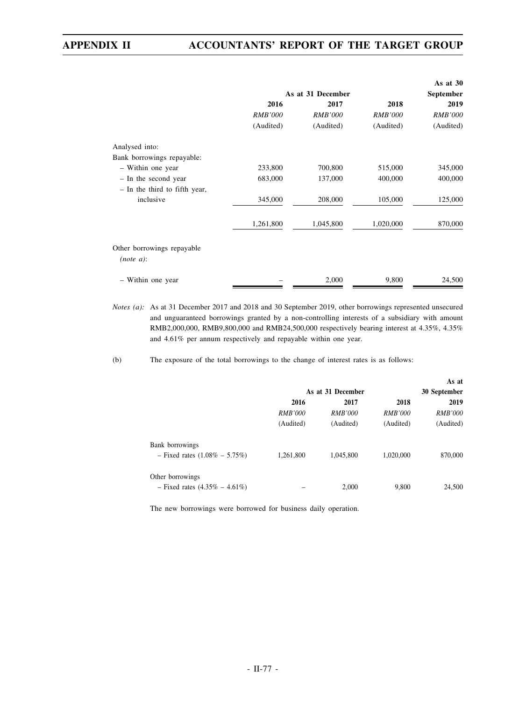|                               |                   |                |                | As at $30$     |
|-------------------------------|-------------------|----------------|----------------|----------------|
|                               | As at 31 December |                |                | September      |
|                               | 2016              | 2017           | 2018           | 2019           |
|                               | <b>RMB'000</b>    | <b>RMB'000</b> | <b>RMB'000</b> | <b>RMB'000</b> |
|                               | (Audited)         | (Audited)      | (Audited)      | (Audited)      |
| Analysed into:                |                   |                |                |                |
| Bank borrowings repayable:    |                   |                |                |                |
| - Within one year             | 233,800           | 700,800        | 515,000        | 345,000        |
| - In the second year          | 683,000           | 137,000        | 400,000        | 400,000        |
| - In the third to fifth year, |                   |                |                |                |
| inclusive                     | 345,000           | 208,000        | 105,000        | 125,000        |
|                               | 1,261,800         | 1,045,800      | 1,020,000      | 870,000        |
| Other borrowings repayable    |                   |                |                |                |
| (note a):                     |                   |                |                |                |
| - Within one year             |                   | 2,000          | 9,800          | 24,500         |

*Notes (a):* As at 31 December 2017 and 2018 and 30 September 2019, other borrowings represented unsecured and unguaranteed borrowings granted by a non-controlling interests of a subsidiary with amount RMB2,000,000, RMB9,800,000 and RMB24,500,000 respectively bearing interest at 4.35%, 4.35% and 4.61% per annum respectively and repayable within one year.

(b) The exposure of the total borrowings to the change of interest rates is as follows:

|                                   |                   |           |                | As at          |
|-----------------------------------|-------------------|-----------|----------------|----------------|
|                                   | As at 31 December |           |                | 30 September   |
|                                   | 2016              | 2017      | 2018           | 2019           |
|                                   | <i>RMB'000</i>    | RMB'000   | <i>RMB'000</i> | <b>RMB'000</b> |
|                                   | (Audited)         | (Audited) | (Audited)      | (Audited)      |
| Bank borrowings                   |                   |           |                |                |
| - Fixed rates $(1.08\% - 5.75\%)$ | 1,261,800         | 1,045,800 | 1,020,000      | 870,000        |
| Other borrowings                  |                   |           |                |                |
| - Fixed rates $(4.35\% - 4.61\%)$ |                   | 2,000     | 9,800          | 24,500         |

The new borrowings were borrowed for business daily operation.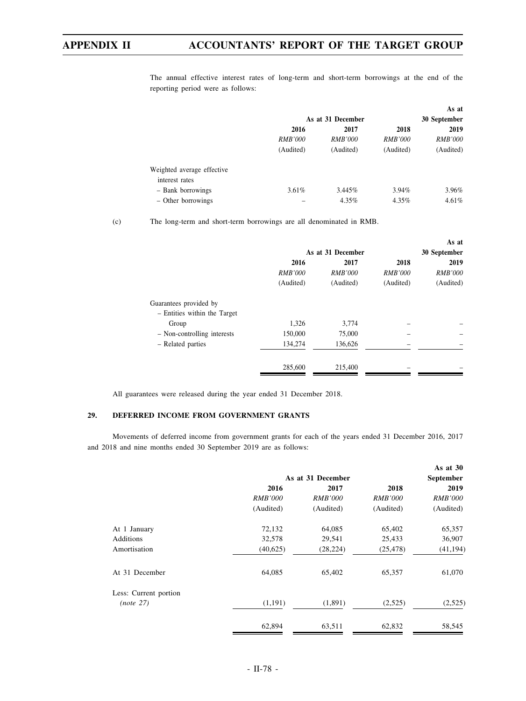The annual effective interest rates of long-term and short-term borrowings at the end of the reporting period were as follows:

|                            |                | As at 31 December |                | As at<br>30 September |
|----------------------------|----------------|-------------------|----------------|-----------------------|
|                            | 2016           | 2017              | 2018           | 2019                  |
|                            | <i>RMB'000</i> | <b>RMB'000</b>    | <b>RMB'000</b> | <i>RMB'000</i>        |
|                            | (Audited)      | (Audited)         | (Audited)      | (Audited)             |
| Weighted average effective |                |                   |                |                       |
| interest rates             |                |                   |                |                       |
| - Bank borrowings          | $3.61\%$       | $3.445\%$         | $3.94\%$       | 3.96%                 |
| - Other borrowings         |                | 4.35%             | 4.35%          | $4.61\%$              |

(c) The long-term and short-term borrowings are all denominated in RMB.

|                              |                   |                |                | As at          |
|------------------------------|-------------------|----------------|----------------|----------------|
|                              | As at 31 December |                |                | 30 September   |
|                              | 2016              | 2017           | 2018           | 2019           |
|                              | <i>RMB'000</i>    | <i>RMB'000</i> | <i>RMB'000</i> | <b>RMB'000</b> |
|                              | (Audited)         | (Audited)      | (Audited)      | (Audited)      |
| Guarantees provided by       |                   |                |                |                |
| - Entities within the Target |                   |                |                |                |
| Group                        | 1.326             | 3,774          |                |                |
| - Non-controlling interests  | 150,000           | 75,000         |                |                |
| - Related parties            | 134,274           | 136,626        |                |                |
|                              | 285,600           | 215,400        |                |                |

All guarantees were released during the year ended 31 December 2018.

### **29. DEFERRED INCOME FROM GOVERNMENT GRANTS**

Movements of deferred income from government grants for each of the years ended 31 December 2016, 2017 and 2018 and nine months ended 30 September 2019 are as follows:

|                       |                      | As at 31 December |                | As at $30$<br>September |
|-----------------------|----------------------|-------------------|----------------|-------------------------|
|                       | 2016<br>2018<br>2017 |                   |                | 2019                    |
|                       | <i>RMB'000</i>       | <i>RMB'000</i>    | <i>RMB'000</i> | <i>RMB'000</i>          |
|                       | (Audited)            | (Audited)         | (Audited)      | (Audited)               |
| At 1 January          | 72,132               | 64,085            | 65,402         | 65,357                  |
| Additions             | 32,578               | 29,541            | 25,433         | 36,907                  |
| Amortisation          | (40,625)             | (28, 224)         | (25, 478)      | (41, 194)               |
| At 31 December        | 64,085               | 65,402            | 65,357         | 61,070                  |
| Less: Current portion |                      |                   |                |                         |
| (note 27)             | (1,191)              | (1,891)           | (2,525)        | (2,525)                 |
|                       | 62,894               | 63,511            | 62,832         | 58,545                  |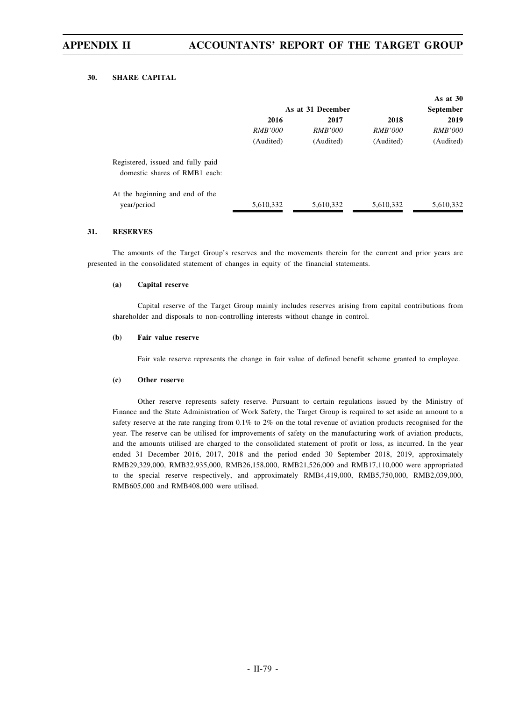#### **30. SHARE CAPITAL**

|                                   |                   |                |                | As at $30$       |
|-----------------------------------|-------------------|----------------|----------------|------------------|
|                                   | As at 31 December |                |                | <b>September</b> |
|                                   | 2016              | 2017           | 2018           | 2019             |
|                                   | <i>RMB'000</i>    | <i>RMB'000</i> | <i>RMB'000</i> | <i>RMB'000</i>   |
|                                   | (Audited)         | (Audited)      | (Audited)      | (Audited)        |
| Registered, issued and fully paid |                   |                |                |                  |
| domestic shares of RMB1 each:     |                   |                |                |                  |
| At the beginning and end of the   |                   |                |                |                  |
| year/period                       | 5,610,332         | 5,610,332      | 5,610,332      | 5,610,332        |

#### **31. RESERVES**

The amounts of the Target Group's reserves and the movements therein for the current and prior years are presented in the consolidated statement of changes in equity of the financial statements.

#### **(a) Capital reserve**

Capital reserve of the Target Group mainly includes reserves arising from capital contributions from shareholder and disposals to non-controlling interests without change in control.

#### **(b) Fair value reserve**

Fair vale reserve represents the change in fair value of defined benefit scheme granted to employee.

#### **(c) Other reserve**

Other reserve represents safety reserve. Pursuant to certain regulations issued by the Ministry of Finance and the State Administration of Work Safety, the Target Group is required to set aside an amount to a safety reserve at the rate ranging from 0.1% to 2% on the total revenue of aviation products recognised for the year. The reserve can be utilised for improvements of safety on the manufacturing work of aviation products, and the amounts utilised are charged to the consolidated statement of profit or loss, as incurred. In the year ended 31 December 2016, 2017, 2018 and the period ended 30 September 2018, 2019, approximately RMB29,329,000, RMB32,935,000, RMB26,158,000, RMB21,526,000 and RMB17,110,000 were appropriated to the special reserve respectively, and approximately RMB4,419,000, RMB5,750,000, RMB2,039,000, RMB605,000 and RMB408,000 were utilised.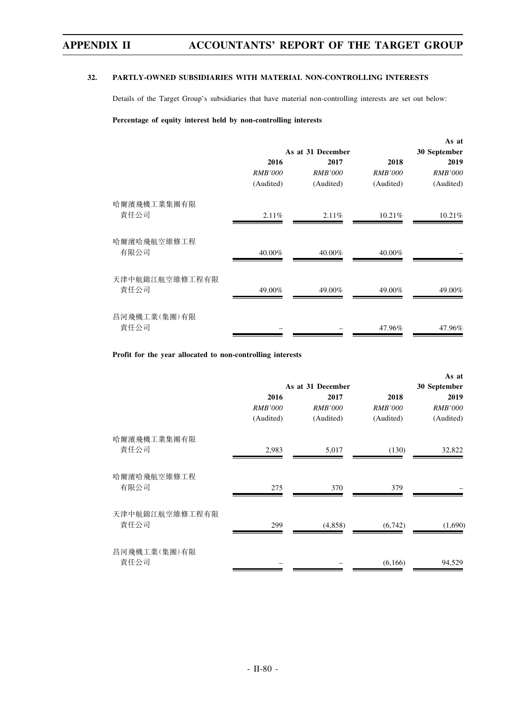#### **32. PARTLY-OWNED SUBSIDIARIES WITH MATERIAL NON-CONTROLLING INTERESTS**

Details of the Target Group's subsidiaries that have material non-controlling interests are set out below:

### **Percentage of equity interest held by non-controlling interests**

|                        |                |                   |                | As at          |
|------------------------|----------------|-------------------|----------------|----------------|
|                        |                | As at 31 December |                | 30 September   |
|                        | 2016           | 2017              | 2018           | 2019           |
|                        | <i>RMB'000</i> | <b>RMB'000</b>    | <i>RMB'000</i> | <i>RMB'000</i> |
|                        | (Audited)      | (Audited)         | (Audited)      | (Audited)      |
| 哈爾濱飛機工業集團有限            |                |                   |                |                |
| 責任公司                   | 2.11%          | 2.11%             | 10.21%         | $10.21\%$      |
| 哈爾濱哈飛航空維修工程<br>有限公司    | 40.00%         | 40.00%            | 40.00%         |                |
|                        |                |                   |                |                |
| 天津中航錦江航空維修工程有限<br>責任公司 | 49.00%         | 49.00%            | 49.00%         | 49.00%         |
|                        |                |                   |                |                |
| 昌河飛機工業(集團)有限           |                |                   |                |                |
| 責任公司                   |                |                   | 47.96%         | 47.96%         |

**Profit for the year allocated to non-controlling interests**

|                        |                   |                |                | As at          |
|------------------------|-------------------|----------------|----------------|----------------|
|                        | As at 31 December |                |                | 30 September   |
|                        | 2016              | 2017           | 2018           | 2019           |
|                        | <b>RMB'000</b>    | <b>RMB'000</b> | <b>RMB'000</b> | <b>RMB'000</b> |
|                        | (Audited)         | (Audited)      | (Audited)      | (Audited)      |
| 哈爾濱飛機工業集團有限            |                   |                |                |                |
| 責任公司                   | 2,983             | 5,017          | (130)          | 32,822         |
| 哈爾濱哈飛航空維修工程<br>有限公司    | 275               | 370            | 379            |                |
| 天津中航錦江航空維修工程有限<br>責任公司 | 299               | (4,858)        | (6,742)        | (1,690)        |
| 昌河飛機工業(集團)有限<br>責任公司   |                   |                | (6,166)        | 94,529         |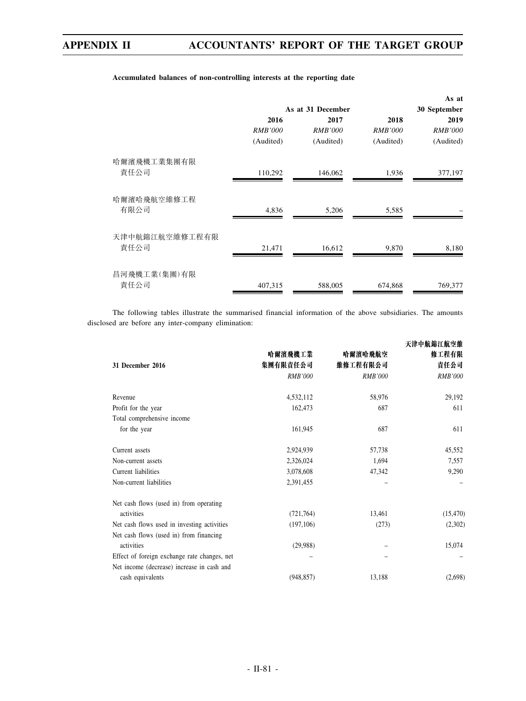|                        |                   |                |                | As at          |
|------------------------|-------------------|----------------|----------------|----------------|
|                        | As at 31 December |                |                | 30 September   |
|                        | 2016              | 2017           | 2018           | 2019           |
|                        | <b>RMB'000</b>    | <b>RMB'000</b> | <i>RMB'000</i> | <i>RMB'000</i> |
|                        | (Audited)         | (Audited)      | (Audited)      | (Audited)      |
| 哈爾濱飛機工業集團有限            |                   |                |                |                |
| 責任公司                   | 110,292           | 146,062        | 1,936          | 377,197        |
| 哈爾濱哈飛航空維修工程<br>有限公司    | 4,836             | 5,206          | 5,585          |                |
| 天津中航錦江航空維修工程有限<br>責任公司 | 21,471            | 16,612         | 9,870          | 8,180          |
| 昌河飛機工業(集團)有限<br>責任公司   | 407,315           | 588,005        | 674,868        | 769,377        |

#### **Accumulated balances of non-controlling interests at the reporting date**

The following tables illustrate the summarised financial information of the above subsidiaries. The amounts disclosed are before any inter-company elimination:

| 31 December 2016                             | 哈爾濱飛機工業<br>集團有限責任公司<br><b>RMB'000</b> | 哈爾濱哈飛航空<br>維修工程有限公司<br><b>RMB'000</b> | 天津中航錦江航空維<br>修工程有限<br>責任公司<br><b>RMB'000</b> |
|----------------------------------------------|---------------------------------------|---------------------------------------|----------------------------------------------|
| Revenue                                      | 4,532,112                             | 58,976                                | 29,192                                       |
| Profit for the year                          | 162,473                               | 687                                   | 611                                          |
| Total comprehensive income                   |                                       |                                       |                                              |
| for the year                                 | 161,945                               | 687                                   | 611                                          |
|                                              |                                       |                                       |                                              |
| Current assets                               | 2,924,939                             | 57,738                                | 45,552                                       |
| Non-current assets                           | 2,326,024                             | 1,694                                 | 7,557                                        |
| Current liabilities                          | 3,078,608                             | 47,342                                | 9,290                                        |
| Non-current liabilities                      | 2,391,455                             |                                       |                                              |
| Net cash flows (used in) from operating      |                                       |                                       |                                              |
| activities                                   | (721, 764)                            | 13,461                                | (15, 470)                                    |
| Net cash flows used in investing activities  | (197, 106)                            | (273)                                 | (2,302)                                      |
| Net cash flows (used in) from financing      |                                       |                                       |                                              |
| activities                                   | (29,988)                              |                                       | 15,074                                       |
| Effect of foreign exchange rate changes, net |                                       |                                       |                                              |
| Net income (decrease) increase in cash and   |                                       |                                       |                                              |
| cash equivalents                             | (948, 857)                            | 13,188                                | (2,698)                                      |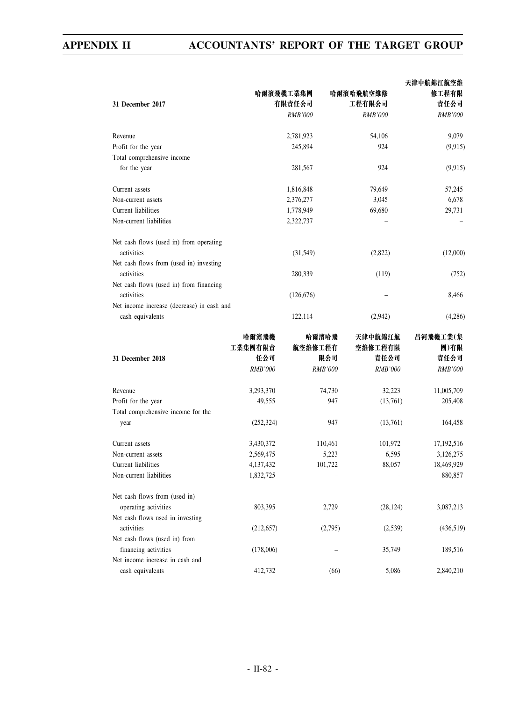|                                            |                |                |                | 天津中航錦江航空維      |
|--------------------------------------------|----------------|----------------|----------------|----------------|
|                                            | 哈爾濱飛機工業集團      |                | 哈爾濱哈飛航空維修      | 修工程有限          |
| 31 December 2017                           |                | 有限責任公司         | 工程有限公司         | 責任公司           |
|                                            |                | <b>RMB'000</b> | <b>RMB'000</b> | <b>RMB'000</b> |
| Revenue                                    |                | 2,781,923      | 54,106         | 9,079          |
| Profit for the year                        |                | 245,894        | 924            | (9,915)        |
| Total comprehensive income                 |                |                |                |                |
| for the year                               |                | 281,567        | 924            | (9,915)        |
| Current assets                             |                | 1,816,848      | 79,649         | 57,245         |
| Non-current assets                         |                | 2,376,277      | 3,045          | 6,678          |
| Current liabilities                        |                | 1,778,949      | 69,680         | 29,731         |
| Non-current liabilities                    |                | 2,322,737      |                |                |
| Net cash flows (used in) from operating    |                |                |                |                |
| activities                                 |                | (31, 549)      | (2,822)        | (12,000)       |
| Net cash flows from (used in) investing    |                |                |                |                |
| activities                                 |                | 280,339        | (119)          | (752)          |
| Net cash flows (used in) from financing    |                |                |                |                |
| activities                                 |                | (126, 676)     |                | 8,466          |
| Net income increase (decrease) in cash and |                |                |                |                |
| cash equivalents                           |                | 122,114        | (2,942)        | (4,286)        |
|                                            | 哈爾濱飛機          | 哈爾濱哈飛          | 天津中航錦江航        | 昌河飛機工業(集       |
|                                            | 工業集團有限責        | 航空維修工程有        | 空維修工程有限        | 團)有限           |
| 31 December 2018                           | 任公司            | 限公司            | 責任公司           | 責任公司           |
|                                            | <b>RMB'000</b> | <b>RMB'000</b> | <b>RMB'000</b> | <b>RMB'000</b> |
| Revenue                                    | 3,293,370      | 74,730         | 32,223         | 11,005,709     |
| Profit for the year                        | 49,555         | 947            | (13,761)       | 205,408        |
| Total comprehensive income for the         |                |                |                |                |
| year                                       | (252, 324)     | 947            | (13,761)       | 164,458        |
| Current assets                             | 3,430,372      | 110,461        | 101,972        | 17,192,516     |
| Non-current assets                         | 2,569,475      | 5,223          | 6,595          | 3,126,275      |
| Current liabilities                        | 4,137,432      | 101,722        | 88,057         | 18,469,929     |
| Non-current liabilities                    | 1,832,725      |                |                | 880,857        |
| Net cash flows from (used in)              |                |                |                |                |
| operating activities                       | 803,395        | 2,729          | (28, 124)      | 3,087,213      |
| Net cash flows used in investing           |                |                |                |                |
| activities                                 | (212, 657)     | (2,795)        | (2,539)        | (436,519)      |
| Net cash flows (used in) from              |                |                |                |                |
| financing activities                       | (178,006)      |                | 35,749         | 189,516        |
| Net income increase in cash and            |                |                |                |                |
| cash equivalents                           | 412,732        | (66)           | 5,086          | 2,840,210      |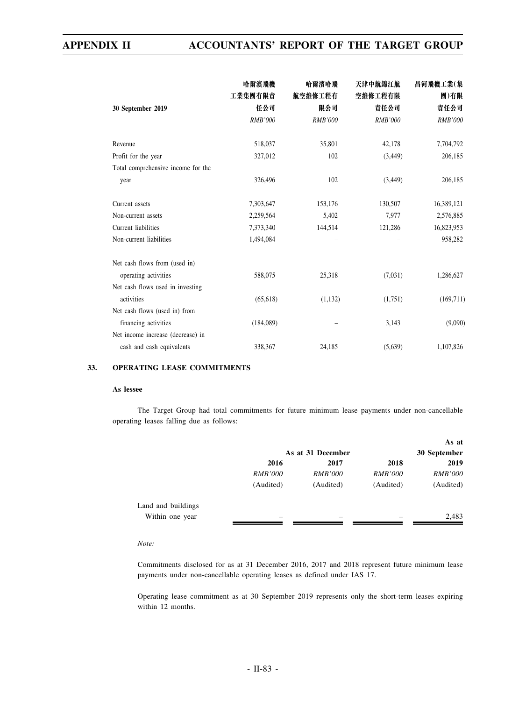|                                    | 哈爾濱飛機<br>工業集團有限責 | 哈爾濱哈飛<br>航空維修工程有 | 天津中航錦江航<br>空維修工程有限 | 昌河飛機工業(集<br>團)有限 |
|------------------------------------|------------------|------------------|--------------------|------------------|
| 30 September 2019                  | 任公司              | 限公司              | 責任公司               | 責任公司             |
|                                    | <b>RMB'000</b>   | <b>RMB'000</b>   | <b>RMB'000</b>     | <b>RMB'000</b>   |
| Revenue                            | 518,037          | 35,801           | 42,178             | 7,704,792        |
| Profit for the year                | 327,012          | 102              | (3, 449)           | 206,185          |
| Total comprehensive income for the |                  |                  |                    |                  |
| year                               | 326,496          | 102              | (3, 449)           | 206,185          |
| Current assets                     | 7,303,647        | 153,176          | 130,507            | 16,389,121       |
| Non-current assets                 | 2,259,564        | 5,402            | 7,977              | 2,576,885        |
| Current liabilities                | 7,373,340        | 144,514          | 121,286            | 16,823,953       |
| Non-current liabilities            | 1,494,084        |                  |                    | 958,282          |
| Net cash flows from (used in)      |                  |                  |                    |                  |
| operating activities               | 588,075          | 25,318           | (7,031)            | 1,286,627        |
| Net cash flows used in investing   |                  |                  |                    |                  |
| activities                         | (65, 618)        | (1, 132)         | (1,751)            | (169, 711)       |
| Net cash flows (used in) from      |                  |                  |                    |                  |
| financing activities               | (184,089)        |                  | 3,143              | (9,090)          |
| Net income increase (decrease) in  |                  |                  |                    |                  |
| cash and cash equivalents          | 338,367          | 24,185           | (5,639)            | 1,107,826        |

### **33. OPERATING LEASE COMMITMENTS**

#### **As lessee**

The Target Group had total commitments for future minimum lease payments under non-cancellable operating leases falling due as follows:

|                    |                          |                |                | As at          |
|--------------------|--------------------------|----------------|----------------|----------------|
|                    | As at 31 December        |                |                | 30 September   |
|                    | 2016                     | 2017           | 2018           | 2019           |
|                    | <i>RMB'000</i>           | <i>RMB'000</i> | <i>RMB'000</i> | <b>RMB'000</b> |
|                    | (Audited)                | (Audited)      | (Audited)      | (Audited)      |
| Land and buildings |                          |                |                |                |
| Within one year    | $\overline{\phantom{a}}$ | -              |                | 2,483          |
|                    |                          |                |                |                |

*Note:*

Commitments disclosed for as at 31 December 2016, 2017 and 2018 represent future minimum lease payments under non-cancellable operating leases as defined under IAS 17.

Operating lease commitment as at 30 September 2019 represents only the short-term leases expiring within 12 months.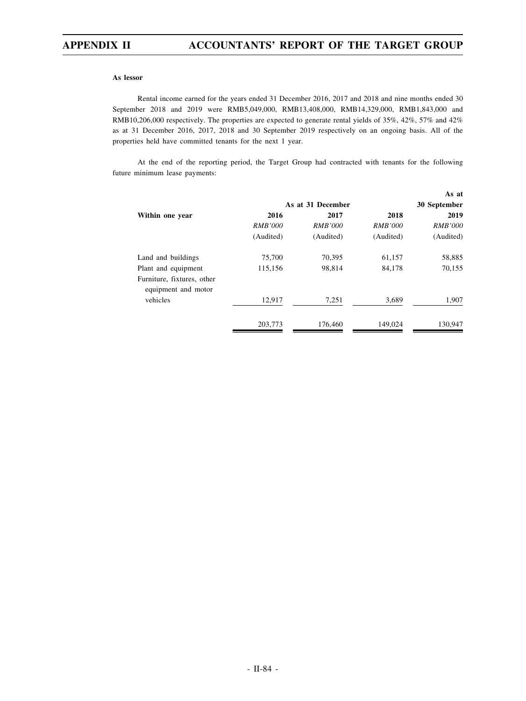#### **As lessor**

Rental income earned for the years ended 31 December 2016, 2017 and 2018 and nine months ended 30 September 2018 and 2019 were RMB5,049,000, RMB13,408,000, RMB14,329,000, RMB1,843,000 and RMB10,206,000 respectively. The properties are expected to generate rental yields of 35%, 42%, 57% and 42% as at 31 December 2016, 2017, 2018 and 30 September 2019 respectively on an ongoing basis. All of the properties held have committed tenants for the next 1 year.

At the end of the reporting period, the Target Group had contracted with tenants for the following future minimum lease payments:

|                                                   |                   |                |                | As at          |
|---------------------------------------------------|-------------------|----------------|----------------|----------------|
|                                                   | As at 31 December | 30 September   |                |                |
| Within one year                                   | 2016              | 2017           | 2018           | 2019           |
|                                                   | <i>RMB'000</i>    | <i>RMB'000</i> | <i>RMB'000</i> | <i>RMB'000</i> |
|                                                   | (Audited)         | (Audited)      | (Audited)      | (Audited)      |
| Land and buildings                                | 75,700            | 70.395         | 61,157         | 58,885         |
| Plant and equipment                               | 115,156           | 98.814         | 84,178         | 70,155         |
| Furniture, fixtures, other<br>equipment and motor |                   |                |                |                |
| vehicles                                          | 12,917            | 7,251          | 3,689          | 1,907          |
|                                                   | 203,773           | 176,460        | 149.024        | 130,947        |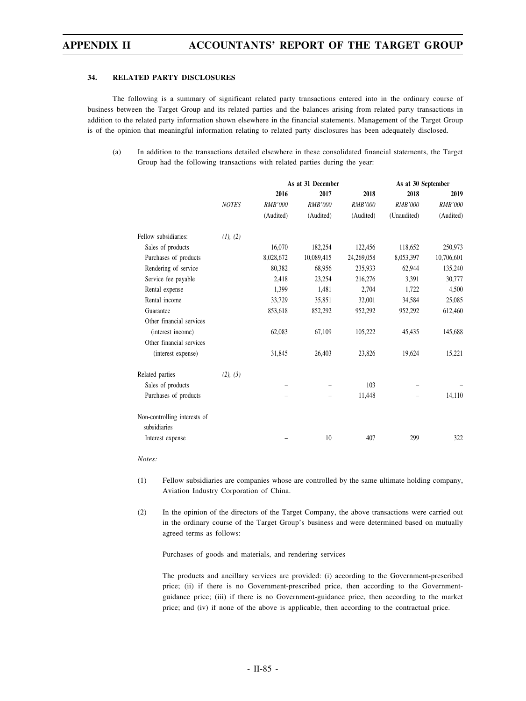#### **34. RELATED PARTY DISCLOSURES**

The following is a summary of significant related party transactions entered into in the ordinary course of business between the Target Group and its related parties and the balances arising from related party transactions in addition to the related party information shown elsewhere in the financial statements. Management of the Target Group is of the opinion that meaningful information relating to related party disclosures has been adequately disclosed.

(a) In addition to the transactions detailed elsewhere in these consolidated financial statements, the Target Group had the following transactions with related parties during the year:

|                                              |              | As at 31 December |                |                | As at 30 September |                |
|----------------------------------------------|--------------|-------------------|----------------|----------------|--------------------|----------------|
|                                              |              | 2016              | 2017           | 2018           | 2018               | 2019           |
|                                              | <b>NOTES</b> | <b>RMB'000</b>    | <b>RMB'000</b> | <b>RMB'000</b> | <b>RMB'000</b>     | <b>RMB'000</b> |
|                                              |              | (Audited)         | (Audited)      | (Audited)      | (Unaudited)        | (Audited)      |
| Fellow subsidiaries:                         | (1), (2)     |                   |                |                |                    |                |
| Sales of products                            |              | 16,070            | 182,254        | 122,456        | 118,652            | 250,973        |
| Purchases of products                        |              | 8,028,672         | 10,089,415     | 24,269,058     | 8,053,397          | 10,706,601     |
| Rendering of service                         |              | 80,382            | 68,956         | 235,933        | 62,944             | 135,240        |
| Service fee payable                          |              | 2,418             | 23,254         | 216,276        | 3,391              | 30,777         |
| Rental expense                               |              | 1,399             | 1,481          | 2,704          | 1,722              | 4,500          |
| Rental income                                |              | 33,729            | 35,851         | 32,001         | 34,584             | 25,085         |
| Guarantee                                    |              | 853,618           | 852,292        | 952,292        | 952,292            | 612,460        |
| Other financial services                     |              |                   |                |                |                    |                |
| (interest income)                            |              | 62,083            | 67,109         | 105,222        | 45,435             | 145,688        |
| Other financial services                     |              |                   |                |                |                    |                |
| (interest expense)                           |              | 31,845            | 26,403         | 23,826         | 19,624             | 15,221         |
| Related parties                              | (2), (3)     |                   |                |                |                    |                |
| Sales of products                            |              |                   |                | 103            |                    |                |
| Purchases of products                        |              |                   |                | 11,448         |                    | 14,110         |
| Non-controlling interests of<br>subsidiaries |              |                   |                |                |                    |                |
| Interest expense                             |              |                   | 10             | 407            | 299                | 322            |

*Notes:*

(1) Fellow subsidiaries are companies whose are controlled by the same ultimate holding company, Aviation Industry Corporation of China.

(2) In the opinion of the directors of the Target Company, the above transactions were carried out in the ordinary course of the Target Group's business and were determined based on mutually agreed terms as follows:

Purchases of goods and materials, and rendering services

The products and ancillary services are provided: (i) according to the Government-prescribed price; (ii) if there is no Government-prescribed price, then according to the Governmentguidance price; (iii) if there is no Government-guidance price, then according to the market price; and (iv) if none of the above is applicable, then according to the contractual price.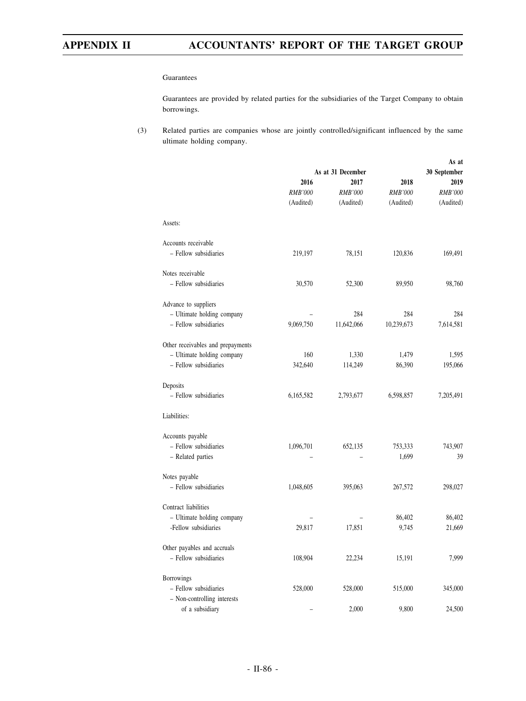#### Guarantees

Guarantees are provided by related parties for the subsidiaries of the Target Company to obtain borrowings.

(3) Related parties are companies whose are jointly controlled/significant influenced by the same ultimate holding company.

|                                   |           | As at 31 December |                | As at<br>30 September |  |
|-----------------------------------|-----------|-------------------|----------------|-----------------------|--|
|                                   | 2016      | 2017              | 2018           | 2019                  |  |
|                                   | RMB'000   | <b>RMB'000</b>    | <b>RMB'000</b> | RMB'000               |  |
|                                   | (Audited) | (Audited)         | (Audited)      | (Audited)             |  |
| Assets:                           |           |                   |                |                       |  |
| Accounts receivable               |           |                   |                |                       |  |
| - Fellow subsidiaries             | 219,197   | 78,151            | 120,836        | 169,491               |  |
| Notes receivable                  |           |                   |                |                       |  |
| - Fellow subsidiaries             | 30,570    | 52,300            | 89,950         | 98,760                |  |
| Advance to suppliers              |           |                   |                |                       |  |
| - Ultimate holding company        |           | 284               | 284            | 284                   |  |
| - Fellow subsidiaries             | 9,069,750 | 11,642,066        | 10,239,673     | 7,614,581             |  |
| Other receivables and prepayments |           |                   |                |                       |  |
| - Ultimate holding company        | 160       | 1,330             | 1,479          | 1,595                 |  |
| - Fellow subsidiaries             | 342,640   | 114,249           | 86,390         | 195,066               |  |
| Deposits                          |           |                   |                |                       |  |
| - Fellow subsidiaries             | 6,165,582 | 2,793,677         | 6,598,857      | 7,205,491             |  |
| Liabilities:                      |           |                   |                |                       |  |
| Accounts payable                  |           |                   |                |                       |  |
| - Fellow subsidiaries             | 1,096,701 | 652,135           | 753,333        | 743,907               |  |
| - Related parties                 |           |                   | 1,699          | 39                    |  |
| Notes payable                     |           |                   |                |                       |  |
| - Fellow subsidiaries             | 1,048,605 | 395,063           | 267,572        | 298,027               |  |
| Contract liabilities              |           |                   |                |                       |  |
| - Ultimate holding company        |           |                   | 86,402         | 86,402                |  |
| -Fellow subsidiaries              | 29,817    | 17,851            | 9,745          | 21,669                |  |
| Other payables and accruals       |           |                   |                |                       |  |
| - Fellow subsidiaries             | 108,904   | 22,234            | 15,191         | 7,999                 |  |
| <b>Borrowings</b>                 |           |                   |                |                       |  |
| - Fellow subsidiaries             | 528,000   | 528,000           | 515,000        | 345,000               |  |
| - Non-controlling interests       |           |                   |                |                       |  |
| of a subsidiary                   |           | 2,000             | 9,800          | 24,500                |  |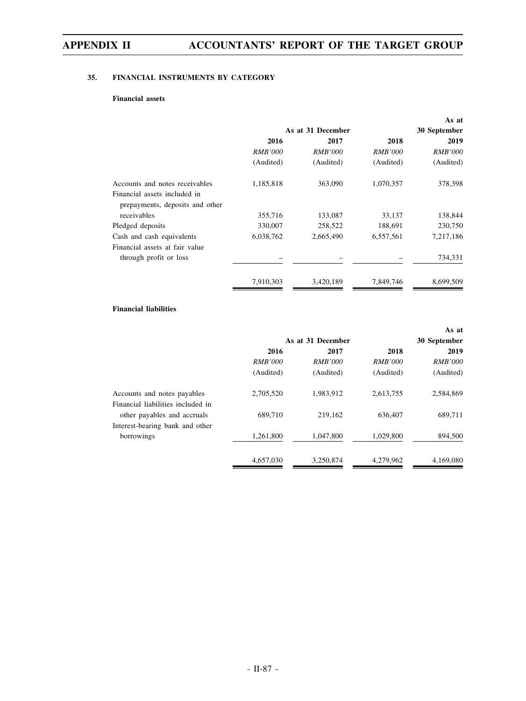# **35. FINANCIAL INSTRUMENTS BY CATEGORY**

# **Financial assets**

|                                                                 |                   |                |                | As at          |
|-----------------------------------------------------------------|-------------------|----------------|----------------|----------------|
|                                                                 | As at 31 December | 30 September   |                |                |
|                                                                 | 2016              | 2017           | 2018           | 2019           |
|                                                                 | <i>RMB'000</i>    | <i>RMB'000</i> | <i>RMB'000</i> | <i>RMB'000</i> |
|                                                                 | (Audited)         | (Audited)      | (Audited)      | (Audited)      |
| Accounts and notes receivables                                  | 1,185,818         | 363,090        | 1,070,357      | 378,398        |
| Financial assets included in<br>prepayments, deposits and other |                   |                |                |                |
| receivables                                                     | 355,716           | 133,087        | 33,137         | 138,844        |
| Pledged deposits                                                | 330,007           | 258,522        | 188,691        | 230,750        |
| Cash and cash equivalents                                       | 6,038,762         | 2,665,490      | 6,557,561      | 7,217,186      |
| Financial assets at fair value                                  |                   |                |                |                |
| through profit or loss                                          |                   |                |                | 734,331        |
|                                                                 | 7,910,303         | 3,420,189      | 7,849,746      | 8,699,509      |

# **Financial liabilities**

|                                               |                   |                |                | As at          |
|-----------------------------------------------|-------------------|----------------|----------------|----------------|
|                                               | As at 31 December | 30 September   |                |                |
|                                               | 2016              | 2017           | 2018           | 2019           |
|                                               | <i>RMB'000</i>    | <i>RMB'000</i> | <i>RMB'000</i> | <i>RMB'000</i> |
|                                               | (Audited)         | (Audited)      | (Audited)      | (Audited)      |
| Accounts and notes payables                   | 2,705,520         | 1,983,912      | 2,613,755      | 2,584,869      |
| Financial liabilities included in             |                   |                |                |                |
| other payables and accruals                   | 689,710           | 219,162        | 636,407        | 689,711        |
| Interest-bearing bank and other<br>borrowings | 1,261,800         | 1,047,800      | 1,029,800      | 894,500        |
|                                               | 4,657,030         | 3,250,874      | 4,279,962      | 4,169,080      |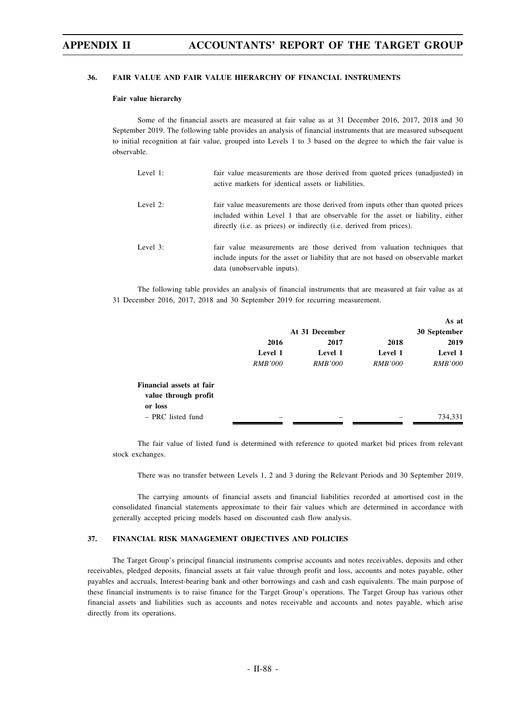### **36. FAIR VALUE AND FAIR VALUE HIERARCHY OF FINANCIAL INSTRUMENTS**

### **Fair value hierarchy**

Some of the financial assets are measured at fair value as at 31 December 2016, 2017, 2018 and 30 September 2019. The following table provides an analysis of financial instruments that are measured subsequent to initial recognition at fair value, grouped into Levels 1 to 3 based on the degree to which the fair value is observable.

| Level 1: | fair value measurements are those derived from quoted prices (unadjusted) in<br>active markets for identical assets or liabilities.                                                                                                                     |
|----------|---------------------------------------------------------------------------------------------------------------------------------------------------------------------------------------------------------------------------------------------------------|
| Level 2: | fair value measurements are those derived from inputs other than quoted prices<br>included within Level 1 that are observable for the asset or liability, either<br>directly ( <i>i.e.</i> as prices) or indirectly ( <i>i.e.</i> derived from prices). |
| Level 3: | fair value measurements are those derived from valuation techniques that<br>include inputs for the asset or liability that are not based on observable market<br>data (unobservable inputs).                                                            |

The following table provides an analysis of financial instruments that are measured at fair value as at 31 December 2016, 2017, 2018 and 30 September 2019 for recurring measurement.

|                                                  |                |                |                | As at          |
|--------------------------------------------------|----------------|----------------|----------------|----------------|
|                                                  |                | At 31 December |                | 30 September   |
|                                                  | 2016           | 2017           | 2018           | 2019           |
|                                                  | Level 1        | Level 1        | Level 1        | Level 1        |
|                                                  | <i>RMB'000</i> | <i>RMB'000</i> | <i>RMB'000</i> | <i>RMB'000</i> |
| Financial assets at fair<br>value through profit |                |                |                |                |
| or loss                                          |                |                |                |                |
| - PRC listed fund                                |                |                |                | 734,331        |

The fair value of listed fund is determined with reference to quoted market bid prices from relevant stock exchanges.

There was no transfer between Levels 1, 2 and 3 during the Relevant Periods and 30 September 2019.

The carrying amounts of financial assets and financial liabilities recorded at amortised cost in the consolidated financial statements approximate to their fair values which are determined in accordance with generally accepted pricing models based on discounted cash flow analysis.

### **37. FINANCIAL RISK MANAGEMENT OBJECTIVES AND POLICIES**

The Target Group's principal financial instruments comprise accounts and notes receivables, deposits and other receivables, pledged deposits, financial assets at fair value through profit and loss, accounts and notes payable, other payables and accruals, Interest-bearing bank and other borrowings and cash and cash equivalents. The main purpose of these financial instruments is to raise finance for the Target Group's operations. The Target Group has various other financial assets and liabilities such as accounts and notes receivable and accounts and notes payable, which arise directly from its operations.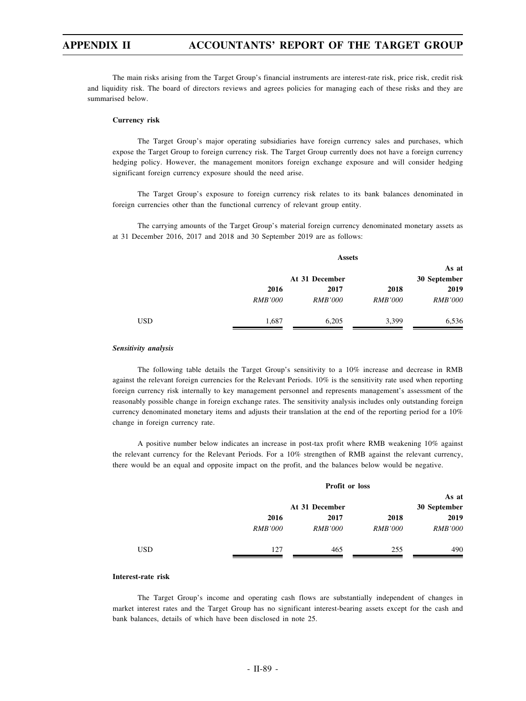The main risks arising from the Target Group's financial instruments are interest-rate risk, price risk, credit risk and liquidity risk. The board of directors reviews and agrees policies for managing each of these risks and they are summarised below.

### **Currency risk**

The Target Group's major operating subsidiaries have foreign currency sales and purchases, which expose the Target Group to foreign currency risk. The Target Group currently does not have a foreign currency hedging policy. However, the management monitors foreign exchange exposure and will consider hedging significant foreign currency exposure should the need arise.

The Target Group's exposure to foreign currency risk relates to its bank balances denominated in foreign currencies other than the functional currency of relevant group entity.

The carrying amounts of the Target Group's material foreign currency denominated monetary assets as at 31 December 2016, 2017 and 2018 and 30 September 2019 are as follows:

|            |                | <b>Assets</b>  |                |                |  |
|------------|----------------|----------------|----------------|----------------|--|
|            |                |                |                | As at          |  |
|            |                | At 31 December |                | 30 September   |  |
|            | 2016           | 2017           | 2018           | 2019           |  |
|            | <b>RMB'000</b> | <b>RMB'000</b> | <i>RMB'000</i> | <b>RMB'000</b> |  |
| <b>USD</b> | 1,687          | 6,205          | 3,399          | 6,536          |  |

### *Sensitivity analysis*

The following table details the Target Group's sensitivity to a 10% increase and decrease in RMB against the relevant foreign currencies for the Relevant Periods. 10% is the sensitivity rate used when reporting foreign currency risk internally to key management personnel and represents management's assessment of the reasonably possible change in foreign exchange rates. The sensitivity analysis includes only outstanding foreign currency denominated monetary items and adjusts their translation at the end of the reporting period for a 10% change in foreign currency rate.

A positive number below indicates an increase in post-tax profit where RMB weakening 10% against the relevant currency for the Relevant Periods. For a 10% strengthen of RMB against the relevant currency, there would be an equal and opposite impact on the profit, and the balances below would be negative.

|     | Profit or loss |                |                |                |  |
|-----|----------------|----------------|----------------|----------------|--|
|     |                | At 31 December |                |                |  |
|     | 2016           | 2017           | 2018           | 2019           |  |
|     | <i>RMB'000</i> | <i>RMB'000</i> | <i>RMB'000</i> | <i>RMB'000</i> |  |
| USD | 127            | 465            | 255            | 490            |  |

### **Interest-rate risk**

The Target Group's income and operating cash flows are substantially independent of changes in market interest rates and the Target Group has no significant interest-bearing assets except for the cash and bank balances, details of which have been disclosed in note 25.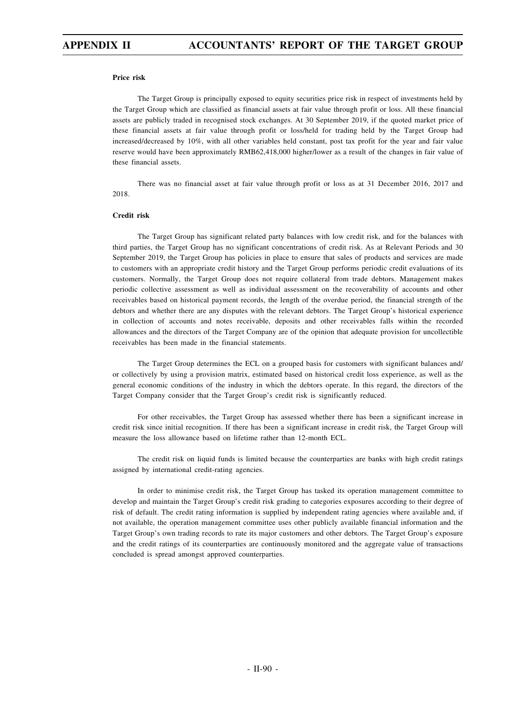### **Price risk**

The Target Group is principally exposed to equity securities price risk in respect of investments held by the Target Group which are classified as financial assets at fair value through profit or loss. All these financial assets are publicly traded in recognised stock exchanges. At 30 September 2019, if the quoted market price of these financial assets at fair value through profit or loss/held for trading held by the Target Group had increased/decreased by 10%, with all other variables held constant, post tax profit for the year and fair value reserve would have been approximately RMB62,418,000 higher/lower as a result of the changes in fair value of these financial assets.

There was no financial asset at fair value through profit or loss as at 31 December 2016, 2017 and 2018.

### **Credit risk**

The Target Group has significant related party balances with low credit risk, and for the balances with third parties, the Target Group has no significant concentrations of credit risk. As at Relevant Periods and 30 September 2019, the Target Group has policies in place to ensure that sales of products and services are made to customers with an appropriate credit history and the Target Group performs periodic credit evaluations of its customers. Normally, the Target Group does not require collateral from trade debtors. Management makes periodic collective assessment as well as individual assessment on the recoverability of accounts and other receivables based on historical payment records, the length of the overdue period, the financial strength of the debtors and whether there are any disputes with the relevant debtors. The Target Group's historical experience in collection of accounts and notes receivable, deposits and other receivables falls within the recorded allowances and the directors of the Target Company are of the opinion that adequate provision for uncollectible receivables has been made in the financial statements.

The Target Group determines the ECL on a grouped basis for customers with significant balances and/ or collectively by using a provision matrix, estimated based on historical credit loss experience, as well as the general economic conditions of the industry in which the debtors operate. In this regard, the directors of the Target Company consider that the Target Group's credit risk is significantly reduced.

For other receivables, the Target Group has assessed whether there has been a significant increase in credit risk since initial recognition. If there has been a significant increase in credit risk, the Target Group will measure the loss allowance based on lifetime rather than 12-month ECL.

The credit risk on liquid funds is limited because the counterparties are banks with high credit ratings assigned by international credit-rating agencies.

In order to minimise credit risk, the Target Group has tasked its operation management committee to develop and maintain the Target Group's credit risk grading to categories exposures according to their degree of risk of default. The credit rating information is supplied by independent rating agencies where available and, if not available, the operation management committee uses other publicly available financial information and the Target Group's own trading records to rate its major customers and other debtors. The Target Group's exposure and the credit ratings of its counterparties are continuously monitored and the aggregate value of transactions concluded is spread amongst approved counterparties.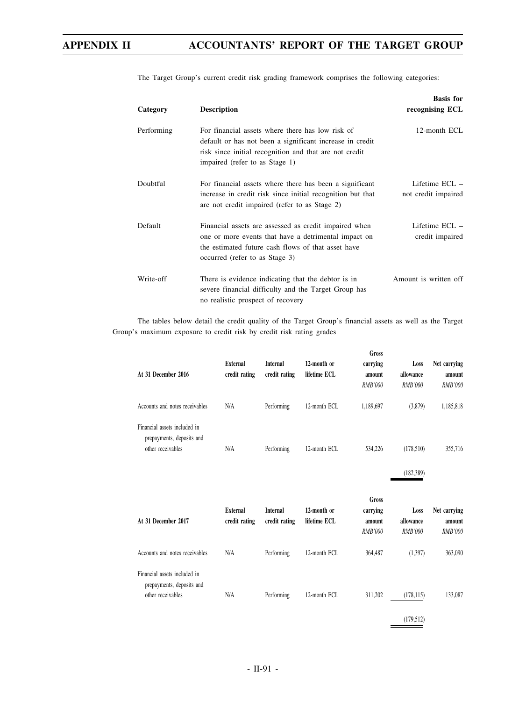| Category   | <b>Description</b>                                                                                                                                                                                       | <b>Basis for</b><br>recognising ECL   |
|------------|----------------------------------------------------------------------------------------------------------------------------------------------------------------------------------------------------------|---------------------------------------|
| Performing | For financial assets where there has low risk of<br>default or has not been a significant increase in credit<br>risk since initial recognition and that are not credit<br>impaired (refer to as Stage 1) | 12-month ECL                          |
| Doubtful   | For financial assets where there has been a significant<br>increase in credit risk since initial recognition but that<br>are not credit impaired (refer to as Stage 2)                                   | Lifetime ECL -<br>not credit impaired |
| Default    | Financial assets are assessed as credit impaired when<br>one or more events that have a detrimental impact on<br>the estimated future cash flows of that asset have<br>occurred (refer to as Stage 3)    | Lifetime ECL -<br>credit impaired     |
| Write-off  | There is evidence indicating that the debtor is in<br>severe financial difficulty and the Target Group has<br>no realistic prospect of recovery                                                          | Amount is written off                 |

The Target Group's current credit risk grading framework comprises the following categories:

The tables below detail the credit quality of the Target Group's financial assets as well as the Target Group's maximum exposure to credit risk by credit risk rating grades

| At 31 December 2016                                                            | <b>External</b><br>credit rating | <b>Internal</b><br>credit rating | 12-month or<br>lifetime ECL | Gross<br>carrying<br>amount<br><b>RMB'000</b> | Loss<br>allowance<br><b>RMB'000</b> | Net carrying<br>amount<br><b>RMB'000</b> |
|--------------------------------------------------------------------------------|----------------------------------|----------------------------------|-----------------------------|-----------------------------------------------|-------------------------------------|------------------------------------------|
| Accounts and notes receivables                                                 | N/A                              | Performing                       | 12-month ECL                | 1,189,697                                     | (3,879)                             | 1,185,818                                |
| Financial assets included in<br>prepayments, deposits and<br>other receivables | N/A                              | Performing                       | 12-month ECL                | 534,226                                       | (178,510)<br>(182, 389)             | 355,716                                  |
|                                                                                |                                  |                                  |                             |                                               |                                     |                                          |
| At 31 December 2017                                                            | <b>External</b><br>credit rating | <b>Internal</b><br>credit rating | 12-month or<br>lifetime ECL | Gross<br>carrying<br>amount<br>RMB'000        | Loss<br>allowance<br>RMB'000        | Net carrying<br>amount<br>RMB'000        |
| Accounts and notes receivables                                                 | N/A                              | Performing                       | 12-month ECL                | 364,487                                       | (1,397)                             | 363,090                                  |

(179,512)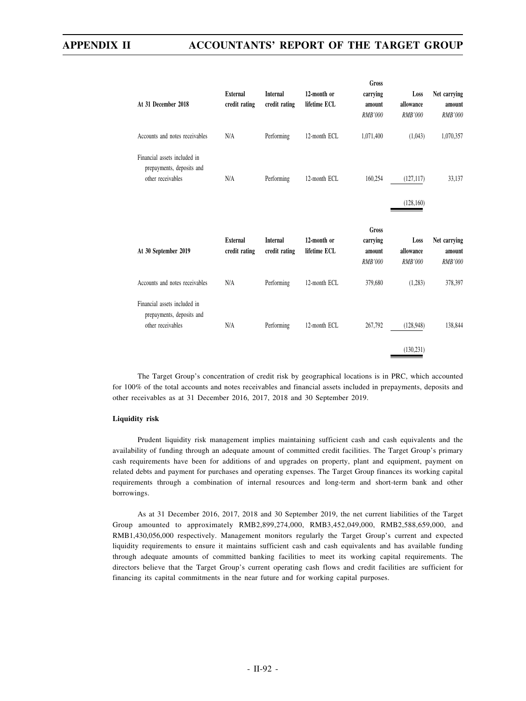| At 31 December 2018                                                            | External<br>credit rating        | <b>Internal</b><br>credit rating | 12-month or<br>lifetime ECL | Gross<br>carrying<br>amount<br><b>RMB'000</b> | Loss<br>allowance<br><b>RMB'000</b> | Net carrying<br>amount<br><b>RMB'000</b> |
|--------------------------------------------------------------------------------|----------------------------------|----------------------------------|-----------------------------|-----------------------------------------------|-------------------------------------|------------------------------------------|
| Accounts and notes receivables                                                 | N/A                              | Performing                       | 12-month ECL                | 1,071,400                                     | (1,043)                             | 1,070,357                                |
| Financial assets included in<br>prepayments, deposits and<br>other receivables | N/A                              | Performing                       | 12-month ECL                | 160,254                                       | (127, 117)<br>(128, 160)            | 33,137                                   |
|                                                                                |                                  |                                  |                             |                                               |                                     |                                          |
| At 30 September 2019                                                           | <b>External</b><br>credit rating | <b>Internal</b><br>credit rating | 12-month or<br>lifetime ECL | Gross<br>carrying<br>amount<br><b>RMB'000</b> | Loss<br>allowance<br><b>RMB'000</b> | Net carrying<br>amount<br>RMB'000        |
| Accounts and notes receivables                                                 | N/A                              | Performing                       | 12-month ECL                | 379,680                                       | (1,283)                             | 378,397                                  |

The Target Group's concentration of credit risk by geographical locations is in PRC, which accounted for 100% of the total accounts and notes receivables and financial assets included in prepayments, deposits and other receivables as at 31 December 2016, 2017, 2018 and 30 September 2019.

### **Liquidity risk**

Prudent liquidity risk management implies maintaining sufficient cash and cash equivalents and the availability of funding through an adequate amount of committed credit facilities. The Target Group's primary cash requirements have been for additions of and upgrades on property, plant and equipment, payment on related debts and payment for purchases and operating expenses. The Target Group finances its working capital requirements through a combination of internal resources and long-term and short-term bank and other borrowings.

As at 31 December 2016, 2017, 2018 and 30 September 2019, the net current liabilities of the Target Group amounted to approximately RMB2,899,274,000, RMB3,452,049,000, RMB2,588,659,000, and RMB1,430,056,000 respectively. Management monitors regularly the Target Group's current and expected liquidity requirements to ensure it maintains sufficient cash and cash equivalents and has available funding through adequate amounts of committed banking facilities to meet its working capital requirements. The directors believe that the Target Group's current operating cash flows and credit facilities are sufficient for financing its capital commitments in the near future and for working capital purposes.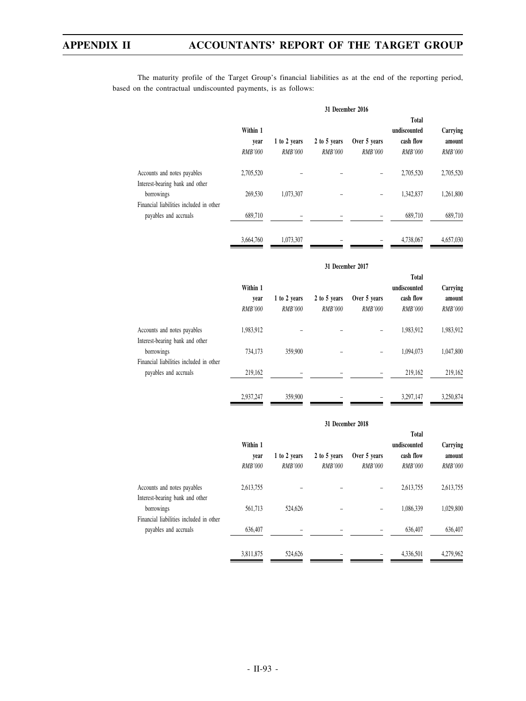The maturity profile of the Target Group's financial liabilities as at the end of the reporting period, based on the contractual undiscounted payments, is as follows:

|                                                                  | 31 December 2016                   |                         |                                |                                |                                                             |                                      |
|------------------------------------------------------------------|------------------------------------|-------------------------|--------------------------------|--------------------------------|-------------------------------------------------------------|--------------------------------------|
|                                                                  | Within 1<br>year<br><b>RMB'000</b> | 1 to 2 years<br>RMB'000 | 2 to 5 years<br><b>RMB'000</b> | Over 5 years<br><b>RMB'000</b> | <b>Total</b><br>undiscounted<br>cash flow<br><b>RMB'000</b> | Carrying<br>amount<br><b>RMB'000</b> |
| Accounts and notes payables                                      | 2,705,520                          |                         |                                |                                | 2,705,520                                                   | 2,705,520                            |
| Interest-bearing bank and other<br>borrowings                    | 269,530                            | 1,073,307               |                                |                                | 1,342,837                                                   | 1,261,800                            |
| Financial liabilities included in other<br>payables and accruals | 689,710                            |                         |                                |                                | 689.710                                                     | 689,710                              |
|                                                                  | 3,664,760                          | 1,073,307               |                                |                                | 4,738,067                                                   | 4,657,030                            |

### **31 December 2017**

|                                         | Within 1<br>year<br><b>RMB'000</b> | 1 to 2 years<br>RMB'000 | 2 to 5 years<br><b>RMB'000</b> | Over 5 years<br><i>RMB'000</i> | <b>Total</b><br>undiscounted<br>cash flow<br><b>RMB'000</b> | Carrying<br>amount<br><i>RMB'000</i> |
|-----------------------------------------|------------------------------------|-------------------------|--------------------------------|--------------------------------|-------------------------------------------------------------|--------------------------------------|
|                                         |                                    |                         |                                |                                |                                                             |                                      |
| Accounts and notes payables             | 1,983,912                          |                         |                                |                                | 1,983,912                                                   | 1,983,912                            |
| Interest-bearing bank and other         |                                    |                         |                                |                                |                                                             |                                      |
| borrowings                              | 734.173                            | 359,900                 |                                |                                | 1.094.073                                                   | 1,047,800                            |
| Financial liabilities included in other |                                    |                         |                                |                                |                                                             |                                      |
| payables and accruals                   | 219,162                            |                         |                                |                                | 219,162                                                     | 219,162                              |
|                                         | 2.937.247                          | 359,900                 |                                |                                | 3,297,147                                                   | 3.250.874                            |

### **31 December 2018**

|                                               | Within 1<br>vear<br><i>RMB'000</i> | 1 to 2 years<br><b>RMB'000</b> | 2 to 5 years<br><i>RMB'000</i> | Over 5 years<br><i>RMB'000</i> | <b>Total</b><br>undiscounted<br>cash flow<br><i>RMB'000</i> | Carrying<br>amount<br><b>RMB'000</b> |
|-----------------------------------------------|------------------------------------|--------------------------------|--------------------------------|--------------------------------|-------------------------------------------------------------|--------------------------------------|
| Accounts and notes payables                   | 2,613,755                          |                                |                                |                                | 2,613,755                                                   | 2,613,755                            |
| Interest-bearing bank and other<br>borrowings | 561,713                            | 524,626                        |                                |                                | 1.086.339                                                   | 1,029,800                            |
| Financial liabilities included in other       |                                    |                                |                                |                                |                                                             |                                      |
| payables and accruals                         | 636,407                            |                                |                                |                                | 636,407                                                     | 636,407                              |
|                                               | 3,811,875                          | 524,626                        |                                |                                | 4,336,501                                                   | 4,279,962                            |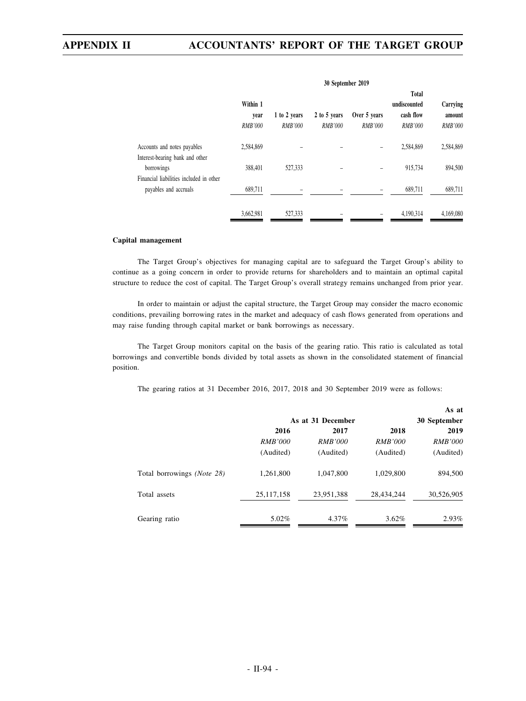|                                                                  | 30 September 2019 |                |                |                |                                           |                    |
|------------------------------------------------------------------|-------------------|----------------|----------------|----------------|-------------------------------------------|--------------------|
|                                                                  | Within 1<br>year  | 1 to 2 years   | 2 to 5 years   | Over 5 years   | <b>Total</b><br>undiscounted<br>cash flow | Carrying<br>amount |
|                                                                  | <b>RMB'000</b>    | <b>RMB'000</b> | <b>RMB'000</b> | <b>RMB'000</b> | <b>RMB'000</b>                            | <b>RMB'000</b>     |
| Accounts and notes payables                                      | 2,584,869         |                |                |                | 2,584,869                                 | 2,584,869          |
| Interest-bearing bank and other<br>borrowings                    | 388,401           | 527,333        |                |                | 915,734                                   | 894,500            |
| Financial liabilities included in other<br>payables and accruals | 689,711           |                |                |                | 689,711                                   | 689,711            |
|                                                                  | 3,662,981         | 527,333        |                |                | 4,190,314                                 | 4,169,080          |

### **Capital management**

The Target Group's objectives for managing capital are to safeguard the Target Group's ability to continue as a going concern in order to provide returns for shareholders and to maintain an optimal capital structure to reduce the cost of capital. The Target Group's overall strategy remains unchanged from prior year.

In order to maintain or adjust the capital structure, the Target Group may consider the macro economic conditions, prevailing borrowing rates in the market and adequacy of cash flows generated from operations and may raise funding through capital market or bank borrowings as necessary.

The Target Group monitors capital on the basis of the gearing ratio. This ratio is calculated as total borrowings and convertible bonds divided by total assets as shown in the consolidated statement of financial position.

The gearing ratios at 31 December 2016, 2017, 2018 and 30 September 2019 were as follows:

|                            |                   |                |                | As at          |
|----------------------------|-------------------|----------------|----------------|----------------|
|                            | As at 31 December | 30 September   |                |                |
|                            | 2016              | 2017           |                | 2019           |
|                            | <i>RMB'000</i>    | <i>RMB'000</i> | <i>RMB'000</i> | <i>RMB'000</i> |
|                            | (Audited)         | (Audited)      | (Audited)      | (Audited)      |
| Total borrowings (Note 28) | 1,261,800         | 1,047,800      | 1,029,800      | 894,500        |
| Total assets               | 25, 117, 158      | 23,951,388     | 28,434,244     | 30,526,905     |
| Gearing ratio              | 5.02%             | 4.37%          | $3.62\%$       | 2.93%          |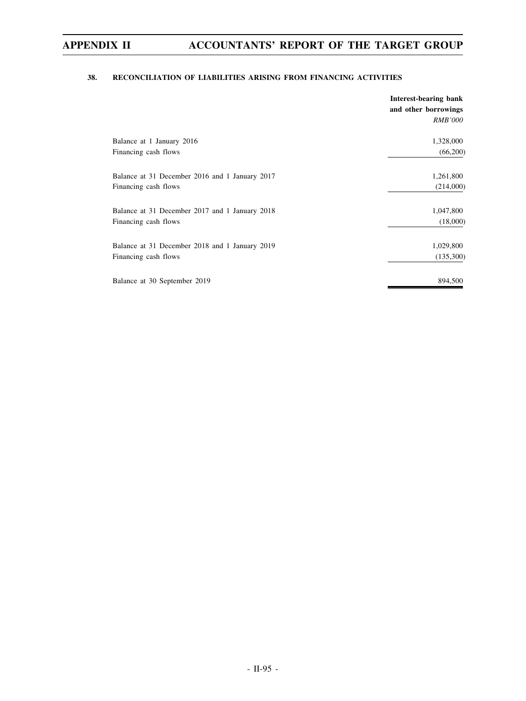# **38. RECONCILIATION OF LIABILITIES ARISING FROM FINANCING ACTIVITIES**

|                                                | Interest-bearing bank<br>and other borrowings |
|------------------------------------------------|-----------------------------------------------|
|                                                | <i>RMB'000</i>                                |
| Balance at 1 January 2016                      | 1,328,000                                     |
| Financing cash flows                           | (66,200)                                      |
| Balance at 31 December 2016 and 1 January 2017 | 1,261,800                                     |
| Financing cash flows                           | (214,000)                                     |
| Balance at 31 December 2017 and 1 January 2018 | 1,047,800                                     |
| Financing cash flows                           | (18,000)                                      |
| Balance at 31 December 2018 and 1 January 2019 | 1,029,800                                     |
| Financing cash flows                           | (135,300)                                     |
| Balance at 30 September 2019                   | 894,500                                       |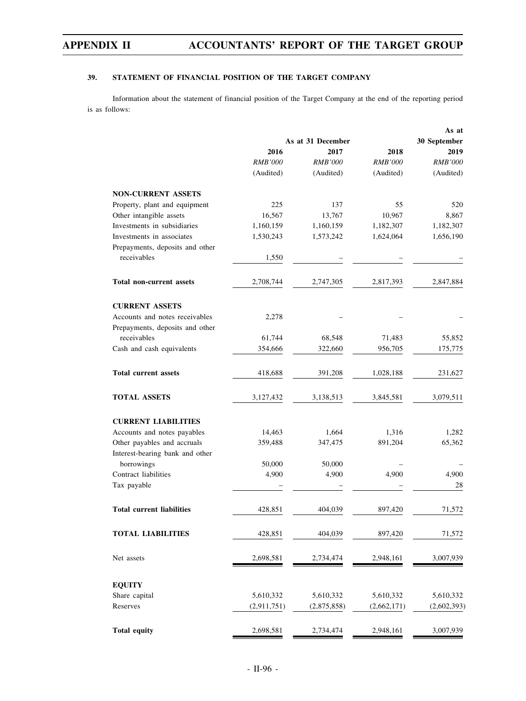# **39. STATEMENT OF FINANCIAL POSITION OF THE TARGET COMPANY**

Information about the statement of financial position of the Target Company at the end of the reporting period is as follows:

|                                  |                | As at             |                |                |
|----------------------------------|----------------|-------------------|----------------|----------------|
|                                  |                | As at 31 December |                | 30 September   |
|                                  | 2016           | 2017              | 2018           | 2019           |
|                                  | <b>RMB'000</b> | <b>RMB'000</b>    | <b>RMB'000</b> | <b>RMB'000</b> |
|                                  | (Audited)      | (Audited)         | (Audited)      | (Audited)      |
| <b>NON-CURRENT ASSETS</b>        |                |                   |                |                |
| Property, plant and equipment    | 225            | 137               | 55             | 520            |
| Other intangible assets          | 16,567         | 13,767            | 10,967         | 8.867          |
| Investments in subsidiaries      | 1,160,159      | 1,160,159         | 1,182,307      | 1,182,307      |
| Investments in associates        | 1,530,243      | 1,573,242         | 1,624,064      | 1,656,190      |
| Prepayments, deposits and other  |                |                   |                |                |
| receivables                      | 1,550          |                   |                |                |
|                                  |                |                   |                |                |
| Total non-current assets         | 2,708,744      | 2,747,305         | 2,817,393      | 2,847,884      |
| <b>CURRENT ASSETS</b>            |                |                   |                |                |
| Accounts and notes receivables   | 2,278          |                   |                |                |
| Prepayments, deposits and other  |                |                   |                |                |
| receivables                      | 61,744         | 68,548            | 71,483         | 55,852         |
| Cash and cash equivalents        | 354,666        | 322,660           | 956,705        | 175,775        |
| <b>Total current assets</b>      | 418,688        | 391,208           | 1,028,188      | 231,627        |
| <b>TOTAL ASSETS</b>              | 3,127,432      | 3,138,513         | 3,845,581      | 3,079,511      |
|                                  |                |                   |                |                |
| <b>CURRENT LIABILITIES</b>       |                |                   |                |                |
| Accounts and notes payables      | 14,463         | 1,664             | 1,316          | 1,282          |
| Other payables and accruals      | 359,488        | 347,475           | 891,204        | 65,362         |
| Interest-bearing bank and other  |                |                   |                |                |
| borrowings                       | 50,000         | 50,000            |                |                |
| Contract liabilities             | 4,900          | 4,900             | 4,900          | 4,900          |
| Tax payable                      |                |                   |                | 28             |
| <b>Total current liabilities</b> | 428,851        | 404,039           | 897,420        | 71,572         |
|                                  |                |                   |                |                |
| <b>TOTAL LIABILITIES</b>         | 428,851        | 404,039           | 897,420        | 71,572         |
| Net assets                       | 2,698,581      | 2,734,474         | 2,948,161      | 3,007,939      |
| <b>EQUITY</b>                    |                |                   |                |                |
| Share capital                    | 5,610,332      | 5,610,332         | 5,610,332      | 5,610,332      |
| Reserves                         | (2,911,751)    | (2,875,858)       | (2,662,171)    | (2,602,393)    |
|                                  |                |                   |                |                |
| <b>Total equity</b>              | 2,698,581      | 2,734,474         | 2,948,161      | 3,007,939      |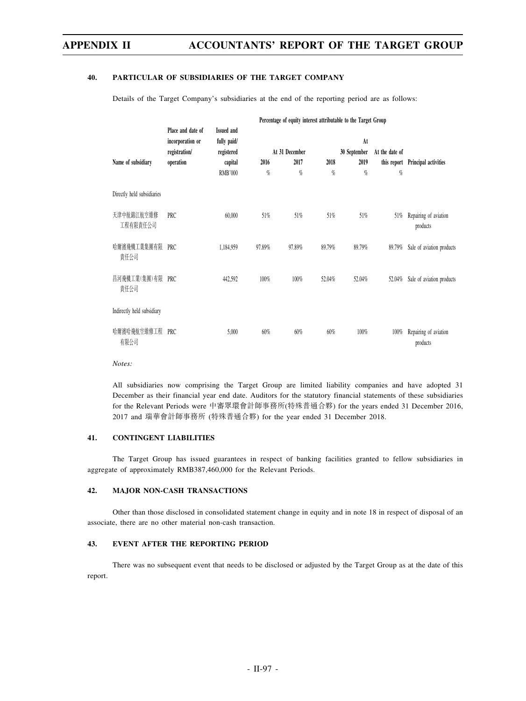### **40. PARTICULAR OF SUBSIDIARIES OF THE TARGET COMPANY**

Details of the Target Company's subsidiaries at the end of the reporting period are as follows:

|                            | Percentage of equity interest attributable to the Target Group      |                                                                             |           |                             |               |                                    |                     |                                   |
|----------------------------|---------------------------------------------------------------------|-----------------------------------------------------------------------------|-----------|-----------------------------|---------------|------------------------------------|---------------------|-----------------------------------|
| Name of subsidiary         | Place and date of<br>incorporation or<br>registration/<br>operation | <b>Issued and</b><br>fully paid/<br>registered<br>capital<br><b>RMB'000</b> | 2016<br>% | At 31 December<br>2017<br>% | 2018<br>$q_0$ | At<br>30 September<br>2019<br>$\%$ | At the date of<br>% | this report Principal activities  |
| Directly held subsidiaries |                                                                     |                                                                             |           |                             |               |                                    |                     |                                   |
| 天津中航錦江航空維修<br>工程有限責任公司     | PRC                                                                 | 60,000                                                                      | 51%       | 51%                         | 51%           | 51%                                | 51%                 | Repairing of aviation<br>products |
| 哈爾濱飛機工業集團有限<br>責任公司        | PRC                                                                 | 1,184,959                                                                   | 97.89%    | 97.89%                      | 89.79%        | 89.79%                             | 89.79%              | Sale of aviation products         |
| 昌河飛機工業(集團)有限 PRC<br>責任公司   |                                                                     | 442,592                                                                     | 100%      | 100%                        | 52.04%        | 52.04%                             | 52.04%              | Sale of aviation products         |
| Indirectly held subsidiary |                                                                     |                                                                             |           |                             |               |                                    |                     |                                   |
| 哈爾濱哈飛航空維修工程 PRC<br>有限公司    |                                                                     | 5,000                                                                       | 60%       | 60%                         | 60%           | 100%                               | $100\%$             | Repairing of aviation<br>products |

*Notes:*

All subsidiaries now comprising the Target Group are limited liability companies and have adopted 31 December as their financial year end date. Auditors for the statutory financial statements of these subsidiaries for the Relevant Periods were 中審眾環會計師事務所(特殊普通合夥) for the years ended 31 December 2016, 2017 and 瑞華會計師事務所 (特殊普通合夥) for the year ended 31 December 2018.

# **41. CONTINGENT LIABILITIES**

The Target Group has issued guarantees in respect of banking facilities granted to fellow subsidiaries in aggregate of approximately RMB387,460,000 for the Relevant Periods.

### **42. MAJOR NON-CASH TRANSACTIONS**

Other than those disclosed in consolidated statement change in equity and in note 18 in respect of disposal of an associate, there are no other material non-cash transaction.

# **43. EVENT AFTER THE REPORTING PERIOD**

There was no subsequent event that needs to be disclosed or adjusted by the Target Group as at the date of this report.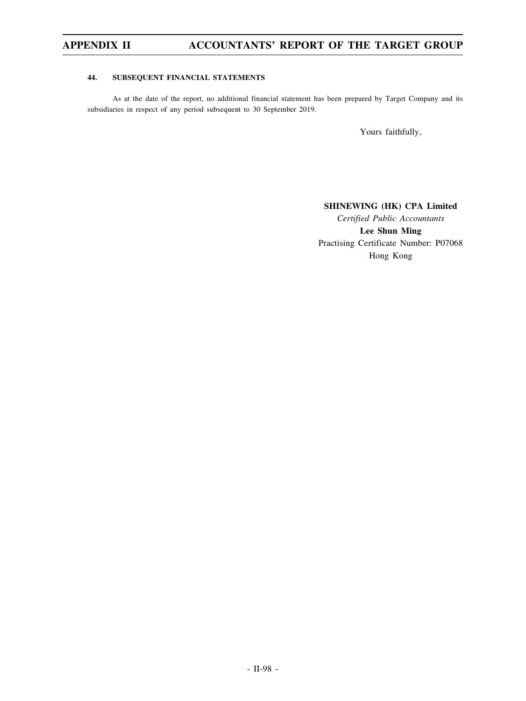# **44. SUBSEQUENT FINANCIAL STATEMENTS**

As at the date of the report, no additional financial statement has been prepared by Target Company and its subsidiaries in respect of any period subsequent to 30 September 2019.

Yours faithfully,

## **SHINEWING (HK) CPA Limited**

*Certified Public Accountants* **Lee Shun Ming** Practising Certificate Number: P07068 Hong Kong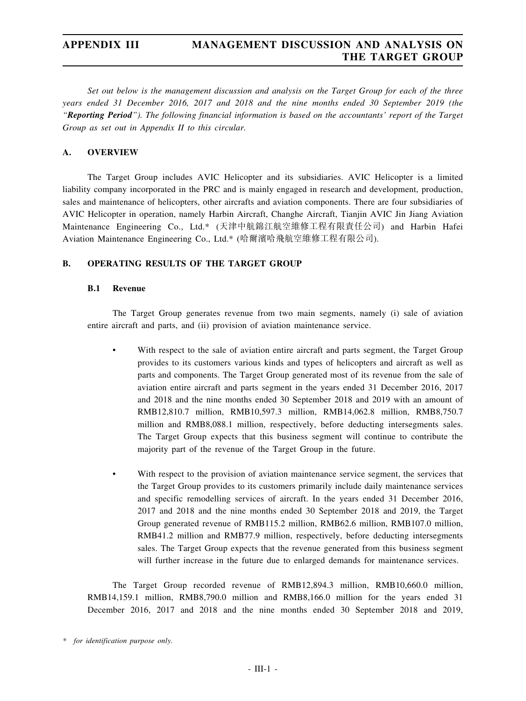# **APPENDIX III MANAGEMENT DISCUSSION AND ANALYSIS ON THE TARGET GROUP**

*Set out below is the management discussion and analysis on the Target Group for each of the three years ended 31 December 2016, 2017 and 2018 and the nine months ended 30 September 2019 (the "Reporting Period"). The following financial information is based on the accountants' report of the Target Group as set out in Appendix II to this circular.*

# **A. OVERVIEW**

The Target Group includes AVIC Helicopter and its subsidiaries. AVIC Helicopter is a limited liability company incorporated in the PRC and is mainly engaged in research and development, production, sales and maintenance of helicopters, other aircrafts and aviation components. There are four subsidiaries of AVIC Helicopter in operation, namely Harbin Aircraft, Changhe Aircraft, Tianjin AVIC Jin Jiang Aviation Maintenance Engineering Co., Ltd.\* (天津中航錦江航空維修工程有限責任公司) and Harbin Hafei Aviation Maintenance Engineering Co., Ltd.\* (哈爾濱哈飛航空維修工程有限公司).

# **B. OPERATING RESULTS OF THE TARGET GROUP**

# **B.1 Revenue**

The Target Group generates revenue from two main segments, namely (i) sale of aviation entire aircraft and parts, and (ii) provision of aviation maintenance service.

- With respect to the sale of aviation entire aircraft and parts segment, the Target Group provides to its customers various kinds and types of helicopters and aircraft as well as parts and components. The Target Group generated most of its revenue from the sale of aviation entire aircraft and parts segment in the years ended 31 December 2016, 2017 and 2018 and the nine months ended 30 September 2018 and 2019 with an amount of RMB12,810.7 million, RMB10,597.3 million, RMB14,062.8 million, RMB8,750.7 million and RMB8,088.1 million, respectively, before deducting intersegments sales. The Target Group expects that this business segment will continue to contribute the majority part of the revenue of the Target Group in the future.
- With respect to the provision of aviation maintenance service segment, the services that the Target Group provides to its customers primarily include daily maintenance services and specific remodelling services of aircraft. In the years ended 31 December 2016, 2017 and 2018 and the nine months ended 30 September 2018 and 2019, the Target Group generated revenue of RMB115.2 million, RMB62.6 million, RMB107.0 million, RMB41.2 million and RMB77.9 million, respectively, before deducting intersegments sales. The Target Group expects that the revenue generated from this business segment will further increase in the future due to enlarged demands for maintenance services.

The Target Group recorded revenue of RMB12,894.3 million, RMB10,660.0 million, RMB14,159.1 million, RMB8,790.0 million and RMB8,166.0 million for the years ended 31 December 2016, 2017 and 2018 and the nine months ended 30 September 2018 and 2019,

*<sup>\*</sup> for identification purpose only.*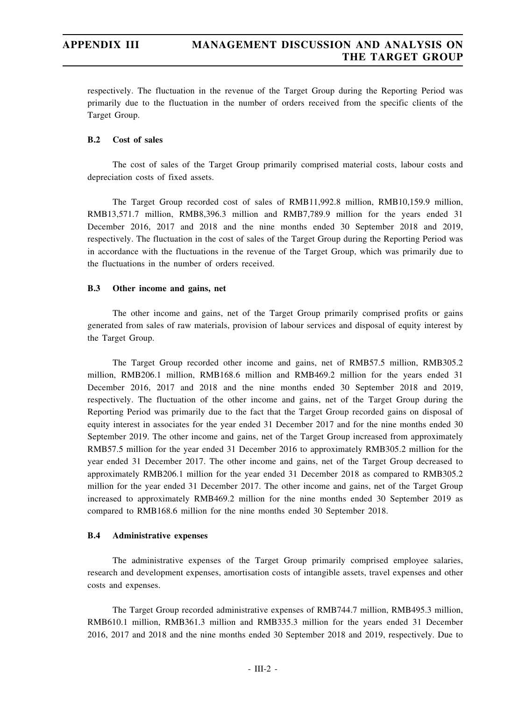respectively. The fluctuation in the revenue of the Target Group during the Reporting Period was primarily due to the fluctuation in the number of orders received from the specific clients of the Target Group.

# **B.2 Cost of sales**

The cost of sales of the Target Group primarily comprised material costs, labour costs and depreciation costs of fixed assets.

The Target Group recorded cost of sales of RMB11,992.8 million, RMB10,159.9 million, RMB13,571.7 million, RMB8,396.3 million and RMB7,789.9 million for the years ended 31 December 2016, 2017 and 2018 and the nine months ended 30 September 2018 and 2019, respectively. The fluctuation in the cost of sales of the Target Group during the Reporting Period was in accordance with the fluctuations in the revenue of the Target Group, which was primarily due to the fluctuations in the number of orders received.

## **B.3 Other income and gains, net**

The other income and gains, net of the Target Group primarily comprised profits or gains generated from sales of raw materials, provision of labour services and disposal of equity interest by the Target Group.

The Target Group recorded other income and gains, net of RMB57.5 million, RMB305.2 million, RMB206.1 million, RMB168.6 million and RMB469.2 million for the years ended 31 December 2016, 2017 and 2018 and the nine months ended 30 September 2018 and 2019, respectively. The fluctuation of the other income and gains, net of the Target Group during the Reporting Period was primarily due to the fact that the Target Group recorded gains on disposal of equity interest in associates for the year ended 31 December 2017 and for the nine months ended 30 September 2019. The other income and gains, net of the Target Group increased from approximately RMB57.5 million for the year ended 31 December 2016 to approximately RMB305.2 million for the year ended 31 December 2017. The other income and gains, net of the Target Group decreased to approximately RMB206.1 million for the year ended 31 December 2018 as compared to RMB305.2 million for the year ended 31 December 2017. The other income and gains, net of the Target Group increased to approximately RMB469.2 million for the nine months ended 30 September 2019 as compared to RMB168.6 million for the nine months ended 30 September 2018.

# **B.4 Administrative expenses**

The administrative expenses of the Target Group primarily comprised employee salaries, research and development expenses, amortisation costs of intangible assets, travel expenses and other costs and expenses.

The Target Group recorded administrative expenses of RMB744.7 million, RMB495.3 million, RMB610.1 million, RMB361.3 million and RMB335.3 million for the years ended 31 December 2016, 2017 and 2018 and the nine months ended 30 September 2018 and 2019, respectively. Due to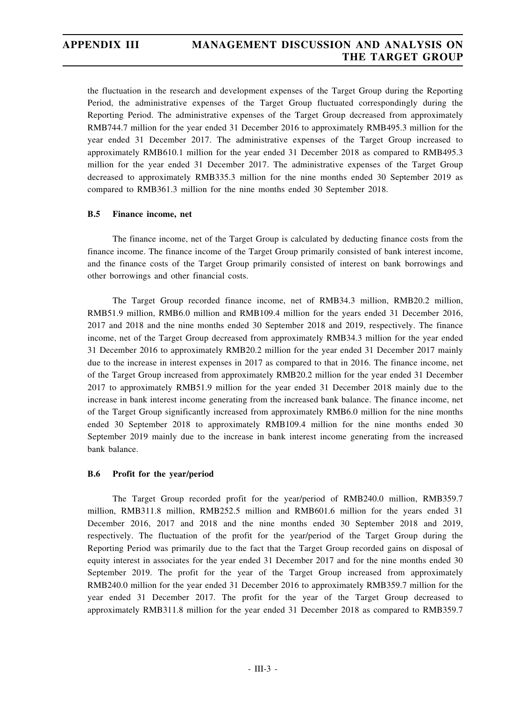the fluctuation in the research and development expenses of the Target Group during the Reporting Period, the administrative expenses of the Target Group fluctuated correspondingly during the Reporting Period. The administrative expenses of the Target Group decreased from approximately RMB744.7 million for the year ended 31 December 2016 to approximately RMB495.3 million for the year ended 31 December 2017. The administrative expenses of the Target Group increased to approximately RMB610.1 million for the year ended 31 December 2018 as compared to RMB495.3 million for the year ended 31 December 2017. The administrative expenses of the Target Group decreased to approximately RMB335.3 million for the nine months ended 30 September 2019 as compared to RMB361.3 million for the nine months ended 30 September 2018.

# **B.5 Finance income, net**

The finance income, net of the Target Group is calculated by deducting finance costs from the finance income. The finance income of the Target Group primarily consisted of bank interest income, and the finance costs of the Target Group primarily consisted of interest on bank borrowings and other borrowings and other financial costs.

The Target Group recorded finance income, net of RMB34.3 million, RMB20.2 million, RMB51.9 million, RMB6.0 million and RMB109.4 million for the years ended 31 December 2016, 2017 and 2018 and the nine months ended 30 September 2018 and 2019, respectively. The finance income, net of the Target Group decreased from approximately RMB34.3 million for the year ended 31 December 2016 to approximately RMB20.2 million for the year ended 31 December 2017 mainly due to the increase in interest expenses in 2017 as compared to that in 2016. The finance income, net of the Target Group increased from approximately RMB20.2 million for the year ended 31 December 2017 to approximately RMB51.9 million for the year ended 31 December 2018 mainly due to the increase in bank interest income generating from the increased bank balance. The finance income, net of the Target Group significantly increased from approximately RMB6.0 million for the nine months ended 30 September 2018 to approximately RMB109.4 million for the nine months ended 30 September 2019 mainly due to the increase in bank interest income generating from the increased bank balance.

# **B.6 Profit for the year/period**

The Target Group recorded profit for the year/period of RMB240.0 million, RMB359.7 million, RMB311.8 million, RMB252.5 million and RMB601.6 million for the years ended 31 December 2016, 2017 and 2018 and the nine months ended 30 September 2018 and 2019, respectively. The fluctuation of the profit for the year/period of the Target Group during the Reporting Period was primarily due to the fact that the Target Group recorded gains on disposal of equity interest in associates for the year ended 31 December 2017 and for the nine months ended 30 September 2019. The profit for the year of the Target Group increased from approximately RMB240.0 million for the year ended 31 December 2016 to approximately RMB359.7 million for the year ended 31 December 2017. The profit for the year of the Target Group decreased to approximately RMB311.8 million for the year ended 31 December 2018 as compared to RMB359.7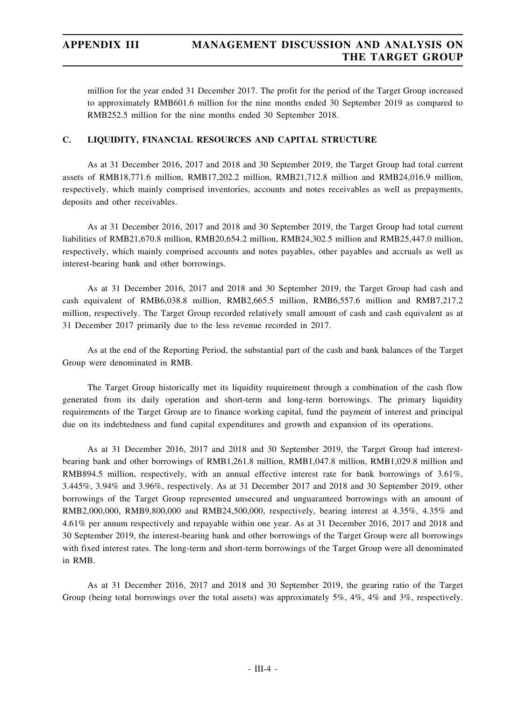million for the year ended 31 December 2017. The profit for the period of the Target Group increased to approximately RMB601.6 million for the nine months ended 30 September 2019 as compared to RMB252.5 million for the nine months ended 30 September 2018.

# **C. LIQUIDITY, FINANCIAL RESOURCES AND CAPITAL STRUCTURE**

As at 31 December 2016, 2017 and 2018 and 30 September 2019, the Target Group had total current assets of RMB18,771.6 million, RMB17,202.2 million, RMB21,712.8 million and RMB24,016.9 million, respectively, which mainly comprised inventories, accounts and notes receivables as well as prepayments, deposits and other receivables.

As at 31 December 2016, 2017 and 2018 and 30 September 2019, the Target Group had total current liabilities of RMB21,670.8 million, RMB20,654.2 million, RMB24,302.5 million and RMB25,447.0 million, respectively, which mainly comprised accounts and notes payables, other payables and accruals as well as interest-bearing bank and other borrowings.

As at 31 December 2016, 2017 and 2018 and 30 September 2019, the Target Group had cash and cash equivalent of RMB6,038.8 million, RMB2,665.5 million, RMB6,557.6 million and RMB7,217.2 million, respectively. The Target Group recorded relatively small amount of cash and cash equivalent as at 31 December 2017 primarily due to the less revenue recorded in 2017.

As at the end of the Reporting Period, the substantial part of the cash and bank balances of the Target Group were denominated in RMB.

The Target Group historically met its liquidity requirement through a combination of the cash flow generated from its daily operation and short-term and long-term borrowings. The primary liquidity requirements of the Target Group are to finance working capital, fund the payment of interest and principal due on its indebtedness and fund capital expenditures and growth and expansion of its operations.

As at 31 December 2016, 2017 and 2018 and 30 September 2019, the Target Group had interestbearing bank and other borrowings of RMB1,261.8 million, RMB1,047.8 million, RMB1,029.8 million and RMB894.5 million, respectively, with an annual effective interest rate for bank borrowings of 3.61%, 3.445%, 3.94% and 3.96%, respectively. As at 31 December 2017 and 2018 and 30 September 2019, other borrowings of the Target Group represented unsecured and unguaranteed borrowings with an amount of RMB2,000,000, RMB9,800,000 and RMB24,500,000, respectively, bearing interest at 4.35%, 4.35% and 4.61% per annum respectively and repayable within one year. As at 31 December 2016, 2017 and 2018 and 30 September 2019, the interest-bearing bank and other borrowings of the Target Group were all borrowings with fixed interest rates. The long-term and short-term borrowings of the Target Group were all denominated in RMB.

As at 31 December 2016, 2017 and 2018 and 30 September 2019, the gearing ratio of the Target Group (being total borrowings over the total assets) was approximately 5%, 4%, 4% and 3%, respectively.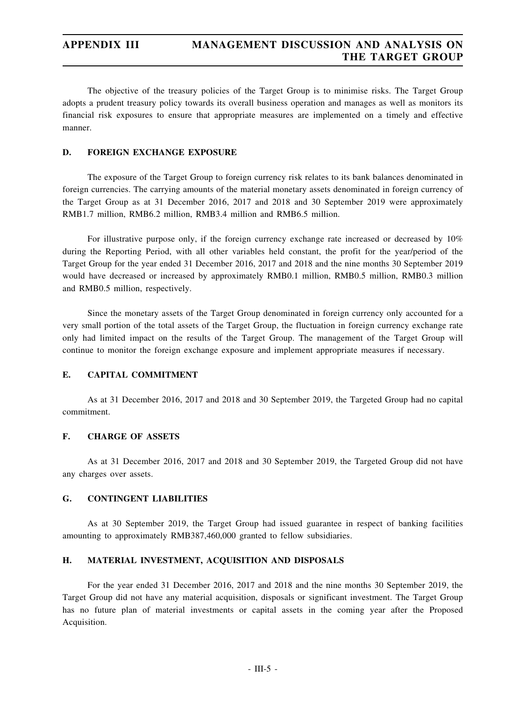The objective of the treasury policies of the Target Group is to minimise risks. The Target Group adopts a prudent treasury policy towards its overall business operation and manages as well as monitors its financial risk exposures to ensure that appropriate measures are implemented on a timely and effective manner.

# **D. FOREIGN EXCHANGE EXPOSURE**

The exposure of the Target Group to foreign currency risk relates to its bank balances denominated in foreign currencies. The carrying amounts of the material monetary assets denominated in foreign currency of the Target Group as at 31 December 2016, 2017 and 2018 and 30 September 2019 were approximately RMB1.7 million, RMB6.2 million, RMB3.4 million and RMB6.5 million.

For illustrative purpose only, if the foreign currency exchange rate increased or decreased by 10% during the Reporting Period, with all other variables held constant, the profit for the year/period of the Target Group for the year ended 31 December 2016, 2017 and 2018 and the nine months 30 September 2019 would have decreased or increased by approximately RMB0.1 million, RMB0.5 million, RMB0.3 million and RMB0.5 million, respectively.

Since the monetary assets of the Target Group denominated in foreign currency only accounted for a very small portion of the total assets of the Target Group, the fluctuation in foreign currency exchange rate only had limited impact on the results of the Target Group. The management of the Target Group will continue to monitor the foreign exchange exposure and implement appropriate measures if necessary.

# **E. CAPITAL COMMITMENT**

As at 31 December 2016, 2017 and 2018 and 30 September 2019, the Targeted Group had no capital commitment.

# **F. CHARGE OF ASSETS**

As at 31 December 2016, 2017 and 2018 and 30 September 2019, the Targeted Group did not have any charges over assets.

# **G. CONTINGENT LIABILITIES**

As at 30 September 2019, the Target Group had issued guarantee in respect of banking facilities amounting to approximately RMB387,460,000 granted to fellow subsidiaries.

## **H. MATERIAL INVESTMENT, ACQUISITION AND DISPOSALS**

For the year ended 31 December 2016, 2017 and 2018 and the nine months 30 September 2019, the Target Group did not have any material acquisition, disposals or significant investment. The Target Group has no future plan of material investments or capital assets in the coming year after the Proposed Acquisition.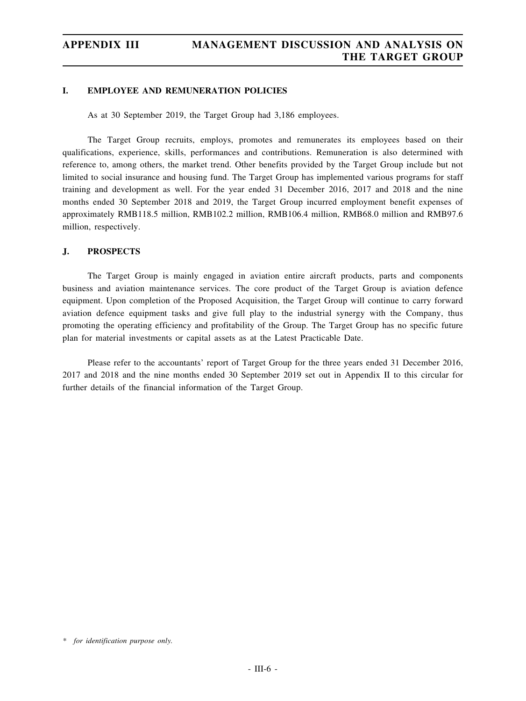# **I. EMPLOYEE AND REMUNERATION POLICIES**

As at 30 September 2019, the Target Group had 3,186 employees.

The Target Group recruits, employs, promotes and remunerates its employees based on their qualifications, experience, skills, performances and contributions. Remuneration is also determined with reference to, among others, the market trend. Other benefits provided by the Target Group include but not limited to social insurance and housing fund. The Target Group has implemented various programs for staff training and development as well. For the year ended 31 December 2016, 2017 and 2018 and the nine months ended 30 September 2018 and 2019, the Target Group incurred employment benefit expenses of approximately RMB118.5 million, RMB102.2 million, RMB106.4 million, RMB68.0 million and RMB97.6 million, respectively.

# **J. PROSPECTS**

The Target Group is mainly engaged in aviation entire aircraft products, parts and components business and aviation maintenance services. The core product of the Target Group is aviation defence equipment. Upon completion of the Proposed Acquisition, the Target Group will continue to carry forward aviation defence equipment tasks and give full play to the industrial synergy with the Company, thus promoting the operating efficiency and profitability of the Group. The Target Group has no specific future plan for material investments or capital assets as at the Latest Practicable Date.

Please refer to the accountants' report of Target Group for the three years ended 31 December 2016, 2017 and 2018 and the nine months ended 30 September 2019 set out in Appendix II to this circular for further details of the financial information of the Target Group.

*<sup>\*</sup> for identification purpose only.*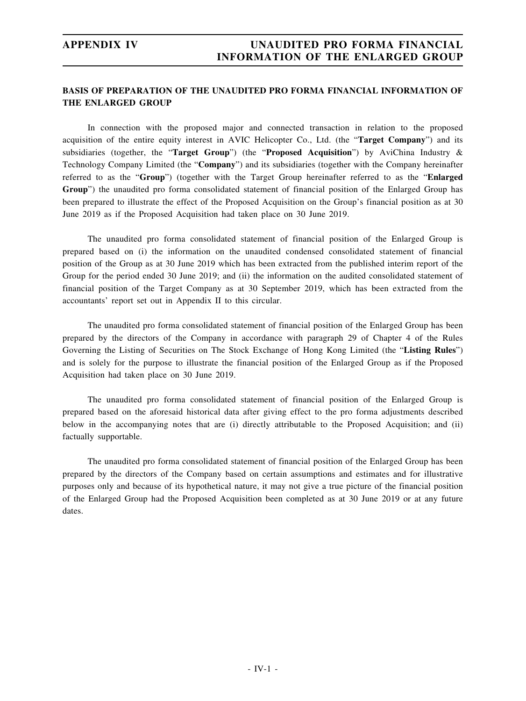# **BASIS OF PREPARATION OF THE UNAUDITED PRO FORMA FINANCIAL INFORMATION OF THE ENLARGED GROUP**

In connection with the proposed major and connected transaction in relation to the proposed acquisition of the entire equity interest in AVIC Helicopter Co., Ltd. (the "**Target Company**") and its subsidiaries (together, the "**Target Group**") (the "**Proposed Acquisition**") by AviChina Industry & Technology Company Limited (the "**Company**") and its subsidiaries (together with the Company hereinafter referred to as the "**Group**") (together with the Target Group hereinafter referred to as the "**Enlarged Group**") the unaudited pro forma consolidated statement of financial position of the Enlarged Group has been prepared to illustrate the effect of the Proposed Acquisition on the Group's financial position as at 30 June 2019 as if the Proposed Acquisition had taken place on 30 June 2019.

The unaudited pro forma consolidated statement of financial position of the Enlarged Group is prepared based on (i) the information on the unaudited condensed consolidated statement of financial position of the Group as at 30 June 2019 which has been extracted from the published interim report of the Group for the period ended 30 June 2019; and (ii) the information on the audited consolidated statement of financial position of the Target Company as at 30 September 2019, which has been extracted from the accountants' report set out in Appendix II to this circular.

The unaudited pro forma consolidated statement of financial position of the Enlarged Group has been prepared by the directors of the Company in accordance with paragraph 29 of Chapter 4 of the Rules Governing the Listing of Securities on The Stock Exchange of Hong Kong Limited (the "**Listing Rules**") and is solely for the purpose to illustrate the financial position of the Enlarged Group as if the Proposed Acquisition had taken place on 30 June 2019.

The unaudited pro forma consolidated statement of financial position of the Enlarged Group is prepared based on the aforesaid historical data after giving effect to the pro forma adjustments described below in the accompanying notes that are (i) directly attributable to the Proposed Acquisition; and (ii) factually supportable.

The unaudited pro forma consolidated statement of financial position of the Enlarged Group has been prepared by the directors of the Company based on certain assumptions and estimates and for illustrative purposes only and because of its hypothetical nature, it may not give a true picture of the financial position of the Enlarged Group had the Proposed Acquisition been completed as at 30 June 2019 or at any future dates.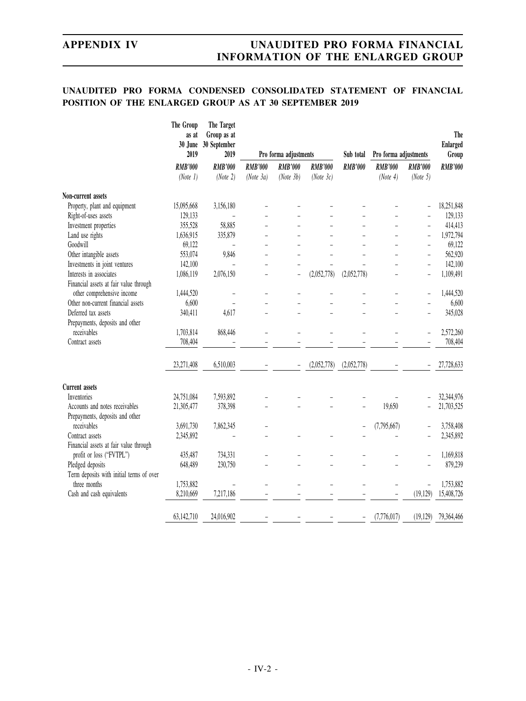# **UNAUDITED PRO FORMA CONDENSED CONSOLIDATED STATEMENT OF FINANCIAL POSITION OF THE ENLARGED GROUP AS AT 30 SEPTEMBER 2019**

|                                          | The Group<br>as at<br>30 June<br>2019 | The Target<br>Group as at<br>30 September<br>2019 |                | Pro forma adjustments |                | Sub total         | Pro forma adjustments |                                       | The<br><b>Enlarged</b><br>Group |
|------------------------------------------|---------------------------------------|---------------------------------------------------|----------------|-----------------------|----------------|-------------------|-----------------------|---------------------------------------|---------------------------------|
|                                          | <b>RMB'000</b>                        | <b>RMB'000</b>                                    | <b>RMB'000</b> | <b>RMB'000</b>        | <b>RMB'000</b> | <b>RMB'000</b>    | <b>RMB'000</b>        | <b>RMB'000</b>                        | <b>RMB'000</b>                  |
|                                          | (Note 1)                              | (Note 2)                                          | (Note 3a)      | (Note 3b)             | (Note 3c)      |                   | (Note 4)              | (Note 5)                              |                                 |
| Non-current assets                       |                                       |                                                   |                |                       |                |                   |                       |                                       |                                 |
| Property, plant and equipment            | 15,095,668                            | 3,156,180                                         |                |                       |                |                   |                       |                                       | 18,251,848                      |
| Right-of-uses assets                     | 129,133                               |                                                   |                |                       |                |                   |                       |                                       | 129,133                         |
| Investment properties                    | 355,528                               | 58,885                                            |                |                       |                |                   |                       | L.                                    | 414,413                         |
| Land use rights                          | 1,636,915                             | 335,879                                           |                |                       |                |                   |                       | -                                     | 1,972,794                       |
| Goodwill                                 | 69,122                                |                                                   |                |                       |                |                   |                       | $\overline{\phantom{0}}$              | 69,122                          |
| Other intangible assets                  | 553,074                               | 9,846                                             |                |                       |                |                   |                       |                                       | 562,920                         |
| Investments in joint ventures            | 142,100                               |                                                   |                |                       |                |                   |                       | L.                                    | 142,100                         |
| Interests in associates                  | 1,086,119                             | 2,076,150                                         |                |                       | (2,052,778)    | (2,052,778)       |                       | ÷,                                    | 1,109,491                       |
| Financial assets at fair value through   |                                       |                                                   |                |                       |                |                   |                       |                                       |                                 |
| other comprehensive income               | 1,444,520                             |                                                   |                |                       |                |                   |                       | $\overline{a}$                        | 1,444,520                       |
| Other non-current financial assets       | 6,600                                 |                                                   |                |                       |                |                   |                       | $\overline{a}$                        | 6,600                           |
| Deferred tax assets                      | 340,411                               | 4,617                                             |                |                       |                |                   |                       | L.                                    | 345,028                         |
| Prepayments, deposits and other          |                                       |                                                   |                |                       |                |                   |                       |                                       |                                 |
| receivables                              | 1,703,814                             | 868,446                                           |                |                       |                |                   |                       |                                       | 2,572,260                       |
| Contract assets                          | 708,404                               |                                                   |                |                       |                |                   |                       |                                       | 708,404                         |
|                                          |                                       |                                                   |                |                       |                |                   |                       |                                       |                                 |
|                                          | 23,271,408                            | 6,510,003                                         |                |                       | (2,052,778)    | (2,052,778)       |                       |                                       | 27,728,633                      |
| <b>Current</b> assets                    |                                       |                                                   |                |                       |                |                   |                       |                                       |                                 |
| Inventories                              | 24,751,084                            | 7,593,892                                         |                |                       |                |                   |                       |                                       | 32,344,976                      |
| Accounts and notes receivables           | 21,305,477                            | 378,398                                           |                |                       |                |                   | 19,650                |                                       | 21,703,525                      |
| Prepayments, deposits and other          |                                       |                                                   |                |                       |                |                   |                       |                                       |                                 |
| receivables                              | 3,691,730                             | 7,862,345                                         |                |                       |                |                   | (7,795,667)           |                                       | 3,758,408                       |
| Contract assets                          | 2,345,892                             |                                                   |                |                       |                |                   |                       |                                       | 2,345,892                       |
| Financial assets at fair value through   |                                       |                                                   |                |                       |                |                   |                       |                                       |                                 |
| profit or loss ("FVTPL")                 | 435,487                               | 734,331                                           |                |                       |                |                   |                       | $\overline{a}$                        | 1,169,818                       |
| Pledged deposits                         | 648,489                               | 230,750                                           |                |                       |                |                   |                       | L,                                    | 879,239                         |
| Term deposits with initial terms of over |                                       |                                                   |                |                       |                |                   |                       |                                       |                                 |
| three months                             | 1,753,882                             |                                                   |                |                       |                |                   |                       |                                       | 1,753,882                       |
|                                          | 8,210,669                             | 7,217,186                                         |                |                       |                |                   |                       | $\overline{\phantom{0}}$<br>(19, 129) | 15,408,726                      |
| Cash and cash equivalents                |                                       |                                                   |                |                       |                |                   |                       |                                       |                                 |
|                                          | 63,142,710                            | 24,016,902                                        |                |                       |                | $\qquad \qquad -$ | (7,776,017)           | (19, 129)                             | 79,364,466                      |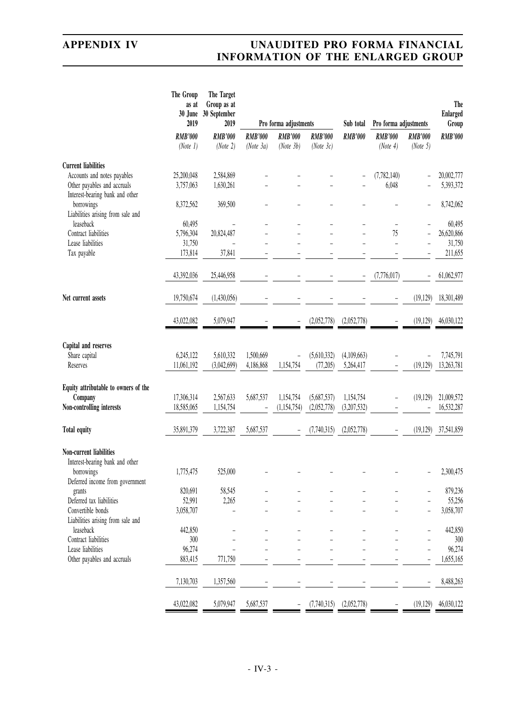|                                                                | The Group<br>as at<br>30 June<br>2019 | The Target<br>Group as at<br>30 September<br>2019 |                | Pro forma adjustments |                | Sub total      | Pro forma adjustments |                          | The<br><b>Enlarged</b><br>Group |
|----------------------------------------------------------------|---------------------------------------|---------------------------------------------------|----------------|-----------------------|----------------|----------------|-----------------------|--------------------------|---------------------------------|
|                                                                | <b>RMB'000</b>                        | <b>RMB'000</b>                                    | <b>RMB'000</b> | <b>RMB'000</b>        | <b>RMB'000</b> | <b>RMB'000</b> | <b>RMB'000</b>        | <b>RMB'000</b>           | <b>RMB'000</b>                  |
|                                                                | (Note 1)                              | (Note 2)                                          | (Note 3a)      | (Note 3b)             | (Note $3c$ )   |                | (Note 4)              | (Note 5)                 |                                 |
| <b>Current liabilities</b>                                     |                                       |                                                   |                |                       |                |                |                       |                          |                                 |
| Accounts and notes payables                                    | 25,200,048                            | 2,584,869                                         |                |                       |                |                | (7, 782, 140)         |                          | 20,002,777                      |
| Other payables and accruals<br>Interest-bearing bank and other | 3,757,063                             | 1,630,261                                         |                |                       |                |                | 6,048                 |                          | 5,393,372                       |
| borrowings                                                     | 8,372,562                             | 369,500                                           |                |                       |                |                |                       |                          | 8,742,062                       |
| Liabilities arising from sale and                              |                                       |                                                   |                |                       |                |                |                       |                          |                                 |
| leaseback                                                      | 60,495                                |                                                   |                |                       |                |                | ÷                     |                          | 60,495                          |
| Contract liabilities                                           | 5,796,304                             | 20,824,487                                        |                |                       |                |                | 75                    |                          | 26,620,866                      |
| Lease liabilities                                              | 31,750                                | $\overline{a}$                                    |                |                       |                |                | ÷                     |                          | 31,750                          |
| Tax payable                                                    | 173,814                               | 37,841                                            |                |                       |                |                |                       |                          | 211,655                         |
|                                                                | 43,392,036                            | 25,446,958                                        |                |                       |                |                | (7,776,017)           |                          | 61,062,977                      |
| Net current assets                                             | 19,750,674                            | (1,430,056)                                       |                |                       |                |                |                       | (19, 129)                | 18,301,489                      |
|                                                                | 43,022,082                            | 5,079,947                                         |                |                       | (2,052,778)    | (2,052,778)    |                       | (19, 129)                | 46,030,122                      |
| Capital and reserves                                           |                                       |                                                   |                |                       |                |                |                       |                          |                                 |
| Share capital                                                  | 6,245,122                             | 5,610,332                                         | 1,500,669      |                       | (5,610,332)    | (4,109,663)    |                       | $\overline{\phantom{a}}$ | 7,745,791                       |
| Reserves                                                       | 11,061,192                            | (3,042,699)                                       | 4,186,868      | 1,154,754             | (77, 205)      | 5,264,417      |                       | (19, 129)                | 13,263,781                      |
| Equity attributable to owners of the                           |                                       |                                                   |                |                       |                |                |                       |                          |                                 |
| Company                                                        | 17,306,314                            | 2,567,633                                         | 5,687,537      | 1,154,754             | (5,687,537)    | 1,154,754      |                       | (19, 129)                | 21,009,572                      |
| Non-controlling interests                                      | 18,585,065                            | 1,154,754                                         |                | (1, 154, 754)         | (2,052,778)    | (3,207,532)    |                       |                          | 16,532,287                      |
| <b>Total equity</b>                                            | 35,891,379                            | 3,722,387                                         | 5,687,537      |                       | (7,740,315)    | (2,052,778)    |                       | (19, 129)                | 37,541,859                      |
| <b>Non-current liabilities</b>                                 |                                       |                                                   |                |                       |                |                |                       |                          |                                 |
| Interest-bearing bank and other                                |                                       |                                                   |                |                       |                |                |                       |                          |                                 |
| borrowings<br>Deferred income from government                  | 1,775,475                             | 525,000                                           |                |                       |                |                |                       |                          | 2,300,475                       |
| grants                                                         | 820,691                               | 58,545                                            |                |                       |                |                |                       |                          | 879,236                         |
| Deferred tax liabilities                                       | 52,991                                | 2,265                                             |                |                       |                |                |                       |                          | 55,256                          |
| Convertible bonds                                              | 3,058,707                             |                                                   |                |                       |                |                |                       |                          | 3,058,707                       |
| Liabilities arising from sale and                              |                                       |                                                   |                |                       |                |                |                       |                          |                                 |
| leaseback                                                      | 442,850                               |                                                   |                |                       |                |                |                       |                          | 442,850                         |
| Contract liabilities                                           | 300                                   |                                                   |                |                       |                |                |                       |                          | 300                             |
| Lease liabilities                                              | 96,274                                |                                                   |                |                       |                |                |                       | $\overline{a}$           | 96,274                          |
| Other payables and accruals                                    | 883,415                               | 771,750                                           |                |                       |                |                |                       | $\overline{\phantom{a}}$ | 1,655,165                       |
|                                                                | 7,130,703                             | 1,357,560                                         |                |                       |                |                |                       |                          | 8,488,263                       |
|                                                                | 43,022,082                            | 5,079,947                                         | 5,687,537      |                       | (7,740,315)    | (2,052,778)    |                       | (19, 129)                | 46,030,122                      |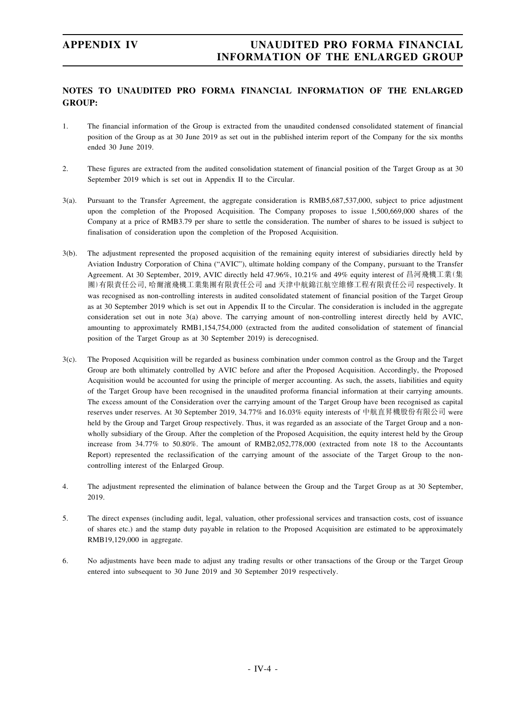# **NOTES TO UNAUDITED PRO FORMA FINANCIAL INFORMATION OF THE ENLARGED GROUP:**

- 1. The financial information of the Group is extracted from the unaudited condensed consolidated statement of financial position of the Group as at 30 June 2019 as set out in the published interim report of the Company for the six months ended 30 June 2019.
- 2. These figures are extracted from the audited consolidation statement of financial position of the Target Group as at 30 September 2019 which is set out in Appendix II to the Circular.
- 3(a). Pursuant to the Transfer Agreement, the aggregate consideration is RMB5,687,537,000, subject to price adjustment upon the completion of the Proposed Acquisition. The Company proposes to issue 1,500,669,000 shares of the Company at a price of RMB3.79 per share to settle the consideration. The number of shares to be issued is subject to finalisation of consideration upon the completion of the Proposed Acquisition.
- 3(b). The adjustment represented the proposed acquisition of the remaining equity interest of subsidiaries directly held by Aviation Industry Corporation of China ("AVIC"), ultimate holding company of the Company, pursuant to the Transfer Agreement. At 30 September, 2019, AVIC directly held 47.96%, 10.21% and 49% equity interest of 昌河飛機工業(集 團)有限責任公司, 哈爾濱飛機工業集團有限責任公司 and 天津中航錦江航空維修工程有限責任公司 respectively. It was recognised as non-controlling interests in audited consolidated statement of financial position of the Target Group as at 30 September 2019 which is set out in Appendix II to the Circular. The consideration is included in the aggregate consideration set out in note 3(a) above. The carrying amount of non-controlling interest directly held by AVIC, amounting to approximately RMB1,154,754,000 (extracted from the audited consolidation of statement of financial position of the Target Group as at 30 September 2019) is derecognised.
- 3(c). The Proposed Acquisition will be regarded as business combination under common control as the Group and the Target Group are both ultimately controlled by AVIC before and after the Proposed Acquisition. Accordingly, the Proposed Acquisition would be accounted for using the principle of merger accounting. As such, the assets, liabilities and equity of the Target Group have been recognised in the unaudited proforma financial information at their carrying amounts. The excess amount of the Consideration over the carrying amount of the Target Group have been recognised as capital reserves under reserves. At 30 September 2019, 34.77% and 16.03% equity interests of 中航直昇機股份有限公司 were held by the Group and Target Group respectively. Thus, it was regarded as an associate of the Target Group and a nonwholly subsidiary of the Group. After the completion of the Proposed Acquisition, the equity interest held by the Group increase from 34.77% to 50.80%. The amount of RMB2,052,778,000 (extracted from note 18 to the Accountants Report) represented the reclassification of the carrying amount of the associate of the Target Group to the noncontrolling interest of the Enlarged Group.
- 4. The adjustment represented the elimination of balance between the Group and the Target Group as at 30 September, 2019.
- 5. The direct expenses (including audit, legal, valuation, other professional services and transaction costs, cost of issuance of shares etc.) and the stamp duty payable in relation to the Proposed Acquisition are estimated to be approximately RMB19,129,000 in aggregate.
- 6. No adjustments have been made to adjust any trading results or other transactions of the Group or the Target Group entered into subsequent to 30 June 2019 and 30 September 2019 respectively.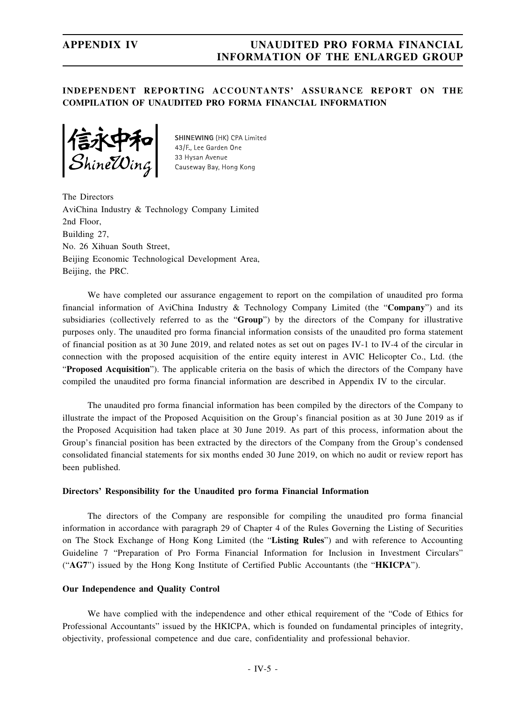# **INDEPENDENT REPORTING ACCOUNTANTS' ASSURANCE REPORT ON THE COMPILATION OF UNAUDITED PRO FORMA FINANCIAL INFORMATION**

**321470**<br>ShineWing

SHINEWING (HK) CPA Limited 43/F., Lee Garden One 33 Hysan Avenue Causeway Bay, Hong Kong

The Directors AviChina Industry & Technology Company Limited 2nd Floor, Building 27, No. 26 Xihuan South Street, Beijing Economic Technological Development Area, Beijing, the PRC.

We have completed our assurance engagement to report on the compilation of unaudited pro forma financial information of AviChina Industry & Technology Company Limited (the "**Company**") and its subsidiaries (collectively referred to as the "**Group**") by the directors of the Company for illustrative purposes only. The unaudited pro forma financial information consists of the unaudited pro forma statement of financial position as at 30 June 2019, and related notes as set out on pages IV-1 to IV-4 of the circular in connection with the proposed acquisition of the entire equity interest in AVIC Helicopter Co., Ltd. (the "**Proposed Acquisition**"). The applicable criteria on the basis of which the directors of the Company have compiled the unaudited pro forma financial information are described in Appendix IV to the circular.

The unaudited pro forma financial information has been compiled by the directors of the Company to illustrate the impact of the Proposed Acquisition on the Group's financial position as at 30 June 2019 as if the Proposed Acquisition had taken place at 30 June 2019. As part of this process, information about the Group's financial position has been extracted by the directors of the Company from the Group's condensed consolidated financial statements for six months ended 30 June 2019, on which no audit or review report has been published.

## **Directors' Responsibility for the Unaudited pro forma Financial Information**

The directors of the Company are responsible for compiling the unaudited pro forma financial information in accordance with paragraph 29 of Chapter 4 of the Rules Governing the Listing of Securities on The Stock Exchange of Hong Kong Limited (the "**Listing Rules**") and with reference to Accounting Guideline 7 "Preparation of Pro Forma Financial Information for Inclusion in Investment Circulars" ("**AG7**") issued by the Hong Kong Institute of Certified Public Accountants (the "**HKICPA**").

### **Our Independence and Quality Control**

We have complied with the independence and other ethical requirement of the "Code of Ethics for Professional Accountants" issued by the HKICPA, which is founded on fundamental principles of integrity, objectivity, professional competence and due care, confidentiality and professional behavior.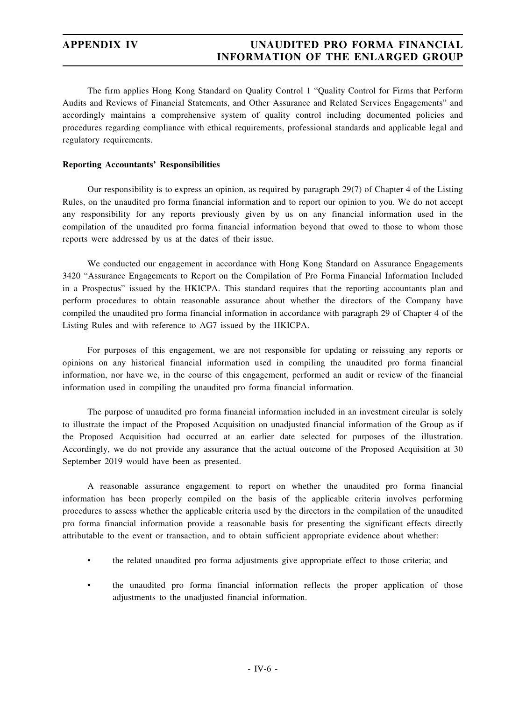The firm applies Hong Kong Standard on Quality Control 1 "Quality Control for Firms that Perform Audits and Reviews of Financial Statements, and Other Assurance and Related Services Engagements" and accordingly maintains a comprehensive system of quality control including documented policies and procedures regarding compliance with ethical requirements, professional standards and applicable legal and regulatory requirements.

# **Reporting Accountants' Responsibilities**

Our responsibility is to express an opinion, as required by paragraph 29(7) of Chapter 4 of the Listing Rules, on the unaudited pro forma financial information and to report our opinion to you. We do not accept any responsibility for any reports previously given by us on any financial information used in the compilation of the unaudited pro forma financial information beyond that owed to those to whom those reports were addressed by us at the dates of their issue.

We conducted our engagement in accordance with Hong Kong Standard on Assurance Engagements 3420 "Assurance Engagements to Report on the Compilation of Pro Forma Financial Information Included in a Prospectus" issued by the HKICPA. This standard requires that the reporting accountants plan and perform procedures to obtain reasonable assurance about whether the directors of the Company have compiled the unaudited pro forma financial information in accordance with paragraph 29 of Chapter 4 of the Listing Rules and with reference to AG7 issued by the HKICPA.

For purposes of this engagement, we are not responsible for updating or reissuing any reports or opinions on any historical financial information used in compiling the unaudited pro forma financial information, nor have we, in the course of this engagement, performed an audit or review of the financial information used in compiling the unaudited pro forma financial information.

The purpose of unaudited pro forma financial information included in an investment circular is solely to illustrate the impact of the Proposed Acquisition on unadjusted financial information of the Group as if the Proposed Acquisition had occurred at an earlier date selected for purposes of the illustration. Accordingly, we do not provide any assurance that the actual outcome of the Proposed Acquisition at 30 September 2019 would have been as presented.

A reasonable assurance engagement to report on whether the unaudited pro forma financial information has been properly compiled on the basis of the applicable criteria involves performing procedures to assess whether the applicable criteria used by the directors in the compilation of the unaudited pro forma financial information provide a reasonable basis for presenting the significant effects directly attributable to the event or transaction, and to obtain sufficient appropriate evidence about whether:

- the related unaudited pro forma adjustments give appropriate effect to those criteria; and
- the unaudited pro forma financial information reflects the proper application of those adjustments to the unadjusted financial information.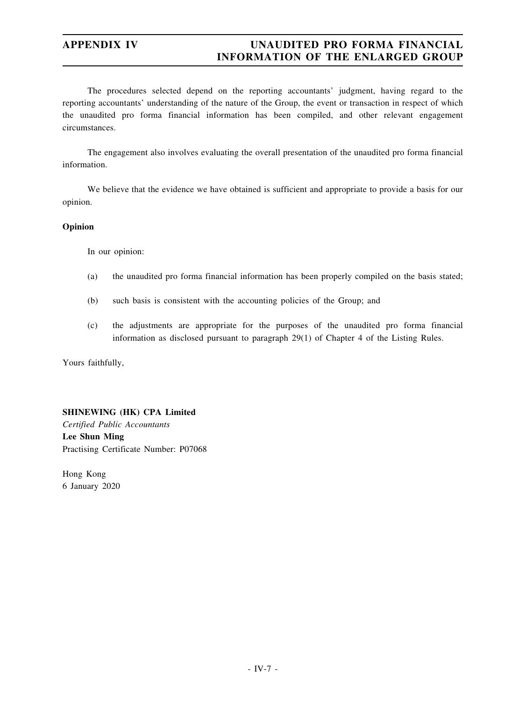The procedures selected depend on the reporting accountants' judgment, having regard to the reporting accountants' understanding of the nature of the Group, the event or transaction in respect of which the unaudited pro forma financial information has been compiled, and other relevant engagement circumstances.

The engagement also involves evaluating the overall presentation of the unaudited pro forma financial information.

We believe that the evidence we have obtained is sufficient and appropriate to provide a basis for our opinion.

## **Opinion**

In our opinion:

- (a) the unaudited pro forma financial information has been properly compiled on the basis stated;
- (b) such basis is consistent with the accounting policies of the Group; and
- (c) the adjustments are appropriate for the purposes of the unaudited pro forma financial information as disclosed pursuant to paragraph 29(1) of Chapter 4 of the Listing Rules.

Yours faithfully,

# **SHINEWING (HK) CPA Limited**

*Certified Public Accountants* **Lee Shun Ming** Practising Certificate Number: P07068

Hong Kong 6 January 2020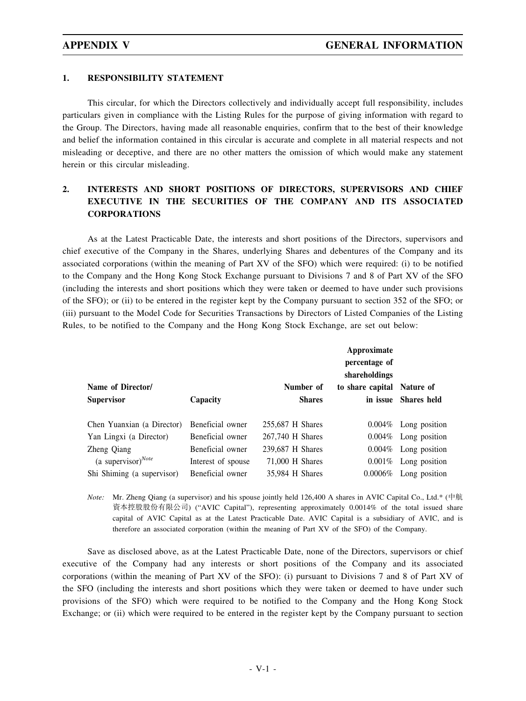# **1. RESPONSIBILITY STATEMENT**

This circular, for which the Directors collectively and individually accept full responsibility, includes particulars given in compliance with the Listing Rules for the purpose of giving information with regard to the Group. The Directors, having made all reasonable enquiries, confirm that to the best of their knowledge and belief the information contained in this circular is accurate and complete in all material respects and not misleading or deceptive, and there are no other matters the omission of which would make any statement herein or this circular misleading.

# **2. INTERESTS AND SHORT POSITIONS OF DIRECTORS, SUPERVISORS AND CHIEF EXECUTIVE IN THE SECURITIES OF THE COMPANY AND ITS ASSOCIATED CORPORATIONS**

As at the Latest Practicable Date, the interests and short positions of the Directors, supervisors and chief executive of the Company in the Shares, underlying Shares and debentures of the Company and its associated corporations (within the meaning of Part XV of the SFO) which were required: (i) to be notified to the Company and the Hong Kong Stock Exchange pursuant to Divisions 7 and 8 of Part XV of the SFO (including the interests and short positions which they were taken or deemed to have under such provisions of the SFO); or (ii) to be entered in the register kept by the Company pursuant to section 352 of the SFO; or (iii) pursuant to the Model Code for Securities Transactions by Directors of Listed Companies of the Listing Rules, to be notified to the Company and the Hong Kong Stock Exchange, are set out below:

|                            | Approximate<br>percentage of<br>shareholdings |                  |                            |                          |
|----------------------------|-----------------------------------------------|------------------|----------------------------|--------------------------|
| Name of Director/          |                                               | Number of        | to share capital Nature of |                          |
| <b>Supervisor</b>          | Capacity                                      | <b>Shares</b>    |                            | in issue Shares held     |
|                            |                                               |                  |                            |                          |
| Chen Yuanxian (a Director) | Beneficial owner                              | 255,687 H Shares |                            | $0.004\%$ Long position  |
| Yan Lingxi (a Director)    | Beneficial owner                              | 267,740 H Shares |                            | $0.004\%$ Long position  |
| Zheng Qiang                | Beneficial owner                              | 239,687 H Shares |                            | $0.004\%$ Long position  |
| (a supervisor) $^{Note}$   | Interest of spouse                            | 71,000 H Shares  |                            | $0.001\%$ Long position  |
| Shi Shiming (a supervisor) | Beneficial owner                              | 35,984 H Shares  |                            | $0.0006\%$ Long position |

*Note:* Mr. Zheng Qiang (a supervisor) and his spouse jointly held 126,400 A shares in AVIC Capital Co., Ltd.\* (中航 資本控股股份有限公司) ("AVIC Capital"), representing approximately 0.0014% of the total issued share capital of AVIC Capital as at the Latest Practicable Date. AVIC Capital is a subsidiary of AVIC, and is therefore an associated corporation (within the meaning of Part XV of the SFO) of the Company.

Save as disclosed above, as at the Latest Practicable Date, none of the Directors, supervisors or chief executive of the Company had any interests or short positions of the Company and its associated corporations (within the meaning of Part XV of the SFO): (i) pursuant to Divisions 7 and 8 of Part XV of the SFO (including the interests and short positions which they were taken or deemed to have under such provisions of the SFO) which were required to be notified to the Company and the Hong Kong Stock Exchange; or (ii) which were required to be entered in the register kept by the Company pursuant to section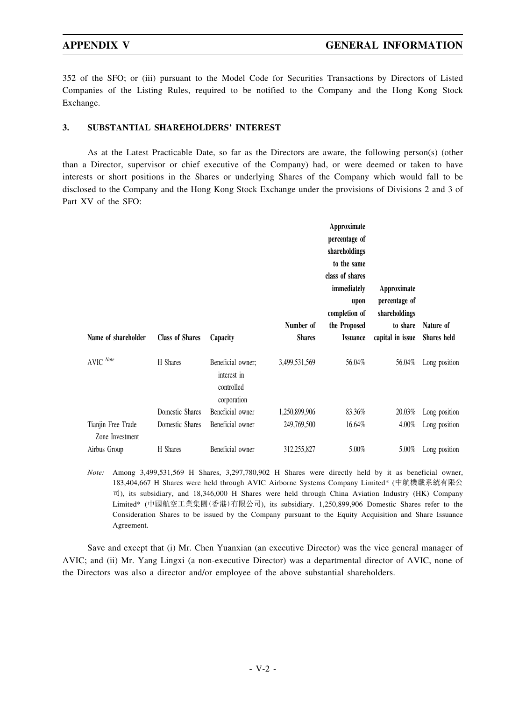352 of the SFO; or (iii) pursuant to the Model Code for Securities Transactions by Directors of Listed Companies of the Listing Rules, required to be notified to the Company and the Hong Kong Stock Exchange.

# **3. SUBSTANTIAL SHAREHOLDERS' INTEREST**

As at the Latest Practicable Date, so far as the Directors are aware, the following person(s) (other than a Director, supervisor or chief executive of the Company) had, or were deemed or taken to have interests or short positions in the Shares or underlying Shares of the Company which would fall to be disclosed to the Company and the Hong Kong Stock Exchange under the provisions of Divisions 2 and 3 of Part XV of the SFO:

| Name of shareholder                   | <b>Class of Shares</b> | Capacity                                                      | Number of<br><b>Shares</b> | Approximate<br>percentage of<br>shareholdings<br>to the same<br>class of shares<br>immediately<br>upon<br>completion of<br>the Proposed<br><b>Issuance</b> | Approximate<br>percentage of<br>shareholdings<br>to share<br>capital in issue | Nature of<br><b>Shares</b> held |
|---------------------------------------|------------------------|---------------------------------------------------------------|----------------------------|------------------------------------------------------------------------------------------------------------------------------------------------------------|-------------------------------------------------------------------------------|---------------------------------|
| $\mathsf{AVIC}\xspace\textit{Note}$   | H Shares               | Beneficial owner;<br>interest in<br>controlled<br>corporation | 3,499,531,569              | 56.04%                                                                                                                                                     | 56.04%                                                                        | Long position                   |
|                                       | Domestic Shares        | Beneficial owner                                              | 1,250,899,906              | 83.36%                                                                                                                                                     | 20.03%                                                                        | Long position                   |
| Tianjin Free Trade<br>Zone Investment | Domestic Shares        | Beneficial owner                                              | 249,769,500                | 16.64%                                                                                                                                                     | 4.00%                                                                         | Long position                   |
| Airbus Group                          | H Shares               | Beneficial owner                                              | 312,255,827                | 5.00%                                                                                                                                                      | 5.00%                                                                         | Long position                   |

*Note:* Among 3,499,531,569 H Shares, 3,297,780,902 H Shares were directly held by it as beneficial owner, 183,404,667 H Shares were held through AVIC Airborne Systems Company Limited\* (中航機載系統有限公 司), its subsidiary, and 18,346,000 H Shares were held through China Aviation Industry (HK) Company Limited\* (中國航空工業集團(香港)有限公司), its subsidiary. 1,250,899,906 Domestic Shares refer to the Consideration Shares to be issued by the Company pursuant to the Equity Acquisition and Share Issuance Agreement.

Save and except that (i) Mr. Chen Yuanxian (an executive Director) was the vice general manager of AVIC; and (ii) Mr. Yang Lingxi (a non-executive Director) was a departmental director of AVIC, none of the Directors was also a director and/or employee of the above substantial shareholders.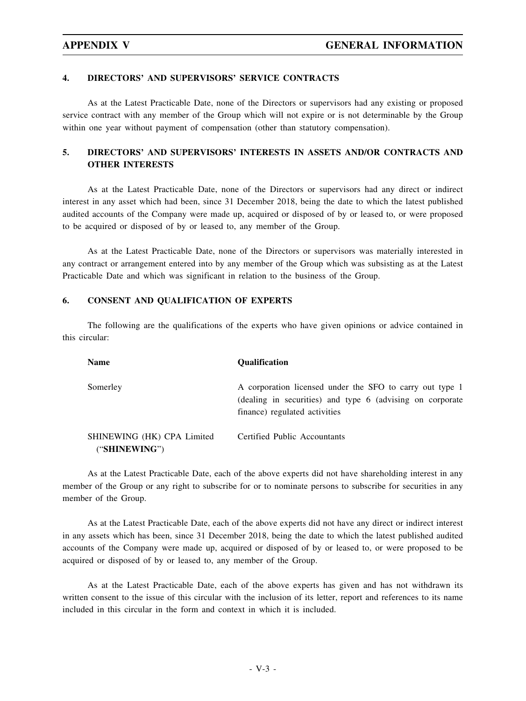# **4. DIRECTORS' AND SUPERVISORS' SERVICE CONTRACTS**

As at the Latest Practicable Date, none of the Directors or supervisors had any existing or proposed service contract with any member of the Group which will not expire or is not determinable by the Group within one year without payment of compensation (other than statutory compensation).

# **5. DIRECTORS' AND SUPERVISORS' INTERESTS IN ASSETS AND/OR CONTRACTS AND OTHER INTERESTS**

As at the Latest Practicable Date, none of the Directors or supervisors had any direct or indirect interest in any asset which had been, since 31 December 2018, being the date to which the latest published audited accounts of the Company were made up, acquired or disposed of by or leased to, or were proposed to be acquired or disposed of by or leased to, any member of the Group.

As at the Latest Practicable Date, none of the Directors or supervisors was materially interested in any contract or arrangement entered into by any member of the Group which was subsisting as at the Latest Practicable Date and which was significant in relation to the business of the Group.

# **6. CONSENT AND QUALIFICATION OF EXPERTS**

The following are the qualifications of the experts who have given opinions or advice contained in this circular:

| <b>Name</b>                                 | <b>Oualification</b>                                                                                                                                   |
|---------------------------------------------|--------------------------------------------------------------------------------------------------------------------------------------------------------|
| Somerley                                    | A corporation licensed under the SFO to carry out type 1<br>(dealing in securities) and type 6 (advising on corporate<br>finance) regulated activities |
| SHINEWING (HK) CPA Limited<br>("SHINEWING") | Certified Public Accountants                                                                                                                           |

As at the Latest Practicable Date, each of the above experts did not have shareholding interest in any member of the Group or any right to subscribe for or to nominate persons to subscribe for securities in any member of the Group.

As at the Latest Practicable Date, each of the above experts did not have any direct or indirect interest in any assets which has been, since 31 December 2018, being the date to which the latest published audited accounts of the Company were made up, acquired or disposed of by or leased to, or were proposed to be acquired or disposed of by or leased to, any member of the Group.

As at the Latest Practicable Date, each of the above experts has given and has not withdrawn its written consent to the issue of this circular with the inclusion of its letter, report and references to its name included in this circular in the form and context in which it is included.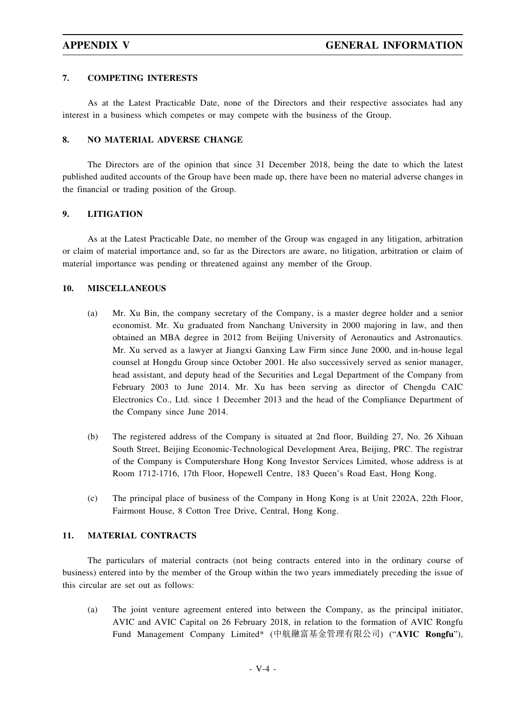# **7. COMPETING INTERESTS**

As at the Latest Practicable Date, none of the Directors and their respective associates had any interest in a business which competes or may compete with the business of the Group.

# **8. NO MATERIAL ADVERSE CHANGE**

The Directors are of the opinion that since 31 December 2018, being the date to which the latest published audited accounts of the Group have been made up, there have been no material adverse changes in the financial or trading position of the Group.

# **9. LITIGATION**

As at the Latest Practicable Date, no member of the Group was engaged in any litigation, arbitration or claim of material importance and, so far as the Directors are aware, no litigation, arbitration or claim of material importance was pending or threatened against any member of the Group.

# **10. MISCELLANEOUS**

- (a) Mr. Xu Bin, the company secretary of the Company, is a master degree holder and a senior economist. Mr. Xu graduated from Nanchang University in 2000 majoring in law, and then obtained an MBA degree in 2012 from Beijing University of Aeronautics and Astronautics. Mr. Xu served as a lawyer at Jiangxi Ganxing Law Firm since June 2000, and in-house legal counsel at Hongdu Group since October 2001. He also successively served as senior manager, head assistant, and deputy head of the Securities and Legal Department of the Company from February 2003 to June 2014. Mr. Xu has been serving as director of Chengdu CAIC Electronics Co., Ltd. since 1 December 2013 and the head of the Compliance Department of the Company since June 2014.
- (b) The registered address of the Company is situated at 2nd floor, Building 27, No. 26 Xihuan South Street, Beijing Economic-Technological Development Area, Beijing, PRC. The registrar of the Company is Computershare Hong Kong Investor Services Limited, whose address is at Room 1712-1716, 17th Floor, Hopewell Centre, 183 Queen's Road East, Hong Kong.
- (c) The principal place of business of the Company in Hong Kong is at Unit 2202A, 22th Floor, Fairmont House, 8 Cotton Tree Drive, Central, Hong Kong.

# **11. MATERIAL CONTRACTS**

The particulars of material contracts (not being contracts entered into in the ordinary course of business) entered into by the member of the Group within the two years immediately preceding the issue of this circular are set out as follows:

(a) The joint venture agreement entered into between the Company, as the principal initiator, AVIC and AVIC Capital on 26 February 2018, in relation to the formation of AVIC Rongfu Fund Management Company Limited\* (中航融富基金管理有限公司) ("**AVIC Rongfu**"),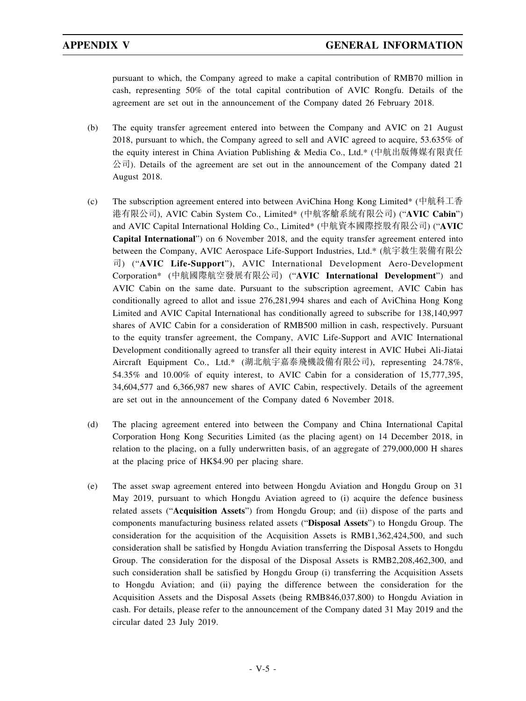pursuant to which, the Company agreed to make a capital contribution of RMB70 million in cash, representing 50% of the total capital contribution of AVIC Rongfu. Details of the agreement are set out in the announcement of the Company dated 26 February 2018.

- (b) The equity transfer agreement entered into between the Company and AVIC on 21 August 2018, pursuant to which, the Company agreed to sell and AVIC agreed to acquire, 53.635% of the equity interest in China Aviation Publishing & Media Co., Ltd.\* (中航出版傳媒有限責任  $\triangle$ 司). Details of the agreement are set out in the announcement of the Company dated 21 August 2018.
- (c) The subscription agreement entered into between AviChina Hong Kong Limited\* (中航科工香 港有限公司), AVIC Cabin System Co., Limited\* (中航客艙系統有限公司) ("**AVIC Cabin**") and AVIC Capital International Holding Co., Limited\* (中航資本國際控股有限公司) ("**AVIC Capital International**") on 6 November 2018, and the equity transfer agreement entered into between the Company, AVIC Aerospace Life-Support Industries, Ltd.\* (航宇救生裝備有限公 司) ("**AVIC Life-Support**"), AVIC International Development Aero-Development Corporation\* (中航國際航空發展有限公司) ("**AVIC International Development**") and AVIC Cabin on the same date. Pursuant to the subscription agreement, AVIC Cabin has conditionally agreed to allot and issue 276,281,994 shares and each of AviChina Hong Kong Limited and AVIC Capital International has conditionally agreed to subscribe for 138,140,997 shares of AVIC Cabin for a consideration of RMB500 million in cash, respectively. Pursuant to the equity transfer agreement, the Company, AVIC Life-Support and AVIC International Development conditionally agreed to transfer all their equity interest in AVIC Hubei Ali-Jiatai Aircraft Equipment Co., Ltd.\* (湖北航宇嘉泰飛機設備有限公司), representing 24.78%, 54.35% and 10.00% of equity interest, to AVIC Cabin for a consideration of 15,777,395, 34,604,577 and 6,366,987 new shares of AVIC Cabin, respectively. Details of the agreement are set out in the announcement of the Company dated 6 November 2018.
- (d) The placing agreement entered into between the Company and China International Capital Corporation Hong Kong Securities Limited (as the placing agent) on 14 December 2018, in relation to the placing, on a fully underwritten basis, of an aggregate of 279,000,000 H shares at the placing price of HK\$4.90 per placing share.
- (e) The asset swap agreement entered into between Hongdu Aviation and Hongdu Group on 31 May 2019, pursuant to which Hongdu Aviation agreed to (i) acquire the defence business related assets ("**Acquisition Assets**") from Hongdu Group; and (ii) dispose of the parts and components manufacturing business related assets ("**Disposal Assets**") to Hongdu Group. The consideration for the acquisition of the Acquisition Assets is RMB1,362,424,500, and such consideration shall be satisfied by Hongdu Aviation transferring the Disposal Assets to Hongdu Group. The consideration for the disposal of the Disposal Assets is RMB2,208,462,300, and such consideration shall be satisfied by Hongdu Group (i) transferring the Acquisition Assets to Hongdu Aviation; and (ii) paying the difference between the consideration for the Acquisition Assets and the Disposal Assets (being RMB846,037,800) to Hongdu Aviation in cash. For details, please refer to the announcement of the Company dated 31 May 2019 and the circular dated 23 July 2019.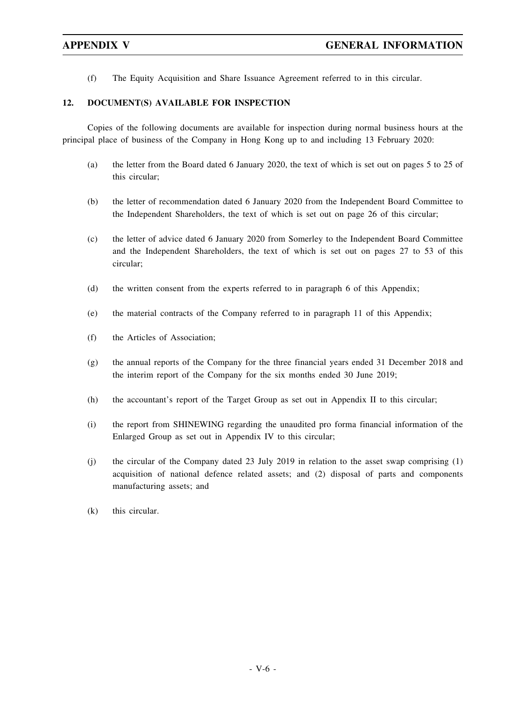(f) The Equity Acquisition and Share Issuance Agreement referred to in this circular.

# **12. DOCUMENT(S) AVAILABLE FOR INSPECTION**

Copies of the following documents are available for inspection during normal business hours at the principal place of business of the Company in Hong Kong up to and including 13 February 2020:

- (a) the letter from the Board dated 6 January 2020, the text of which is set out on pages 5 to 25 of this circular;
- (b) the letter of recommendation dated 6 January 2020 from the Independent Board Committee to the Independent Shareholders, the text of which is set out on page 26 of this circular;
- (c) the letter of advice dated 6 January 2020 from Somerley to the Independent Board Committee and the Independent Shareholders, the text of which is set out on pages 27 to 53 of this circular;
- (d) the written consent from the experts referred to in paragraph 6 of this Appendix;
- (e) the material contracts of the Company referred to in paragraph 11 of this Appendix;
- (f) the Articles of Association;
- (g) the annual reports of the Company for the three financial years ended 31 December 2018 and the interim report of the Company for the six months ended 30 June 2019;
- (h) the accountant's report of the Target Group as set out in Appendix II to this circular;
- (i) the report from SHINEWING regarding the unaudited pro forma financial information of the Enlarged Group as set out in Appendix IV to this circular;
- (j) the circular of the Company dated 23 July 2019 in relation to the asset swap comprising (1) acquisition of national defence related assets; and (2) disposal of parts and components manufacturing assets; and
- (k) this circular.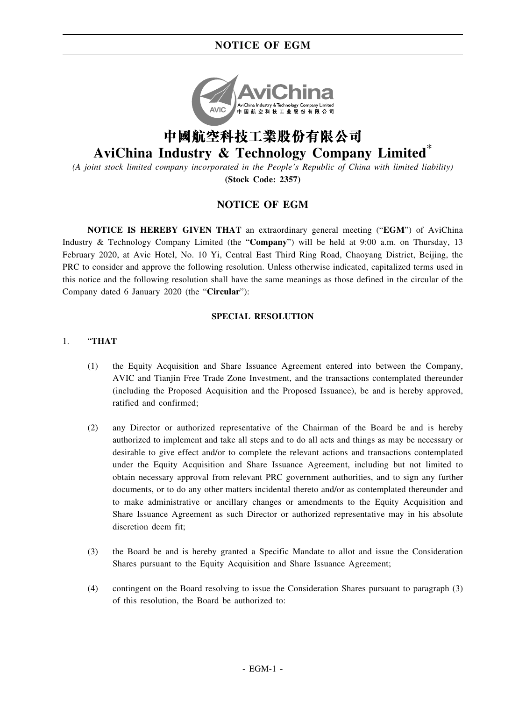# **NOTICE OF EGM**



# **AviChina Industry & Technology Company Limited\***

*(A joint stock limited company incorporated in the People's Republic of China with limited liability)* **(Stock Code: 2357)**

# **NOTICE OF EGM**

**NOTICE IS HEREBY GIVEN THAT** an extraordinary general meeting ("**EGM**") of AviChina Industry & Technology Company Limited (the "**Company**") will be held at 9:00 a.m. on Thursday, 13 February 2020, at Avic Hotel, No. 10 Yi, Central East Third Ring Road, Chaoyang District, Beijing, the PRC to consider and approve the following resolution. Unless otherwise indicated, capitalized terms used in this notice and the following resolution shall have the same meanings as those defined in the circular of the Company dated 6 January 2020 (the "**Circular**"):

# **SPECIAL RESOLUTION**

# 1. "**THAT**

- (1) the Equity Acquisition and Share Issuance Agreement entered into between the Company, AVIC and Tianjin Free Trade Zone Investment, and the transactions contemplated thereunder (including the Proposed Acquisition and the Proposed Issuance), be and is hereby approved, ratified and confirmed;
- (2) any Director or authorized representative of the Chairman of the Board be and is hereby authorized to implement and take all steps and to do all acts and things as may be necessary or desirable to give effect and/or to complete the relevant actions and transactions contemplated under the Equity Acquisition and Share Issuance Agreement, including but not limited to obtain necessary approval from relevant PRC government authorities, and to sign any further documents, or to do any other matters incidental thereto and/or as contemplated thereunder and to make administrative or ancillary changes or amendments to the Equity Acquisition and Share Issuance Agreement as such Director or authorized representative may in his absolute discretion deem fit;
- (3) the Board be and is hereby granted a Specific Mandate to allot and issue the Consideration Shares pursuant to the Equity Acquisition and Share Issuance Agreement;
- (4) contingent on the Board resolving to issue the Consideration Shares pursuant to paragraph (3) of this resolution, the Board be authorized to: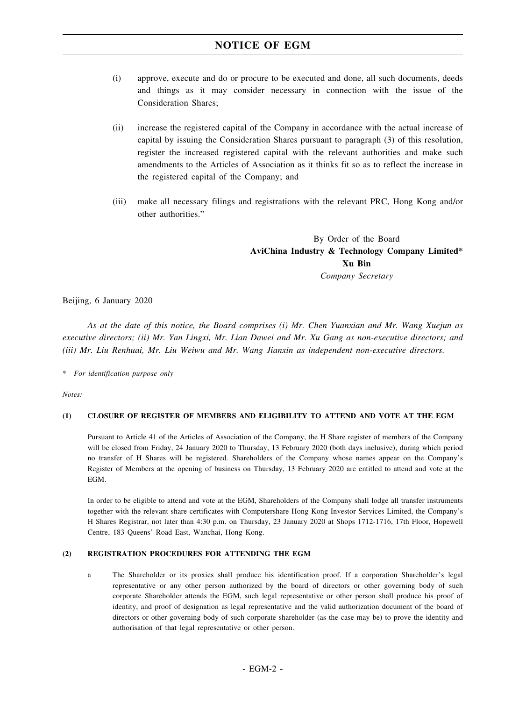# **NOTICE OF EGM**

- (i) approve, execute and do or procure to be executed and done, all such documents, deeds and things as it may consider necessary in connection with the issue of the Consideration Shares;
- (ii) increase the registered capital of the Company in accordance with the actual increase of capital by issuing the Consideration Shares pursuant to paragraph (3) of this resolution, register the increased registered capital with the relevant authorities and make such amendments to the Articles of Association as it thinks fit so as to reflect the increase in the registered capital of the Company; and
- (iii) make all necessary filings and registrations with the relevant PRC, Hong Kong and/or other authorities."

By Order of the Board **AviChina Industry & Technology Company Limited\* Xu Bin** *Company Secretary*

Beijing, 6 January 2020

*As at the date of this notice, the Board comprises (i) Mr. Chen Yuanxian and Mr. Wang Xuejun as executive directors; (ii) Mr. Yan Lingxi, Mr. Lian Dawei and Mr. Xu Gang as non-executive directors; and (iii) Mr. Liu Renhuai, Mr. Liu Weiwu and Mr. Wang Jianxin as independent non-executive directors.*

\* *For identification purpose only*

*Notes:*

## **(1) CLOSURE OF REGISTER OF MEMBERS AND ELIGIBILITY TO ATTEND AND VOTE AT THE EGM**

Pursuant to Article 41 of the Articles of Association of the Company, the H Share register of members of the Company will be closed from Friday, 24 January 2020 to Thursday, 13 February 2020 (both days inclusive), during which period no transfer of H Shares will be registered. Shareholders of the Company whose names appear on the Company's Register of Members at the opening of business on Thursday, 13 February 2020 are entitled to attend and vote at the EGM.

In order to be eligible to attend and vote at the EGM, Shareholders of the Company shall lodge all transfer instruments together with the relevant share certificates with Computershare Hong Kong Investor Services Limited, the Company's H Shares Registrar, not later than 4:30 p.m. on Thursday, 23 January 2020 at Shops 1712-1716, 17th Floor, Hopewell Centre, 183 Queens' Road East, Wanchai, Hong Kong.

### **(2) REGISTRATION PROCEDURES FOR ATTENDING THE EGM**

a The Shareholder or its proxies shall produce his identification proof. If a corporation Shareholder's legal representative or any other person authorized by the board of directors or other governing body of such corporate Shareholder attends the EGM, such legal representative or other person shall produce his proof of identity, and proof of designation as legal representative and the valid authorization document of the board of directors or other governing body of such corporate shareholder (as the case may be) to prove the identity and authorisation of that legal representative or other person.